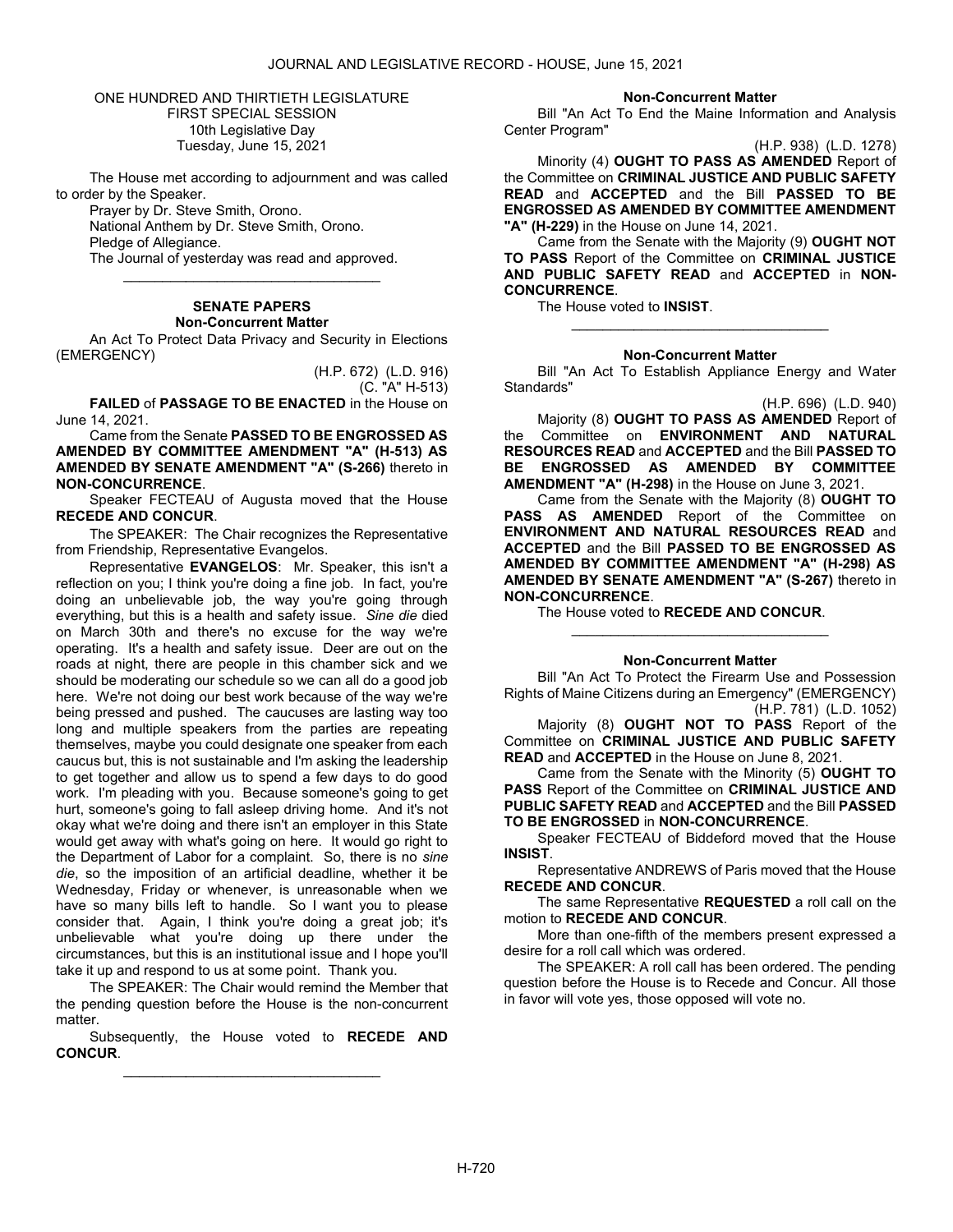ONE HUNDRED AND THIRTIETH LEGISLATURE FIRST SPECIAL SESSION 10th Legislative Day Tuesday, June 15, 2021

 The House met according to adjournment and was called to order by the Speaker.

 Prayer by Dr. Steve Smith, Orono. National Anthem by Dr. Steve Smith, Orono. Pledge of Allegiance. The Journal of yesterday was read and approved.

# SENATE PAPERS Non-Concurrent Matter

\_\_\_\_\_\_\_\_\_\_\_\_\_\_\_\_\_\_\_\_\_\_\_\_\_\_\_\_\_\_\_\_\_

 An Act To Protect Data Privacy and Security in Elections (EMERGENCY)

> (H.P. 672) (L.D. 916) (C. "A" H-513)

FAILED of PASSAGE TO BE ENACTED in the House on June 14, 2021.

 Came from the Senate PASSED TO BE ENGROSSED AS AMENDED BY COMMITTEE AMENDMENT "A" (H-513) AS AMENDED BY SENATE AMENDMENT "A" (S-266) thereto in NON-CONCURRENCE.

 Speaker FECTEAU of Augusta moved that the House RECEDE AND CONCUR.

The SPEAKER: The Chair recognizes the Representative from Friendship, Representative Evangelos.

Representative EVANGELOS: Mr. Speaker, this isn't a reflection on you; I think you're doing a fine job. In fact, you're doing an unbelievable job, the way you're going through everything, but this is a health and safety issue. Sine die died on March 30th and there's no excuse for the way we're operating. It's a health and safety issue. Deer are out on the roads at night, there are people in this chamber sick and we should be moderating our schedule so we can all do a good job here. We're not doing our best work because of the way we're being pressed and pushed. The caucuses are lasting way too long and multiple speakers from the parties are repeating themselves, maybe you could designate one speaker from each caucus but, this is not sustainable and I'm asking the leadership to get together and allow us to spend a few days to do good work. I'm pleading with you. Because someone's going to get hurt, someone's going to fall asleep driving home. And it's not okay what we're doing and there isn't an employer in this State would get away with what's going on here. It would go right to the Department of Labor for a complaint. So, there is no sine die, so the imposition of an artificial deadline, whether it be Wednesday, Friday or whenever, is unreasonable when we have so many bills left to handle. So I want you to please consider that. Again, I think you're doing a great job; it's unbelievable what you're doing up there under the circumstances, but this is an institutional issue and I hope you'll take it up and respond to us at some point. Thank you.

 The SPEAKER: The Chair would remind the Member that the pending question before the House is the non-concurrent matter.

 Subsequently, the House voted to RECEDE AND CONCUR. \_\_\_\_\_\_\_\_\_\_\_\_\_\_\_\_\_\_\_\_\_\_\_\_\_\_\_\_\_\_\_\_\_

#### Non-Concurrent Matter

 Bill "An Act To End the Maine Information and Analysis Center Program"

(H.P. 938) (L.D. 1278)

Minority (4) OUGHT TO PASS AS AMENDED Report of the Committee on CRIMINAL JUSTICE AND PUBLIC SAFETY READ and ACCEPTED and the Bill PASSED TO BE ENGROSSED AS AMENDED BY COMMITTEE AMENDMENT "A" (H-229) in the House on June 14, 2021.

 Came from the Senate with the Majority (9) OUGHT NOT TO PASS Report of the Committee on CRIMINAL JUSTICE AND PUBLIC SAFETY READ and ACCEPTED in NON-CONCURRENCE.

The House voted to INSIST.

## Non-Concurrent Matter

\_\_\_\_\_\_\_\_\_\_\_\_\_\_\_\_\_\_\_\_\_\_\_\_\_\_\_\_\_\_\_\_\_

 Bill "An Act To Establish Appliance Energy and Water Standards"

(H.P. 696) (L.D. 940)

 Majority (8) OUGHT TO PASS AS AMENDED Report of the Committee on ENVIRONMENT AND NATURAL RESOURCES READ and ACCEPTED and the Bill PASSED TO BE ENGROSSED AS AMENDED BY COMMITTEE AMENDMENT "A" (H-298) in the House on June 3, 2021.

 Came from the Senate with the Majority (8) OUGHT TO PASS AS AMENDED Report of the Committee on ENVIRONMENT AND NATURAL RESOURCES READ and ACCEPTED and the Bill PASSED TO BE ENGROSSED AS AMENDED BY COMMITTEE AMENDMENT "A" (H-298) AS AMENDED BY SENATE AMENDMENT "A" (S-267) thereto in NON-CONCURRENCE.

The House voted to RECEDE AND CONCUR.

### Non-Concurrent Matter

\_\_\_\_\_\_\_\_\_\_\_\_\_\_\_\_\_\_\_\_\_\_\_\_\_\_\_\_\_\_\_\_\_

 Bill "An Act To Protect the Firearm Use and Possession Rights of Maine Citizens during an Emergency" (EMERGENCY) (H.P. 781) (L.D. 1052)

 Majority (8) OUGHT NOT TO PASS Report of the Committee on CRIMINAL JUSTICE AND PUBLIC SAFETY READ and ACCEPTED in the House on June 8, 2021.

 Came from the Senate with the Minority (5) OUGHT TO PASS Report of the Committee on CRIMINAL JUSTICE AND PUBLIC SAFETY READ and ACCEPTED and the Bill PASSED TO BE ENGROSSED in NON-CONCURRENCE.

 Speaker FECTEAU of Biddeford moved that the House INSIST.

 Representative ANDREWS of Paris moved that the House RECEDE AND CONCUR.

 The same Representative REQUESTED a roll call on the motion to RECEDE AND CONCUR.

 More than one-fifth of the members present expressed a desire for a roll call which was ordered.

 The SPEAKER: A roll call has been ordered. The pending question before the House is to Recede and Concur. All those in favor will vote yes, those opposed will vote no.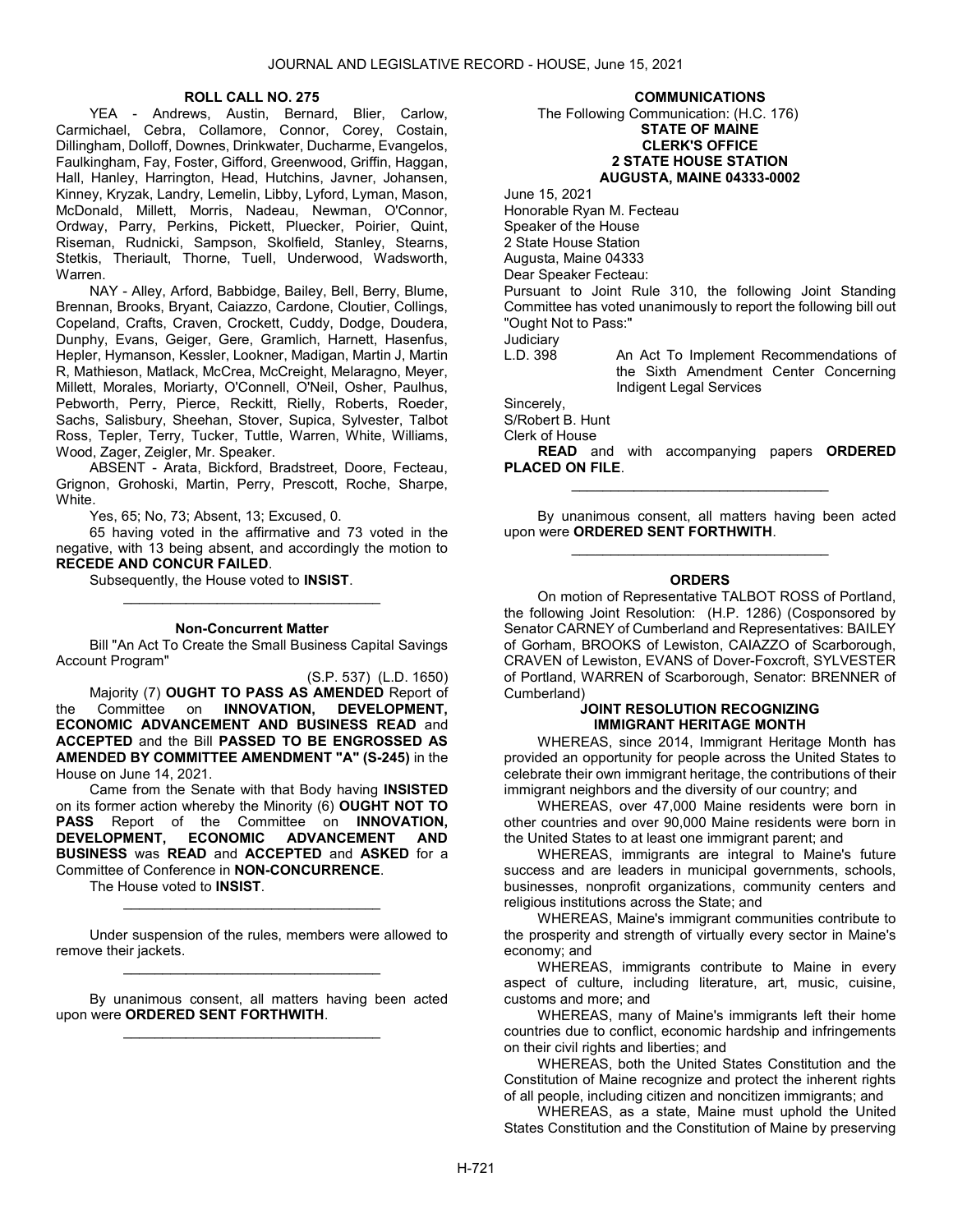#### ROLL CALL NO. 275

 YEA - Andrews, Austin, Bernard, Blier, Carlow, Carmichael, Cebra, Collamore, Connor, Corey, Costain, Dillingham, Dolloff, Downes, Drinkwater, Ducharme, Evangelos, Faulkingham, Fay, Foster, Gifford, Greenwood, Griffin, Haggan, Hall, Hanley, Harrington, Head, Hutchins, Javner, Johansen, Kinney, Kryzak, Landry, Lemelin, Libby, Lyford, Lyman, Mason, McDonald, Millett, Morris, Nadeau, Newman, O'Connor, Ordway, Parry, Perkins, Pickett, Pluecker, Poirier, Quint, Riseman, Rudnicki, Sampson, Skolfield, Stanley, Stearns, Stetkis, Theriault, Thorne, Tuell, Underwood, Wadsworth, Warren.

 NAY - Alley, Arford, Babbidge, Bailey, Bell, Berry, Blume, Brennan, Brooks, Bryant, Caiazzo, Cardone, Cloutier, Collings, Copeland, Crafts, Craven, Crockett, Cuddy, Dodge, Doudera, Dunphy, Evans, Geiger, Gere, Gramlich, Harnett, Hasenfus, Hepler, Hymanson, Kessler, Lookner, Madigan, Martin J, Martin R, Mathieson, Matlack, McCrea, McCreight, Melaragno, Meyer, Millett, Morales, Moriarty, O'Connell, O'Neil, Osher, Paulhus, Pebworth, Perry, Pierce, Reckitt, Rielly, Roberts, Roeder, Sachs, Salisbury, Sheehan, Stover, Supica, Sylvester, Talbot Ross, Tepler, Terry, Tucker, Tuttle, Warren, White, Williams, Wood, Zager, Zeigler, Mr. Speaker.

 ABSENT - Arata, Bickford, Bradstreet, Doore, Fecteau, Grignon, Grohoski, Martin, Perry, Prescott, Roche, Sharpe, White.

Yes, 65; No, 73; Absent, 13; Excused, 0.

 65 having voted in the affirmative and 73 voted in the negative, with 13 being absent, and accordingly the motion to RECEDE AND CONCUR FAILED.

Subsequently, the House voted to INSIST.

#### Non-Concurrent Matter

\_\_\_\_\_\_\_\_\_\_\_\_\_\_\_\_\_\_\_\_\_\_\_\_\_\_\_\_\_\_\_\_\_

 Bill "An Act To Create the Small Business Capital Savings Account Program"

(S.P. 537) (L.D. 1650) Majority (7) OUGHT TO PASS AS AMENDED Report of<br>Committee on INNOVATION, DEVELOPMENT, the Committee on INNOVATION, DEVELOPMENT, ECONOMIC ADVANCEMENT AND BUSINESS READ and ACCEPTED and the Bill PASSED TO BE ENGROSSED AS AMENDED BY COMMITTEE AMENDMENT "A" (S-245) in the House on June 14, 2021.

 Came from the Senate with that Body having INSISTED on its former action whereby the Minority (6) OUGHT NOT TO PASS Report of the Committee on INNOVATION, DEVELOPMENT, ECONOMIC ADVANCEMENT AND BUSINESS was READ and ACCEPTED and ASKED for a Committee of Conference in NON-CONCURRENCE.

The House voted to INSIST.

 Under suspension of the rules, members were allowed to remove their jackets. \_\_\_\_\_\_\_\_\_\_\_\_\_\_\_\_\_\_\_\_\_\_\_\_\_\_\_\_\_\_\_\_\_

\_\_\_\_\_\_\_\_\_\_\_\_\_\_\_\_\_\_\_\_\_\_\_\_\_\_\_\_\_\_\_\_\_

 By unanimous consent, all matters having been acted upon were ORDERED SENT FORTHWITH. \_\_\_\_\_\_\_\_\_\_\_\_\_\_\_\_\_\_\_\_\_\_\_\_\_\_\_\_\_\_\_\_\_

#### COMMUNICATIONS

 The Following Communication: (H.C. 176) STATE OF MAINE CLERK'S OFFICE 2 STATE HOUSE STATION AUGUSTA, MAINE 04333-0002

June 15, 2021 Honorable Ryan M. Fecteau Speaker of the House 2 State House Station Augusta, Maine 04333 Dear Speaker Fecteau: Pursuant to Joint Rule 310, the following Joint Standing Committee has voted unanimously to report the following bill out "Ought Not to Pass:" Judiciary<br>L.D. 398

An Act To Implement Recommendations of the Sixth Amendment Center Concerning Indigent Legal Services

Sincerely,

S/Robert B. Hunt

Clerk of House

READ and with accompanying papers ORDERED PLACED ON FILE. \_\_\_\_\_\_\_\_\_\_\_\_\_\_\_\_\_\_\_\_\_\_\_\_\_\_\_\_\_\_\_\_\_

 By unanimous consent, all matters having been acted upon were ORDERED SENT FORTHWITH. \_\_\_\_\_\_\_\_\_\_\_\_\_\_\_\_\_\_\_\_\_\_\_\_\_\_\_\_\_\_\_\_\_

### **ORDERS**

 On motion of Representative TALBOT ROSS of Portland, the following Joint Resolution: (H.P. 1286) (Cosponsored by Senator CARNEY of Cumberland and Representatives: BAILEY of Gorham, BROOKS of Lewiston, CAIAZZO of Scarborough, CRAVEN of Lewiston, EVANS of Dover-Foxcroft, SYLVESTER of Portland, WARREN of Scarborough, Senator: BRENNER of Cumberland)

## JOINT RESOLUTION RECOGNIZING IMMIGRANT HERITAGE MONTH

 WHEREAS, since 2014, Immigrant Heritage Month has provided an opportunity for people across the United States to celebrate their own immigrant heritage, the contributions of their immigrant neighbors and the diversity of our country; and

 WHEREAS, over 47,000 Maine residents were born in other countries and over 90,000 Maine residents were born in the United States to at least one immigrant parent; and

 WHEREAS, immigrants are integral to Maine's future success and are leaders in municipal governments, schools, businesses, nonprofit organizations, community centers and religious institutions across the State; and

 WHEREAS, Maine's immigrant communities contribute to the prosperity and strength of virtually every sector in Maine's economy; and

 WHEREAS, immigrants contribute to Maine in every aspect of culture, including literature, art, music, cuisine, customs and more; and

 WHEREAS, many of Maine's immigrants left their home countries due to conflict, economic hardship and infringements on their civil rights and liberties; and

 WHEREAS, both the United States Constitution and the Constitution of Maine recognize and protect the inherent rights of all people, including citizen and noncitizen immigrants; and

 WHEREAS, as a state, Maine must uphold the United States Constitution and the Constitution of Maine by preserving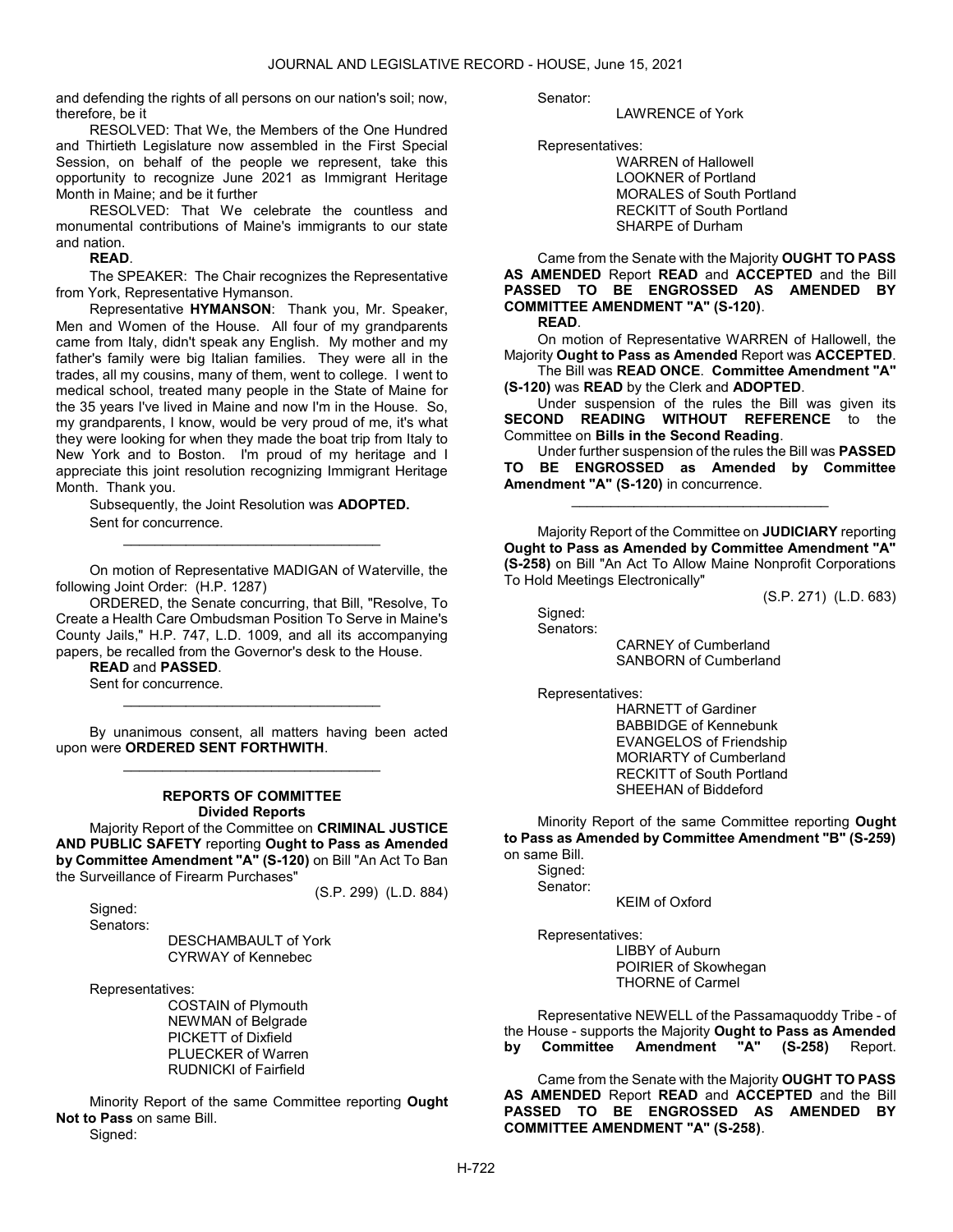and defending the rights of all persons on our nation's soil; now, therefore, be it

 RESOLVED: That We, the Members of the One Hundred and Thirtieth Legislature now assembled in the First Special Session, on behalf of the people we represent, take this opportunity to recognize June 2021 as Immigrant Heritage Month in Maine; and be it further

 RESOLVED: That We celebrate the countless and monumental contributions of Maine's immigrants to our state and nation.

READ.

The SPEAKER: The Chair recognizes the Representative from York, Representative Hymanson.

Representative HYMANSON: Thank you, Mr. Speaker, Men and Women of the House. All four of my grandparents came from Italy, didn't speak any English. My mother and my father's family were big Italian families. They were all in the trades, all my cousins, many of them, went to college. I went to medical school, treated many people in the State of Maine for the 35 years I've lived in Maine and now I'm in the House. So, my grandparents, I know, would be very proud of me, it's what they were looking for when they made the boat trip from Italy to New York and to Boston. I'm proud of my heritage and I appreciate this joint resolution recognizing Immigrant Heritage Month. Thank you.

Subsequently, the Joint Resolution was ADOPTED. Sent for concurrence. \_\_\_\_\_\_\_\_\_\_\_\_\_\_\_\_\_\_\_\_\_\_\_\_\_\_\_\_\_\_\_\_\_

 On motion of Representative MADIGAN of Waterville, the following Joint Order: (H.P. 1287)

 ORDERED, the Senate concurring, that Bill, "Resolve, To Create a Health Care Ombudsman Position To Serve in Maine's County Jails," H.P. 747, L.D. 1009, and all its accompanying papers, be recalled from the Governor's desk to the House.

READ and PASSED.

 Sent for concurrence. \_\_\_\_\_\_\_\_\_\_\_\_\_\_\_\_\_\_\_\_\_\_\_\_\_\_\_\_\_\_\_\_\_

 By unanimous consent, all matters having been acted upon were ORDERED SENT FORTHWITH. \_\_\_\_\_\_\_\_\_\_\_\_\_\_\_\_\_\_\_\_\_\_\_\_\_\_\_\_\_\_\_\_\_

### REPORTS OF COMMITTEE Divided Reports

 Majority Report of the Committee on CRIMINAL JUSTICE AND PUBLIC SAFETY reporting Ought to Pass as Amended by Committee Amendment "A" (S-120) on Bill "An Act To Ban the Surveillance of Firearm Purchases"

(S.P. 299) (L.D. 884)

 Signed: Senators:

> DESCHAMBAULT of York CYRWAY of Kennebec

Representatives:

 COSTAIN of Plymouth NEWMAN of Belgrade PICKETT of Dixfield PLUECKER of Warren RUDNICKI of Fairfield

 Minority Report of the same Committee reporting Ought Not to Pass on same Bill. Signed:

Senator:

#### LAWRENCE of York

Representatives:

 WARREN of Hallowell LOOKNER of Portland MORALES of South Portland RECKITT of South Portland SHARPE of Durham

 Came from the Senate with the Majority OUGHT TO PASS AS AMENDED Report READ and ACCEPTED and the Bill PASSED TO BE ENGROSSED AS AMENDED BY COMMITTEE AMENDMENT "A" (S-120).

READ.

 On motion of Representative WARREN of Hallowell, the Majority Ought to Pass as Amended Report was ACCEPTED.

 The Bill was READ ONCE. Committee Amendment "A" (S-120) was READ by the Clerk and ADOPTED.

 Under suspension of the rules the Bill was given its SECOND READING WITHOUT REFERENCE to the Committee on Bills in the Second Reading.

 Under further suspension of the rules the Bill was PASSED TO BE ENGROSSED as Amended by Committee Amendment "A" (S-120) in concurrence.

\_\_\_\_\_\_\_\_\_\_\_\_\_\_\_\_\_\_\_\_\_\_\_\_\_\_\_\_\_\_\_\_\_

 Majority Report of the Committee on JUDICIARY reporting Ought to Pass as Amended by Committee Amendment "A" (S-258) on Bill "An Act To Allow Maine Nonprofit Corporations To Hold Meetings Electronically"

(S.P. 271) (L.D. 683)

 Signed: Senators:

 CARNEY of Cumberland SANBORN of Cumberland

Representatives:

 HARNETT of Gardiner BABBIDGE of Kennebunk EVANGELOS of Friendship MORIARTY of Cumberland RECKITT of South Portland SHEEHAN of Biddeford

 Minority Report of the same Committee reporting Ought to Pass as Amended by Committee Amendment "B" (S-259) on same Bill.

 Signed: Senator: KEIM of Oxford

 Representatives: LIBBY of Auburn POIRIER of Skowhegan THORNE of Carmel

 Representative NEWELL of the Passamaquoddy Tribe - of the House - supports the Majority Ought to Pass as Amended by Committee Amendment "A" (S-258) Report.

 Came from the Senate with the Majority OUGHT TO PASS AS AMENDED Report READ and ACCEPTED and the Bill PASSED TO BE ENGROSSED AS AMENDED BY COMMITTEE AMENDMENT "A" (S-258).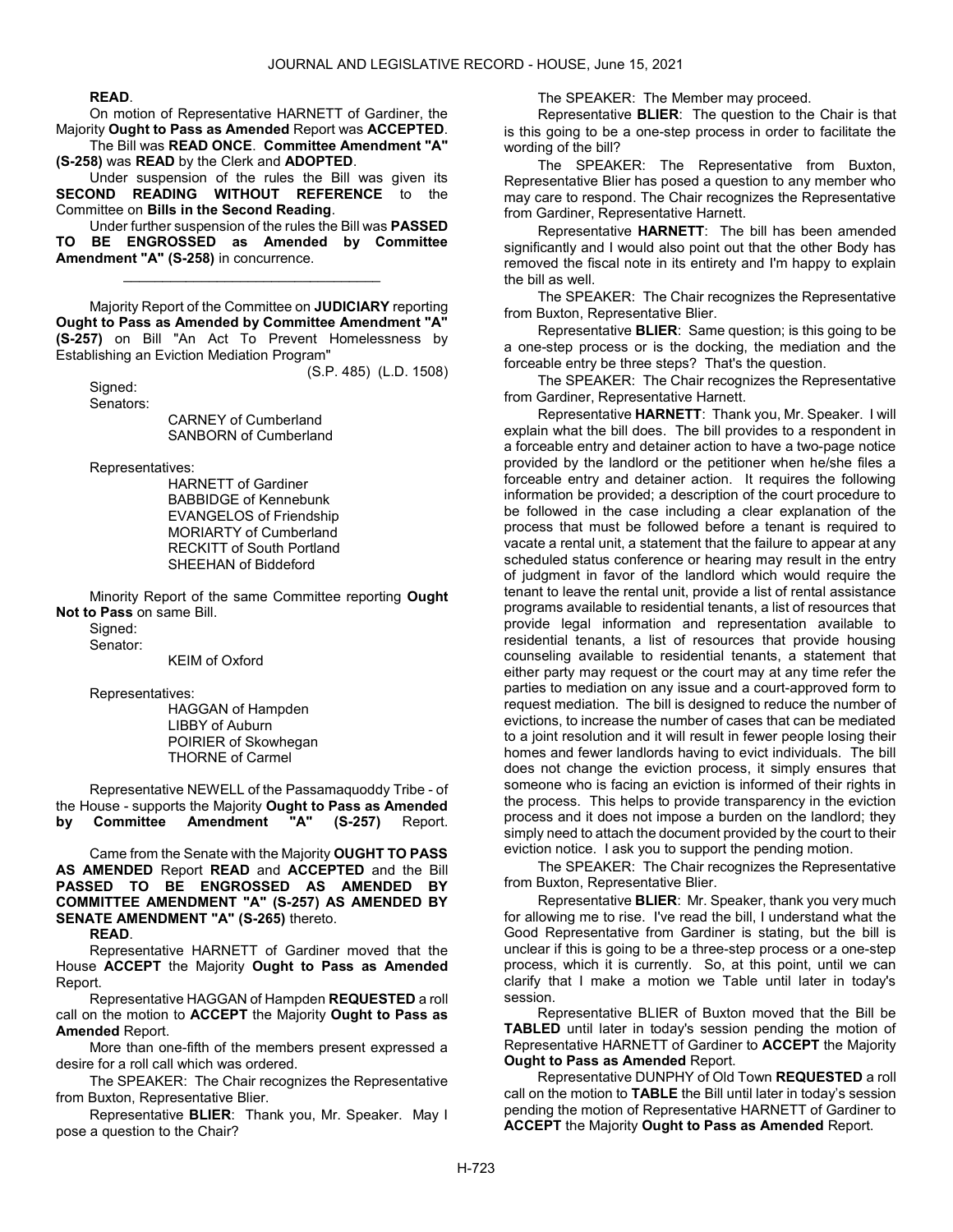#### READ.

 On motion of Representative HARNETT of Gardiner, the Majority Ought to Pass as Amended Report was ACCEPTED.

 The Bill was READ ONCE. Committee Amendment "A" (S-258) was READ by the Clerk and ADOPTED.

 Under suspension of the rules the Bill was given its SECOND READING WITHOUT REFERENCE to the Committee on Bills in the Second Reading.

 Under further suspension of the rules the Bill was PASSED TO BE ENGROSSED as Amended by Committee Amendment "A" (S-258) in concurrence.

\_\_\_\_\_\_\_\_\_\_\_\_\_\_\_\_\_\_\_\_\_\_\_\_\_\_\_\_\_\_\_\_\_

 Majority Report of the Committee on JUDICIARY reporting Ought to Pass as Amended by Committee Amendment "A" (S-257) on Bill "An Act To Prevent Homelessness by Establishing an Eviction Mediation Program"

(S.P. 485) (L.D. 1508)

 Signed: Senators:

 CARNEY of Cumberland SANBORN of Cumberland

Representatives:

 HARNETT of Gardiner BABBIDGE of Kennebunk EVANGELOS of Friendship MORIARTY of Cumberland RECKITT of South Portland SHEEHAN of Biddeford

 Minority Report of the same Committee reporting Ought Not to Pass on same Bill.

Signed:

Senator:

KEIM of Oxford

Representatives:

 HAGGAN of Hampden LIBBY of Auburn POIRIER of Skowhegan THORNE of Carmel

 Representative NEWELL of the Passamaquoddy Tribe - of the House - supports the Majority Ought to Pass as Amended<br>by Committee Amendment "A" (S-257) Report. by Committee Amendment "A" (S-257) Report.

 Came from the Senate with the Majority OUGHT TO PASS AS AMENDED Report READ and ACCEPTED and the Bill PASSED TO BE ENGROSSED AS AMENDED BY COMMITTEE AMENDMENT "A" (S-257) AS AMENDED BY SENATE AMENDMENT "A" (S-265) thereto.

READ.

 Representative HARNETT of Gardiner moved that the House ACCEPT the Majority Ought to Pass as Amended Report.

 Representative HAGGAN of Hampden REQUESTED a roll call on the motion to ACCEPT the Majority Ought to Pass as Amended Report.

 More than one-fifth of the members present expressed a desire for a roll call which was ordered.

The SPEAKER: The Chair recognizes the Representative from Buxton, Representative Blier.

Representative BLIER: Thank you, Mr. Speaker. May I pose a question to the Chair?

The SPEAKER: The Member may proceed.

Representative BLIER: The question to the Chair is that is this going to be a one-step process in order to facilitate the wording of the bill?

The SPEAKER: The Representative from Buxton, Representative Blier has posed a question to any member who may care to respond. The Chair recognizes the Representative from Gardiner, Representative Harnett.

Representative HARNETT: The bill has been amended significantly and I would also point out that the other Body has removed the fiscal note in its entirety and I'm happy to explain the bill as well.

The SPEAKER: The Chair recognizes the Representative from Buxton, Representative Blier.

Representative BLIER: Same question; is this going to be a one-step process or is the docking, the mediation and the forceable entry be three steps? That's the question.

The SPEAKER: The Chair recognizes the Representative from Gardiner, Representative Harnett.

Representative HARNETT: Thank you, Mr. Speaker. I will explain what the bill does. The bill provides to a respondent in a forceable entry and detainer action to have a two-page notice provided by the landlord or the petitioner when he/she files a forceable entry and detainer action. It requires the following information be provided; a description of the court procedure to be followed in the case including a clear explanation of the process that must be followed before a tenant is required to vacate a rental unit, a statement that the failure to appear at any scheduled status conference or hearing may result in the entry of judgment in favor of the landlord which would require the tenant to leave the rental unit, provide a list of rental assistance programs available to residential tenants, a list of resources that provide legal information and representation available to residential tenants, a list of resources that provide housing counseling available to residential tenants, a statement that either party may request or the court may at any time refer the parties to mediation on any issue and a court-approved form to request mediation. The bill is designed to reduce the number of evictions, to increase the number of cases that can be mediated to a joint resolution and it will result in fewer people losing their homes and fewer landlords having to evict individuals. The bill does not change the eviction process, it simply ensures that someone who is facing an eviction is informed of their rights in the process. This helps to provide transparency in the eviction process and it does not impose a burden on the landlord; they simply need to attach the document provided by the court to their eviction notice. I ask you to support the pending motion.

The SPEAKER: The Chair recognizes the Representative from Buxton, Representative Blier.

Representative BLIER: Mr. Speaker, thank you very much for allowing me to rise. I've read the bill, I understand what the Good Representative from Gardiner is stating, but the bill is unclear if this is going to be a three-step process or a one-step process, which it is currently. So, at this point, until we can clarify that I make a motion we Table until later in today's session.

 Representative BLIER of Buxton moved that the Bill be TABLED until later in today's session pending the motion of Representative HARNETT of Gardiner to ACCEPT the Majority Ought to Pass as Amended Report.

 Representative DUNPHY of Old Town REQUESTED a roll call on the motion to TABLE the Bill until later in today's session pending the motion of Representative HARNETT of Gardiner to **ACCEPT** the Majority Ought to Pass as Amended Report.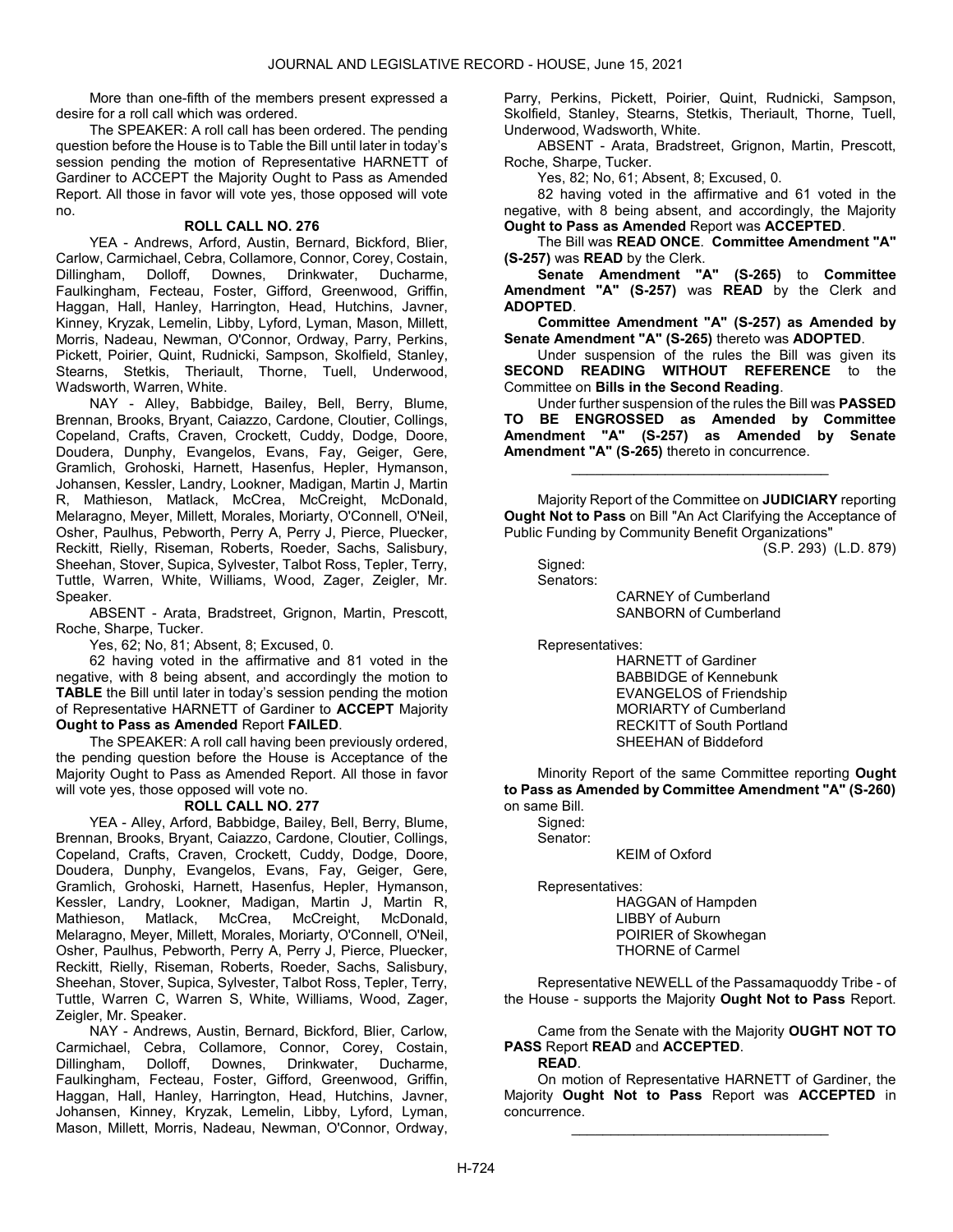More than one-fifth of the members present expressed a desire for a roll call which was ordered.

 The SPEAKER: A roll call has been ordered. The pending question before the House is to Table the Bill until later in today's session pending the motion of Representative HARNETT of Gardiner to ACCEPT the Majority Ought to Pass as Amended Report. All those in favor will vote yes, those opposed will vote no.

### ROLL CALL NO. 276

 YEA - Andrews, Arford, Austin, Bernard, Bickford, Blier, Carlow, Carmichael, Cebra, Collamore, Connor, Corey, Costain,<br>Dillingham, Dolloff, Downes, Drinkwater, Ducharme, Dolloff, Downes, Drinkwater, Ducharme, Faulkingham, Fecteau, Foster, Gifford, Greenwood, Griffin, Haggan, Hall, Hanley, Harrington, Head, Hutchins, Javner, Kinney, Kryzak, Lemelin, Libby, Lyford, Lyman, Mason, Millett, Morris, Nadeau, Newman, O'Connor, Ordway, Parry, Perkins, Pickett, Poirier, Quint, Rudnicki, Sampson, Skolfield, Stanley, Stearns, Stetkis, Theriault, Thorne, Tuell, Underwood, Wadsworth, Warren, White.

 NAY - Alley, Babbidge, Bailey, Bell, Berry, Blume, Brennan, Brooks, Bryant, Caiazzo, Cardone, Cloutier, Collings, Copeland, Crafts, Craven, Crockett, Cuddy, Dodge, Doore, Doudera, Dunphy, Evangelos, Evans, Fay, Geiger, Gere, Gramlich, Grohoski, Harnett, Hasenfus, Hepler, Hymanson, Johansen, Kessler, Landry, Lookner, Madigan, Martin J, Martin R, Mathieson, Matlack, McCrea, McCreight, McDonald, Melaragno, Meyer, Millett, Morales, Moriarty, O'Connell, O'Neil, Osher, Paulhus, Pebworth, Perry A, Perry J, Pierce, Pluecker, Reckitt, Rielly, Riseman, Roberts, Roeder, Sachs, Salisbury, Sheehan, Stover, Supica, Sylvester, Talbot Ross, Tepler, Terry, Tuttle, Warren, White, Williams, Wood, Zager, Zeigler, Mr. Speaker.

 ABSENT - Arata, Bradstreet, Grignon, Martin, Prescott, Roche, Sharpe, Tucker.

Yes, 62; No, 81; Absent, 8; Excused, 0.

 62 having voted in the affirmative and 81 voted in the negative, with 8 being absent, and accordingly the motion to TABLE the Bill until later in today's session pending the motion of Representative HARNETT of Gardiner to ACCEPT Majority Ought to Pass as Amended Report FAILED.

 The SPEAKER: A roll call having been previously ordered, the pending question before the House is Acceptance of the Majority Ought to Pass as Amended Report. All those in favor will vote yes, those opposed will vote no.

## ROLL CALL NO. 277

 YEA - Alley, Arford, Babbidge, Bailey, Bell, Berry, Blume, Brennan, Brooks, Bryant, Caiazzo, Cardone, Cloutier, Collings, Copeland, Crafts, Craven, Crockett, Cuddy, Dodge, Doore, Doudera, Dunphy, Evangelos, Evans, Fay, Geiger, Gere, Gramlich, Grohoski, Harnett, Hasenfus, Hepler, Hymanson, Kessler, Landry, Lookner, Madigan, Martin J, Martin R, Mathieson, Matlack, McCrea, McCreight, McDonald, Melaragno, Meyer, Millett, Morales, Moriarty, O'Connell, O'Neil, Osher, Paulhus, Pebworth, Perry A, Perry J, Pierce, Pluecker, Reckitt, Rielly, Riseman, Roberts, Roeder, Sachs, Salisbury, Sheehan, Stover, Supica, Sylvester, Talbot Ross, Tepler, Terry, Tuttle, Warren C, Warren S, White, Williams, Wood, Zager, Zeigler, Mr. Speaker.

 NAY - Andrews, Austin, Bernard, Bickford, Blier, Carlow, Carmichael, Cebra, Collamore, Connor, Corey, Costain, Dillingham, Dolloff, Downes, Drinkwater, Ducharme, Faulkingham, Fecteau, Foster, Gifford, Greenwood, Griffin, Haggan, Hall, Hanley, Harrington, Head, Hutchins, Javner, Johansen, Kinney, Kryzak, Lemelin, Libby, Lyford, Lyman, Mason, Millett, Morris, Nadeau, Newman, O'Connor, Ordway, Parry, Perkins, Pickett, Poirier, Quint, Rudnicki, Sampson, Skolfield, Stanley, Stearns, Stetkis, Theriault, Thorne, Tuell, Underwood, Wadsworth, White.

 ABSENT - Arata, Bradstreet, Grignon, Martin, Prescott, Roche, Sharpe, Tucker.

Yes, 82; No, 61; Absent, 8; Excused, 0.

 82 having voted in the affirmative and 61 voted in the negative, with 8 being absent, and accordingly, the Majority Ought to Pass as Amended Report was ACCEPTED.

 The Bill was READ ONCE. Committee Amendment "A" (S-257) was READ by the Clerk.

Senate Amendment "A" (S-265) to Committee Amendment "A" (S-257) was READ by the Clerk and ADOPTED.

Committee Amendment "A" (S-257) as Amended by Senate Amendment "A" (S-265) thereto was ADOPTED.

 Under suspension of the rules the Bill was given its SECOND READING WITHOUT REFERENCE to the Committee on Bills in the Second Reading.

 Under further suspension of the rules the Bill was PASSED TO BE ENGROSSED as Amended by Committee Amendment "A" (S-257) as Amended by Senate Amendment "A" (S-265) thereto in concurrence.

\_\_\_\_\_\_\_\_\_\_\_\_\_\_\_\_\_\_\_\_\_\_\_\_\_\_\_\_\_\_\_\_\_

 Majority Report of the Committee on JUDICIARY reporting Ought Not to Pass on Bill "An Act Clarifying the Acceptance of Public Funding by Community Benefit Organizations"

(S.P. 293) (L.D. 879)

 Signed: Senators:

 CARNEY of Cumberland SANBORN of Cumberland

Representatives:

 HARNETT of Gardiner BABBIDGE of Kennebunk EVANGELOS of Friendship MORIARTY of Cumberland RECKITT of South Portland SHEEHAN of Biddeford

 Minority Report of the same Committee reporting Ought to Pass as Amended by Committee Amendment "A" (S-260) on same Bill.

 Signed: Senator:

KEIM of Oxford

Representatives:

 HAGGAN of Hampden LIBBY of Auburn POIRIER of Skowhegan THORNE of Carmel

 Representative NEWELL of the Passamaquoddy Tribe - of the House - supports the Majority Ought Not to Pass Report.

 Came from the Senate with the Majority OUGHT NOT TO PASS Report READ and ACCEPTED.

# READ.

 On motion of Representative HARNETT of Gardiner, the Majority Ought Not to Pass Report was ACCEPTED in concurrence.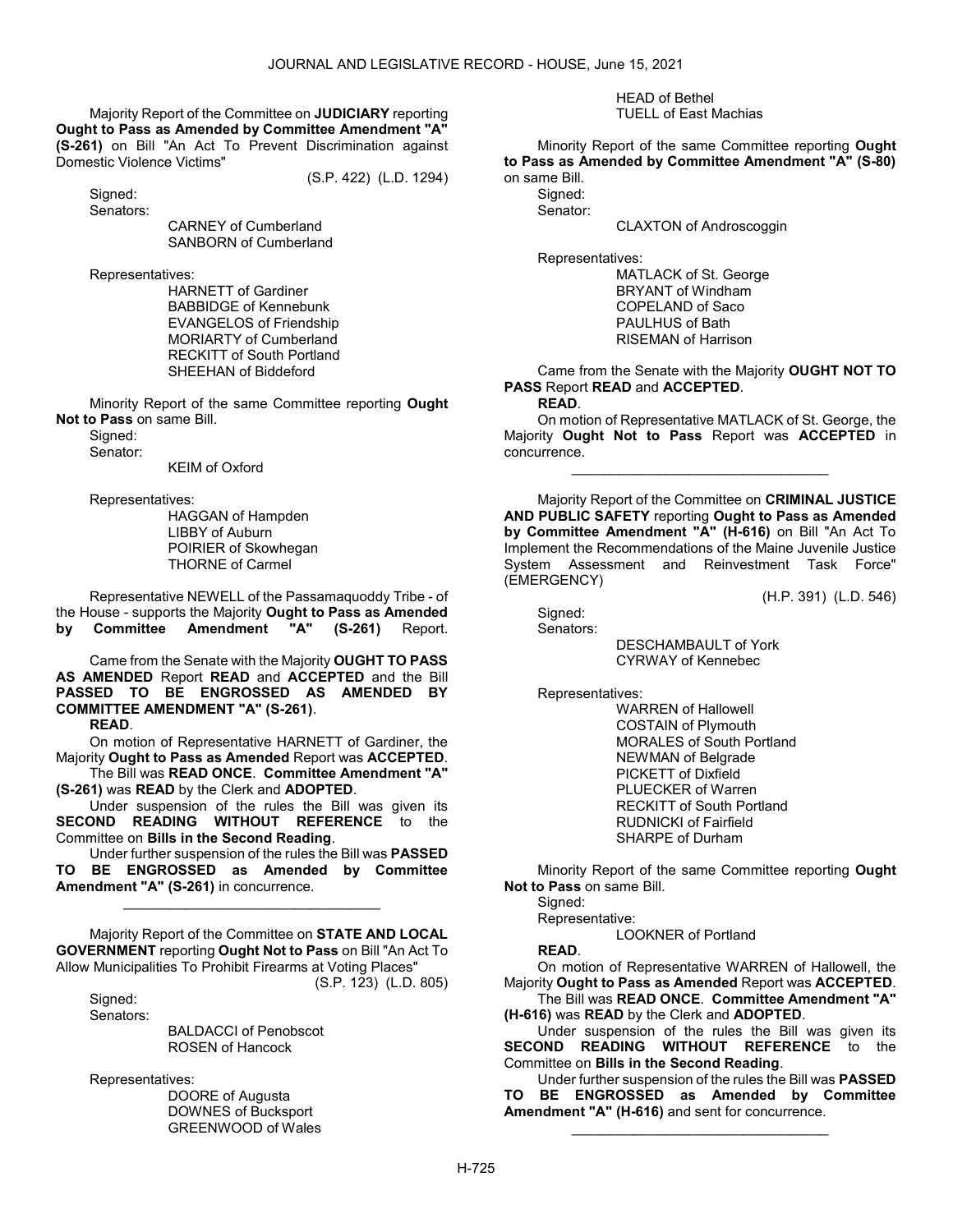Majority Report of the Committee on JUDICIARY reporting Ought to Pass as Amended by Committee Amendment "A" (S-261) on Bill "An Act To Prevent Discrimination against Domestic Violence Victims"

(S.P. 422) (L.D. 1294)

 Signed: Senators:

 CARNEY of Cumberland SANBORN of Cumberland

Representatives:

 HARNETT of Gardiner BABBIDGE of Kennebunk EVANGELOS of Friendship MORIARTY of Cumberland RECKITT of South Portland SHEEHAN of Biddeford

 Minority Report of the same Committee reporting Ought Not to Pass on same Bill.

 Signed: Senator:

KEIM of Oxford

Representatives:

 HAGGAN of Hampden LIBBY of Auburn POIRIER of Skowhegan THORNE of Carmel

 Representative NEWELL of the Passamaquoddy Tribe - of the House - supports the Majority Ought to Pass as Amended by Committee Amendment "A" (S-261) Report.

 Came from the Senate with the Majority OUGHT TO PASS AS AMENDED Report READ and ACCEPTED and the Bill PASSED TO BE ENGROSSED AS AMENDED BY COMMITTEE AMENDMENT "A" (S-261).

READ.

 On motion of Representative HARNETT of Gardiner, the Majority Ought to Pass as Amended Report was ACCEPTED. The Bill was READ ONCE. Committee Amendment "A"

(S-261) was READ by the Clerk and ADOPTED.

 Under suspension of the rules the Bill was given its SECOND READING WITHOUT REFERENCE to the Committee on Bills in the Second Reading.

 Under further suspension of the rules the Bill was PASSED TO BE ENGROSSED as Amended by Committee Amendment "A" (S-261) in concurrence.

\_\_\_\_\_\_\_\_\_\_\_\_\_\_\_\_\_\_\_\_\_\_\_\_\_\_\_\_\_\_\_\_\_

 Majority Report of the Committee on STATE AND LOCAL GOVERNMENT reporting Ought Not to Pass on Bill "An Act To Allow Municipalities To Prohibit Firearms at Voting Places"

(S.P. 123) (L.D. 805)

Sianed: Senators:

 BALDACCI of Penobscot ROSEN of Hancock

Representatives:

 DOORE of Augusta DOWNES of Bucksport GREENWOOD of Wales

#### HEAD of Bethel TUELL of East Machias

 Minority Report of the same Committee reporting Ought to Pass as Amended by Committee Amendment "A" (S-80) on same Bill.

Signed:

Senator:

CLAXTON of Androscoggin

Representatives:

 MATLACK of St. George BRYANT of Windham COPELAND of Saco PAULHUS of Bath RISEMAN of Harrison

 Came from the Senate with the Majority OUGHT NOT TO PASS Report READ and ACCEPTED.

READ.

 On motion of Representative MATLACK of St. George, the Majority Ought Not to Pass Report was ACCEPTED in concurrence.

\_\_\_\_\_\_\_\_\_\_\_\_\_\_\_\_\_\_\_\_\_\_\_\_\_\_\_\_\_\_\_\_\_

 Majority Report of the Committee on CRIMINAL JUSTICE AND PUBLIC SAFETY reporting Ought to Pass as Amended by Committee Amendment "A" (H-616) on Bill "An Act To Implement the Recommendations of the Maine Juvenile Justice System Assessment and Reinvestment Task Force" (EMERGENCY)

(H.P. 391) (L.D. 546)

 Signed: Senators:

> DESCHAMBAULT of York CYRWAY of Kennebec

Representatives:

 WARREN of Hallowell COSTAIN of Plymouth MORALES of South Portland NEWMAN of Belgrade PICKETT of Dixfield PLUECKER of Warren RECKITT of South Portland RUDNICKI of Fairfield SHARPE of Durham

 Minority Report of the same Committee reporting Ought Not to Pass on same Bill.

Sianed:

Representative:

LOOKNER of Portland

READ.

 On motion of Representative WARREN of Hallowell, the Majority Ought to Pass as Amended Report was ACCEPTED. The Bill was READ ONCE. Committee Amendment "A"

(H-616) was READ by the Clerk and ADOPTED.

 Under suspension of the rules the Bill was given its SECOND READING WITHOUT REFERENCE to the Committee on Bills in the Second Reading.

 Under further suspension of the rules the Bill was PASSED TO BE ENGROSSED as Amended by Committee Amendment "A" (H-616) and sent for concurrence.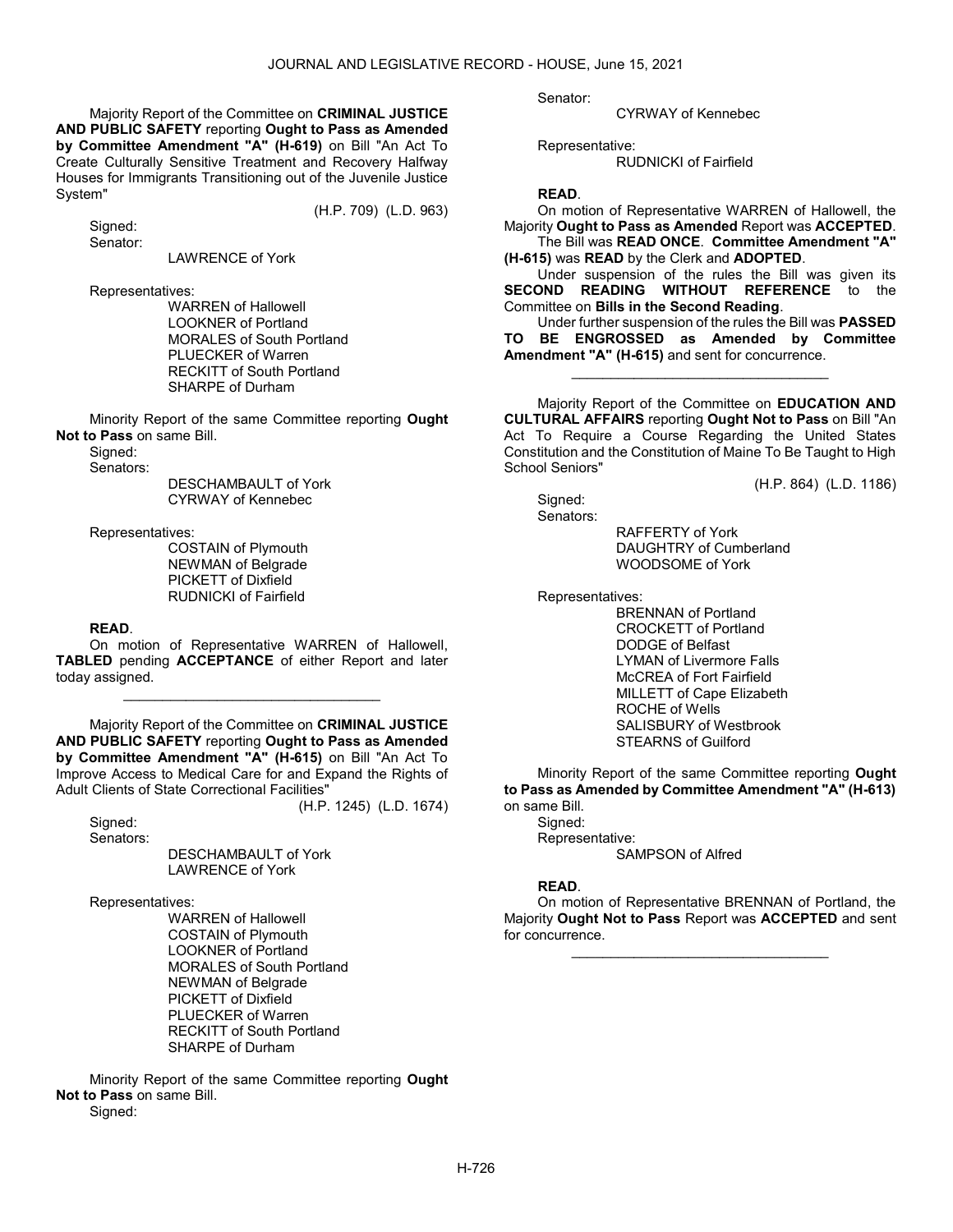(H.P. 709) (L.D. 963)

 Majority Report of the Committee on CRIMINAL JUSTICE AND PUBLIC SAFETY reporting Ought to Pass as Amended by Committee Amendment "A" (H-619) on Bill "An Act To Create Culturally Sensitive Treatment and Recovery Halfway Houses for Immigrants Transitioning out of the Juvenile Justice System"

Signed: Senator:

#### LAWRENCE of York

Representatives:

 WARREN of Hallowell LOOKNER of Portland MORALES of South Portland PLUECKER of Warren RECKITT of South Portland SHARPE of Durham

 Minority Report of the same Committee reporting Ought Not to Pass on same Bill.

 Signed: Senators:

> DESCHAMBAULT of York CYRWAY of Kennebec

Representatives:

 COSTAIN of Plymouth NEWMAN of Belgrade PICKETT of Dixfield RUDNICKI of Fairfield

#### READ.

 On motion of Representative WARREN of Hallowell, TABLED pending ACCEPTANCE of either Report and later today assigned.

\_\_\_\_\_\_\_\_\_\_\_\_\_\_\_\_\_\_\_\_\_\_\_\_\_\_\_\_\_\_\_\_\_

 Majority Report of the Committee on CRIMINAL JUSTICE AND PUBLIC SAFETY reporting Ought to Pass as Amended by Committee Amendment "A" (H-615) on Bill "An Act To Improve Access to Medical Care for and Expand the Rights of Adult Clients of State Correctional Facilities"

(H.P. 1245) (L.D. 1674)

 Signed: Senators:

 DESCHAMBAULT of York LAWRENCE of York

Representatives:

 WARREN of Hallowell COSTAIN of Plymouth LOOKNER of Portland MORALES of South Portland NEWMAN of Belgrade PICKETT of Dixfield PLUECKER of Warren RECKITT of South Portland SHARPE of Durham

 Minority Report of the same Committee reporting Ought Not to Pass on same Bill. Signed:

Senator:

CYRWAY of Kennebec

Representative:

RUDNICKI of Fairfield

#### READ.

 On motion of Representative WARREN of Hallowell, the Majority Ought to Pass as Amended Report was ACCEPTED. The Bill was READ ONCE. Committee Amendment "A" (H-615) was READ by the Clerk and ADOPTED.

 Under suspension of the rules the Bill was given its SECOND READING WITHOUT REFERENCE to the Committee on Bills in the Second Reading.

 Under further suspension of the rules the Bill was PASSED TO BE ENGROSSED as Amended by Committee Amendment "A" (H-615) and sent for concurrence.

\_\_\_\_\_\_\_\_\_\_\_\_\_\_\_\_\_\_\_\_\_\_\_\_\_\_\_\_\_\_\_\_\_

 Majority Report of the Committee on EDUCATION AND CULTURAL AFFAIRS reporting Ought Not to Pass on Bill "An Act To Require a Course Regarding the United States Constitution and the Constitution of Maine To Be Taught to High School Seniors"

(H.P. 864) (L.D. 1186)

Sianed:

Senators:

 RAFFERTY of York DAUGHTRY of Cumberland WOODSOME of York

Representatives:

 BRENNAN of Portland CROCKETT of Portland DODGE of Belfast LYMAN of Livermore Falls McCREA of Fort Fairfield MILLETT of Cape Elizabeth ROCHE of Wells SALISBURY of Westbrook STEARNS of Guilford

 Minority Report of the same Committee reporting Ought to Pass as Amended by Committee Amendment "A" (H-613) on same Bill.

Signed: Representative: SAMPSON of Alfred

#### READ.

 On motion of Representative BRENNAN of Portland, the Majority Ought Not to Pass Report was ACCEPTED and sent for concurrence.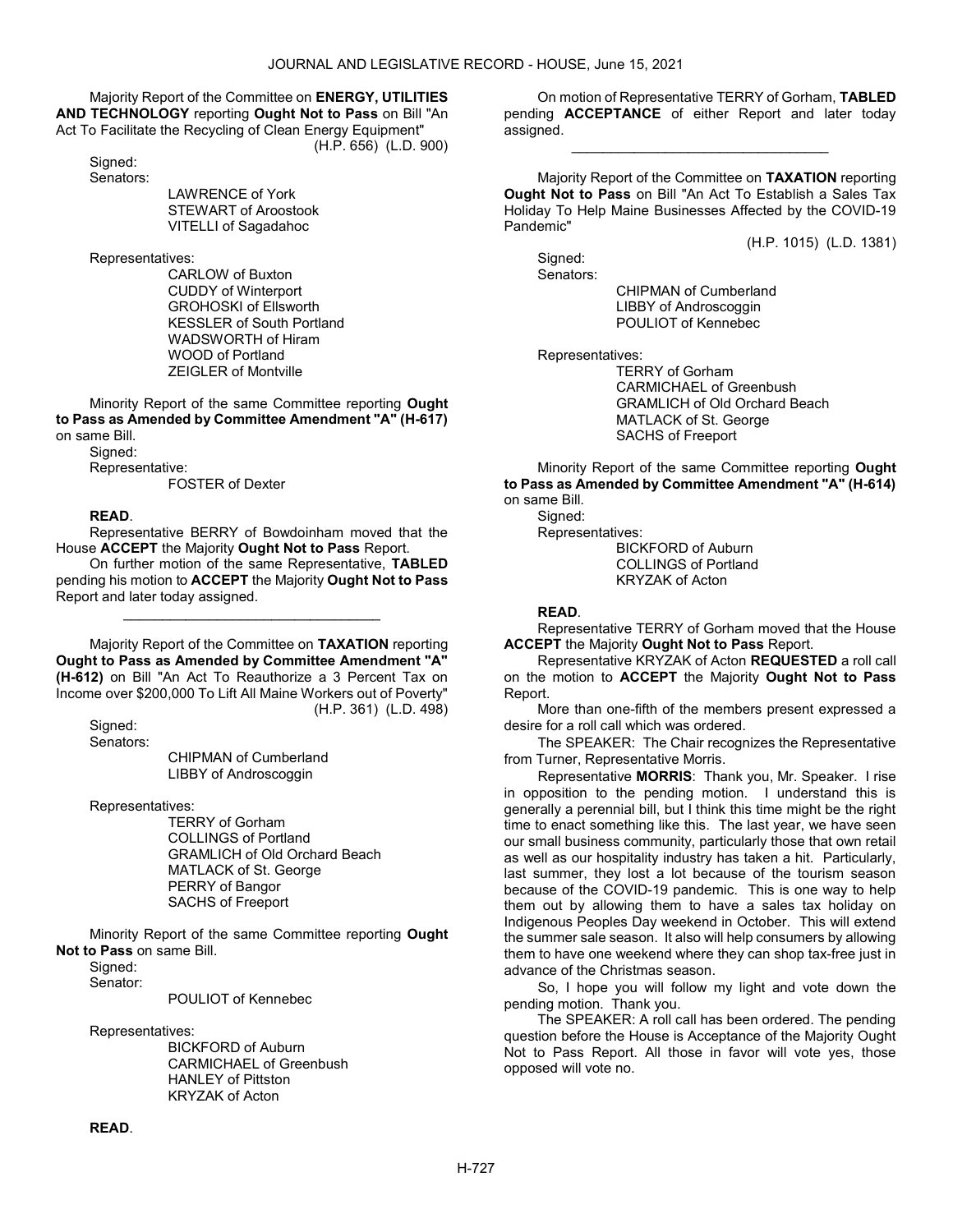Majority Report of the Committee on ENERGY, UTILITIES AND TECHNOLOGY reporting Ought Not to Pass on Bill "An Act To Facilitate the Recycling of Clean Energy Equipment" (H.P. 656) (L.D. 900)

 Signed: Senators:

 LAWRENCE of York STEWART of Aroostook VITELLI of Sagadahoc

Representatives:

 CARLOW of Buxton CUDDY of Winterport GROHOSKI of Ellsworth KESSLER of South Portland WADSWORTH of Hiram WOOD of Portland ZEIGLER of Montville

 Minority Report of the same Committee reporting Ought to Pass as Amended by Committee Amendment "A" (H-617) on same Bill.

 Signed: Representative: FOSTER of Dexter

## READ.

 Representative BERRY of Bowdoinham moved that the House ACCEPT the Majority Ought Not to Pass Report.

 On further motion of the same Representative, TABLED pending his motion to ACCEPT the Majority Ought Not to Pass Report and later today assigned.

\_\_\_\_\_\_\_\_\_\_\_\_\_\_\_\_\_\_\_\_\_\_\_\_\_\_\_\_\_\_\_\_\_

 Majority Report of the Committee on TAXATION reporting Ought to Pass as Amended by Committee Amendment "A" (H-612) on Bill "An Act To Reauthorize a 3 Percent Tax on Income over \$200,000 To Lift All Maine Workers out of Poverty" (H.P. 361) (L.D. 498)

 Signed: Senators:

 CHIPMAN of Cumberland LIBBY of Androscoggin

Representatives:

 TERRY of Gorham COLLINGS of Portland GRAMLICH of Old Orchard Beach MATLACK of St. George PERRY of Bangor SACHS of Freeport

 Minority Report of the same Committee reporting Ought Not to Pass on same Bill.

Signed:

Senator:

POULIOT of Kennebec

Representatives:

 BICKFORD of Auburn CARMICHAEL of Greenbush HANLEY of Pittston KRYZAK of Acton

 On motion of Representative TERRY of Gorham, TABLED pending ACCEPTANCE of either Report and later today assigned.

\_\_\_\_\_\_\_\_\_\_\_\_\_\_\_\_\_\_\_\_\_\_\_\_\_\_\_\_\_\_\_\_\_

 Majority Report of the Committee on TAXATION reporting Ought Not to Pass on Bill "An Act To Establish a Sales Tax Holiday To Help Maine Businesses Affected by the COVID-19 Pandemic"

(H.P. 1015) (L.D. 1381)

 Signed: Senators:

 CHIPMAN of Cumberland LIBBY of Androscoggin POULIOT of Kennebec

Representatives:

 TERRY of Gorham CARMICHAEL of Greenbush GRAMLICH of Old Orchard Beach MATLACK of St. George SACHS of Freeport

 Minority Report of the same Committee reporting Ought to Pass as Amended by Committee Amendment "A" (H-614) on same Bill.

Signed:

 Representatives: BICKFORD of Auburn COLLINGS of Portland KRYZAK of Acton

#### READ.

 Representative TERRY of Gorham moved that the House **ACCEPT** the Majority **Ought Not to Pass** Report.

 Representative KRYZAK of Acton REQUESTED a roll call on the motion to ACCEPT the Majority Ought Not to Pass Report.

 More than one-fifth of the members present expressed a desire for a roll call which was ordered.

The SPEAKER: The Chair recognizes the Representative from Turner, Representative Morris.

Representative MORRIS: Thank you, Mr. Speaker. I rise in opposition to the pending motion. I understand this is generally a perennial bill, but I think this time might be the right time to enact something like this. The last year, we have seen our small business community, particularly those that own retail as well as our hospitality industry has taken a hit. Particularly, last summer, they lost a lot because of the tourism season because of the COVID-19 pandemic. This is one way to help them out by allowing them to have a sales tax holiday on Indigenous Peoples Day weekend in October. This will extend the summer sale season. It also will help consumers by allowing them to have one weekend where they can shop tax-free just in advance of the Christmas season.

So, I hope you will follow my light and vote down the pending motion. Thank you.

 The SPEAKER: A roll call has been ordered. The pending question before the House is Acceptance of the Majority Ought Not to Pass Report. All those in favor will vote yes, those opposed will vote no.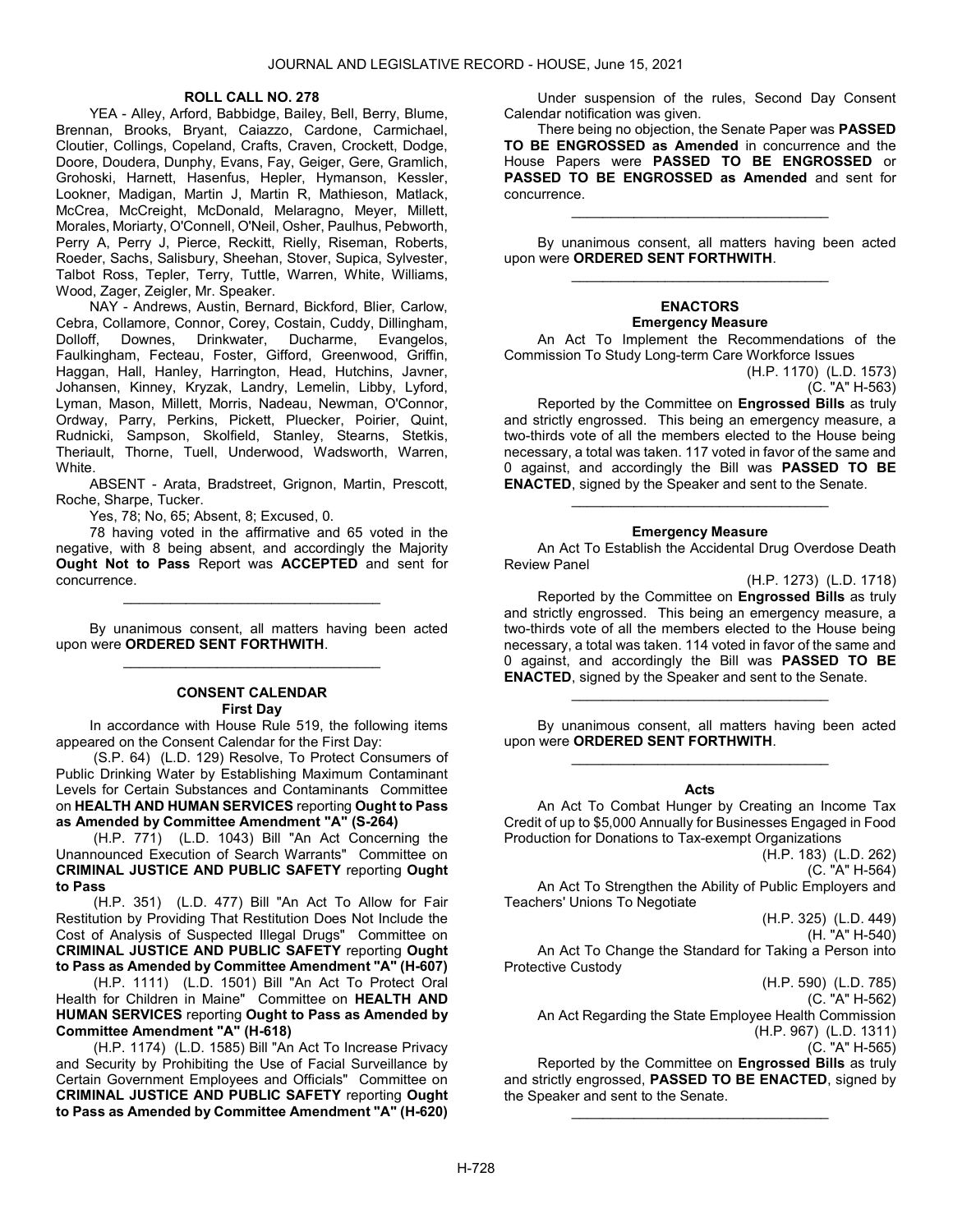### ROLL CALL NO. 278

 YEA - Alley, Arford, Babbidge, Bailey, Bell, Berry, Blume, Brennan, Brooks, Bryant, Caiazzo, Cardone, Carmichael, Cloutier, Collings, Copeland, Crafts, Craven, Crockett, Dodge, Doore, Doudera, Dunphy, Evans, Fay, Geiger, Gere, Gramlich, Grohoski, Harnett, Hasenfus, Hepler, Hymanson, Kessler, Lookner, Madigan, Martin J, Martin R, Mathieson, Matlack, McCrea, McCreight, McDonald, Melaragno, Meyer, Millett, Morales, Moriarty, O'Connell, O'Neil, Osher, Paulhus, Pebworth, Perry A, Perry J, Pierce, Reckitt, Rielly, Riseman, Roberts, Roeder, Sachs, Salisbury, Sheehan, Stover, Supica, Sylvester, Talbot Ross, Tepler, Terry, Tuttle, Warren, White, Williams, Wood, Zager, Zeigler, Mr. Speaker.

 NAY - Andrews, Austin, Bernard, Bickford, Blier, Carlow, Cebra, Collamore, Connor, Corey, Costain, Cuddy, Dillingham,<br>Dolloff, Downes, Drinkwater, Ducharme, Evangelos, Dolloff, Downes, Drinkwater, Ducharme, Evangelos, Faulkingham, Fecteau, Foster, Gifford, Greenwood, Griffin, Haggan, Hall, Hanley, Harrington, Head, Hutchins, Javner, Johansen, Kinney, Kryzak, Landry, Lemelin, Libby, Lyford, Lyman, Mason, Millett, Morris, Nadeau, Newman, O'Connor, Ordway, Parry, Perkins, Pickett, Pluecker, Poirier, Quint, Rudnicki, Sampson, Skolfield, Stanley, Stearns, Stetkis, Theriault, Thorne, Tuell, Underwood, Wadsworth, Warren, White.

 ABSENT - Arata, Bradstreet, Grignon, Martin, Prescott, Roche, Sharpe, Tucker.

Yes, 78; No, 65; Absent, 8; Excused, 0.

 78 having voted in the affirmative and 65 voted in the negative, with 8 being absent, and accordingly the Majority Ought Not to Pass Report was ACCEPTED and sent for concurrence.

 By unanimous consent, all matters having been acted upon were ORDERED SENT FORTHWITH. \_\_\_\_\_\_\_\_\_\_\_\_\_\_\_\_\_\_\_\_\_\_\_\_\_\_\_\_\_\_\_\_\_

\_\_\_\_\_\_\_\_\_\_\_\_\_\_\_\_\_\_\_\_\_\_\_\_\_\_\_\_\_\_\_\_\_

### CONSENT CALENDAR First Day

 In accordance with House Rule 519, the following items appeared on the Consent Calendar for the First Day:

 (S.P. 64) (L.D. 129) Resolve, To Protect Consumers of Public Drinking Water by Establishing Maximum Contaminant Levels for Certain Substances and Contaminants Committee on HEALTH AND HUMAN SERVICES reporting Ought to Pass as Amended by Committee Amendment "A" (S-264)

 (H.P. 771) (L.D. 1043) Bill "An Act Concerning the Unannounced Execution of Search Warrants" Committee on CRIMINAL JUSTICE AND PUBLIC SAFETY reporting Ought to Pass

 (H.P. 351) (L.D. 477) Bill "An Act To Allow for Fair Restitution by Providing That Restitution Does Not Include the Cost of Analysis of Suspected Illegal Drugs" Committee on CRIMINAL JUSTICE AND PUBLIC SAFETY reporting Ought to Pass as Amended by Committee Amendment "A" (H-607)

 (H.P. 1111) (L.D. 1501) Bill "An Act To Protect Oral Health for Children in Maine" Committee on HEALTH AND HUMAN SERVICES reporting Ought to Pass as Amended by Committee Amendment "A" (H-618)

 (H.P. 1174) (L.D. 1585) Bill "An Act To Increase Privacy and Security by Prohibiting the Use of Facial Surveillance by Certain Government Employees and Officials" Committee on CRIMINAL JUSTICE AND PUBLIC SAFETY reporting Ought to Pass as Amended by Committee Amendment "A" (H-620)

 Under suspension of the rules, Second Day Consent Calendar notification was given.

There being no objection, the Senate Paper was PASSED TO BE ENGROSSED as Amended in concurrence and the House Papers were PASSED TO BE ENGROSSED or PASSED TO BE ENGROSSED as Amended and sent for concurrence.

 By unanimous consent, all matters having been acted upon were ORDERED SENT FORTHWITH. \_\_\_\_\_\_\_\_\_\_\_\_\_\_\_\_\_\_\_\_\_\_\_\_\_\_\_\_\_\_\_\_\_

\_\_\_\_\_\_\_\_\_\_\_\_\_\_\_\_\_\_\_\_\_\_\_\_\_\_\_\_\_\_\_\_\_

### ENACTORS Emergency Measure

 An Act To Implement the Recommendations of the Commission To Study Long-term Care Workforce Issues

(H.P. 1170) (L.D. 1573) (C. "A" H-563)

 Reported by the Committee on Engrossed Bills as truly and strictly engrossed. This being an emergency measure, a two-thirds vote of all the members elected to the House being necessary, a total was taken. 117 voted in favor of the same and 0 against, and accordingly the Bill was PASSED TO BE ENACTED, signed by the Speaker and sent to the Senate.

### Emergency Measure

\_\_\_\_\_\_\_\_\_\_\_\_\_\_\_\_\_\_\_\_\_\_\_\_\_\_\_\_\_\_\_\_\_

 An Act To Establish the Accidental Drug Overdose Death Review Panel

(H.P. 1273) (L.D. 1718)

 Reported by the Committee on Engrossed Bills as truly and strictly engrossed. This being an emergency measure, a two-thirds vote of all the members elected to the House being necessary, a total was taken. 114 voted in favor of the same and 0 against, and accordingly the Bill was PASSED TO BE ENACTED, signed by the Speaker and sent to the Senate.

 By unanimous consent, all matters having been acted upon were ORDERED SENT FORTHWITH. \_\_\_\_\_\_\_\_\_\_\_\_\_\_\_\_\_\_\_\_\_\_\_\_\_\_\_\_\_\_\_\_\_

\_\_\_\_\_\_\_\_\_\_\_\_\_\_\_\_\_\_\_\_\_\_\_\_\_\_\_\_\_\_\_\_\_

### Acts

 An Act To Combat Hunger by Creating an Income Tax Credit of up to \$5,000 Annually for Businesses Engaged in Food Production for Donations to Tax-exempt Organizations

(H.P. 183) (L.D. 262) (C. "A" H-564) An Act To Strengthen the Ability of Public Employers and Teachers' Unions To Negotiate

(H.P. 325) (L.D. 449)

(H. "A" H-540)

An Act To Change the Standard for Taking a Person into Protective Custody

(H.P. 590) (L.D. 785)

(C. "A" H-562)

 An Act Regarding the State Employee Health Commission (H.P. 967) (L.D. 1311)

(C. "A" H-565)

 Reported by the Committee on Engrossed Bills as truly and strictly engrossed, PASSED TO BE ENACTED, signed by the Speaker and sent to the Senate.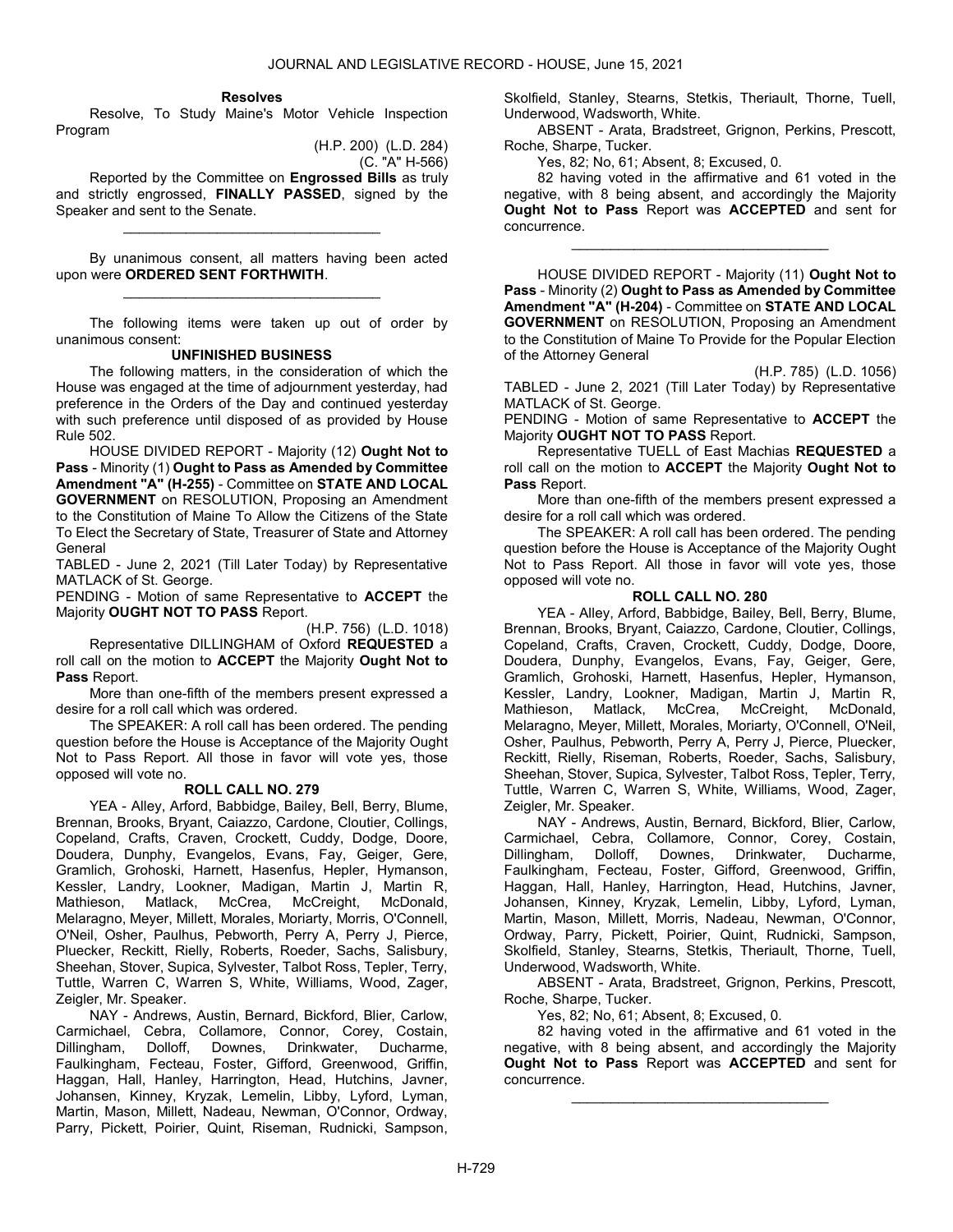### Resolves

 Resolve, To Study Maine's Motor Vehicle Inspection Program

(H.P. 200) (L.D. 284)

(C. "A" H-566)

 Reported by the Committee on Engrossed Bills as truly and strictly engrossed, FINALLY PASSED, signed by the Speaker and sent to the Senate.

\_\_\_\_\_\_\_\_\_\_\_\_\_\_\_\_\_\_\_\_\_\_\_\_\_\_\_\_\_\_\_\_\_

 By unanimous consent, all matters having been acted upon were ORDERED SENT FORTHWITH. \_\_\_\_\_\_\_\_\_\_\_\_\_\_\_\_\_\_\_\_\_\_\_\_\_\_\_\_\_\_\_\_\_

 The following items were taken up out of order by unanimous consent:

### UNFINISHED BUSINESS

 The following matters, in the consideration of which the House was engaged at the time of adjournment yesterday, had preference in the Orders of the Day and continued yesterday with such preference until disposed of as provided by House Rule 502.

 HOUSE DIVIDED REPORT - Majority (12) Ought Not to Pass - Minority (1) Ought to Pass as Amended by Committee Amendment "A" (H-255) - Committee on STATE AND LOCAL GOVERNMENT on RESOLUTION, Proposing an Amendment to the Constitution of Maine To Allow the Citizens of the State To Elect the Secretary of State, Treasurer of State and Attorney General

TABLED - June 2, 2021 (Till Later Today) by Representative MATLACK of St. George.

PENDING - Motion of same Representative to ACCEPT the Majority OUGHT NOT TO PASS Report.

(H.P. 756) (L.D. 1018) Representative DILLINGHAM of Oxford REQUESTED a roll call on the motion to ACCEPT the Majority Ought Not to Pass Report.

 More than one-fifth of the members present expressed a desire for a roll call which was ordered.

 The SPEAKER: A roll call has been ordered. The pending question before the House is Acceptance of the Majority Ought Not to Pass Report. All those in favor will vote yes, those opposed will vote no.

### ROLL CALL NO. 279

 YEA - Alley, Arford, Babbidge, Bailey, Bell, Berry, Blume, Brennan, Brooks, Bryant, Caiazzo, Cardone, Cloutier, Collings, Copeland, Crafts, Craven, Crockett, Cuddy, Dodge, Doore, Doudera, Dunphy, Evangelos, Evans, Fay, Geiger, Gere, Gramlich, Grohoski, Harnett, Hasenfus, Hepler, Hymanson, Kessler, Landry, Lookner, Madigan, Martin J, Martin R, Mathieson, Matlack, McCrea, McCreight, McDonald, Melaragno, Meyer, Millett, Morales, Moriarty, Morris, O'Connell, O'Neil, Osher, Paulhus, Pebworth, Perry A, Perry J, Pierce, Pluecker, Reckitt, Rielly, Roberts, Roeder, Sachs, Salisbury, Sheehan, Stover, Supica, Sylvester, Talbot Ross, Tepler, Terry, Tuttle, Warren C, Warren S, White, Williams, Wood, Zager, Zeigler, Mr. Speaker.

 NAY - Andrews, Austin, Bernard, Bickford, Blier, Carlow, Carmichael, Cebra, Collamore, Connor, Corey, Costain, Dillingham, Dolloff, Downes, Drinkwater, Ducharme, Faulkingham, Fecteau, Foster, Gifford, Greenwood, Griffin, Haggan, Hall, Hanley, Harrington, Head, Hutchins, Javner, Johansen, Kinney, Kryzak, Lemelin, Libby, Lyford, Lyman, Martin, Mason, Millett, Nadeau, Newman, O'Connor, Ordway, Parry, Pickett, Poirier, Quint, Riseman, Rudnicki, Sampson, Skolfield, Stanley, Stearns, Stetkis, Theriault, Thorne, Tuell, Underwood, Wadsworth, White.

 ABSENT - Arata, Bradstreet, Grignon, Perkins, Prescott, Roche, Sharpe, Tucker.

Yes, 82; No, 61; Absent, 8; Excused, 0.

 82 having voted in the affirmative and 61 voted in the negative, with 8 being absent, and accordingly the Majority Ought Not to Pass Report was ACCEPTED and sent for concurrence.

\_\_\_\_\_\_\_\_\_\_\_\_\_\_\_\_\_\_\_\_\_\_\_\_\_\_\_\_\_\_\_\_\_

 HOUSE DIVIDED REPORT - Majority (11) Ought Not to Pass - Minority (2) Ought to Pass as Amended by Committee Amendment "A" (H-204) - Committee on STATE AND LOCAL GOVERNMENT on RESOLUTION, Proposing an Amendment to the Constitution of Maine To Provide for the Popular Election of the Attorney General

(H.P. 785) (L.D. 1056)

TABLED - June 2, 2021 (Till Later Today) by Representative MATLACK of St. George.

PENDING - Motion of same Representative to ACCEPT the Majority OUGHT NOT TO PASS Report.

 Representative TUELL of East Machias REQUESTED a roll call on the motion to ACCEPT the Majority Ought Not to Pass Report.

 More than one-fifth of the members present expressed a desire for a roll call which was ordered.

 The SPEAKER: A roll call has been ordered. The pending question before the House is Acceptance of the Majority Ought Not to Pass Report. All those in favor will vote yes, those opposed will vote no.

### ROLL CALL NO. 280

 YEA - Alley, Arford, Babbidge, Bailey, Bell, Berry, Blume, Brennan, Brooks, Bryant, Caiazzo, Cardone, Cloutier, Collings, Copeland, Crafts, Craven, Crockett, Cuddy, Dodge, Doore, Doudera, Dunphy, Evangelos, Evans, Fay, Geiger, Gere, Gramlich, Grohoski, Harnett, Hasenfus, Hepler, Hymanson, Kessler, Landry, Lookner, Madigan, Martin J, Martin R, Mathieson, Matlack, McCrea, McCreight, McDonald, Melaragno, Meyer, Millett, Morales, Moriarty, O'Connell, O'Neil, Osher, Paulhus, Pebworth, Perry A, Perry J, Pierce, Pluecker, Reckitt, Rielly, Riseman, Roberts, Roeder, Sachs, Salisbury, Sheehan, Stover, Supica, Sylvester, Talbot Ross, Tepler, Terry, Tuttle, Warren C, Warren S, White, Williams, Wood, Zager, Zeigler, Mr. Speaker.

 NAY - Andrews, Austin, Bernard, Bickford, Blier, Carlow, Carmichael, Cebra, Collamore, Connor, Corey, Costain, Dillingham, Dolloff, Downes, Drinkwater, Ducharme, Faulkingham, Fecteau, Foster, Gifford, Greenwood, Griffin, Haggan, Hall, Hanley, Harrington, Head, Hutchins, Javner, Johansen, Kinney, Kryzak, Lemelin, Libby, Lyford, Lyman, Martin, Mason, Millett, Morris, Nadeau, Newman, O'Connor, Ordway, Parry, Pickett, Poirier, Quint, Rudnicki, Sampson, Skolfield, Stanley, Stearns, Stetkis, Theriault, Thorne, Tuell, Underwood, Wadsworth, White.

 ABSENT - Arata, Bradstreet, Grignon, Perkins, Prescott, Roche, Sharpe, Tucker.

Yes, 82; No, 61; Absent, 8; Excused, 0.

 82 having voted in the affirmative and 61 voted in the negative, with 8 being absent, and accordingly the Majority Ought Not to Pass Report was ACCEPTED and sent for concurrence.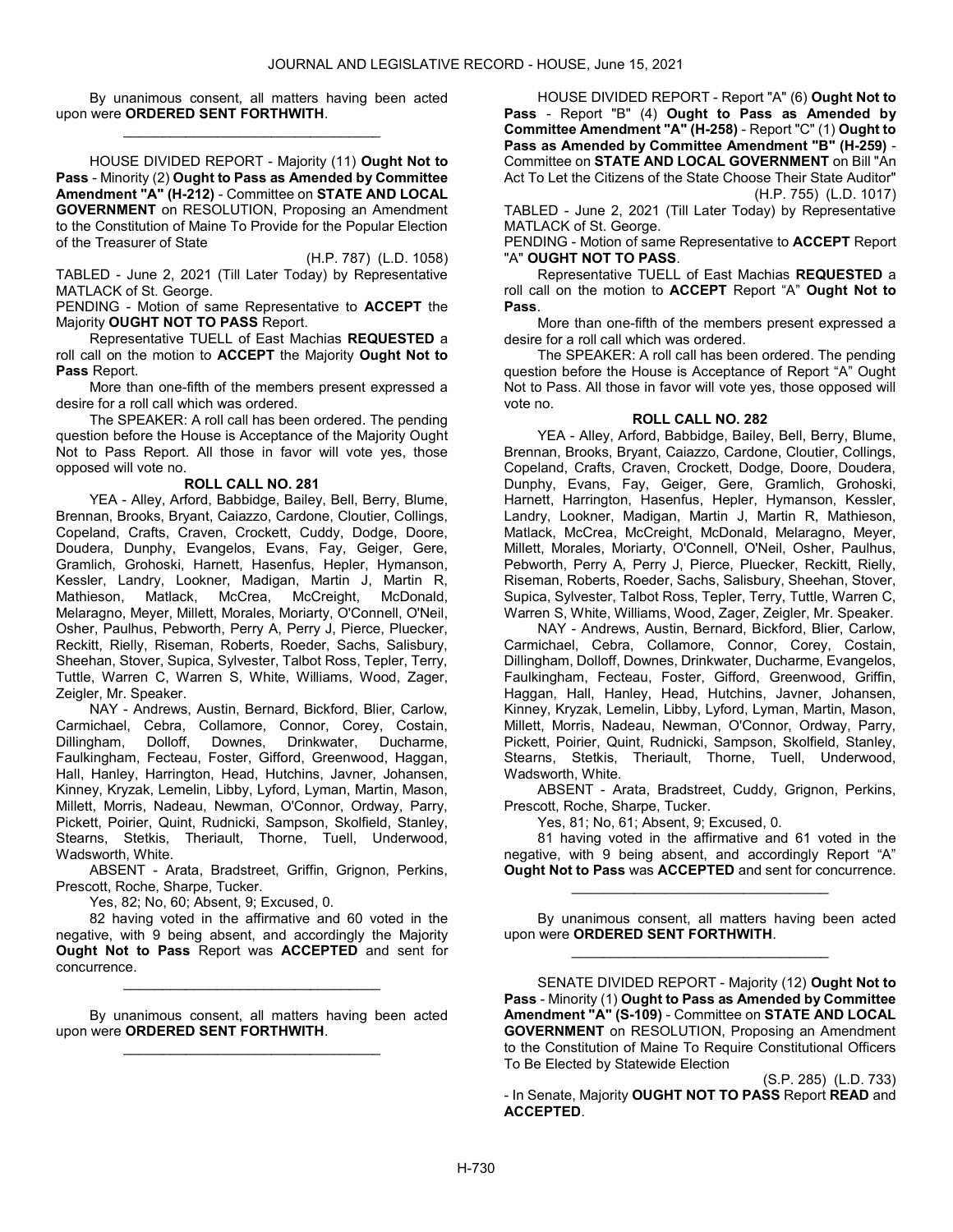By unanimous consent, all matters having been acted upon were ORDERED SENT FORTHWITH. \_\_\_\_\_\_\_\_\_\_\_\_\_\_\_\_\_\_\_\_\_\_\_\_\_\_\_\_\_\_\_\_\_

 HOUSE DIVIDED REPORT - Majority (11) Ought Not to Pass - Minority (2) Ought to Pass as Amended by Committee Amendment "A" (H-212) - Committee on STATE AND LOCAL GOVERNMENT on RESOLUTION, Proposing an Amendment to the Constitution of Maine To Provide for the Popular Election of the Treasurer of State

(H.P. 787) (L.D. 1058) TABLED - June 2, 2021 (Till Later Today) by Representative MATLACK of St. George.

PENDING - Motion of same Representative to ACCEPT the Majority OUGHT NOT TO PASS Report.

 Representative TUELL of East Machias REQUESTED a roll call on the motion to ACCEPT the Majority Ought Not to Pass Report.

 More than one-fifth of the members present expressed a desire for a roll call which was ordered.

 The SPEAKER: A roll call has been ordered. The pending question before the House is Acceptance of the Majority Ought Not to Pass Report. All those in favor will vote yes, those opposed will vote no.

### ROLL CALL NO. 281

 YEA - Alley, Arford, Babbidge, Bailey, Bell, Berry, Blume, Brennan, Brooks, Bryant, Caiazzo, Cardone, Cloutier, Collings, Copeland, Crafts, Craven, Crockett, Cuddy, Dodge, Doore, Doudera, Dunphy, Evangelos, Evans, Fay, Geiger, Gere, Gramlich, Grohoski, Harnett, Hasenfus, Hepler, Hymanson, Kessler, Landry, Lookner, Madigan, Martin J, Martin R, Mathieson, Matlack, McCrea, McCreight, McDonald, Melaragno, Meyer, Millett, Morales, Moriarty, O'Connell, O'Neil, Osher, Paulhus, Pebworth, Perry A, Perry J, Pierce, Pluecker, Reckitt, Rielly, Riseman, Roberts, Roeder, Sachs, Salisbury, Sheehan, Stover, Supica, Sylvester, Talbot Ross, Tepler, Terry, Tuttle, Warren C, Warren S, White, Williams, Wood, Zager, Zeigler, Mr. Speaker.

 NAY - Andrews, Austin, Bernard, Bickford, Blier, Carlow, Carmichael, Cebra, Collamore, Connor, Corey, Costain, Dillingham, Dolloff, Downes, Drinkwater, Ducharme, Faulkingham, Fecteau, Foster, Gifford, Greenwood, Haggan, Hall, Hanley, Harrington, Head, Hutchins, Javner, Johansen, Kinney, Kryzak, Lemelin, Libby, Lyford, Lyman, Martin, Mason, Millett, Morris, Nadeau, Newman, O'Connor, Ordway, Parry, Pickett, Poirier, Quint, Rudnicki, Sampson, Skolfield, Stanley, Stearns, Stetkis, Theriault, Thorne, Tuell, Underwood, Wadsworth, White.

 ABSENT - Arata, Bradstreet, Griffin, Grignon, Perkins, Prescott, Roche, Sharpe, Tucker.

Yes, 82; No, 60; Absent, 9; Excused, 0.

 82 having voted in the affirmative and 60 voted in the negative, with 9 being absent, and accordingly the Majority Ought Not to Pass Report was ACCEPTED and sent for concurrence.

\_\_\_\_\_\_\_\_\_\_\_\_\_\_\_\_\_\_\_\_\_\_\_\_\_\_\_\_\_\_\_\_\_

 By unanimous consent, all matters having been acted upon were ORDERED SENT FORTHWITH. \_\_\_\_\_\_\_\_\_\_\_\_\_\_\_\_\_\_\_\_\_\_\_\_\_\_\_\_\_\_\_\_\_

 HOUSE DIVIDED REPORT - Report "A" (6) Ought Not to Pass - Report "B" (4) Ought to Pass as Amended by Committee Amendment "A" (H-258) - Report "C" (1) Ought to Pass as Amended by Committee Amendment "B" (H-259) - Committee on STATE AND LOCAL GOVERNMENT on Bill "An Act To Let the Citizens of the State Choose Their State Auditor" (H.P. 755) (L.D. 1017)

TABLED - June 2, 2021 (Till Later Today) by Representative MATLACK of St. George.

PENDING - Motion of same Representative to ACCEPT Report "A" OUGHT NOT TO PASS.

 Representative TUELL of East Machias REQUESTED a roll call on the motion to ACCEPT Report "A" Ought Not to Pass.

 More than one-fifth of the members present expressed a desire for a roll call which was ordered.

 The SPEAKER: A roll call has been ordered. The pending question before the House is Acceptance of Report "A" Ought Not to Pass. All those in favor will vote yes, those opposed will vote no.

## ROLL CALL NO. 282

 YEA - Alley, Arford, Babbidge, Bailey, Bell, Berry, Blume, Brennan, Brooks, Bryant, Caiazzo, Cardone, Cloutier, Collings, Copeland, Crafts, Craven, Crockett, Dodge, Doore, Doudera, Dunphy, Evans, Fay, Geiger, Gere, Gramlich, Grohoski, Harnett, Harrington, Hasenfus, Hepler, Hymanson, Kessler, Landry, Lookner, Madigan, Martin J, Martin R, Mathieson, Matlack, McCrea, McCreight, McDonald, Melaragno, Meyer, Millett, Morales, Moriarty, O'Connell, O'Neil, Osher, Paulhus, Pebworth, Perry A, Perry J, Pierce, Pluecker, Reckitt, Rielly, Riseman, Roberts, Roeder, Sachs, Salisbury, Sheehan, Stover, Supica, Sylvester, Talbot Ross, Tepler, Terry, Tuttle, Warren C, Warren S, White, Williams, Wood, Zager, Zeigler, Mr. Speaker.

 NAY - Andrews, Austin, Bernard, Bickford, Blier, Carlow, Carmichael, Cebra, Collamore, Connor, Corey, Costain, Dillingham, Dolloff, Downes, Drinkwater, Ducharme, Evangelos, Faulkingham, Fecteau, Foster, Gifford, Greenwood, Griffin, Haggan, Hall, Hanley, Head, Hutchins, Javner, Johansen, Kinney, Kryzak, Lemelin, Libby, Lyford, Lyman, Martin, Mason, Millett, Morris, Nadeau, Newman, O'Connor, Ordway, Parry, Pickett, Poirier, Quint, Rudnicki, Sampson, Skolfield, Stanley, Stearns, Stetkis, Theriault, Thorne, Tuell, Underwood, Wadsworth, White.

 ABSENT - Arata, Bradstreet, Cuddy, Grignon, Perkins, Prescott, Roche, Sharpe, Tucker.

Yes, 81; No, 61; Absent, 9; Excused, 0.

 81 having voted in the affirmative and 61 voted in the negative, with 9 being absent, and accordingly Report "A" Ought Not to Pass was ACCEPTED and sent for concurrence.

\_\_\_\_\_\_\_\_\_\_\_\_\_\_\_\_\_\_\_\_\_\_\_\_\_\_\_\_\_\_\_\_\_

 By unanimous consent, all matters having been acted upon were ORDERED SENT FORTHWITH. \_\_\_\_\_\_\_\_\_\_\_\_\_\_\_\_\_\_\_\_\_\_\_\_\_\_\_\_\_\_\_\_\_

SENATE DIVIDED REPORT - Majority (12) Ought Not to Pass - Minority (1) Ought to Pass as Amended by Committee Amendment "A" (S-109) - Committee on STATE AND LOCAL GOVERNMENT on RESOLUTION, Proposing an Amendment to the Constitution of Maine To Require Constitutional Officers To Be Elected by Statewide Election

(S.P. 285) (L.D. 733) - In Senate, Majority OUGHT NOT TO PASS Report READ and ACCEPTED.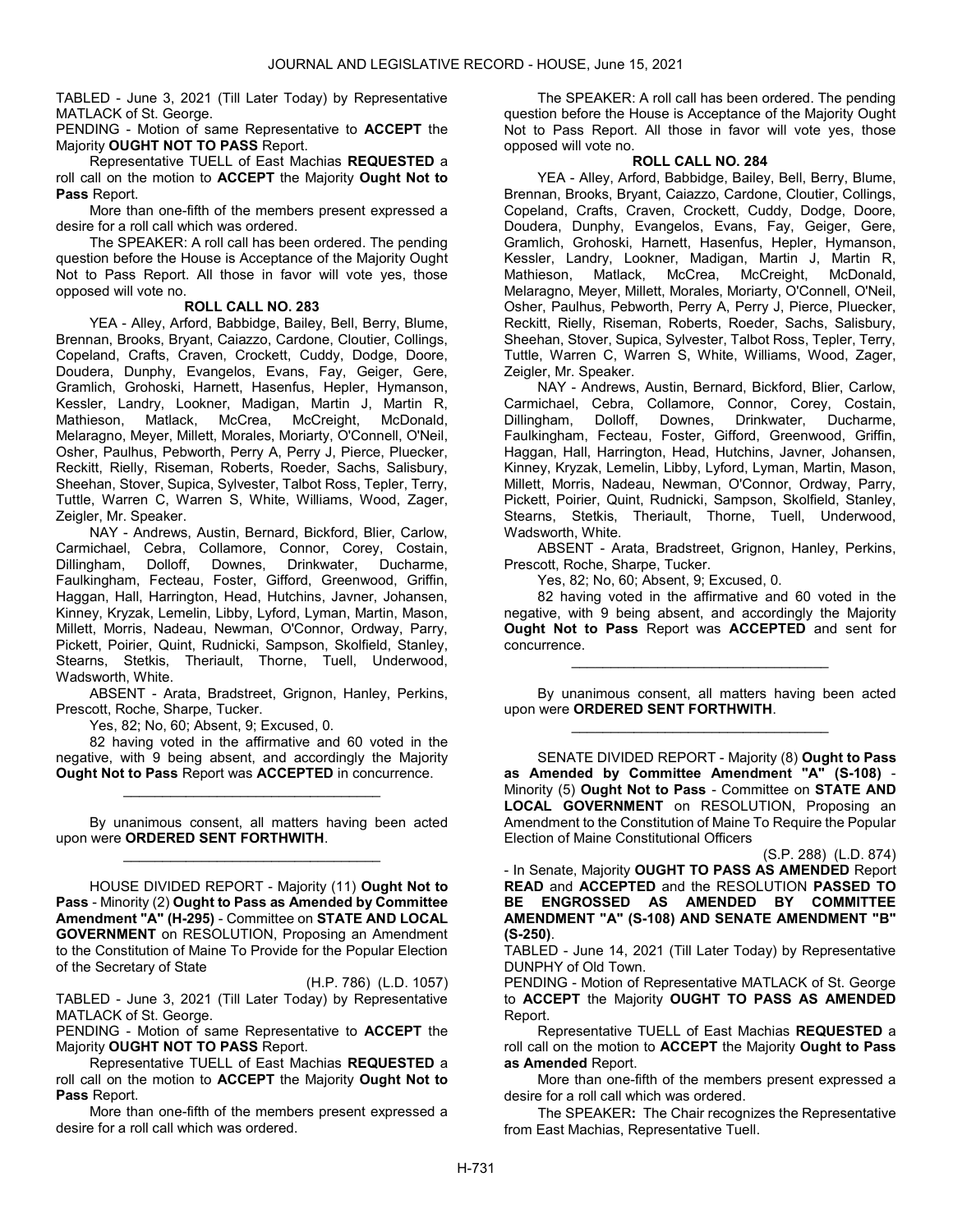TABLED - June 3, 2021 (Till Later Today) by Representative MATLACK of St. George.

PENDING - Motion of same Representative to ACCEPT the Majority OUGHT NOT TO PASS Report.

 Representative TUELL of East Machias REQUESTED a roll call on the motion to ACCEPT the Majority Ought Not to Pass Report.

 More than one-fifth of the members present expressed a desire for a roll call which was ordered.

 The SPEAKER: A roll call has been ordered. The pending question before the House is Acceptance of the Majority Ought Not to Pass Report. All those in favor will vote yes, those opposed will vote no.

#### ROLL CALL NO. 283

 YEA - Alley, Arford, Babbidge, Bailey, Bell, Berry, Blume, Brennan, Brooks, Bryant, Caiazzo, Cardone, Cloutier, Collings, Copeland, Crafts, Craven, Crockett, Cuddy, Dodge, Doore, Doudera, Dunphy, Evangelos, Evans, Fay, Geiger, Gere, Gramlich, Grohoski, Harnett, Hasenfus, Hepler, Hymanson, Kessler, Landry, Lookner, Madigan, Martin J, Martin R, Mathieson, Matlack, McCrea, McCreight, McDonald, Melaragno, Meyer, Millett, Morales, Moriarty, O'Connell, O'Neil, Osher, Paulhus, Pebworth, Perry A, Perry J, Pierce, Pluecker, Reckitt, Rielly, Riseman, Roberts, Roeder, Sachs, Salisbury, Sheehan, Stover, Supica, Sylvester, Talbot Ross, Tepler, Terry, Tuttle, Warren C, Warren S, White, Williams, Wood, Zager, Zeigler, Mr. Speaker.

 NAY - Andrews, Austin, Bernard, Bickford, Blier, Carlow, Carmichael, Cebra, Collamore, Connor, Corey, Costain,<br>Dillingham, Dolloff, Downes, Drinkwater, Ducharme, Dillingham, Dolloff, Downes, Drinkwater, Ducharme, Faulkingham, Fecteau, Foster, Gifford, Greenwood, Griffin, Haggan, Hall, Harrington, Head, Hutchins, Javner, Johansen, Kinney, Kryzak, Lemelin, Libby, Lyford, Lyman, Martin, Mason, Millett, Morris, Nadeau, Newman, O'Connor, Ordway, Parry, Pickett, Poirier, Quint, Rudnicki, Sampson, Skolfield, Stanley, Stearns, Stetkis, Theriault, Thorne, Tuell, Underwood, Wadsworth, White.

 ABSENT - Arata, Bradstreet, Grignon, Hanley, Perkins, Prescott, Roche, Sharpe, Tucker.

Yes, 82; No, 60; Absent, 9; Excused, 0.

 82 having voted in the affirmative and 60 voted in the negative, with 9 being absent, and accordingly the Majority Ought Not to Pass Report was ACCEPTED in concurrence.

\_\_\_\_\_\_\_\_\_\_\_\_\_\_\_\_\_\_\_\_\_\_\_\_\_\_\_\_\_\_\_\_\_

 By unanimous consent, all matters having been acted upon were ORDERED SENT FORTHWITH. \_\_\_\_\_\_\_\_\_\_\_\_\_\_\_\_\_\_\_\_\_\_\_\_\_\_\_\_\_\_\_\_\_

 HOUSE DIVIDED REPORT - Majority (11) Ought Not to Pass - Minority (2) Ought to Pass as Amended by Committee Amendment "A" (H-295) - Committee on STATE AND LOCAL GOVERNMENT on RESOLUTION, Proposing an Amendment to the Constitution of Maine To Provide for the Popular Election of the Secretary of State

(H.P. 786) (L.D. 1057) TABLED - June 3, 2021 (Till Later Today) by Representative MATLACK of St. George.

PENDING - Motion of same Representative to ACCEPT the Majority OUGHT NOT TO PASS Report.

 Representative TUELL of East Machias REQUESTED a roll call on the motion to ACCEPT the Majority Ought Not to Pass Report.

 More than one-fifth of the members present expressed a desire for a roll call which was ordered.

 The SPEAKER: A roll call has been ordered. The pending question before the House is Acceptance of the Majority Ought Not to Pass Report. All those in favor will vote yes, those opposed will vote no.

# ROLL CALL NO. 284

 YEA - Alley, Arford, Babbidge, Bailey, Bell, Berry, Blume, Brennan, Brooks, Bryant, Caiazzo, Cardone, Cloutier, Collings, Copeland, Crafts, Craven, Crockett, Cuddy, Dodge, Doore, Doudera, Dunphy, Evangelos, Evans, Fay, Geiger, Gere, Gramlich, Grohoski, Harnett, Hasenfus, Hepler, Hymanson, Kessler, Landry, Lookner, Madigan, Martin J, Martin R, Mathieson, Matlack, McCrea, McCreight, McDonald, Melaragno, Meyer, Millett, Morales, Moriarty, O'Connell, O'Neil, Osher, Paulhus, Pebworth, Perry A, Perry J, Pierce, Pluecker, Reckitt, Rielly, Riseman, Roberts, Roeder, Sachs, Salisbury, Sheehan, Stover, Supica, Sylvester, Talbot Ross, Tepler, Terry, Tuttle, Warren C, Warren S, White, Williams, Wood, Zager, Zeigler, Mr. Speaker.

 NAY - Andrews, Austin, Bernard, Bickford, Blier, Carlow, Carmichael, Cebra, Collamore, Connor, Corey, Costain,<br>Dillingham, Dolloff, Downes, Drinkwater, Ducharme, Dillingham, Dolloff, Downes, Drinkwater, Ducharme, Faulkingham, Fecteau, Foster, Gifford, Greenwood, Griffin, Haggan, Hall, Harrington, Head, Hutchins, Javner, Johansen, Kinney, Kryzak, Lemelin, Libby, Lyford, Lyman, Martin, Mason, Millett, Morris, Nadeau, Newman, O'Connor, Ordway, Parry, Pickett, Poirier, Quint, Rudnicki, Sampson, Skolfield, Stanley, Stearns, Stetkis, Theriault, Thorne, Tuell, Underwood, Wadsworth, White.

 ABSENT - Arata, Bradstreet, Grignon, Hanley, Perkins, Prescott, Roche, Sharpe, Tucker.

Yes, 82; No, 60; Absent, 9; Excused, 0.

 82 having voted in the affirmative and 60 voted in the negative, with 9 being absent, and accordingly the Majority Ought Not to Pass Report was ACCEPTED and sent for concurrence.

\_\_\_\_\_\_\_\_\_\_\_\_\_\_\_\_\_\_\_\_\_\_\_\_\_\_\_\_\_\_\_\_\_

 By unanimous consent, all matters having been acted upon were ORDERED SENT FORTHWITH. \_\_\_\_\_\_\_\_\_\_\_\_\_\_\_\_\_\_\_\_\_\_\_\_\_\_\_\_\_\_\_\_\_

 SENATE DIVIDED REPORT - Majority (8) Ought to Pass as Amended by Committee Amendment "A" (S-108) - Minority (5) Ought Not to Pass - Committee on STATE AND LOCAL GOVERNMENT on RESOLUTION, Proposing an Amendment to the Constitution of Maine To Require the Popular Election of Maine Constitutional Officers

(S.P. 288) (L.D. 874)

- In Senate, Majority OUGHT TO PASS AS AMENDED Report READ and ACCEPTED and the RESOLUTION PASSED TO BE ENGROSSED AS AMENDED BY COMMITTEE AMENDMENT "A" (S-108) AND SENATE AMENDMENT "B" (S-250).

TABLED - June 14, 2021 (Till Later Today) by Representative DUNPHY of Old Town.

PENDING - Motion of Representative MATLACK of St. George to ACCEPT the Majority OUGHT TO PASS AS AMENDED Report.

 Representative TUELL of East Machias REQUESTED a roll call on the motion to ACCEPT the Majority Ought to Pass as Amended Report.

 More than one-fifth of the members present expressed a desire for a roll call which was ordered.

The SPEAKER: The Chair recognizes the Representative from East Machias, Representative Tuell.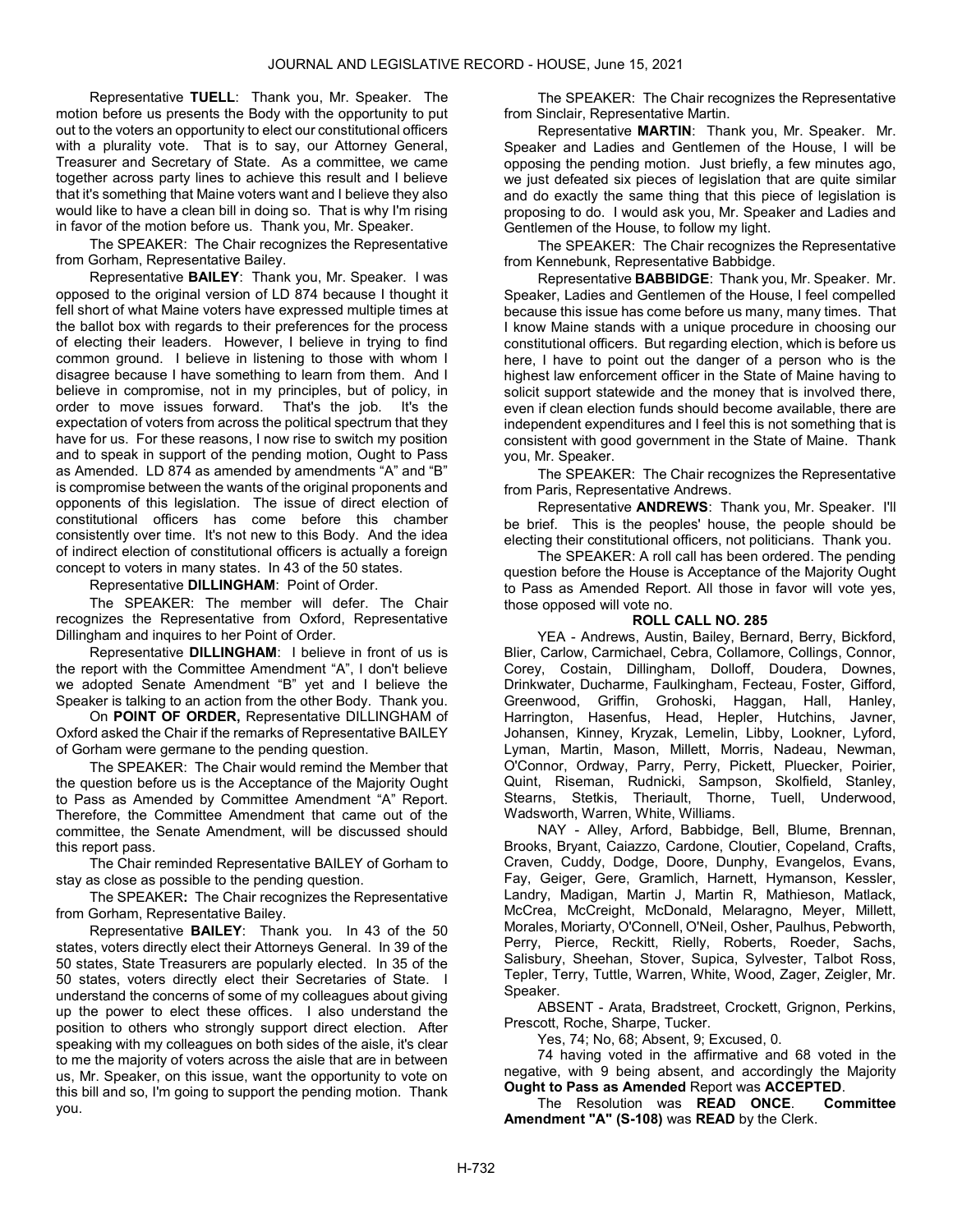Representative TUELL: Thank you, Mr. Speaker. The motion before us presents the Body with the opportunity to put out to the voters an opportunity to elect our constitutional officers with a plurality vote. That is to say, our Attorney General, Treasurer and Secretary of State. As a committee, we came together across party lines to achieve this result and I believe that it's something that Maine voters want and I believe they also would like to have a clean bill in doing so. That is why I'm rising in favor of the motion before us. Thank you, Mr. Speaker.

The SPEAKER: The Chair recognizes the Representative from Gorham, Representative Bailey.

Representative BAILEY: Thank you, Mr. Speaker. I was opposed to the original version of LD 874 because I thought it fell short of what Maine voters have expressed multiple times at the ballot box with regards to their preferences for the process of electing their leaders. However, I believe in trying to find common ground. I believe in listening to those with whom I disagree because I have something to learn from them. And I believe in compromise, not in my principles, but of policy, in order to move issues forward. That's the job. It's the expectation of voters from across the political spectrum that they have for us. For these reasons, I now rise to switch my position and to speak in support of the pending motion, Ought to Pass as Amended. LD 874 as amended by amendments "A" and "B" is compromise between the wants of the original proponents and opponents of this legislation. The issue of direct election of constitutional officers has come before this chamber consistently over time. It's not new to this Body. And the idea of indirect election of constitutional officers is actually a foreign concept to voters in many states. In 43 of the 50 states.

### Representative DILLINGHAM: Point of Order.

 The SPEAKER: The member will defer. The Chair recognizes the Representative from Oxford, Representative Dillingham and inquires to her Point of Order.

Representative DILLINGHAM: I believe in front of us is the report with the Committee Amendment "A", I don't believe we adopted Senate Amendment "B" yet and I believe the Speaker is talking to an action from the other Body. Thank you.

 On POINT OF ORDER, Representative DILLINGHAM of Oxford asked the Chair if the remarks of Representative BAILEY of Gorham were germane to the pending question.

The SPEAKER: The Chair would remind the Member that the question before us is the Acceptance of the Majority Ought to Pass as Amended by Committee Amendment "A" Report. Therefore, the Committee Amendment that came out of the committee, the Senate Amendment, will be discussed should this report pass.

 The Chair reminded Representative BAILEY of Gorham to stay as close as possible to the pending question.

The SPEAKER: The Chair recognizes the Representative from Gorham, Representative Bailey.

Representative BAILEY: Thank you. In 43 of the 50 states, voters directly elect their Attorneys General. In 39 of the 50 states, State Treasurers are popularly elected. In 35 of the 50 states, voters directly elect their Secretaries of State. I understand the concerns of some of my colleagues about giving up the power to elect these offices. I also understand the position to others who strongly support direct election. After speaking with my colleagues on both sides of the aisle, it's clear to me the majority of voters across the aisle that are in between us, Mr. Speaker, on this issue, want the opportunity to vote on this bill and so, I'm going to support the pending motion. Thank you.

The SPEAKER: The Chair recognizes the Representative from Sinclair, Representative Martin.

Representative MARTIN: Thank you, Mr. Speaker. Mr. Speaker and Ladies and Gentlemen of the House, I will be opposing the pending motion. Just briefly, a few minutes ago, we just defeated six pieces of legislation that are quite similar and do exactly the same thing that this piece of legislation is proposing to do. I would ask you, Mr. Speaker and Ladies and Gentlemen of the House, to follow my light.

The SPEAKER: The Chair recognizes the Representative from Kennebunk, Representative Babbidge.

Representative BABBIDGE: Thank you, Mr. Speaker. Mr. Speaker, Ladies and Gentlemen of the House, I feel compelled because this issue has come before us many, many times. That I know Maine stands with a unique procedure in choosing our constitutional officers. But regarding election, which is before us here, I have to point out the danger of a person who is the highest law enforcement officer in the State of Maine having to solicit support statewide and the money that is involved there, even if clean election funds should become available, there are independent expenditures and I feel this is not something that is consistent with good government in the State of Maine. Thank you, Mr. Speaker.

The SPEAKER: The Chair recognizes the Representative from Paris, Representative Andrews.

Representative ANDREWS: Thank you, Mr. Speaker. I'll be brief. This is the peoples' house, the people should be electing their constitutional officers, not politicians. Thank you.

 The SPEAKER: A roll call has been ordered. The pending question before the House is Acceptance of the Majority Ought to Pass as Amended Report. All those in favor will vote yes, those opposed will vote no.

### ROLL CALL NO. 285

 YEA - Andrews, Austin, Bailey, Bernard, Berry, Bickford, Blier, Carlow, Carmichael, Cebra, Collamore, Collings, Connor, Corey, Costain, Dillingham, Dolloff, Doudera, Downes, Drinkwater, Ducharme, Faulkingham, Fecteau, Foster, Gifford, Greenwood, Griffin, Grohoski, Haggan, Hall, Hanley, Harrington, Hasenfus, Head, Hepler, Hutchins, Javner, Johansen, Kinney, Kryzak, Lemelin, Libby, Lookner, Lyford, Lyman, Martin, Mason, Millett, Morris, Nadeau, Newman, O'Connor, Ordway, Parry, Perry, Pickett, Pluecker, Poirier, Quint, Riseman, Rudnicki, Sampson, Skolfield, Stanley, Stearns, Stetkis, Theriault, Thorne, Tuell, Underwood, Wadsworth, Warren, White, Williams.

 NAY - Alley, Arford, Babbidge, Bell, Blume, Brennan, Brooks, Bryant, Caiazzo, Cardone, Cloutier, Copeland, Crafts, Craven, Cuddy, Dodge, Doore, Dunphy, Evangelos, Evans, Fay, Geiger, Gere, Gramlich, Harnett, Hymanson, Kessler, Landry, Madigan, Martin J, Martin R, Mathieson, Matlack, McCrea, McCreight, McDonald, Melaragno, Meyer, Millett, Morales, Moriarty, O'Connell, O'Neil, Osher, Paulhus, Pebworth, Perry, Pierce, Reckitt, Rielly, Roberts, Roeder, Sachs, Salisbury, Sheehan, Stover, Supica, Sylvester, Talbot Ross, Tepler, Terry, Tuttle, Warren, White, Wood, Zager, Zeigler, Mr. Speaker.

 ABSENT - Arata, Bradstreet, Crockett, Grignon, Perkins, Prescott, Roche, Sharpe, Tucker.

Yes, 74; No, 68; Absent, 9; Excused, 0.

 74 having voted in the affirmative and 68 voted in the negative, with 9 being absent, and accordingly the Majority Ought to Pass as Amended Report was ACCEPTED.

 The Resolution was READ ONCE. Committee Amendment "A" (S-108) was READ by the Clerk.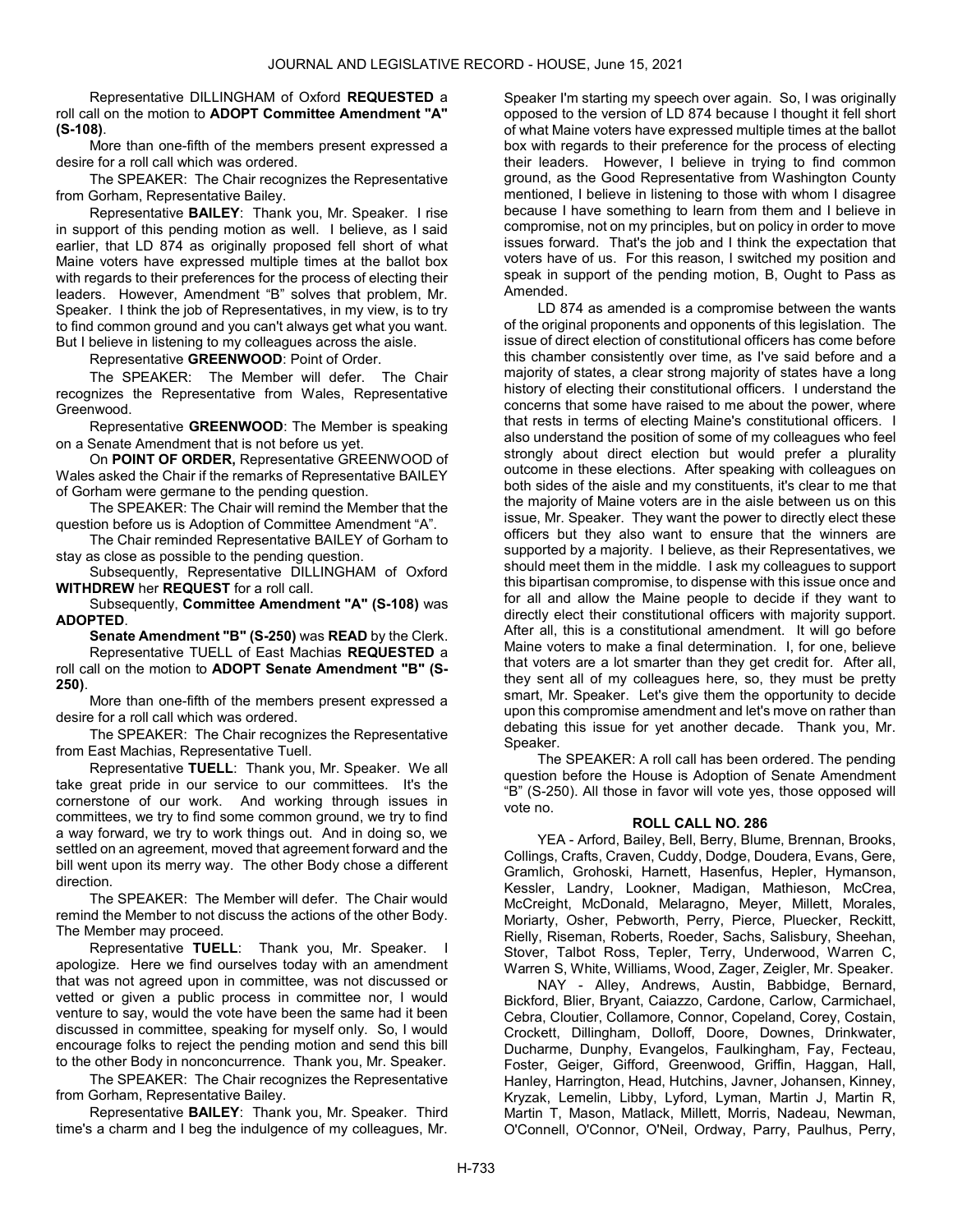Representative DILLINGHAM of Oxford REQUESTED a roll call on the motion to ADOPT Committee Amendment "A" (S-108).

 More than one-fifth of the members present expressed a desire for a roll call which was ordered.

The SPEAKER: The Chair recognizes the Representative from Gorham, Representative Bailey.

Representative BAILEY: Thank you, Mr. Speaker. I rise in support of this pending motion as well. I believe, as I said earlier, that LD 874 as originally proposed fell short of what Maine voters have expressed multiple times at the ballot box with regards to their preferences for the process of electing their leaders. However, Amendment "B" solves that problem, Mr. Speaker. I think the job of Representatives, in my view, is to try to find common ground and you can't always get what you want. But I believe in listening to my colleagues across the aisle.

Representative GREENWOOD: Point of Order.

The SPEAKER: The Member will defer. The Chair recognizes the Representative from Wales, Representative Greenwood.

Representative GREENWOOD: The Member is speaking on a Senate Amendment that is not before us yet.

 On POINT OF ORDER, Representative GREENWOOD of Wales asked the Chair if the remarks of Representative BAILEY of Gorham were germane to the pending question.

 The SPEAKER: The Chair will remind the Member that the question before us is Adoption of Committee Amendment "A".

 The Chair reminded Representative BAILEY of Gorham to stay as close as possible to the pending question.

 Subsequently, Representative DILLINGHAM of Oxford WITHDREW her REQUEST for a roll call.

 Subsequently, Committee Amendment "A" (S-108) was ADOPTED.

Senate Amendment "B" (S-250) was READ by the Clerk.

 Representative TUELL of East Machias REQUESTED a roll call on the motion to ADOPT Senate Amendment "B" (S-250).

 More than one-fifth of the members present expressed a desire for a roll call which was ordered.

The SPEAKER: The Chair recognizes the Representative from East Machias, Representative Tuell.

Representative TUELL: Thank you, Mr. Speaker. We all take great pride in our service to our committees. It's the cornerstone of our work. And working through issues in committees, we try to find some common ground, we try to find a way forward, we try to work things out. And in doing so, we settled on an agreement, moved that agreement forward and the bill went upon its merry way. The other Body chose a different direction.

The SPEAKER: The Member will defer. The Chair would remind the Member to not discuss the actions of the other Body. The Member may proceed.

Representative TUELL: Thank you, Mr. Speaker. I apologize. Here we find ourselves today with an amendment that was not agreed upon in committee, was not discussed or vetted or given a public process in committee nor, I would venture to say, would the vote have been the same had it been discussed in committee, speaking for myself only. So, I would encourage folks to reject the pending motion and send this bill to the other Body in nonconcurrence. Thank you, Mr. Speaker.

The SPEAKER: The Chair recognizes the Representative from Gorham, Representative Bailey.

Representative BAILEY: Thank you, Mr. Speaker. Third time's a charm and I beg the indulgence of my colleagues, Mr.

Speaker I'm starting my speech over again. So, I was originally opposed to the version of LD 874 because I thought it fell short of what Maine voters have expressed multiple times at the ballot box with regards to their preference for the process of electing their leaders. However, I believe in trying to find common ground, as the Good Representative from Washington County mentioned, I believe in listening to those with whom I disagree because I have something to learn from them and I believe in compromise, not on my principles, but on policy in order to move issues forward. That's the job and I think the expectation that voters have of us. For this reason, I switched my position and speak in support of the pending motion, B, Ought to Pass as Amended.

LD 874 as amended is a compromise between the wants of the original proponents and opponents of this legislation. The issue of direct election of constitutional officers has come before this chamber consistently over time, as I've said before and a majority of states, a clear strong majority of states have a long history of electing their constitutional officers. I understand the concerns that some have raised to me about the power, where that rests in terms of electing Maine's constitutional officers. I also understand the position of some of my colleagues who feel strongly about direct election but would prefer a plurality outcome in these elections. After speaking with colleagues on both sides of the aisle and my constituents, it's clear to me that the majority of Maine voters are in the aisle between us on this issue, Mr. Speaker. They want the power to directly elect these officers but they also want to ensure that the winners are supported by a majority. I believe, as their Representatives, we should meet them in the middle. I ask my colleagues to support this bipartisan compromise, to dispense with this issue once and for all and allow the Maine people to decide if they want to directly elect their constitutional officers with majority support. After all, this is a constitutional amendment. It will go before Maine voters to make a final determination. I, for one, believe that voters are a lot smarter than they get credit for. After all, they sent all of my colleagues here, so, they must be pretty smart, Mr. Speaker. Let's give them the opportunity to decide upon this compromise amendment and let's move on rather than debating this issue for yet another decade. Thank you, Mr. Speaker.

 The SPEAKER: A roll call has been ordered. The pending question before the House is Adoption of Senate Amendment "B" (S-250). All those in favor will vote yes, those opposed will vote no.

### ROLL CALL NO. 286

 YEA - Arford, Bailey, Bell, Berry, Blume, Brennan, Brooks, Collings, Crafts, Craven, Cuddy, Dodge, Doudera, Evans, Gere, Gramlich, Grohoski, Harnett, Hasenfus, Hepler, Hymanson, Kessler, Landry, Lookner, Madigan, Mathieson, McCrea, McCreight, McDonald, Melaragno, Meyer, Millett, Morales, Moriarty, Osher, Pebworth, Perry, Pierce, Pluecker, Reckitt, Rielly, Riseman, Roberts, Roeder, Sachs, Salisbury, Sheehan, Stover, Talbot Ross, Tepler, Terry, Underwood, Warren C, Warren S, White, Williams, Wood, Zager, Zeigler, Mr. Speaker.

 NAY - Alley, Andrews, Austin, Babbidge, Bernard, Bickford, Blier, Bryant, Caiazzo, Cardone, Carlow, Carmichael, Cebra, Cloutier, Collamore, Connor, Copeland, Corey, Costain, Crockett, Dillingham, Dolloff, Doore, Downes, Drinkwater, Ducharme, Dunphy, Evangelos, Faulkingham, Fay, Fecteau, Foster, Geiger, Gifford, Greenwood, Griffin, Haggan, Hall, Hanley, Harrington, Head, Hutchins, Javner, Johansen, Kinney, Kryzak, Lemelin, Libby, Lyford, Lyman, Martin J, Martin R, Martin T, Mason, Matlack, Millett, Morris, Nadeau, Newman, O'Connell, O'Connor, O'Neil, Ordway, Parry, Paulhus, Perry,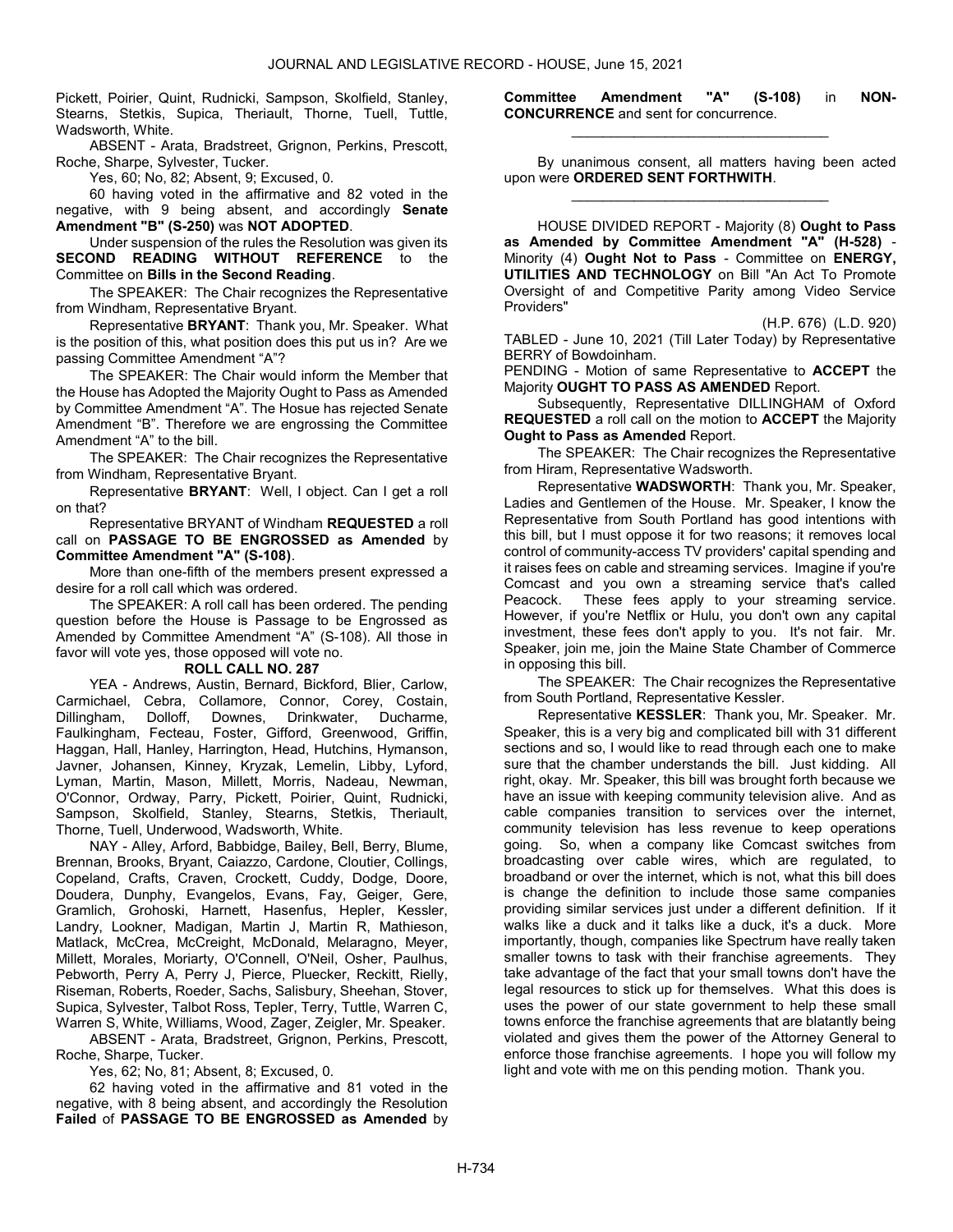Pickett, Poirier, Quint, Rudnicki, Sampson, Skolfield, Stanley, Stearns, Stetkis, Supica, Theriault, Thorne, Tuell, Tuttle, Wadsworth, White.

 ABSENT - Arata, Bradstreet, Grignon, Perkins, Prescott, Roche, Sharpe, Sylvester, Tucker.

Yes, 60; No, 82; Absent, 9; Excused, 0.

 60 having voted in the affirmative and 82 voted in the negative, with 9 being absent, and accordingly **Senate** Amendment "B" (S-250) was NOT ADOPTED.

 Under suspension of the rules the Resolution was given its SECOND READING WITHOUT REFERENCE to the Committee on Bills in the Second Reading.

The SPEAKER: The Chair recognizes the Representative from Windham, Representative Bryant.

Representative BRYANT: Thank you, Mr. Speaker. What is the position of this, what position does this put us in? Are we passing Committee Amendment "A"?

 The SPEAKER: The Chair would inform the Member that the House has Adopted the Majority Ought to Pass as Amended by Committee Amendment "A". The Hosue has rejected Senate Amendment "B". Therefore we are engrossing the Committee Amendment "A" to the bill.

 The SPEAKER: The Chair recognizes the Representative from Windham, Representative Bryant.

Representative BRYANT: Well, I object. Can I get a roll on that?

 Representative BRYANT of Windham REQUESTED a roll call on PASSAGE TO BE ENGROSSED as Amended by Committee Amendment "A" (S-108).

 More than one-fifth of the members present expressed a desire for a roll call which was ordered.

 The SPEAKER: A roll call has been ordered. The pending question before the House is Passage to be Engrossed as Amended by Committee Amendment "A" (S-108). All those in favor will vote yes, those opposed will vote no.

#### ROLL CALL NO. 287

 YEA - Andrews, Austin, Bernard, Bickford, Blier, Carlow, Carmichael, Cebra, Collamore, Connor, Corey, Costain, Dillingham, Dolloff, Downes, Drinkwater, Ducharme, Faulkingham, Fecteau, Foster, Gifford, Greenwood, Griffin, Haggan, Hall, Hanley, Harrington, Head, Hutchins, Hymanson, Javner, Johansen, Kinney, Kryzak, Lemelin, Libby, Lyford, Lyman, Martin, Mason, Millett, Morris, Nadeau, Newman, O'Connor, Ordway, Parry, Pickett, Poirier, Quint, Rudnicki, Sampson, Skolfield, Stanley, Stearns, Stetkis, Theriault, Thorne, Tuell, Underwood, Wadsworth, White.

 NAY - Alley, Arford, Babbidge, Bailey, Bell, Berry, Blume, Brennan, Brooks, Bryant, Caiazzo, Cardone, Cloutier, Collings, Copeland, Crafts, Craven, Crockett, Cuddy, Dodge, Doore, Doudera, Dunphy, Evangelos, Evans, Fay, Geiger, Gere, Gramlich, Grohoski, Harnett, Hasenfus, Hepler, Kessler, Landry, Lookner, Madigan, Martin J, Martin R, Mathieson, Matlack, McCrea, McCreight, McDonald, Melaragno, Meyer, Millett, Morales, Moriarty, O'Connell, O'Neil, Osher, Paulhus, Pebworth, Perry A, Perry J, Pierce, Pluecker, Reckitt, Rielly, Riseman, Roberts, Roeder, Sachs, Salisbury, Sheehan, Stover, Supica, Sylvester, Talbot Ross, Tepler, Terry, Tuttle, Warren C, Warren S, White, Williams, Wood, Zager, Zeigler, Mr. Speaker.

 ABSENT - Arata, Bradstreet, Grignon, Perkins, Prescott, Roche, Sharpe, Tucker.

Yes, 62; No, 81; Absent, 8; Excused, 0.

 62 having voted in the affirmative and 81 voted in the negative, with 8 being absent, and accordingly the Resolution Failed of PASSAGE TO BE ENGROSSED as Amended by Committee Amendment "A" (S-108) in NON-CONCURRENCE and sent for concurrence. \_\_\_\_\_\_\_\_\_\_\_\_\_\_\_\_\_\_\_\_\_\_\_\_\_\_\_\_\_\_\_\_\_

 By unanimous consent, all matters having been acted upon were ORDERED SENT FORTHWITH. \_\_\_\_\_\_\_\_\_\_\_\_\_\_\_\_\_\_\_\_\_\_\_\_\_\_\_\_\_\_\_\_\_

 HOUSE DIVIDED REPORT - Majority (8) Ought to Pass as Amended by Committee Amendment "A" (H-528) - Minority (4) Ought Not to Pass - Committee on ENERGY, UTILITIES AND TECHNOLOGY on Bill "An Act To Promote Oversight of and Competitive Parity among Video Service Providers"

(H.P. 676) (L.D. 920)

TABLED - June 10, 2021 (Till Later Today) by Representative BERRY of Bowdoinham.

PENDING - Motion of same Representative to **ACCEPT** the Majority OUGHT TO PASS AS AMENDED Report.

 Subsequently, Representative DILLINGHAM of Oxford REQUESTED a roll call on the motion to ACCEPT the Majority Ought to Pass as Amended Report.

The SPEAKER: The Chair recognizes the Representative from Hiram, Representative Wadsworth.

Representative WADSWORTH: Thank you, Mr. Speaker, Ladies and Gentlemen of the House. Mr. Speaker, I know the Representative from South Portland has good intentions with this bill, but I must oppose it for two reasons; it removes local control of community-access TV providers' capital spending and it raises fees on cable and streaming services. Imagine if you're Comcast and you own a streaming service that's called Peacock. These fees apply to your streaming service. However, if you're Netflix or Hulu, you don't own any capital investment, these fees don't apply to you. It's not fair. Mr. Speaker, join me, join the Maine State Chamber of Commerce in opposing this bill.

The SPEAKER: The Chair recognizes the Representative from South Portland, Representative Kessler.

Representative KESSLER: Thank you, Mr. Speaker. Mr. Speaker, this is a very big and complicated bill with 31 different sections and so, I would like to read through each one to make sure that the chamber understands the bill. Just kidding. All right, okay. Mr. Speaker, this bill was brought forth because we have an issue with keeping community television alive. And as cable companies transition to services over the internet, community television has less revenue to keep operations going. So, when a company like Comcast switches from broadcasting over cable wires, which are regulated, to broadband or over the internet, which is not, what this bill does is change the definition to include those same companies providing similar services just under a different definition. If it walks like a duck and it talks like a duck, it's a duck. More importantly, though, companies like Spectrum have really taken smaller towns to task with their franchise agreements. They take advantage of the fact that your small towns don't have the legal resources to stick up for themselves. What this does is uses the power of our state government to help these small towns enforce the franchise agreements that are blatantly being violated and gives them the power of the Attorney General to enforce those franchise agreements. I hope you will follow my light and vote with me on this pending motion. Thank you.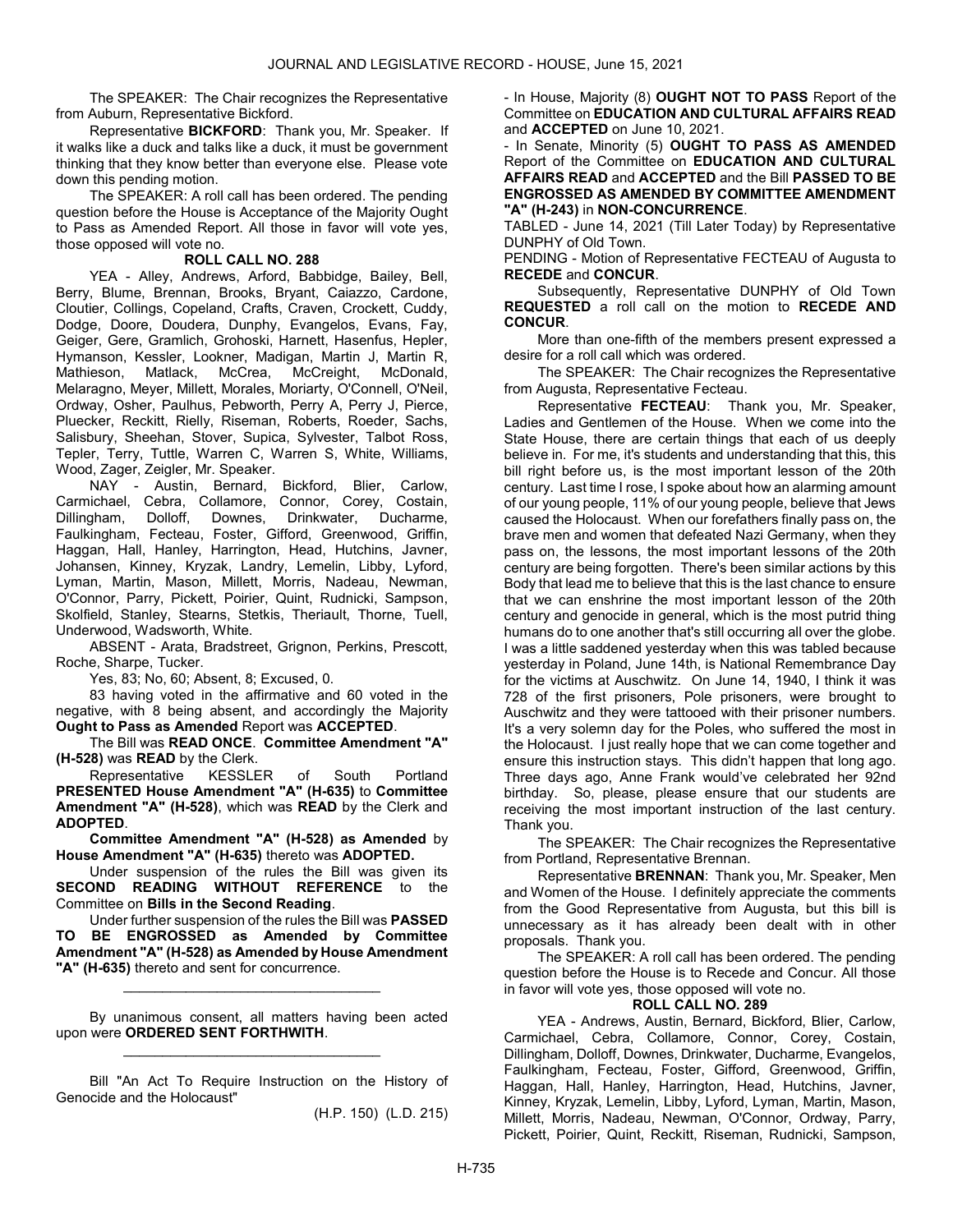The SPEAKER: The Chair recognizes the Representative from Auburn, Representative Bickford.

Representative BICKFORD: Thank you, Mr. Speaker. If it walks like a duck and talks like a duck, it must be government thinking that they know better than everyone else. Please vote down this pending motion.

 The SPEAKER: A roll call has been ordered. The pending question before the House is Acceptance of the Majority Ought to Pass as Amended Report. All those in favor will vote yes, those opposed will vote no.

## ROLL CALL NO. 288

 YEA - Alley, Andrews, Arford, Babbidge, Bailey, Bell, Berry, Blume, Brennan, Brooks, Bryant, Caiazzo, Cardone, Cloutier, Collings, Copeland, Crafts, Craven, Crockett, Cuddy, Dodge, Doore, Doudera, Dunphy, Evangelos, Evans, Fay, Geiger, Gere, Gramlich, Grohoski, Harnett, Hasenfus, Hepler, Hymanson, Kessler, Lookner, Madigan, Martin J, Martin R, Mathieson, Matlack, McCrea, McCreight, McDonald, Melaragno, Meyer, Millett, Morales, Moriarty, O'Connell, O'Neil, Ordway, Osher, Paulhus, Pebworth, Perry A, Perry J, Pierce, Pluecker, Reckitt, Rielly, Riseman, Roberts, Roeder, Sachs, Salisbury, Sheehan, Stover, Supica, Sylvester, Talbot Ross, Tepler, Terry, Tuttle, Warren C, Warren S, White, Williams, Wood, Zager, Zeigler, Mr. Speaker.

 NAY - Austin, Bernard, Bickford, Blier, Carlow, Carmichael, Cebra, Collamore, Connor, Corey, Costain, Dillingham, Dolloff, Downes, Drinkwater, Ducharme, Faulkingham, Fecteau, Foster, Gifford, Greenwood, Griffin, Haggan, Hall, Hanley, Harrington, Head, Hutchins, Javner, Johansen, Kinney, Kryzak, Landry, Lemelin, Libby, Lyford, Lyman, Martin, Mason, Millett, Morris, Nadeau, Newman, O'Connor, Parry, Pickett, Poirier, Quint, Rudnicki, Sampson, Skolfield, Stanley, Stearns, Stetkis, Theriault, Thorne, Tuell, Underwood, Wadsworth, White.

 ABSENT - Arata, Bradstreet, Grignon, Perkins, Prescott, Roche, Sharpe, Tucker.

Yes, 83; No, 60; Absent, 8; Excused, 0.

 83 having voted in the affirmative and 60 voted in the negative, with 8 being absent, and accordingly the Majority Ought to Pass as Amended Report was ACCEPTED.

 The Bill was READ ONCE. Committee Amendment "A" (H-528) was READ by the Clerk.

 Representative KESSLER of South Portland PRESENTED House Amendment "A" (H-635) to Committee Amendment "A" (H-528), which was READ by the Clerk and ADOPTED.

Committee Amendment "A" (H-528) as Amended by House Amendment "A" (H-635) thereto was ADOPTED.

 Under suspension of the rules the Bill was given its SECOND READING WITHOUT REFERENCE to the Committee on Bills in the Second Reading.

 Under further suspension of the rules the Bill was PASSED BE ENGROSSED as Amended by Committee Amendment "A" (H-528) as Amended by House Amendment "A" (H-635) thereto and sent for concurrence.

\_\_\_\_\_\_\_\_\_\_\_\_\_\_\_\_\_\_\_\_\_\_\_\_\_\_\_\_\_\_\_\_\_

 By unanimous consent, all matters having been acted upon were ORDERED SENT FORTHWITH. \_\_\_\_\_\_\_\_\_\_\_\_\_\_\_\_\_\_\_\_\_\_\_\_\_\_\_\_\_\_\_\_\_

 Bill "An Act To Require Instruction on the History of Genocide and the Holocaust"

(H.P. 150) (L.D. 215)

- In House, Majority (8) OUGHT NOT TO PASS Report of the Committee on EDUCATION AND CULTURAL AFFAIRS READ and ACCEPTED on June 10, 2021.

- In Senate, Minority (5) OUGHT TO PASS AS AMENDED Report of the Committee on EDUCATION AND CULTURAL AFFAIRS READ and ACCEPTED and the Bill PASSED TO BE ENGROSSED AS AMENDED BY COMMITTEE AMENDMENT "A" (H-243) in NON-CONCURRENCE.

TABLED - June 14, 2021 (Till Later Today) by Representative DUNPHY of Old Town.

PENDING - Motion of Representative FECTEAU of Augusta to RECEDE and CONCUR.

 Subsequently, Representative DUNPHY of Old Town REQUESTED a roll call on the motion to RECEDE AND CONCUR.

 More than one-fifth of the members present expressed a desire for a roll call which was ordered.

The SPEAKER: The Chair recognizes the Representative from Augusta, Representative Fecteau.

Representative FECTEAU: Thank you, Mr. Speaker, Ladies and Gentlemen of the House. When we come into the State House, there are certain things that each of us deeply believe in. For me, it's students and understanding that this, this bill right before us, is the most important lesson of the 20th century. Last time I rose, I spoke about how an alarming amount of our young people, 11% of our young people, believe that Jews caused the Holocaust. When our forefathers finally pass on, the brave men and women that defeated Nazi Germany, when they pass on, the lessons, the most important lessons of the 20th century are being forgotten. There's been similar actions by this Body that lead me to believe that this is the last chance to ensure that we can enshrine the most important lesson of the 20th century and genocide in general, which is the most putrid thing humans do to one another that's still occurring all over the globe. I was a little saddened yesterday when this was tabled because yesterday in Poland, June 14th, is National Remembrance Day for the victims at Auschwitz. On June 14, 1940, I think it was 728 of the first prisoners, Pole prisoners, were brought to Auschwitz and they were tattooed with their prisoner numbers. It's a very solemn day for the Poles, who suffered the most in the Holocaust. I just really hope that we can come together and ensure this instruction stays. This didn't happen that long ago. Three days ago, Anne Frank would've celebrated her 92nd birthday. So, please, please ensure that our students are receiving the most important instruction of the last century. Thank you.

The SPEAKER: The Chair recognizes the Representative from Portland, Representative Brennan.

Representative BRENNAN: Thank you, Mr. Speaker, Men and Women of the House. I definitely appreciate the comments from the Good Representative from Augusta, but this bill is unnecessary as it has already been dealt with in other proposals. Thank you.

 The SPEAKER: A roll call has been ordered. The pending question before the House is to Recede and Concur. All those in favor will vote yes, those opposed will vote no.

### ROLL CALL NO. 289

 YEA - Andrews, Austin, Bernard, Bickford, Blier, Carlow, Carmichael, Cebra, Collamore, Connor, Corey, Costain, Dillingham, Dolloff, Downes, Drinkwater, Ducharme, Evangelos, Faulkingham, Fecteau, Foster, Gifford, Greenwood, Griffin, Haggan, Hall, Hanley, Harrington, Head, Hutchins, Javner, Kinney, Kryzak, Lemelin, Libby, Lyford, Lyman, Martin, Mason, Millett, Morris, Nadeau, Newman, O'Connor, Ordway, Parry, Pickett, Poirier, Quint, Reckitt, Riseman, Rudnicki, Sampson,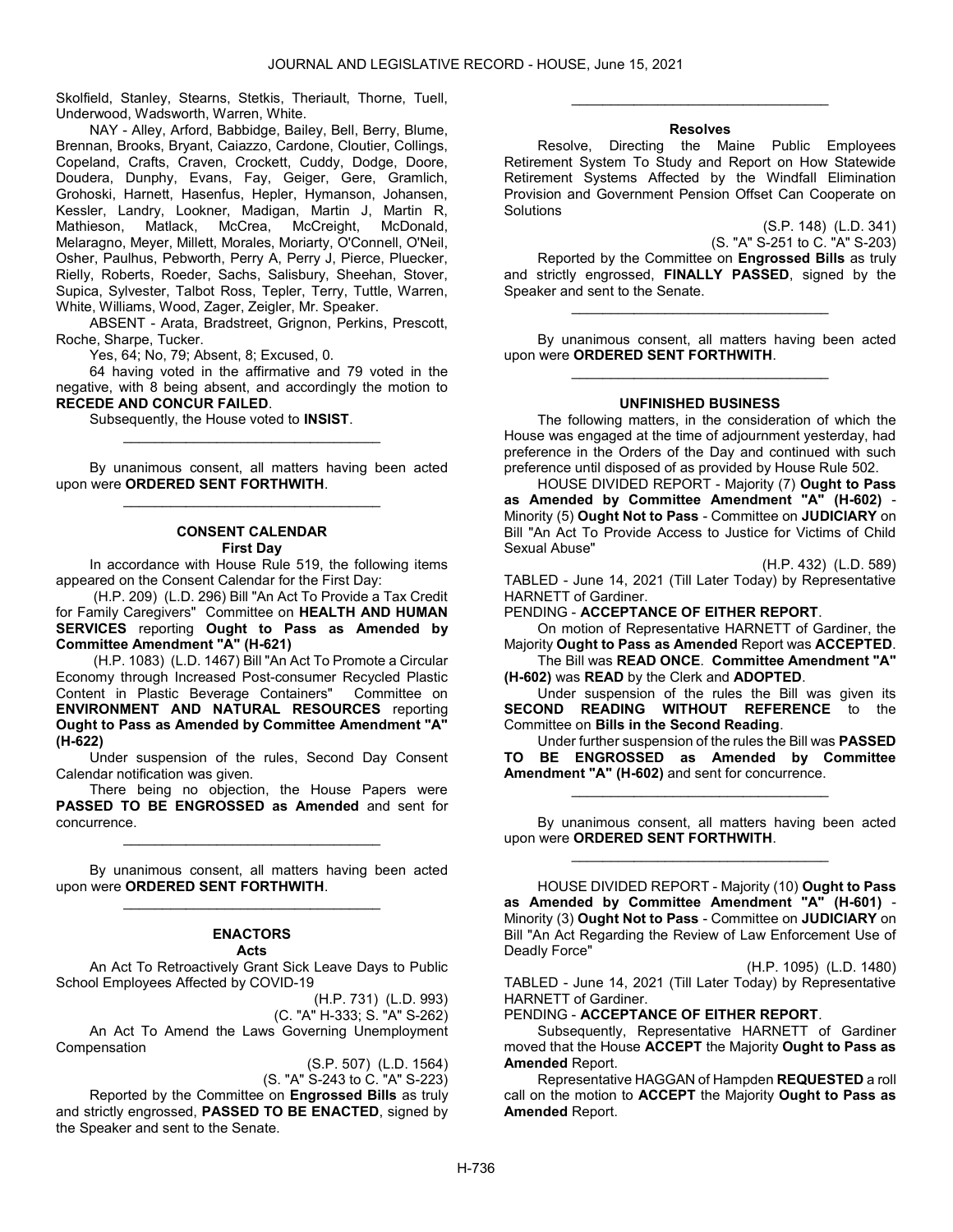Skolfield, Stanley, Stearns, Stetkis, Theriault, Thorne, Tuell, Underwood, Wadsworth, Warren, White.

 NAY - Alley, Arford, Babbidge, Bailey, Bell, Berry, Blume, Brennan, Brooks, Bryant, Caiazzo, Cardone, Cloutier, Collings, Copeland, Crafts, Craven, Crockett, Cuddy, Dodge, Doore, Doudera, Dunphy, Evans, Fay, Geiger, Gere, Gramlich, Grohoski, Harnett, Hasenfus, Hepler, Hymanson, Johansen, Kessler, Landry, Lookner, Madigan, Martin J, Martin R, Mathieson, Matlack, McCrea, McCreight, McDonald, Melaragno, Meyer, Millett, Morales, Moriarty, O'Connell, O'Neil, Osher, Paulhus, Pebworth, Perry A, Perry J, Pierce, Pluecker, Rielly, Roberts, Roeder, Sachs, Salisbury, Sheehan, Stover, Supica, Sylvester, Talbot Ross, Tepler, Terry, Tuttle, Warren, White, Williams, Wood, Zager, Zeigler, Mr. Speaker.

 ABSENT - Arata, Bradstreet, Grignon, Perkins, Prescott, Roche, Sharpe, Tucker.

Yes, 64; No, 79; Absent, 8; Excused, 0.

 64 having voted in the affirmative and 79 voted in the negative, with 8 being absent, and accordingly the motion to RECEDE AND CONCUR FAILED.

Subsequently, the House voted to INSIST.

 By unanimous consent, all matters having been acted upon were ORDERED SENT FORTHWITH. \_\_\_\_\_\_\_\_\_\_\_\_\_\_\_\_\_\_\_\_\_\_\_\_\_\_\_\_\_\_\_\_\_

\_\_\_\_\_\_\_\_\_\_\_\_\_\_\_\_\_\_\_\_\_\_\_\_\_\_\_\_\_\_\_\_\_

### CONSENT CALENDAR First Day

 In accordance with House Rule 519, the following items appeared on the Consent Calendar for the First Day:

 (H.P. 209) (L.D. 296) Bill "An Act To Provide a Tax Credit for Family Caregivers" Committee on HEALTH AND HUMAN SERVICES reporting Ought to Pass as Amended by Committee Amendment "A" (H-621)

 (H.P. 1083) (L.D. 1467) Bill "An Act To Promote a Circular Economy through Increased Post-consumer Recycled Plastic Content in Plastic Beverage Containers" Committee on ENVIRONMENT AND NATURAL RESOURCES reporting Ought to Pass as Amended by Committee Amendment "A" (H-622)

 Under suspension of the rules, Second Day Consent Calendar notification was given.

 There being no objection, the House Papers were PASSED TO BE ENGROSSED as Amended and sent for concurrence.

\_\_\_\_\_\_\_\_\_\_\_\_\_\_\_\_\_\_\_\_\_\_\_\_\_\_\_\_\_\_\_\_\_

 By unanimous consent, all matters having been acted upon were ORDERED SENT FORTHWITH. \_\_\_\_\_\_\_\_\_\_\_\_\_\_\_\_\_\_\_\_\_\_\_\_\_\_\_\_\_\_\_\_\_

# ENACTORS

## Acts

 An Act To Retroactively Grant Sick Leave Days to Public School Employees Affected by COVID-19

(H.P. 731) (L.D. 993)

(C. "A" H-333; S. "A" S-262) An Act To Amend the Laws Governing Unemployment

**Compensation** 

(S.P. 507) (L.D. 1564)

(S. "A" S-243 to C. "A" S-223)

Reported by the Committee on Engrossed Bills as truly and strictly engrossed, PASSED TO BE ENACTED, signed by the Speaker and sent to the Senate.

### Resolves

\_\_\_\_\_\_\_\_\_\_\_\_\_\_\_\_\_\_\_\_\_\_\_\_\_\_\_\_\_\_\_\_\_

 Resolve, Directing the Maine Public Employees Retirement System To Study and Report on How Statewide Retirement Systems Affected by the Windfall Elimination Provision and Government Pension Offset Can Cooperate on **Solutions** 

> (S.P. 148) (L.D. 341) (S. "A" S-251 to C. "A" S-203)

 Reported by the Committee on Engrossed Bills as truly and strictly engrossed, FINALLY PASSED, signed by the Speaker and sent to the Senate.

 By unanimous consent, all matters having been acted upon were ORDERED SENT FORTHWITH. \_\_\_\_\_\_\_\_\_\_\_\_\_\_\_\_\_\_\_\_\_\_\_\_\_\_\_\_\_\_\_\_\_

\_\_\_\_\_\_\_\_\_\_\_\_\_\_\_\_\_\_\_\_\_\_\_\_\_\_\_\_\_\_\_\_\_

### UNFINISHED BUSINESS

 The following matters, in the consideration of which the House was engaged at the time of adjournment yesterday, had preference in the Orders of the Day and continued with such preference until disposed of as provided by House Rule 502.

 HOUSE DIVIDED REPORT - Majority (7) Ought to Pass as Amended by Committee Amendment "A" (H-602) - Minority (5) Ought Not to Pass - Committee on JUDICIARY on Bill "An Act To Provide Access to Justice for Victims of Child Sexual Abuse"

(H.P. 432) (L.D. 589)

TABLED - June 14, 2021 (Till Later Today) by Representative HARNETT of Gardiner.

PENDING - ACCEPTANCE OF EITHER REPORT.

 On motion of Representative HARNETT of Gardiner, the Majority Ought to Pass as Amended Report was ACCEPTED.

 The Bill was READ ONCE. Committee Amendment "A" (H-602) was READ by the Clerk and ADOPTED.

 Under suspension of the rules the Bill was given its SECOND READING WITHOUT REFERENCE to the Committee on Bills in the Second Reading.

 Under further suspension of the rules the Bill was PASSED TO BE ENGROSSED as Amended by Committee Amendment "A" (H-602) and sent for concurrence.

\_\_\_\_\_\_\_\_\_\_\_\_\_\_\_\_\_\_\_\_\_\_\_\_\_\_\_\_\_\_\_\_\_

 By unanimous consent, all matters having been acted upon were ORDERED SENT FORTHWITH. \_\_\_\_\_\_\_\_\_\_\_\_\_\_\_\_\_\_\_\_\_\_\_\_\_\_\_\_\_\_\_\_\_

 HOUSE DIVIDED REPORT - Majority (10) Ought to Pass as Amended by Committee Amendment "A" (H-601) - Minority (3) Ought Not to Pass - Committee on JUDICIARY on Bill "An Act Regarding the Review of Law Enforcement Use of Deadly Force"

(H.P. 1095) (L.D. 1480)

TABLED - June 14, 2021 (Till Later Today) by Representative HARNETT of Gardiner.

PENDING - ACCEPTANCE OF EITHER REPORT.

 Subsequently, Representative HARNETT of Gardiner moved that the House ACCEPT the Majority Ought to Pass as Amended Report.

 Representative HAGGAN of Hampden REQUESTED a roll call on the motion to ACCEPT the Majority Ought to Pass as Amended Report.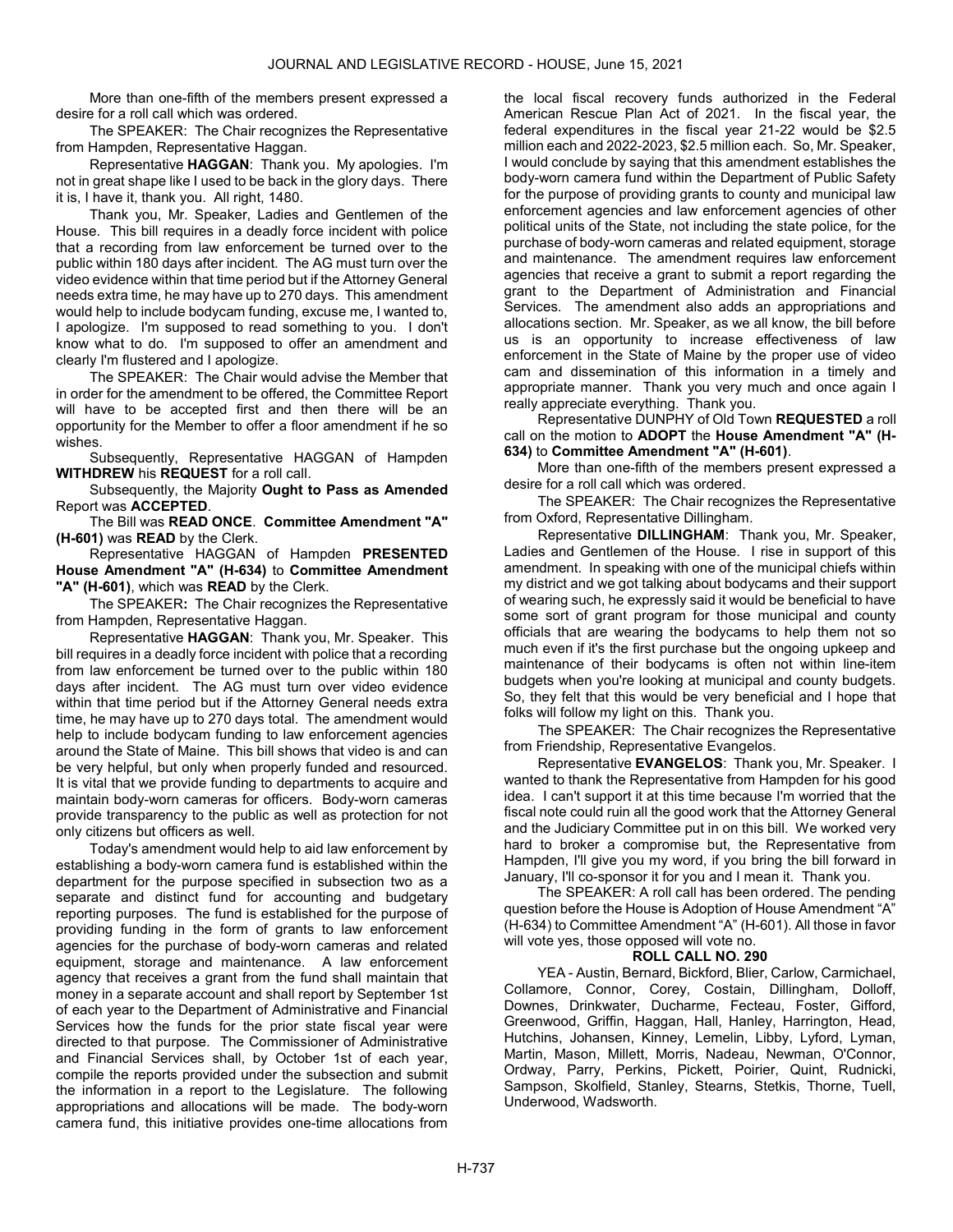More than one-fifth of the members present expressed a desire for a roll call which was ordered.

The SPEAKER: The Chair recognizes the Representative from Hampden, Representative Haggan.

Representative HAGGAN: Thank you. My apologies. I'm not in great shape like I used to be back in the glory days. There it is, I have it, thank you. All right, 1480.

Thank you, Mr. Speaker, Ladies and Gentlemen of the House. This bill requires in a deadly force incident with police that a recording from law enforcement be turned over to the public within 180 days after incident. The AG must turn over the video evidence within that time period but if the Attorney General needs extra time, he may have up to 270 days. This amendment would help to include bodycam funding, excuse me, I wanted to, I apologize. I'm supposed to read something to you. I don't know what to do. I'm supposed to offer an amendment and clearly I'm flustered and I apologize.

The SPEAKER: The Chair would advise the Member that in order for the amendment to be offered, the Committee Report will have to be accepted first and then there will be an opportunity for the Member to offer a floor amendment if he so wishes.

 Subsequently, Representative HAGGAN of Hampden WITHDREW his REQUEST for a roll call.

 Subsequently, the Majority Ought to Pass as Amended Report was ACCEPTED.

 The Bill was READ ONCE. Committee Amendment "A" (H-601) was READ by the Clerk.

 Representative HAGGAN of Hampden PRESENTED House Amendment "A" (H-634) to Committee Amendment "A" (H-601), which was READ by the Clerk.

The SPEAKER: The Chair recognizes the Representative from Hampden, Representative Haggan.

Representative HAGGAN: Thank you, Mr. Speaker. This bill requires in a deadly force incident with police that a recording from law enforcement be turned over to the public within 180 days after incident. The AG must turn over video evidence within that time period but if the Attorney General needs extra time, he may have up to 270 days total. The amendment would help to include bodycam funding to law enforcement agencies around the State of Maine. This bill shows that video is and can be very helpful, but only when properly funded and resourced. It is vital that we provide funding to departments to acquire and maintain body-worn cameras for officers. Body-worn cameras provide transparency to the public as well as protection for not only citizens but officers as well.

Today's amendment would help to aid law enforcement by establishing a body-worn camera fund is established within the department for the purpose specified in subsection two as a separate and distinct fund for accounting and budgetary reporting purposes. The fund is established for the purpose of providing funding in the form of grants to law enforcement agencies for the purchase of body-worn cameras and related equipment, storage and maintenance. A law enforcement agency that receives a grant from the fund shall maintain that money in a separate account and shall report by September 1st of each year to the Department of Administrative and Financial Services how the funds for the prior state fiscal year were directed to that purpose. The Commissioner of Administrative and Financial Services shall, by October 1st of each year, compile the reports provided under the subsection and submit the information in a report to the Legislature. The following appropriations and allocations will be made. The body-worn camera fund, this initiative provides one-time allocations from

the local fiscal recovery funds authorized in the Federal American Rescue Plan Act of 2021. In the fiscal year, the federal expenditures in the fiscal year 21-22 would be \$2.5 million each and 2022-2023, \$2.5 million each. So, Mr. Speaker, I would conclude by saying that this amendment establishes the body-worn camera fund within the Department of Public Safety for the purpose of providing grants to county and municipal law enforcement agencies and law enforcement agencies of other political units of the State, not including the state police, for the purchase of body-worn cameras and related equipment, storage and maintenance. The amendment requires law enforcement agencies that receive a grant to submit a report regarding the grant to the Department of Administration and Financial Services. The amendment also adds an appropriations and allocations section. Mr. Speaker, as we all know, the bill before us is an opportunity to increase effectiveness of law enforcement in the State of Maine by the proper use of video cam and dissemination of this information in a timely and appropriate manner. Thank you very much and once again I really appreciate everything. Thank you.

 Representative DUNPHY of Old Town REQUESTED a roll call on the motion to ADOPT the House Amendment "A" (H-634) to Committee Amendment "A" (H-601).

 More than one-fifth of the members present expressed a desire for a roll call which was ordered.

The SPEAKER: The Chair recognizes the Representative from Oxford, Representative Dillingham.

Representative DILLINGHAM: Thank you, Mr. Speaker, Ladies and Gentlemen of the House. I rise in support of this amendment. In speaking with one of the municipal chiefs within my district and we got talking about bodycams and their support of wearing such, he expressly said it would be beneficial to have some sort of grant program for those municipal and county officials that are wearing the bodycams to help them not so much even if it's the first purchase but the ongoing upkeep and maintenance of their bodycams is often not within line-item budgets when you're looking at municipal and county budgets. So, they felt that this would be very beneficial and I hope that folks will follow my light on this. Thank you.

The SPEAKER: The Chair recognizes the Representative from Friendship, Representative Evangelos.

Representative EVANGELOS: Thank you, Mr. Speaker. I wanted to thank the Representative from Hampden for his good idea. I can't support it at this time because I'm worried that the fiscal note could ruin all the good work that the Attorney General and the Judiciary Committee put in on this bill. We worked very hard to broker a compromise but, the Representative from Hampden, I'll give you my word, if you bring the bill forward in January, I'll co-sponsor it for you and I mean it. Thank you.

 The SPEAKER: A roll call has been ordered. The pending question before the House is Adoption of House Amendment "A" (H-634) to Committee Amendment "A" (H-601). All those in favor will vote yes, those opposed will vote no.

### ROLL CALL NO. 290

 YEA - Austin, Bernard, Bickford, Blier, Carlow, Carmichael, Collamore, Connor, Corey, Costain, Dillingham, Dolloff, Downes, Drinkwater, Ducharme, Fecteau, Foster, Gifford, Greenwood, Griffin, Haggan, Hall, Hanley, Harrington, Head, Hutchins, Johansen, Kinney, Lemelin, Libby, Lyford, Lyman, Martin, Mason, Millett, Morris, Nadeau, Newman, O'Connor, Ordway, Parry, Perkins, Pickett, Poirier, Quint, Rudnicki, Sampson, Skolfield, Stanley, Stearns, Stetkis, Thorne, Tuell, Underwood, Wadsworth.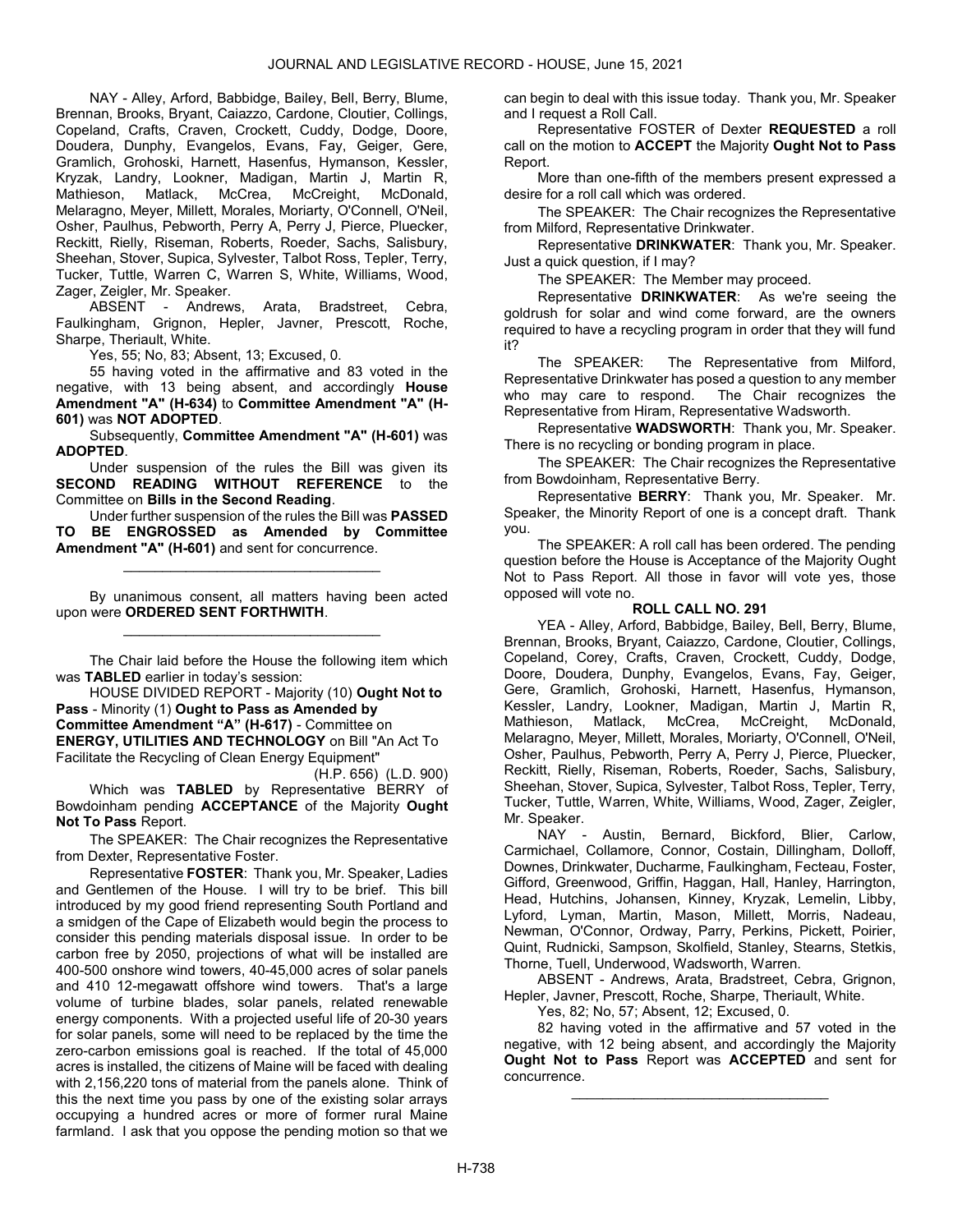NAY - Alley, Arford, Babbidge, Bailey, Bell, Berry, Blume, Brennan, Brooks, Bryant, Caiazzo, Cardone, Cloutier, Collings, Copeland, Crafts, Craven, Crockett, Cuddy, Dodge, Doore, Doudera, Dunphy, Evangelos, Evans, Fay, Geiger, Gere, Gramlich, Grohoski, Harnett, Hasenfus, Hymanson, Kessler, Kryzak, Landry, Lookner, Madigan, Martin J, Martin R, Mathieson, Matlack, McCrea, McCreight, McDonald, Melaragno, Meyer, Millett, Morales, Moriarty, O'Connell, O'Neil, Osher, Paulhus, Pebworth, Perry A, Perry J, Pierce, Pluecker, Reckitt, Rielly, Riseman, Roberts, Roeder, Sachs, Salisbury, Sheehan, Stover, Supica, Sylvester, Talbot Ross, Tepler, Terry, Tucker, Tuttle, Warren C, Warren S, White, Williams, Wood, Zager, Zeigler, Mr. Speaker.

 ABSENT - Andrews, Arata, Bradstreet, Cebra, Faulkingham, Grignon, Hepler, Javner, Prescott, Roche, Sharpe, Theriault, White.

Yes, 55; No, 83; Absent, 13; Excused, 0.

 55 having voted in the affirmative and 83 voted in the negative, with 13 being absent, and accordingly House Amendment "A" (H-634) to Committee Amendment "A" (H-601) was NOT ADOPTED.

 Subsequently, Committee Amendment "A" (H-601) was ADOPTED.

 Under suspension of the rules the Bill was given its SECOND READING WITHOUT REFERENCE to the Committee on Bills in the Second Reading.

 Under further suspension of the rules the Bill was PASSED TO BE ENGROSSED as Amended by Committee Amendment "A" (H-601) and sent for concurrence.

\_\_\_\_\_\_\_\_\_\_\_\_\_\_\_\_\_\_\_\_\_\_\_\_\_\_\_\_\_\_\_\_\_

 By unanimous consent, all matters having been acted upon were ORDERED SENT FORTHWITH. \_\_\_\_\_\_\_\_\_\_\_\_\_\_\_\_\_\_\_\_\_\_\_\_\_\_\_\_\_\_\_\_\_

 The Chair laid before the House the following item which was TABLED earlier in today's session:

 HOUSE DIVIDED REPORT - Majority (10) Ought Not to Pass - Minority (1) Ought to Pass as Amended by Committee Amendment "A" (H-617) - Committee on ENERGY, UTILITIES AND TECHNOLOGY on Bill "An Act To Facilitate the Recycling of Clean Energy Equipment"

(H.P. 656) (L.D. 900) Which was TABLED by Representative BERRY of Bowdoinham pending ACCEPTANCE of the Majority Ought Not To Pass Report.

The SPEAKER: The Chair recognizes the Representative from Dexter, Representative Foster.

Representative FOSTER: Thank you, Mr. Speaker, Ladies and Gentlemen of the House. I will try to be brief. This bill introduced by my good friend representing South Portland and a smidgen of the Cape of Elizabeth would begin the process to consider this pending materials disposal issue. In order to be carbon free by 2050, projections of what will be installed are 400-500 onshore wind towers, 40-45,000 acres of solar panels and 410 12-megawatt offshore wind towers. That's a large volume of turbine blades, solar panels, related renewable energy components. With a projected useful life of 20-30 years for solar panels, some will need to be replaced by the time the zero-carbon emissions goal is reached. If the total of 45,000 acres is installed, the citizens of Maine will be faced with dealing with 2,156,220 tons of material from the panels alone. Think of this the next time you pass by one of the existing solar arrays occupying a hundred acres or more of former rural Maine farmland. I ask that you oppose the pending motion so that we can begin to deal with this issue today. Thank you, Mr. Speaker and I request a Roll Call.

 Representative FOSTER of Dexter REQUESTED a roll call on the motion to ACCEPT the Majority Ought Not to Pass Report.

 More than one-fifth of the members present expressed a desire for a roll call which was ordered.

The SPEAKER: The Chair recognizes the Representative from Milford, Representative Drinkwater.

Representative DRINKWATER: Thank you, Mr. Speaker. Just a quick question, if I may?

The SPEAKER: The Member may proceed.

Representative DRINKWATER: As we're seeing the goldrush for solar and wind come forward, are the owners required to have a recycling program in order that they will fund it?

The SPEAKER: The Representative from Milford, Representative Drinkwater has posed a question to any member who may care to respond. The Chair recognizes the Representative from Hiram, Representative Wadsworth.

Representative WADSWORTH: Thank you, Mr. Speaker. There is no recycling or bonding program in place.

The SPEAKER: The Chair recognizes the Representative from Bowdoinham, Representative Berry.

Representative BERRY: Thank you, Mr. Speaker. Mr. Speaker, the Minority Report of one is a concept draft. Thank you.

 The SPEAKER: A roll call has been ordered. The pending question before the House is Acceptance of the Majority Ought Not to Pass Report. All those in favor will vote yes, those opposed will vote no.

# ROLL CALL NO. 291

 YEA - Alley, Arford, Babbidge, Bailey, Bell, Berry, Blume, Brennan, Brooks, Bryant, Caiazzo, Cardone, Cloutier, Collings, Copeland, Corey, Crafts, Craven, Crockett, Cuddy, Dodge, Doore, Doudera, Dunphy, Evangelos, Evans, Fay, Geiger, Gere, Gramlich, Grohoski, Harnett, Hasenfus, Hymanson, Kessler, Landry, Lookner, Madigan, Martin J, Martin R, Mathieson, Matlack, McCrea, McCreight, McDonald, Melaragno, Meyer, Millett, Morales, Moriarty, O'Connell, O'Neil, Osher, Paulhus, Pebworth, Perry A, Perry J, Pierce, Pluecker, Reckitt, Rielly, Riseman, Roberts, Roeder, Sachs, Salisbury, Sheehan, Stover, Supica, Sylvester, Talbot Ross, Tepler, Terry, Tucker, Tuttle, Warren, White, Williams, Wood, Zager, Zeigler, Mr. Speaker.

 NAY - Austin, Bernard, Bickford, Blier, Carlow, Carmichael, Collamore, Connor, Costain, Dillingham, Dolloff, Downes, Drinkwater, Ducharme, Faulkingham, Fecteau, Foster, Gifford, Greenwood, Griffin, Haggan, Hall, Hanley, Harrington, Head, Hutchins, Johansen, Kinney, Kryzak, Lemelin, Libby, Lyford, Lyman, Martin, Mason, Millett, Morris, Nadeau, Newman, O'Connor, Ordway, Parry, Perkins, Pickett, Poirier, Quint, Rudnicki, Sampson, Skolfield, Stanley, Stearns, Stetkis, Thorne, Tuell, Underwood, Wadsworth, Warren.

 ABSENT - Andrews, Arata, Bradstreet, Cebra, Grignon, Hepler, Javner, Prescott, Roche, Sharpe, Theriault, White.

Yes, 82; No, 57; Absent, 12; Excused, 0.

 82 having voted in the affirmative and 57 voted in the negative, with 12 being absent, and accordingly the Majority Ought Not to Pass Report was ACCEPTED and sent for concurrence.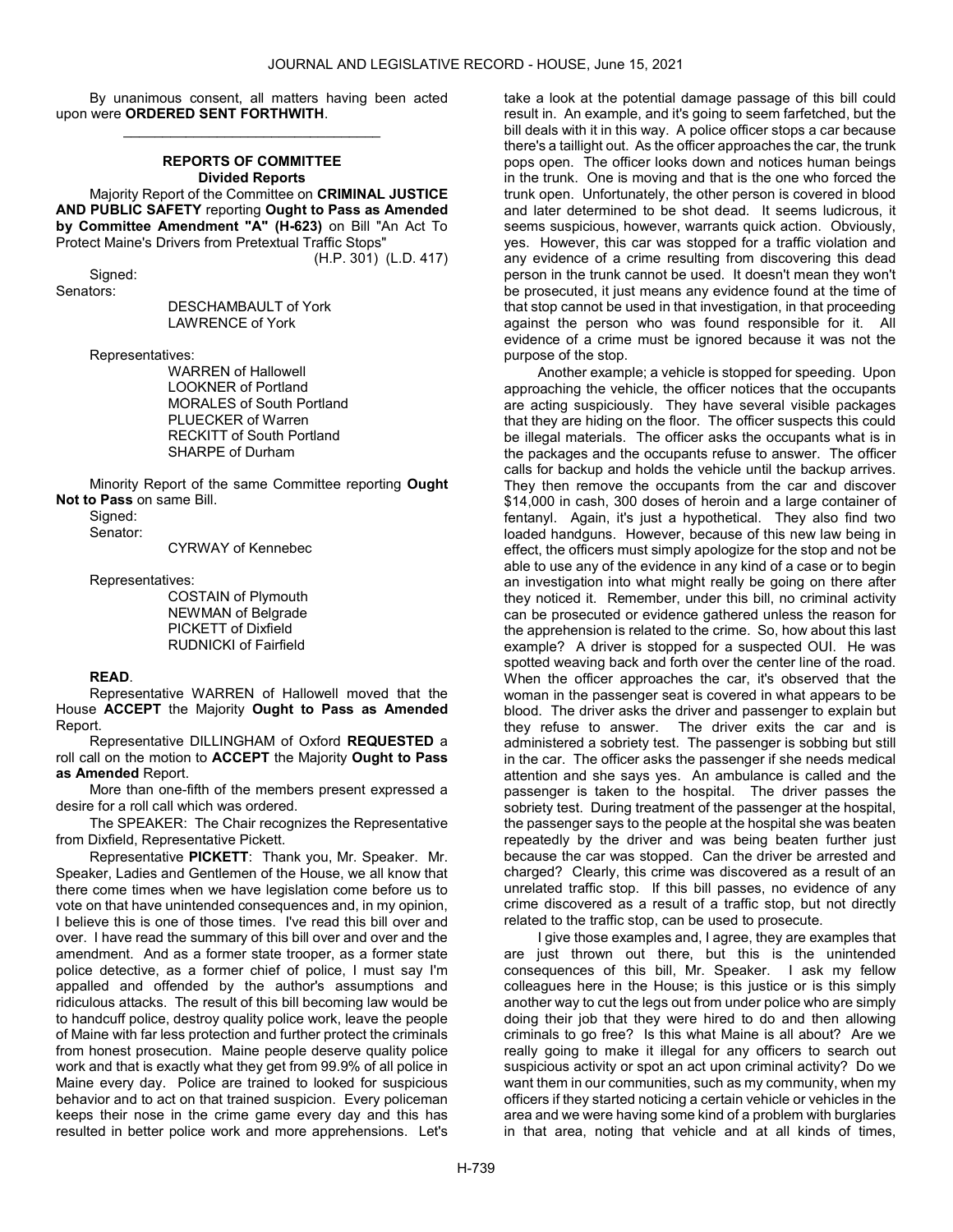By unanimous consent, all matters having been acted upon were ORDERED SENT FORTHWITH. \_\_\_\_\_\_\_\_\_\_\_\_\_\_\_\_\_\_\_\_\_\_\_\_\_\_\_\_\_\_\_\_\_

# REPORTS OF COMMITTEE Divided Reports

 Majority Report of the Committee on CRIMINAL JUSTICE AND PUBLIC SAFETY reporting Ought to Pass as Amended by Committee Amendment "A" (H-623) on Bill "An Act To Protect Maine's Drivers from Pretextual Traffic Stops"

(H.P. 301) (L.D. 417)

 Signed: Senators:

 DESCHAMBAULT of York LAWRENCE of York

Representatives:

 WARREN of Hallowell LOOKNER of Portland MORALES of South Portland PLUECKER of Warren RECKITT of South Portland SHARPE of Durham

 Minority Report of the same Committee reporting Ought Not to Pass on same Bill.

Signed:

Senator:

CYRWAY of Kennebec

Representatives:

 COSTAIN of Plymouth NEWMAN of Belgrade PICKETT of Dixfield RUDNICKI of Fairfield

# READ.

 Representative WARREN of Hallowell moved that the House ACCEPT the Majority Ought to Pass as Amended Report.

 Representative DILLINGHAM of Oxford REQUESTED a roll call on the motion to ACCEPT the Majority Ought to Pass as Amended Report.

 More than one-fifth of the members present expressed a desire for a roll call which was ordered.

The SPEAKER: The Chair recognizes the Representative from Dixfield, Representative Pickett.

Representative PICKETT: Thank you, Mr. Speaker. Mr. Speaker, Ladies and Gentlemen of the House, we all know that there come times when we have legislation come before us to vote on that have unintended consequences and, in my opinion, I believe this is one of those times. I've read this bill over and over. I have read the summary of this bill over and over and the amendment. And as a former state trooper, as a former state police detective, as a former chief of police, I must say I'm appalled and offended by the author's assumptions and ridiculous attacks. The result of this bill becoming law would be to handcuff police, destroy quality police work, leave the people of Maine with far less protection and further protect the criminals from honest prosecution. Maine people deserve quality police work and that is exactly what they get from 99.9% of all police in Maine every day. Police are trained to looked for suspicious behavior and to act on that trained suspicion. Every policeman keeps their nose in the crime game every day and this has resulted in better police work and more apprehensions. Let's

take a look at the potential damage passage of this bill could result in. An example, and it's going to seem farfetched, but the bill deals with it in this way. A police officer stops a car because there's a taillight out. As the officer approaches the car, the trunk pops open. The officer looks down and notices human beings in the trunk. One is moving and that is the one who forced the trunk open. Unfortunately, the other person is covered in blood and later determined to be shot dead. It seems ludicrous, it seems suspicious, however, warrants quick action. Obviously, yes. However, this car was stopped for a traffic violation and any evidence of a crime resulting from discovering this dead person in the trunk cannot be used. It doesn't mean they won't be prosecuted, it just means any evidence found at the time of that stop cannot be used in that investigation, in that proceeding against the person who was found responsible for it. All evidence of a crime must be ignored because it was not the purpose of the stop.

Another example; a vehicle is stopped for speeding. Upon approaching the vehicle, the officer notices that the occupants are acting suspiciously. They have several visible packages that they are hiding on the floor. The officer suspects this could be illegal materials. The officer asks the occupants what is in the packages and the occupants refuse to answer. The officer calls for backup and holds the vehicle until the backup arrives. They then remove the occupants from the car and discover \$14,000 in cash, 300 doses of heroin and a large container of fentanyl. Again, it's just a hypothetical. They also find two loaded handguns. However, because of this new law being in effect, the officers must simply apologize for the stop and not be able to use any of the evidence in any kind of a case or to begin an investigation into what might really be going on there after they noticed it. Remember, under this bill, no criminal activity can be prosecuted or evidence gathered unless the reason for the apprehension is related to the crime. So, how about this last example? A driver is stopped for a suspected OUI. He was spotted weaving back and forth over the center line of the road. When the officer approaches the car, it's observed that the woman in the passenger seat is covered in what appears to be blood. The driver asks the driver and passenger to explain but they refuse to answer. The driver exits the car and is administered a sobriety test. The passenger is sobbing but still in the car. The officer asks the passenger if she needs medical attention and she says yes. An ambulance is called and the passenger is taken to the hospital. The driver passes the sobriety test. During treatment of the passenger at the hospital, the passenger says to the people at the hospital she was beaten repeatedly by the driver and was being beaten further just because the car was stopped. Can the driver be arrested and charged? Clearly, this crime was discovered as a result of an unrelated traffic stop. If this bill passes, no evidence of any crime discovered as a result of a traffic stop, but not directly related to the traffic stop, can be used to prosecute.

I give those examples and, I agree, they are examples that are just thrown out there, but this is the unintended consequences of this bill, Mr. Speaker. I ask my fellow colleagues here in the House; is this justice or is this simply another way to cut the legs out from under police who are simply doing their job that they were hired to do and then allowing criminals to go free? Is this what Maine is all about? Are we really going to make it illegal for any officers to search out suspicious activity or spot an act upon criminal activity? Do we want them in our communities, such as my community, when my officers if they started noticing a certain vehicle or vehicles in the area and we were having some kind of a problem with burglaries in that area, noting that vehicle and at all kinds of times,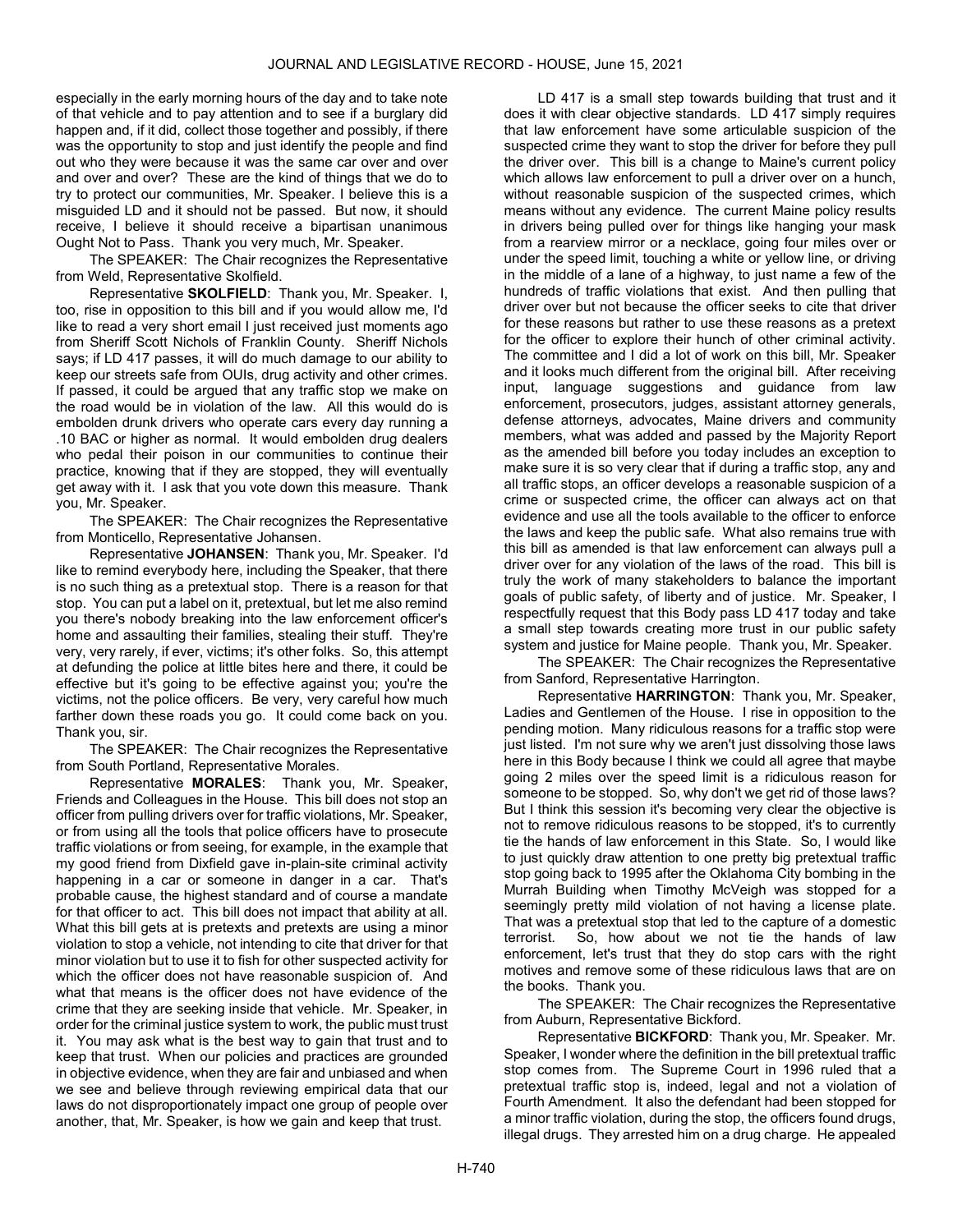especially in the early morning hours of the day and to take note of that vehicle and to pay attention and to see if a burglary did happen and, if it did, collect those together and possibly, if there was the opportunity to stop and just identify the people and find out who they were because it was the same car over and over and over and over? These are the kind of things that we do to try to protect our communities, Mr. Speaker. I believe this is a misguided LD and it should not be passed. But now, it should receive, I believe it should receive a bipartisan unanimous Ought Not to Pass. Thank you very much, Mr. Speaker.

The SPEAKER: The Chair recognizes the Representative from Weld, Representative Skolfield.

Representative SKOLFIELD: Thank you, Mr. Speaker. I, too, rise in opposition to this bill and if you would allow me, I'd like to read a very short email I just received just moments ago from Sheriff Scott Nichols of Franklin County. Sheriff Nichols says; if LD 417 passes, it will do much damage to our ability to keep our streets safe from OUIs, drug activity and other crimes. If passed, it could be argued that any traffic stop we make on the road would be in violation of the law. All this would do is embolden drunk drivers who operate cars every day running a .10 BAC or higher as normal. It would embolden drug dealers who pedal their poison in our communities to continue their practice, knowing that if they are stopped, they will eventually get away with it. I ask that you vote down this measure. Thank you, Mr. Speaker.

The SPEAKER: The Chair recognizes the Representative from Monticello, Representative Johansen.

Representative JOHANSEN: Thank you, Mr. Speaker. I'd like to remind everybody here, including the Speaker, that there is no such thing as a pretextual stop. There is a reason for that stop. You can put a label on it, pretextual, but let me also remind you there's nobody breaking into the law enforcement officer's home and assaulting their families, stealing their stuff. They're very, very rarely, if ever, victims; it's other folks. So, this attempt at defunding the police at little bites here and there, it could be effective but it's going to be effective against you; you're the victims, not the police officers. Be very, very careful how much farther down these roads you go. It could come back on you. Thank you, sir.

The SPEAKER: The Chair recognizes the Representative from South Portland, Representative Morales.

Representative MORALES: Thank you, Mr. Speaker, Friends and Colleagues in the House. This bill does not stop an officer from pulling drivers over for traffic violations, Mr. Speaker, or from using all the tools that police officers have to prosecute traffic violations or from seeing, for example, in the example that my good friend from Dixfield gave in-plain-site criminal activity happening in a car or someone in danger in a car. That's probable cause, the highest standard and of course a mandate for that officer to act. This bill does not impact that ability at all. What this bill gets at is pretexts and pretexts are using a minor violation to stop a vehicle, not intending to cite that driver for that minor violation but to use it to fish for other suspected activity for which the officer does not have reasonable suspicion of. And what that means is the officer does not have evidence of the crime that they are seeking inside that vehicle. Mr. Speaker, in order for the criminal justice system to work, the public must trust it. You may ask what is the best way to gain that trust and to keep that trust. When our policies and practices are grounded in objective evidence, when they are fair and unbiased and when we see and believe through reviewing empirical data that our laws do not disproportionately impact one group of people over another, that, Mr. Speaker, is how we gain and keep that trust.

LD 417 is a small step towards building that trust and it does it with clear objective standards. LD 417 simply requires that law enforcement have some articulable suspicion of the suspected crime they want to stop the driver for before they pull the driver over. This bill is a change to Maine's current policy which allows law enforcement to pull a driver over on a hunch, without reasonable suspicion of the suspected crimes, which means without any evidence. The current Maine policy results in drivers being pulled over for things like hanging your mask from a rearview mirror or a necklace, going four miles over or under the speed limit, touching a white or yellow line, or driving in the middle of a lane of a highway, to just name a few of the hundreds of traffic violations that exist. And then pulling that driver over but not because the officer seeks to cite that driver for these reasons but rather to use these reasons as a pretext for the officer to explore their hunch of other criminal activity. The committee and I did a lot of work on this bill, Mr. Speaker and it looks much different from the original bill. After receiving input, language suggestions and guidance from law enforcement, prosecutors, judges, assistant attorney generals, defense attorneys, advocates, Maine drivers and community members, what was added and passed by the Majority Report as the amended bill before you today includes an exception to make sure it is so very clear that if during a traffic stop, any and all traffic stops, an officer develops a reasonable suspicion of a crime or suspected crime, the officer can always act on that evidence and use all the tools available to the officer to enforce the laws and keep the public safe. What also remains true with this bill as amended is that law enforcement can always pull a driver over for any violation of the laws of the road. This bill is truly the work of many stakeholders to balance the important goals of public safety, of liberty and of justice. Mr. Speaker, I respectfully request that this Body pass LD 417 today and take a small step towards creating more trust in our public safety system and justice for Maine people. Thank you, Mr. Speaker.

The SPEAKER: The Chair recognizes the Representative from Sanford, Representative Harrington.

Representative HARRINGTON: Thank you, Mr. Speaker, Ladies and Gentlemen of the House. I rise in opposition to the pending motion. Many ridiculous reasons for a traffic stop were just listed. I'm not sure why we aren't just dissolving those laws here in this Body because I think we could all agree that maybe going 2 miles over the speed limit is a ridiculous reason for someone to be stopped. So, why don't we get rid of those laws? But I think this session it's becoming very clear the objective is not to remove ridiculous reasons to be stopped, it's to currently tie the hands of law enforcement in this State. So, I would like to just quickly draw attention to one pretty big pretextual traffic stop going back to 1995 after the Oklahoma City bombing in the Murrah Building when Timothy McVeigh was stopped for a seemingly pretty mild violation of not having a license plate. That was a pretextual stop that led to the capture of a domestic terrorist. So, how about we not tie the hands of law enforcement, let's trust that they do stop cars with the right motives and remove some of these ridiculous laws that are on the books. Thank you.

The SPEAKER: The Chair recognizes the Representative from Auburn, Representative Bickford.

Representative BICKFORD: Thank you, Mr. Speaker. Mr. Speaker, I wonder where the definition in the bill pretextual traffic stop comes from. The Supreme Court in 1996 ruled that a pretextual traffic stop is, indeed, legal and not a violation of Fourth Amendment. It also the defendant had been stopped for a minor traffic violation, during the stop, the officers found drugs, illegal drugs. They arrested him on a drug charge. He appealed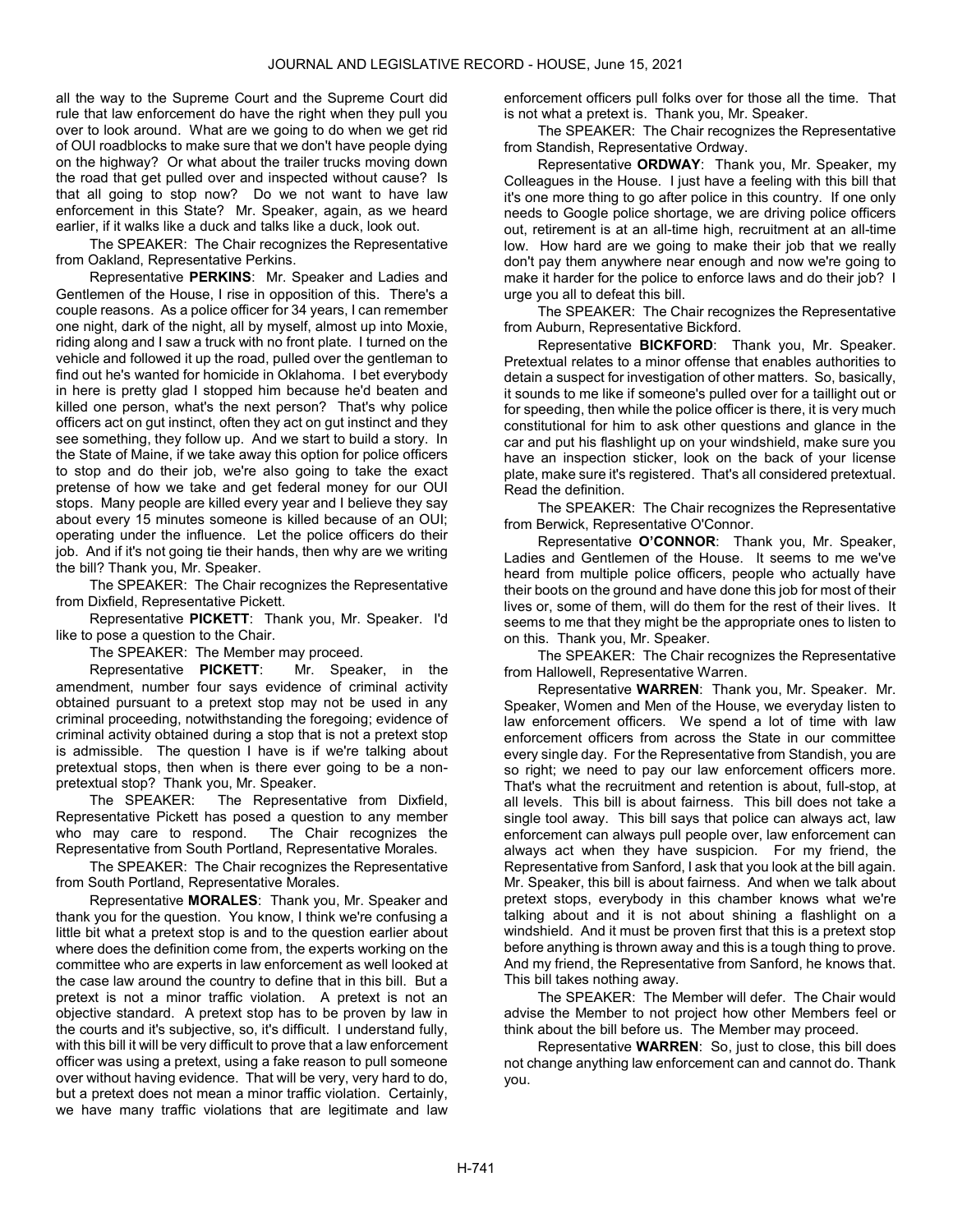all the way to the Supreme Court and the Supreme Court did rule that law enforcement do have the right when they pull you over to look around. What are we going to do when we get rid of OUI roadblocks to make sure that we don't have people dying on the highway? Or what about the trailer trucks moving down the road that get pulled over and inspected without cause? Is that all going to stop now? Do we not want to have law enforcement in this State? Mr. Speaker, again, as we heard earlier, if it walks like a duck and talks like a duck, look out.

The SPEAKER: The Chair recognizes the Representative from Oakland, Representative Perkins.

Representative PERKINS: Mr. Speaker and Ladies and Gentlemen of the House, I rise in opposition of this. There's a couple reasons. As a police officer for 34 years, I can remember one night, dark of the night, all by myself, almost up into Moxie, riding along and I saw a truck with no front plate. I turned on the vehicle and followed it up the road, pulled over the gentleman to find out he's wanted for homicide in Oklahoma. I bet everybody in here is pretty glad I stopped him because he'd beaten and killed one person, what's the next person? That's why police officers act on gut instinct, often they act on gut instinct and they see something, they follow up. And we start to build a story. In the State of Maine, if we take away this option for police officers to stop and do their job, we're also going to take the exact pretense of how we take and get federal money for our OUI stops. Many people are killed every year and I believe they say about every 15 minutes someone is killed because of an OUI; operating under the influence. Let the police officers do their job. And if it's not going tie their hands, then why are we writing the bill? Thank you, Mr. Speaker.

The SPEAKER: The Chair recognizes the Representative from Dixfield, Representative Pickett.

Representative PICKETT: Thank you, Mr. Speaker. I'd like to pose a question to the Chair.

The SPEAKER: The Member may proceed.

Representative PICKETT: Mr. Speaker, in the amendment, number four says evidence of criminal activity obtained pursuant to a pretext stop may not be used in any criminal proceeding, notwithstanding the foregoing; evidence of criminal activity obtained during a stop that is not a pretext stop is admissible. The question I have is if we're talking about pretextual stops, then when is there ever going to be a nonpretextual stop? Thank you, Mr. Speaker.

The SPEAKER: The Representative from Dixfield, Representative Pickett has posed a question to any member who may care to respond. The Chair recognizes the Representative from South Portland, Representative Morales.

The SPEAKER: The Chair recognizes the Representative from South Portland, Representative Morales.

Representative MORALES: Thank you, Mr. Speaker and thank you for the question. You know, I think we're confusing a little bit what a pretext stop is and to the question earlier about where does the definition come from, the experts working on the committee who are experts in law enforcement as well looked at the case law around the country to define that in this bill. But a pretext is not a minor traffic violation. A pretext is not an objective standard. A pretext stop has to be proven by law in the courts and it's subjective, so, it's difficult. I understand fully, with this bill it will be very difficult to prove that a law enforcement officer was using a pretext, using a fake reason to pull someone over without having evidence. That will be very, very hard to do, but a pretext does not mean a minor traffic violation. Certainly, we have many traffic violations that are legitimate and law

enforcement officers pull folks over for those all the time. That is not what a pretext is. Thank you, Mr. Speaker.

The SPEAKER: The Chair recognizes the Representative from Standish, Representative Ordway.

Representative ORDWAY: Thank you, Mr. Speaker, my Colleagues in the House. I just have a feeling with this bill that it's one more thing to go after police in this country. If one only needs to Google police shortage, we are driving police officers out, retirement is at an all-time high, recruitment at an all-time low. How hard are we going to make their job that we really don't pay them anywhere near enough and now we're going to make it harder for the police to enforce laws and do their job? I urge you all to defeat this bill.

The SPEAKER: The Chair recognizes the Representative from Auburn, Representative Bickford.

Representative BICKFORD: Thank you, Mr. Speaker. Pretextual relates to a minor offense that enables authorities to detain a suspect for investigation of other matters. So, basically, it sounds to me like if someone's pulled over for a taillight out or for speeding, then while the police officer is there, it is very much constitutional for him to ask other questions and glance in the car and put his flashlight up on your windshield, make sure you have an inspection sticker, look on the back of your license plate, make sure it's registered. That's all considered pretextual. Read the definition.

The SPEAKER: The Chair recognizes the Representative from Berwick, Representative O'Connor.

Representative O'CONNOR: Thank you, Mr. Speaker, Ladies and Gentlemen of the House. It seems to me we've heard from multiple police officers, people who actually have their boots on the ground and have done this job for most of their lives or, some of them, will do them for the rest of their lives. It seems to me that they might be the appropriate ones to listen to on this. Thank you, Mr. Speaker.

The SPEAKER: The Chair recognizes the Representative from Hallowell, Representative Warren.

Representative WARREN: Thank you, Mr. Speaker. Mr. Speaker, Women and Men of the House, we everyday listen to law enforcement officers. We spend a lot of time with law enforcement officers from across the State in our committee every single day. For the Representative from Standish, you are so right; we need to pay our law enforcement officers more. That's what the recruitment and retention is about, full-stop, at all levels. This bill is about fairness. This bill does not take a single tool away. This bill says that police can always act, law enforcement can always pull people over, law enforcement can always act when they have suspicion. For my friend, the Representative from Sanford, I ask that you look at the bill again. Mr. Speaker, this bill is about fairness. And when we talk about pretext stops, everybody in this chamber knows what we're talking about and it is not about shining a flashlight on a windshield. And it must be proven first that this is a pretext stop before anything is thrown away and this is a tough thing to prove. And my friend, the Representative from Sanford, he knows that. This bill takes nothing away.

The SPEAKER: The Member will defer. The Chair would advise the Member to not project how other Members feel or think about the bill before us. The Member may proceed.

Representative WARREN: So, just to close, this bill does not change anything law enforcement can and cannot do. Thank you.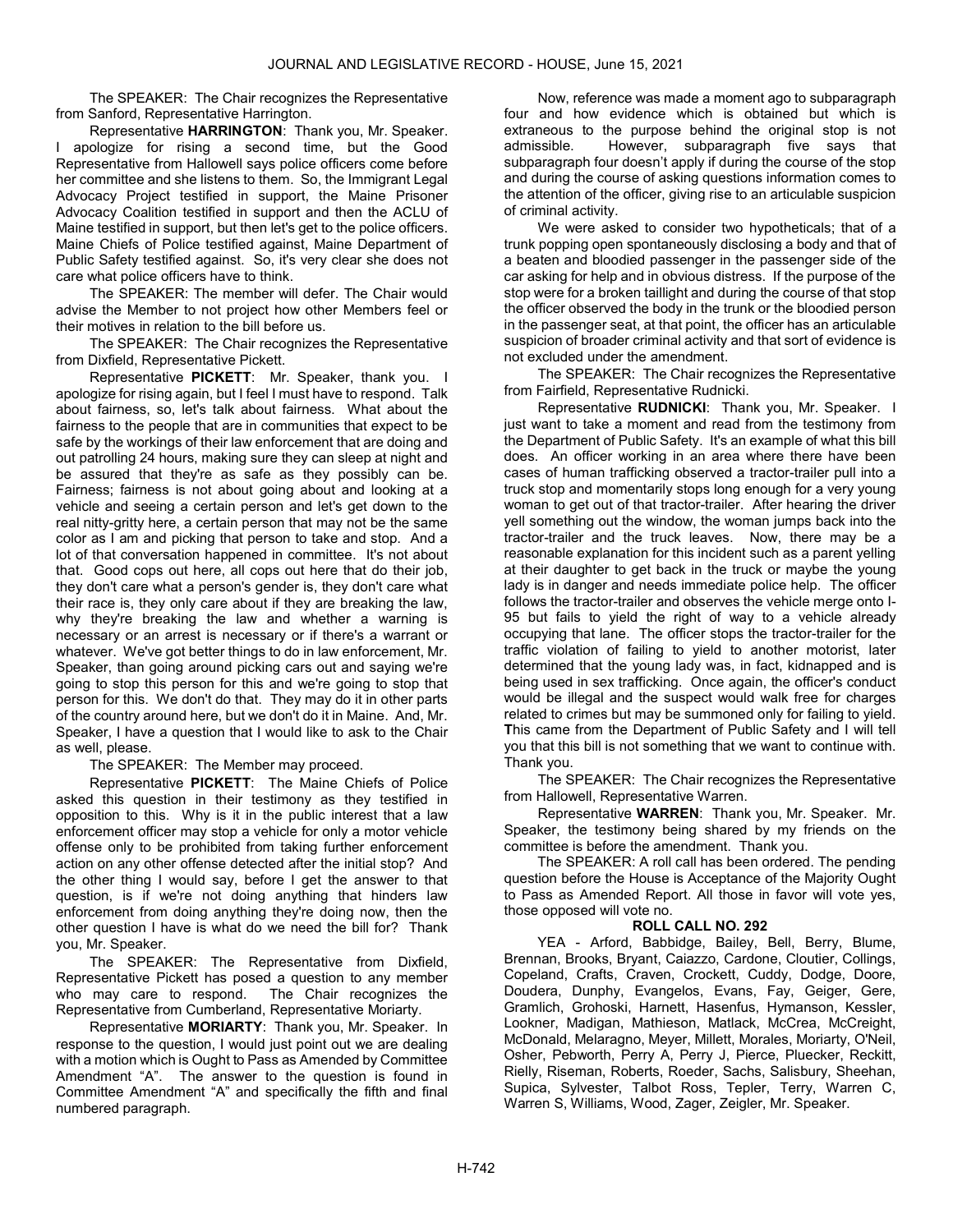The SPEAKER: The Chair recognizes the Representative from Sanford, Representative Harrington.

Representative HARRINGTON: Thank you, Mr. Speaker. I apologize for rising a second time, but the Good Representative from Hallowell says police officers come before her committee and she listens to them. So, the Immigrant Legal Advocacy Project testified in support, the Maine Prisoner Advocacy Coalition testified in support and then the ACLU of Maine testified in support, but then let's get to the police officers. Maine Chiefs of Police testified against, Maine Department of Public Safety testified against. So, it's very clear she does not care what police officers have to think.

 The SPEAKER: The member will defer. The Chair would advise the Member to not project how other Members feel or their motives in relation to the bill before us.

The SPEAKER: The Chair recognizes the Representative from Dixfield, Representative Pickett.

Representative PICKETT: Mr. Speaker, thank you. I apologize for rising again, but I feel I must have to respond. Talk about fairness, so, let's talk about fairness. What about the fairness to the people that are in communities that expect to be safe by the workings of their law enforcement that are doing and out patrolling 24 hours, making sure they can sleep at night and be assured that they're as safe as they possibly can be. Fairness; fairness is not about going about and looking at a vehicle and seeing a certain person and let's get down to the real nitty-gritty here, a certain person that may not be the same color as I am and picking that person to take and stop. And a lot of that conversation happened in committee. It's not about that. Good cops out here, all cops out here that do their job, they don't care what a person's gender is, they don't care what their race is, they only care about if they are breaking the law, why they're breaking the law and whether a warning is necessary or an arrest is necessary or if there's a warrant or whatever. We've got better things to do in law enforcement, Mr. Speaker, than going around picking cars out and saying we're going to stop this person for this and we're going to stop that person for this. We don't do that. They may do it in other parts of the country around here, but we don't do it in Maine. And, Mr. Speaker, I have a question that I would like to ask to the Chair as well, please.

The SPEAKER: The Member may proceed.

Representative PICKETT: The Maine Chiefs of Police asked this question in their testimony as they testified in opposition to this. Why is it in the public interest that a law enforcement officer may stop a vehicle for only a motor vehicle offense only to be prohibited from taking further enforcement action on any other offense detected after the initial stop? And the other thing I would say, before I get the answer to that question, is if we're not doing anything that hinders law enforcement from doing anything they're doing now, then the other question I have is what do we need the bill for? Thank you, Mr. Speaker.

The SPEAKER: The Representative from Dixfield, Representative Pickett has posed a question to any member who may care to respond. The Chair recognizes the Representative from Cumberland, Representative Moriarty.

Representative MORIARTY: Thank you, Mr. Speaker. In response to the question, I would just point out we are dealing with a motion which is Ought to Pass as Amended by Committee Amendment "A". The answer to the question is found in Committee Amendment "A" and specifically the fifth and final numbered paragraph.

Now, reference was made a moment ago to subparagraph four and how evidence which is obtained but which is extraneous to the purpose behind the original stop is not admissible. However, subparagraph five says that subparagraph four doesn't apply if during the course of the stop and during the course of asking questions information comes to the attention of the officer, giving rise to an articulable suspicion of criminal activity.

We were asked to consider two hypotheticals; that of a trunk popping open spontaneously disclosing a body and that of a beaten and bloodied passenger in the passenger side of the car asking for help and in obvious distress. If the purpose of the stop were for a broken taillight and during the course of that stop the officer observed the body in the trunk or the bloodied person in the passenger seat, at that point, the officer has an articulable suspicion of broader criminal activity and that sort of evidence is not excluded under the amendment.

The SPEAKER: The Chair recognizes the Representative from Fairfield, Representative Rudnicki.

Representative **RUDNICKI:** Thank you, Mr. Speaker. I just want to take a moment and read from the testimony from the Department of Public Safety. It's an example of what this bill does. An officer working in an area where there have been cases of human trafficking observed a tractor-trailer pull into a truck stop and momentarily stops long enough for a very young woman to get out of that tractor-trailer. After hearing the driver yell something out the window, the woman jumps back into the tractor-trailer and the truck leaves. Now, there may be a reasonable explanation for this incident such as a parent yelling at their daughter to get back in the truck or maybe the young lady is in danger and needs immediate police help. The officer follows the tractor-trailer and observes the vehicle merge onto I-95 but fails to yield the right of way to a vehicle already occupying that lane. The officer stops the tractor-trailer for the traffic violation of failing to yield to another motorist, later determined that the young lady was, in fact, kidnapped and is being used in sex trafficking. Once again, the officer's conduct would be illegal and the suspect would walk free for charges related to crimes but may be summoned only for failing to yield. This came from the Department of Public Safety and I will tell you that this bill is not something that we want to continue with. Thank you.

The SPEAKER: The Chair recognizes the Representative from Hallowell, Representative Warren.

Representative WARREN: Thank you, Mr. Speaker. Mr. Speaker, the testimony being shared by my friends on the committee is before the amendment. Thank you.

 The SPEAKER: A roll call has been ordered. The pending question before the House is Acceptance of the Majority Ought to Pass as Amended Report. All those in favor will vote yes, those opposed will vote no.

# ROLL CALL NO. 292

 YEA - Arford, Babbidge, Bailey, Bell, Berry, Blume, Brennan, Brooks, Bryant, Caiazzo, Cardone, Cloutier, Collings, Copeland, Crafts, Craven, Crockett, Cuddy, Dodge, Doore, Doudera, Dunphy, Evangelos, Evans, Fay, Geiger, Gere, Gramlich, Grohoski, Harnett, Hasenfus, Hymanson, Kessler, Lookner, Madigan, Mathieson, Matlack, McCrea, McCreight, McDonald, Melaragno, Meyer, Millett, Morales, Moriarty, O'Neil, Osher, Pebworth, Perry A, Perry J, Pierce, Pluecker, Reckitt, Rielly, Riseman, Roberts, Roeder, Sachs, Salisbury, Sheehan, Supica, Sylvester, Talbot Ross, Tepler, Terry, Warren C, Warren S, Williams, Wood, Zager, Zeigler, Mr. Speaker.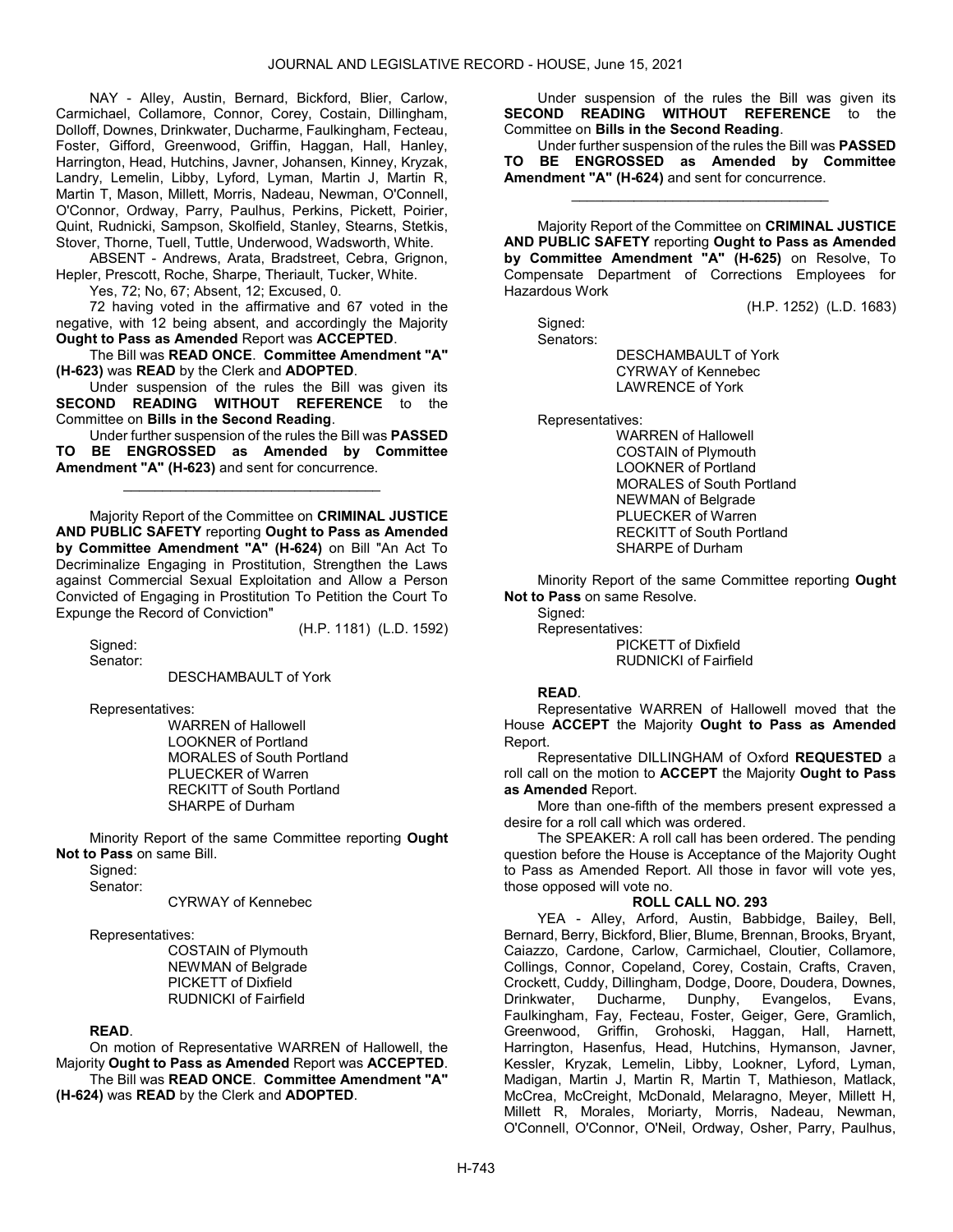NAY - Alley, Austin, Bernard, Bickford, Blier, Carlow, Carmichael, Collamore, Connor, Corey, Costain, Dillingham, Dolloff, Downes, Drinkwater, Ducharme, Faulkingham, Fecteau, Foster, Gifford, Greenwood, Griffin, Haggan, Hall, Hanley, Harrington, Head, Hutchins, Javner, Johansen, Kinney, Kryzak, Landry, Lemelin, Libby, Lyford, Lyman, Martin J, Martin R, Martin T, Mason, Millett, Morris, Nadeau, Newman, O'Connell, O'Connor, Ordway, Parry, Paulhus, Perkins, Pickett, Poirier, Quint, Rudnicki, Sampson, Skolfield, Stanley, Stearns, Stetkis, Stover, Thorne, Tuell, Tuttle, Underwood, Wadsworth, White.

 ABSENT - Andrews, Arata, Bradstreet, Cebra, Grignon, Hepler, Prescott, Roche, Sharpe, Theriault, Tucker, White.

Yes, 72; No, 67; Absent, 12; Excused, 0.

 72 having voted in the affirmative and 67 voted in the negative, with 12 being absent, and accordingly the Majority Ought to Pass as Amended Report was ACCEPTED.

 The Bill was READ ONCE. Committee Amendment "A" (H-623) was READ by the Clerk and ADOPTED.

 Under suspension of the rules the Bill was given its SECOND READING WITHOUT REFERENCE to the Committee on Bills in the Second Reading.

 Under further suspension of the rules the Bill was PASSED TO BE ENGROSSED as Amended by Committee Amendment "A" (H-623) and sent for concurrence.

\_\_\_\_\_\_\_\_\_\_\_\_\_\_\_\_\_\_\_\_\_\_\_\_\_\_\_\_\_\_\_\_\_

 Majority Report of the Committee on CRIMINAL JUSTICE AND PUBLIC SAFETY reporting Ought to Pass as Amended by Committee Amendment "A" (H-624) on Bill "An Act To Decriminalize Engaging in Prostitution, Strengthen the Laws against Commercial Sexual Exploitation and Allow a Person Convicted of Engaging in Prostitution To Petition the Court To Expunge the Record of Conviction"

(H.P. 1181) (L.D. 1592)

Sianed: Senator:

DESCHAMBAULT of York

Representatives:

 WARREN of Hallowell LOOKNER of Portland MORALES of South Portland PLUECKER of Warren RECKITT of South Portland SHARPE of Durham

 Minority Report of the same Committee reporting Ought Not to Pass on same Bill.

Signed: Senator:

CYRWAY of Kennebec

#### Representatives:

 COSTAIN of Plymouth NEWMAN of Belgrade PICKETT of Dixfield RUDNICKI of Fairfield

### READ.

 On motion of Representative WARREN of Hallowell, the Majority Ought to Pass as Amended Report was ACCEPTED. The Bill was READ ONCE. Committee Amendment "A" (H-624) was READ by the Clerk and ADOPTED.

 Under suspension of the rules the Bill was given its SECOND READING WITHOUT REFERENCE to the Committee on Bills in the Second Reading.

 Under further suspension of the rules the Bill was PASSED TO BE ENGROSSED as Amended by Committee Amendment "A" (H-624) and sent for concurrence.

\_\_\_\_\_\_\_\_\_\_\_\_\_\_\_\_\_\_\_\_\_\_\_\_\_\_\_\_\_\_\_\_\_

 Majority Report of the Committee on CRIMINAL JUSTICE AND PUBLIC SAFETY reporting Ought to Pass as Amended by Committee Amendment "A" (H-625) on Resolve, To Compensate Department of Corrections Employees for Hazardous Work

(H.P. 1252) (L.D. 1683)

 Signed: Senators:

 DESCHAMBAULT of York CYRWAY of Kennebec LAWRENCE of York

Representatives:

 WARREN of Hallowell COSTAIN of Plymouth LOOKNER of Portland MORALES of South Portland NEWMAN of Belgrade PLUECKER of Warren RECKITT of South Portland SHARPE of Durham

 Minority Report of the same Committee reporting Ought Not to Pass on same Resolve.

 Signed: Representatives: PICKETT of Dixfield RUDNICKI of Fairfield

### READ.

 Representative WARREN of Hallowell moved that the House ACCEPT the Majority Ought to Pass as Amended Report.

 Representative DILLINGHAM of Oxford REQUESTED a roll call on the motion to ACCEPT the Majority Ought to Pass as Amended Report.

 More than one-fifth of the members present expressed a desire for a roll call which was ordered.

 The SPEAKER: A roll call has been ordered. The pending question before the House is Acceptance of the Majority Ought to Pass as Amended Report. All those in favor will vote yes, those opposed will vote no.

### ROLL CALL NO. 293

 YEA - Alley, Arford, Austin, Babbidge, Bailey, Bell, Bernard, Berry, Bickford, Blier, Blume, Brennan, Brooks, Bryant, Caiazzo, Cardone, Carlow, Carmichael, Cloutier, Collamore, Collings, Connor, Copeland, Corey, Costain, Crafts, Craven, Crockett, Cuddy, Dillingham, Dodge, Doore, Doudera, Downes, Drinkwater, Ducharme, Dunphy, Evangelos, Evans, Faulkingham, Fay, Fecteau, Foster, Geiger, Gere, Gramlich, Greenwood, Griffin, Grohoski, Haggan, Hall, Harnett, Harrington, Hasenfus, Head, Hutchins, Hymanson, Javner, Kessler, Kryzak, Lemelin, Libby, Lookner, Lyford, Lyman, Madigan, Martin J, Martin R, Martin T, Mathieson, Matlack, McCrea, McCreight, McDonald, Melaragno, Meyer, Millett H, Millett R, Morales, Moriarty, Morris, Nadeau, Newman, O'Connell, O'Connor, O'Neil, Ordway, Osher, Parry, Paulhus,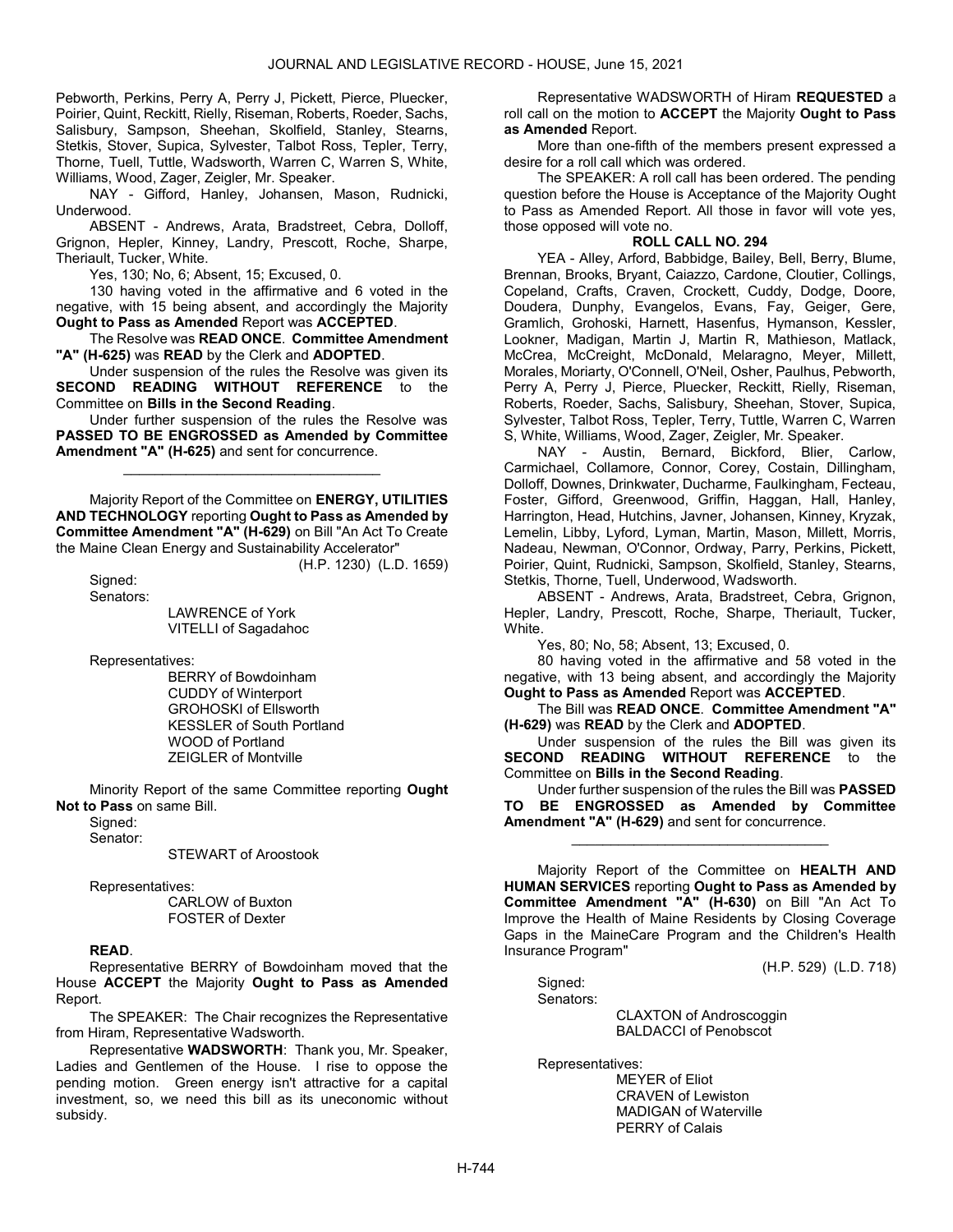Pebworth, Perkins, Perry A, Perry J, Pickett, Pierce, Pluecker, Poirier, Quint, Reckitt, Rielly, Riseman, Roberts, Roeder, Sachs, Salisbury, Sampson, Sheehan, Skolfield, Stanley, Stearns, Stetkis, Stover, Supica, Sylvester, Talbot Ross, Tepler, Terry, Thorne, Tuell, Tuttle, Wadsworth, Warren C, Warren S, White, Williams, Wood, Zager, Zeigler, Mr. Speaker.

 NAY - Gifford, Hanley, Johansen, Mason, Rudnicki, Underwood.

 ABSENT - Andrews, Arata, Bradstreet, Cebra, Dolloff, Grignon, Hepler, Kinney, Landry, Prescott, Roche, Sharpe, Theriault, Tucker, White.

Yes, 130; No, 6; Absent, 15; Excused, 0.

 130 having voted in the affirmative and 6 voted in the negative, with 15 being absent, and accordingly the Majority Ought to Pass as Amended Report was ACCEPTED.

 The Resolve was READ ONCE. Committee Amendment "A" (H-625) was READ by the Clerk and ADOPTED.

 Under suspension of the rules the Resolve was given its SECOND READING WITHOUT REFERENCE to the Committee on Bills in the Second Reading.

 Under further suspension of the rules the Resolve was PASSED TO BE ENGROSSED as Amended by Committee Amendment "A" (H-625) and sent for concurrence.

\_\_\_\_\_\_\_\_\_\_\_\_\_\_\_\_\_\_\_\_\_\_\_\_\_\_\_\_\_\_\_\_\_

 Majority Report of the Committee on ENERGY, UTILITIES AND TECHNOLOGY reporting Ought to Pass as Amended by Committee Amendment "A" (H-629) on Bill "An Act To Create the Maine Clean Energy and Sustainability Accelerator"

(H.P. 1230) (L.D. 1659)

Sianed: Senators:

 LAWRENCE of York VITELLI of Sagadahoc

Representatives:

 BERRY of Bowdoinham CUDDY of Winterport GROHOSKI of Ellsworth KESSLER of South Portland WOOD of Portland ZEIGLER of Montville

 Minority Report of the same Committee reporting Ought Not to Pass on same Bill.

Signed:

Senator:

STEWART of Aroostook

Representatives:

 CARLOW of Buxton FOSTER of Dexter

### READ.

 Representative BERRY of Bowdoinham moved that the House ACCEPT the Majority Ought to Pass as Amended Report.

The SPEAKER: The Chair recognizes the Representative from Hiram, Representative Wadsworth.

Representative WADSWORTH: Thank you, Mr. Speaker, Ladies and Gentlemen of the House. I rise to oppose the pending motion. Green energy isn't attractive for a capital investment, so, we need this bill as its uneconomic without subsidy.

 Representative WADSWORTH of Hiram REQUESTED a roll call on the motion to **ACCEPT** the Majority **Ought to Pass** as Amended Report.

 More than one-fifth of the members present expressed a desire for a roll call which was ordered.

 The SPEAKER: A roll call has been ordered. The pending question before the House is Acceptance of the Majority Ought to Pass as Amended Report. All those in favor will vote yes, those opposed will vote no.

### ROLL CALL NO. 294

 YEA - Alley, Arford, Babbidge, Bailey, Bell, Berry, Blume, Brennan, Brooks, Bryant, Caiazzo, Cardone, Cloutier, Collings, Copeland, Crafts, Craven, Crockett, Cuddy, Dodge, Doore, Doudera, Dunphy, Evangelos, Evans, Fay, Geiger, Gere, Gramlich, Grohoski, Harnett, Hasenfus, Hymanson, Kessler, Lookner, Madigan, Martin J, Martin R, Mathieson, Matlack, McCrea, McCreight, McDonald, Melaragno, Meyer, Millett, Morales, Moriarty, O'Connell, O'Neil, Osher, Paulhus, Pebworth, Perry A, Perry J, Pierce, Pluecker, Reckitt, Rielly, Riseman, Roberts, Roeder, Sachs, Salisbury, Sheehan, Stover, Supica, Sylvester, Talbot Ross, Tepler, Terry, Tuttle, Warren C, Warren S, White, Williams, Wood, Zager, Zeigler, Mr. Speaker.

 NAY - Austin, Bernard, Bickford, Blier, Carlow, Carmichael, Collamore, Connor, Corey, Costain, Dillingham, Dolloff, Downes, Drinkwater, Ducharme, Faulkingham, Fecteau, Foster, Gifford, Greenwood, Griffin, Haggan, Hall, Hanley, Harrington, Head, Hutchins, Javner, Johansen, Kinney, Kryzak, Lemelin, Libby, Lyford, Lyman, Martin, Mason, Millett, Morris, Nadeau, Newman, O'Connor, Ordway, Parry, Perkins, Pickett, Poirier, Quint, Rudnicki, Sampson, Skolfield, Stanley, Stearns, Stetkis, Thorne, Tuell, Underwood, Wadsworth.

 ABSENT - Andrews, Arata, Bradstreet, Cebra, Grignon, Hepler, Landry, Prescott, Roche, Sharpe, Theriault, Tucker, White.

Yes, 80; No, 58; Absent, 13; Excused, 0.

 80 having voted in the affirmative and 58 voted in the negative, with 13 being absent, and accordingly the Majority Ought to Pass as Amended Report was ACCEPTED.

 The Bill was READ ONCE. Committee Amendment "A" (H-629) was READ by the Clerk and ADOPTED.

 Under suspension of the rules the Bill was given its SECOND READING WITHOUT REFERENCE to the Committee on Bills in the Second Reading.

 Under further suspension of the rules the Bill was PASSED TO BE ENGROSSED as Amended by Committee Amendment "A" (H-629) and sent for concurrence.

\_\_\_\_\_\_\_\_\_\_\_\_\_\_\_\_\_\_\_\_\_\_\_\_\_\_\_\_\_\_\_\_\_

 Majority Report of the Committee on HEALTH AND HUMAN SERVICES reporting Ought to Pass as Amended by Committee Amendment "A" (H-630) on Bill "An Act To Improve the Health of Maine Residents by Closing Coverage Gaps in the MaineCare Program and the Children's Health Insurance Program"

(H.P. 529) (L.D. 718)

 Signed: Senators:

> CLAXTON of Androscoggin BALDACCI of Penobscot

Representatives:

 MEYER of Eliot CRAVEN of Lewiston MADIGAN of Waterville PERRY of Calais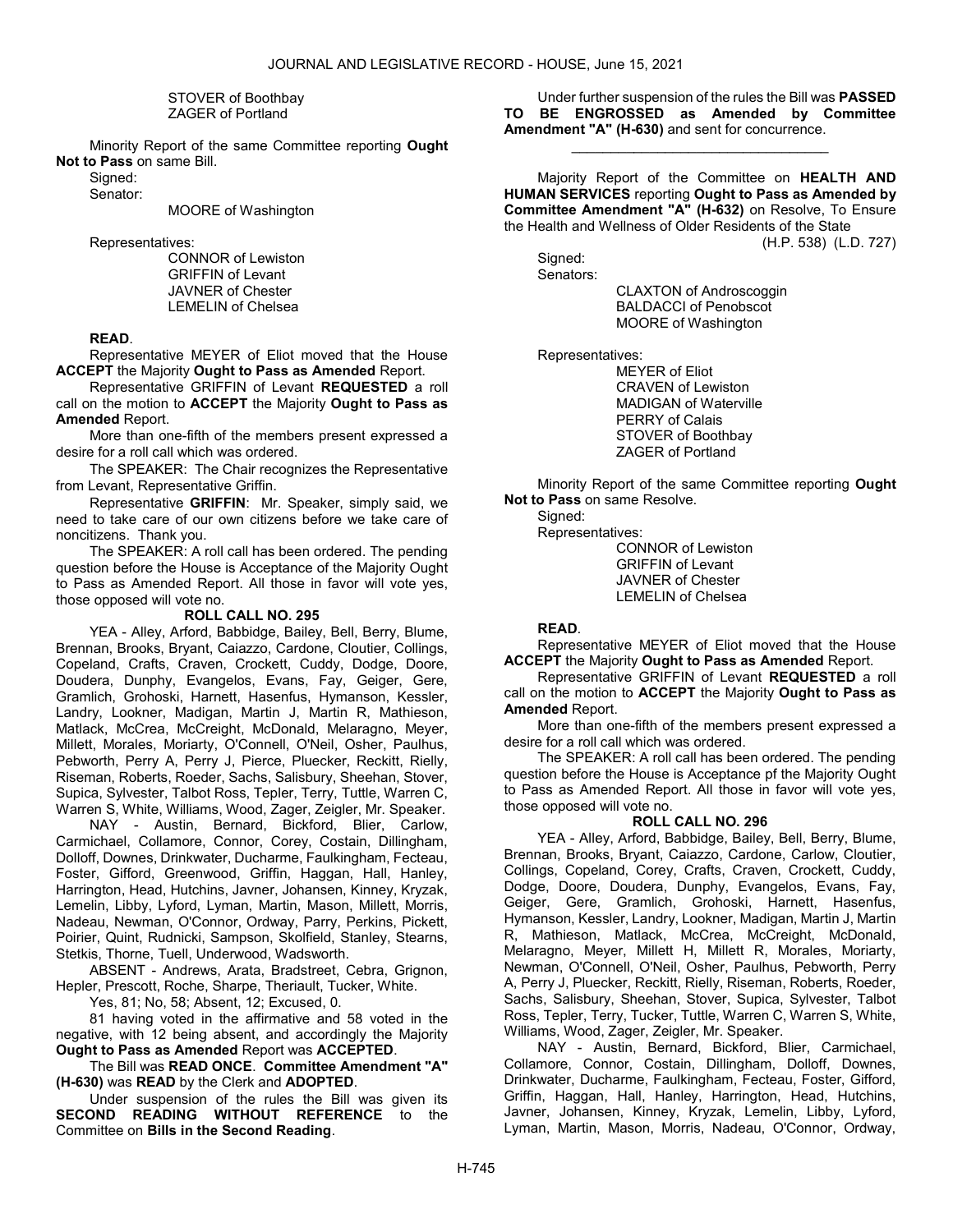STOVER of Boothbay ZAGER of Portland

 Minority Report of the same Committee reporting Ought Not to Pass on same Bill.

Signed: Senator:

MOORE of Washington

Representatives:

 CONNOR of Lewiston GRIFFIN of Levant JAVNER of Chester LEMELIN of Chelsea

## READ.

 Representative MEYER of Eliot moved that the House ACCEPT the Majority Ought to Pass as Amended Report.

 Representative GRIFFIN of Levant REQUESTED a roll call on the motion to ACCEPT the Majority Ought to Pass as Amended Report.

 More than one-fifth of the members present expressed a desire for a roll call which was ordered.

The SPEAKER: The Chair recognizes the Representative from Levant, Representative Griffin.

Representative GRIFFIN: Mr. Speaker, simply said, we need to take care of our own citizens before we take care of noncitizens. Thank you.

 The SPEAKER: A roll call has been ordered. The pending question before the House is Acceptance of the Majority Ought to Pass as Amended Report. All those in favor will vote yes, those opposed will vote no.

#### ROLL CALL NO. 295

 YEA - Alley, Arford, Babbidge, Bailey, Bell, Berry, Blume, Brennan, Brooks, Bryant, Caiazzo, Cardone, Cloutier, Collings, Copeland, Crafts, Craven, Crockett, Cuddy, Dodge, Doore, Doudera, Dunphy, Evangelos, Evans, Fay, Geiger, Gere, Gramlich, Grohoski, Harnett, Hasenfus, Hymanson, Kessler, Landry, Lookner, Madigan, Martin J, Martin R, Mathieson, Matlack, McCrea, McCreight, McDonald, Melaragno, Meyer, Millett, Morales, Moriarty, O'Connell, O'Neil, Osher, Paulhus, Pebworth, Perry A, Perry J, Pierce, Pluecker, Reckitt, Rielly, Riseman, Roberts, Roeder, Sachs, Salisbury, Sheehan, Stover, Supica, Sylvester, Talbot Ross, Tepler, Terry, Tuttle, Warren C, Warren S, White, Williams, Wood, Zager, Zeigler, Mr. Speaker.

 NAY - Austin, Bernard, Bickford, Blier, Carlow, Carmichael, Collamore, Connor, Corey, Costain, Dillingham, Dolloff, Downes, Drinkwater, Ducharme, Faulkingham, Fecteau, Foster, Gifford, Greenwood, Griffin, Haggan, Hall, Hanley, Harrington, Head, Hutchins, Javner, Johansen, Kinney, Kryzak, Lemelin, Libby, Lyford, Lyman, Martin, Mason, Millett, Morris, Nadeau, Newman, O'Connor, Ordway, Parry, Perkins, Pickett, Poirier, Quint, Rudnicki, Sampson, Skolfield, Stanley, Stearns, Stetkis, Thorne, Tuell, Underwood, Wadsworth.

 ABSENT - Andrews, Arata, Bradstreet, Cebra, Grignon, Hepler, Prescott, Roche, Sharpe, Theriault, Tucker, White.

Yes, 81; No, 58; Absent, 12; Excused, 0.

 81 having voted in the affirmative and 58 voted in the negative, with 12 being absent, and accordingly the Majority Ought to Pass as Amended Report was ACCEPTED.

 The Bill was READ ONCE. Committee Amendment "A" (H-630) was READ by the Clerk and ADOPTED.

 Under suspension of the rules the Bill was given its SECOND READING WITHOUT REFERENCE to the Committee on Bills in the Second Reading.

 Under further suspension of the rules the Bill was PASSED TO BE ENGROSSED as Amended by Committee Amendment "A" (H-630) and sent for concurrence.

\_\_\_\_\_\_\_\_\_\_\_\_\_\_\_\_\_\_\_\_\_\_\_\_\_\_\_\_\_\_\_\_\_

 Majority Report of the Committee on HEALTH AND HUMAN SERVICES reporting Ought to Pass as Amended by Committee Amendment "A" (H-632) on Resolve, To Ensure the Health and Wellness of Older Residents of the State

(H.P. 538) (L.D. 727)

 Signed: Senators:

 CLAXTON of Androscoggin BALDACCI of Penobscot MOORE of Washington

Representatives:

 MEYER of Eliot CRAVEN of Lewiston MADIGAN of Waterville PERRY of Calais STOVER of Boothbay ZAGER of Portland

 Minority Report of the same Committee reporting Ought Not to Pass on same Resolve.

Signed:

 Representatives: CONNOR of Lewiston GRIFFIN of Levant JAVNER of Chester LEMELIN of Chelsea

### READ.

 Representative MEYER of Eliot moved that the House **ACCEPT** the Majority Ought to Pass as Amended Report.

 Representative GRIFFIN of Levant REQUESTED a roll call on the motion to ACCEPT the Majority Ought to Pass as Amended Report.

 More than one-fifth of the members present expressed a desire for a roll call which was ordered.

 The SPEAKER: A roll call has been ordered. The pending question before the House is Acceptance pf the Majority Ought to Pass as Amended Report. All those in favor will vote yes, those opposed will vote no.

# ROLL CALL NO. 296

 YEA - Alley, Arford, Babbidge, Bailey, Bell, Berry, Blume, Brennan, Brooks, Bryant, Caiazzo, Cardone, Carlow, Cloutier, Collings, Copeland, Corey, Crafts, Craven, Crockett, Cuddy, Dodge, Doore, Doudera, Dunphy, Evangelos, Evans, Fay, Geiger, Gere, Gramlich, Grohoski, Harnett, Hasenfus, Hymanson, Kessler, Landry, Lookner, Madigan, Martin J, Martin R, Mathieson, Matlack, McCrea, McCreight, McDonald, Melaragno, Meyer, Millett H, Millett R, Morales, Moriarty, Newman, O'Connell, O'Neil, Osher, Paulhus, Pebworth, Perry A, Perry J, Pluecker, Reckitt, Rielly, Riseman, Roberts, Roeder, Sachs, Salisbury, Sheehan, Stover, Supica, Sylvester, Talbot Ross, Tepler, Terry, Tucker, Tuttle, Warren C, Warren S, White, Williams, Wood, Zager, Zeigler, Mr. Speaker.

 NAY - Austin, Bernard, Bickford, Blier, Carmichael, Collamore, Connor, Costain, Dillingham, Dolloff, Downes, Drinkwater, Ducharme, Faulkingham, Fecteau, Foster, Gifford, Griffin, Haggan, Hall, Hanley, Harrington, Head, Hutchins, Javner, Johansen, Kinney, Kryzak, Lemelin, Libby, Lyford, Lyman, Martin, Mason, Morris, Nadeau, O'Connor, Ordway,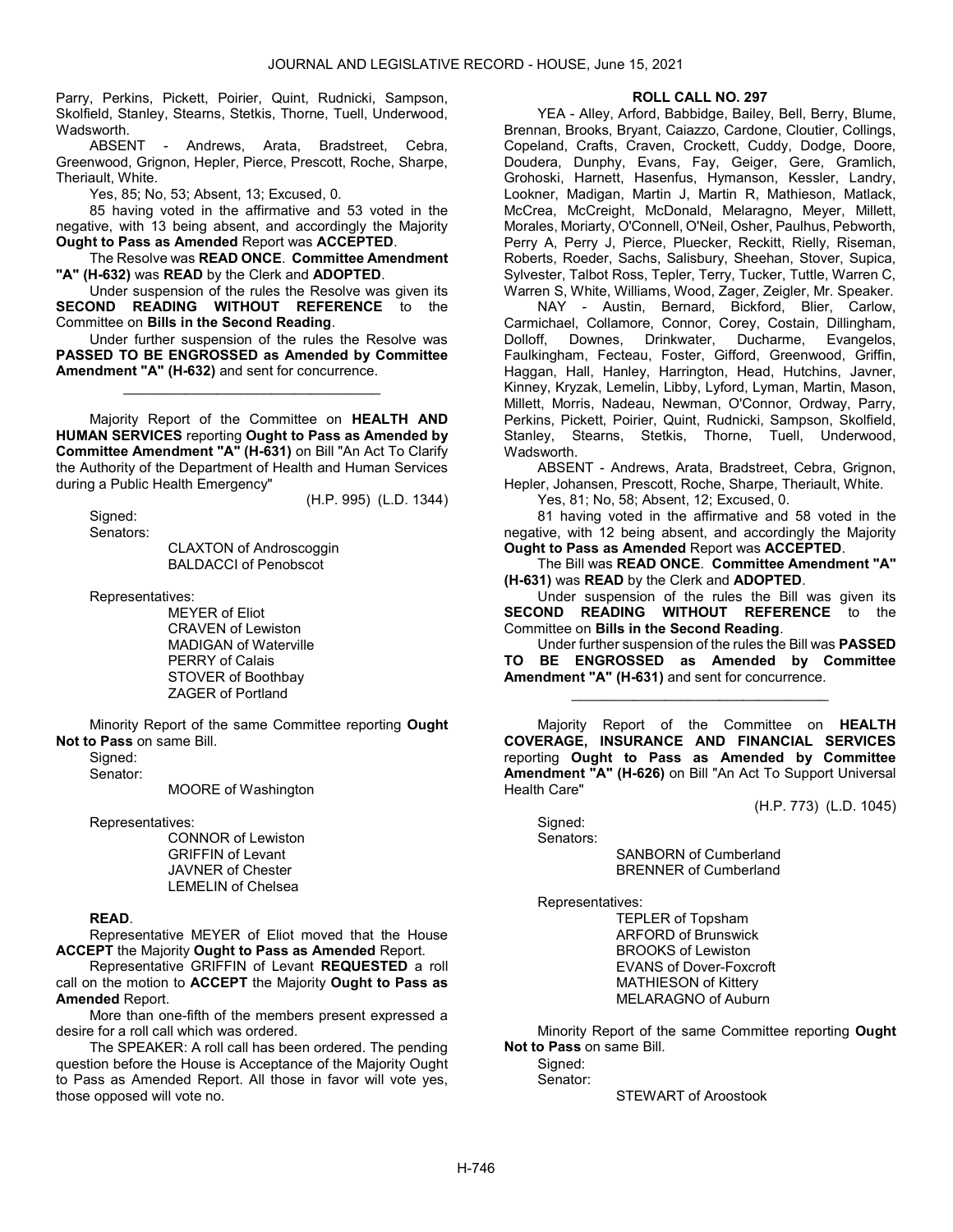Parry, Perkins, Pickett, Poirier, Quint, Rudnicki, Sampson, Skolfield, Stanley, Stearns, Stetkis, Thorne, Tuell, Underwood, Wadsworth.<br>ARSENT

Andrews, Arata, Bradstreet, Cebra, Greenwood, Grignon, Hepler, Pierce, Prescott, Roche, Sharpe, Theriault, White.

Yes, 85; No, 53; Absent, 13; Excused, 0.

 85 having voted in the affirmative and 53 voted in the negative, with 13 being absent, and accordingly the Majority Ought to Pass as Amended Report was ACCEPTED.

 The Resolve was READ ONCE. Committee Amendment "A" (H-632) was READ by the Clerk and ADOPTED.

 Under suspension of the rules the Resolve was given its SECOND READING WITHOUT REFERENCE to the Committee on Bills in the Second Reading.

 Under further suspension of the rules the Resolve was PASSED TO BE ENGROSSED as Amended by Committee Amendment "A" (H-632) and sent for concurrence.

\_\_\_\_\_\_\_\_\_\_\_\_\_\_\_\_\_\_\_\_\_\_\_\_\_\_\_\_\_\_\_\_\_

 Majority Report of the Committee on HEALTH AND HUMAN SERVICES reporting Ought to Pass as Amended by Committee Amendment "A" (H-631) on Bill "An Act To Clarify the Authority of the Department of Health and Human Services during a Public Health Emergency"

(H.P. 995) (L.D. 1344)

 Signed: Senators:

 CLAXTON of Androscoggin BALDACCI of Penobscot

Representatives:

 MEYER of Eliot CRAVEN of Lewiston MADIGAN of Waterville PERRY of Calais STOVER of Boothbay ZAGER of Portland

 Minority Report of the same Committee reporting Ought Not to Pass on same Bill.

Signed:

Senator:

MOORE of Washington

Representatives:

 CONNOR of Lewiston GRIFFIN of Levant JAVNER of Chester LEMELIN of Chelsea

### READ.

 Representative MEYER of Eliot moved that the House ACCEPT the Majority Ought to Pass as Amended Report.

 Representative GRIFFIN of Levant REQUESTED a roll call on the motion to ACCEPT the Majority Ought to Pass as Amended Report.

 More than one-fifth of the members present expressed a desire for a roll call which was ordered.

 The SPEAKER: A roll call has been ordered. The pending question before the House is Acceptance of the Majority Ought to Pass as Amended Report. All those in favor will vote yes, those opposed will vote no.

# ROLL CALL NO. 297

 YEA - Alley, Arford, Babbidge, Bailey, Bell, Berry, Blume, Brennan, Brooks, Bryant, Caiazzo, Cardone, Cloutier, Collings, Copeland, Crafts, Craven, Crockett, Cuddy, Dodge, Doore, Doudera, Dunphy, Evans, Fay, Geiger, Gere, Gramlich, Grohoski, Harnett, Hasenfus, Hymanson, Kessler, Landry, Lookner, Madigan, Martin J, Martin R, Mathieson, Matlack, McCrea, McCreight, McDonald, Melaragno, Meyer, Millett, Morales, Moriarty, O'Connell, O'Neil, Osher, Paulhus, Pebworth, Perry A, Perry J, Pierce, Pluecker, Reckitt, Rielly, Riseman, Roberts, Roeder, Sachs, Salisbury, Sheehan, Stover, Supica, Sylvester, Talbot Ross, Tepler, Terry, Tucker, Tuttle, Warren C, Warren S, White, Williams, Wood, Zager, Zeigler, Mr. Speaker.

 NAY - Austin, Bernard, Bickford, Blier, Carlow, Carmichael, Collamore, Connor, Corey, Costain, Dillingham, Dolloff, Downes, Drinkwater, Ducharme, Evangelos, Faulkingham, Fecteau, Foster, Gifford, Greenwood, Griffin, Haggan, Hall, Hanley, Harrington, Head, Hutchins, Javner, Kinney, Kryzak, Lemelin, Libby, Lyford, Lyman, Martin, Mason, Millett, Morris, Nadeau, Newman, O'Connor, Ordway, Parry, Perkins, Pickett, Poirier, Quint, Rudnicki, Sampson, Skolfield, Stanley, Stearns, Stetkis, Thorne, Tuell, Underwood, Wadsworth.

 ABSENT - Andrews, Arata, Bradstreet, Cebra, Grignon, Hepler, Johansen, Prescott, Roche, Sharpe, Theriault, White.

Yes, 81; No, 58; Absent, 12; Excused, 0.

 81 having voted in the affirmative and 58 voted in the negative, with 12 being absent, and accordingly the Majority Ought to Pass as Amended Report was ACCEPTED.

 The Bill was READ ONCE. Committee Amendment "A" (H-631) was READ by the Clerk and ADOPTED.

 Under suspension of the rules the Bill was given its SECOND READING WITHOUT REFERENCE to the Committee on Bills in the Second Reading.

 Under further suspension of the rules the Bill was PASSED TO BE ENGROSSED as Amended by Committee Amendment "A" (H-631) and sent for concurrence.

\_\_\_\_\_\_\_\_\_\_\_\_\_\_\_\_\_\_\_\_\_\_\_\_\_\_\_\_\_\_\_\_\_

 Majority Report of the Committee on HEALTH COVERAGE, INSURANCE AND FINANCIAL SERVICES reporting Ought to Pass as Amended by Committee Amendment "A" (H-626) on Bill "An Act To Support Universal Health Care"

(H.P. 773) (L.D. 1045)

 Signed: Senators:

 SANBORN of Cumberland BRENNER of Cumberland

Representatives:

 TEPLER of Topsham ARFORD of Brunswick BROOKS of Lewiston EVANS of Dover-Foxcroft MATHIESON of Kittery MELARAGNO of Auburn

 Minority Report of the same Committee reporting Ought Not to Pass on same Bill.

Signed:

Senator:

STEWART of Aroostook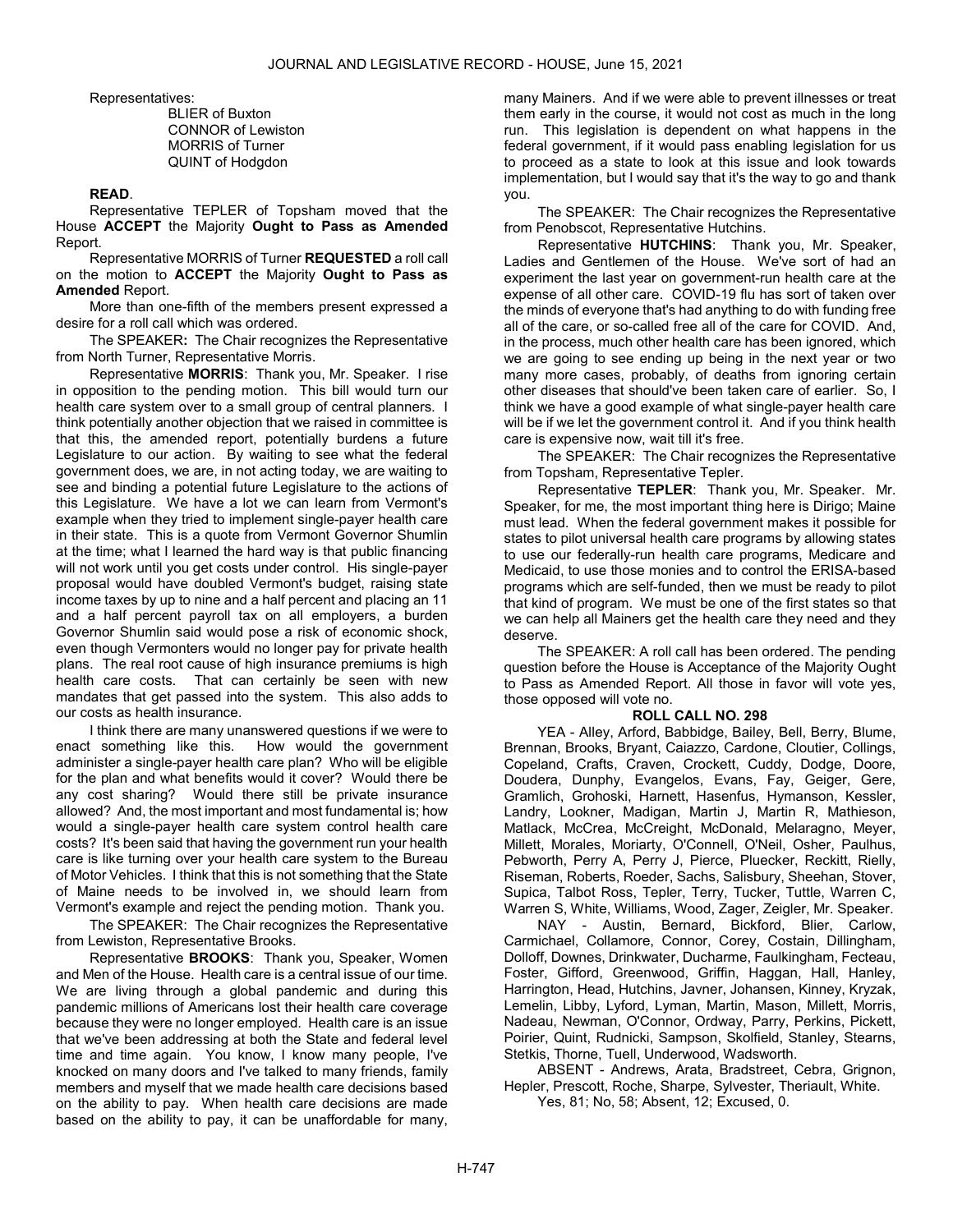Representatives:

 BLIER of Buxton CONNOR of Lewiston MORRIS of Turner QUINT of Hodgdon

### READ.

 Representative TEPLER of Topsham moved that the House ACCEPT the Majority Ought to Pass as Amended Report.

 Representative MORRIS of Turner REQUESTED a roll call on the motion to ACCEPT the Majority Ought to Pass as Amended Report.

 More than one-fifth of the members present expressed a desire for a roll call which was ordered.

The SPEAKER: The Chair recognizes the Representative from North Turner, Representative Morris.

Representative MORRIS: Thank you, Mr. Speaker. I rise in opposition to the pending motion. This bill would turn our health care system over to a small group of central planners. I think potentially another objection that we raised in committee is that this, the amended report, potentially burdens a future Legislature to our action. By waiting to see what the federal government does, we are, in not acting today, we are waiting to see and binding a potential future Legislature to the actions of this Legislature. We have a lot we can learn from Vermont's example when they tried to implement single-payer health care in their state. This is a quote from Vermont Governor Shumlin at the time; what I learned the hard way is that public financing will not work until you get costs under control. His single-payer proposal would have doubled Vermont's budget, raising state income taxes by up to nine and a half percent and placing an 11 and a half percent payroll tax on all employers, a burden Governor Shumlin said would pose a risk of economic shock, even though Vermonters would no longer pay for private health plans. The real root cause of high insurance premiums is high health care costs. That can certainly be seen with new mandates that get passed into the system. This also adds to our costs as health insurance.

I think there are many unanswered questions if we were to enact something like this. How would the government administer a single-payer health care plan? Who will be eligible for the plan and what benefits would it cover? Would there be any cost sharing? Would there still be private insurance allowed? And, the most important and most fundamental is; how would a single-payer health care system control health care costs? It's been said that having the government run your health care is like turning over your health care system to the Bureau of Motor Vehicles. I think that this is not something that the State of Maine needs to be involved in, we should learn from Vermont's example and reject the pending motion. Thank you.

The SPEAKER: The Chair recognizes the Representative from Lewiston, Representative Brooks.

Representative BROOKS: Thank you, Speaker, Women and Men of the House. Health care is a central issue of our time. We are living through a global pandemic and during this pandemic millions of Americans lost their health care coverage because they were no longer employed. Health care is an issue that we've been addressing at both the State and federal level time and time again. You know, I know many people, I've knocked on many doors and I've talked to many friends, family members and myself that we made health care decisions based on the ability to pay. When health care decisions are made based on the ability to pay, it can be unaffordable for many,

many Mainers. And if we were able to prevent illnesses or treat them early in the course, it would not cost as much in the long run. This legislation is dependent on what happens in the federal government, if it would pass enabling legislation for us to proceed as a state to look at this issue and look towards implementation, but I would say that it's the way to go and thank you.

The SPEAKER: The Chair recognizes the Representative from Penobscot, Representative Hutchins.

Representative HUTCHINS: Thank you, Mr. Speaker, Ladies and Gentlemen of the House. We've sort of had an experiment the last year on government-run health care at the expense of all other care. COVID-19 flu has sort of taken over the minds of everyone that's had anything to do with funding free all of the care, or so-called free all of the care for COVID. And, in the process, much other health care has been ignored, which we are going to see ending up being in the next year or two many more cases, probably, of deaths from ignoring certain other diseases that should've been taken care of earlier. So, I think we have a good example of what single-payer health care will be if we let the government control it. And if you think health care is expensive now, wait till it's free.

The SPEAKER: The Chair recognizes the Representative from Topsham, Representative Tepler.

Representative TEPLER: Thank you, Mr. Speaker. Mr. Speaker, for me, the most important thing here is Dirigo; Maine must lead. When the federal government makes it possible for states to pilot universal health care programs by allowing states to use our federally-run health care programs, Medicare and Medicaid, to use those monies and to control the ERISA-based programs which are self-funded, then we must be ready to pilot that kind of program. We must be one of the first states so that we can help all Mainers get the health care they need and they deserve.

 The SPEAKER: A roll call has been ordered. The pending question before the House is Acceptance of the Majority Ought to Pass as Amended Report. All those in favor will vote yes, those opposed will vote no.

### ROLL CALL NO. 298

 YEA - Alley, Arford, Babbidge, Bailey, Bell, Berry, Blume, Brennan, Brooks, Bryant, Caiazzo, Cardone, Cloutier, Collings, Copeland, Crafts, Craven, Crockett, Cuddy, Dodge, Doore, Doudera, Dunphy, Evangelos, Evans, Fay, Geiger, Gere, Gramlich, Grohoski, Harnett, Hasenfus, Hymanson, Kessler, Landry, Lookner, Madigan, Martin J, Martin R, Mathieson, Matlack, McCrea, McCreight, McDonald, Melaragno, Meyer, Millett, Morales, Moriarty, O'Connell, O'Neil, Osher, Paulhus, Pebworth, Perry A, Perry J, Pierce, Pluecker, Reckitt, Rielly, Riseman, Roberts, Roeder, Sachs, Salisbury, Sheehan, Stover, Supica, Talbot Ross, Tepler, Terry, Tucker, Tuttle, Warren C, Warren S, White, Williams, Wood, Zager, Zeigler, Mr. Speaker.

 NAY - Austin, Bernard, Bickford, Blier, Carlow, Carmichael, Collamore, Connor, Corey, Costain, Dillingham, Dolloff, Downes, Drinkwater, Ducharme, Faulkingham, Fecteau, Foster, Gifford, Greenwood, Griffin, Haggan, Hall, Hanley, Harrington, Head, Hutchins, Javner, Johansen, Kinney, Kryzak, Lemelin, Libby, Lyford, Lyman, Martin, Mason, Millett, Morris, Nadeau, Newman, O'Connor, Ordway, Parry, Perkins, Pickett, Poirier, Quint, Rudnicki, Sampson, Skolfield, Stanley, Stearns, Stetkis, Thorne, Tuell, Underwood, Wadsworth.

 ABSENT - Andrews, Arata, Bradstreet, Cebra, Grignon, Hepler, Prescott, Roche, Sharpe, Sylvester, Theriault, White. Yes, 81; No, 58; Absent, 12; Excused, 0.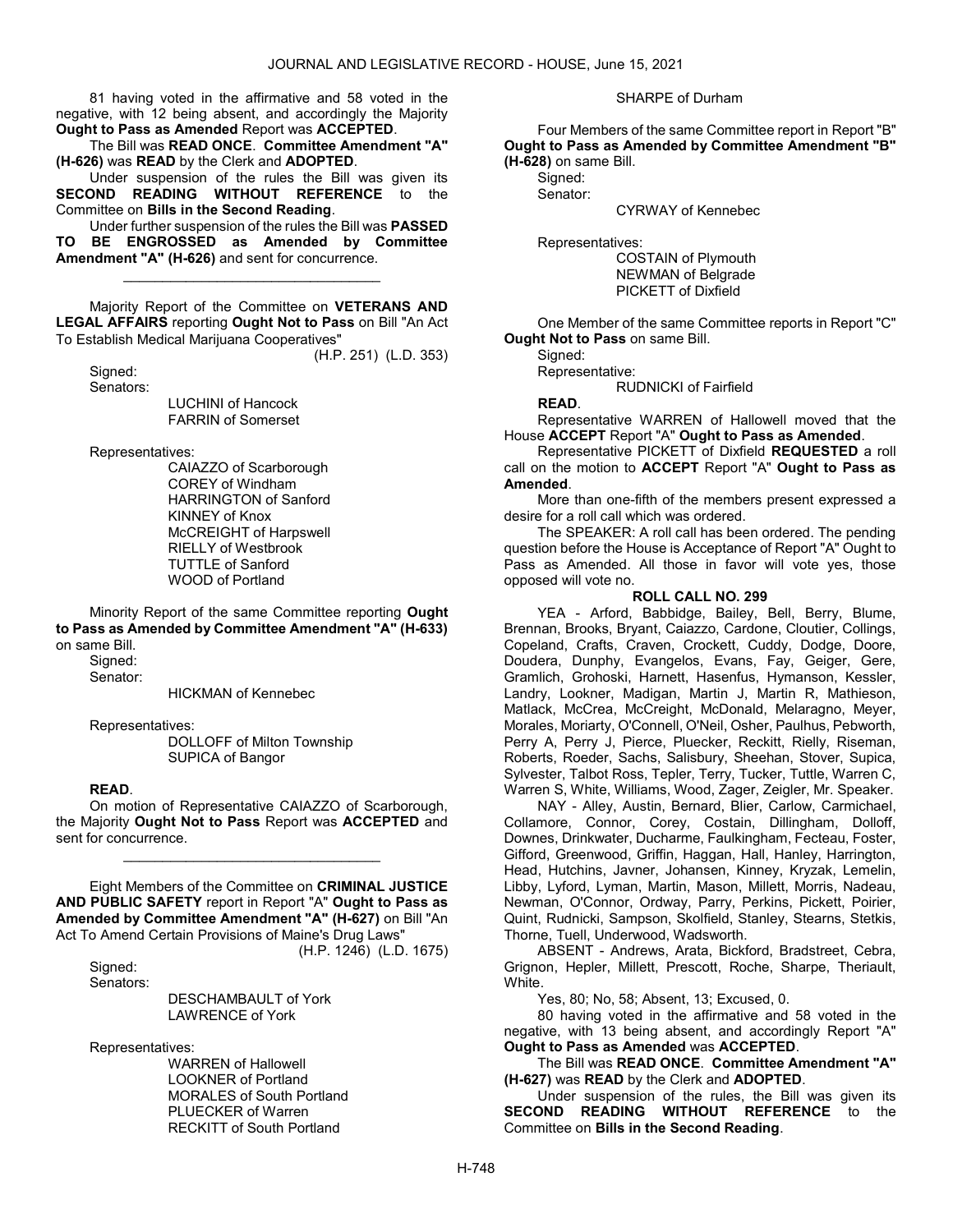81 having voted in the affirmative and 58 voted in the negative, with 12 being absent, and accordingly the Majority Ought to Pass as Amended Report was ACCEPTED.

 The Bill was READ ONCE. Committee Amendment "A" (H-626) was READ by the Clerk and ADOPTED.

 Under suspension of the rules the Bill was given its SECOND READING WITHOUT REFERENCE to the Committee on Bills in the Second Reading.

 Under further suspension of the rules the Bill was PASSED TO BE ENGROSSED as Amended by Committee Amendment "A" (H-626) and sent for concurrence.

\_\_\_\_\_\_\_\_\_\_\_\_\_\_\_\_\_\_\_\_\_\_\_\_\_\_\_\_\_\_\_\_\_

 Majority Report of the Committee on VETERANS AND LEGAL AFFAIRS reporting Ought Not to Pass on Bill "An Act To Establish Medical Marijuana Cooperatives"

(H.P. 251) (L.D. 353)

 Signed: Senators:

 LUCHINI of Hancock FARRIN of Somerset

Representatives:

 CAIAZZO of Scarborough COREY of Windham HARRINGTON of Sanford KINNEY of Knox McCREIGHT of Harpswell RIELLY of Westbrook TUTTLE of Sanford WOOD of Portland

 Minority Report of the same Committee reporting Ought to Pass as Amended by Committee Amendment "A" (H-633) on same Bill.

 Signed: Senator:

HICKMAN of Kennebec

Representatives:

 DOLLOFF of Milton Township SUPICA of Bangor

#### READ.

 On motion of Representative CAIAZZO of Scarborough, the Majority Ought Not to Pass Report was ACCEPTED and sent for concurrence.

\_\_\_\_\_\_\_\_\_\_\_\_\_\_\_\_\_\_\_\_\_\_\_\_\_\_\_\_\_\_\_\_\_

 Eight Members of the Committee on CRIMINAL JUSTICE AND PUBLIC SAFETY report in Report "A" Ought to Pass as Amended by Committee Amendment "A" (H-627) on Bill "An Act To Amend Certain Provisions of Maine's Drug Laws"

(H.P. 1246) (L.D. 1675)

 Signed: Senators:

> DESCHAMBAULT of York LAWRENCE of York

Representatives:

 WARREN of Hallowell LOOKNER of Portland MORALES of South Portland PLUECKER of Warren RECKITT of South Portland

#### SHARPE of Durham

 Four Members of the same Committee report in Report "B" Ought to Pass as Amended by Committee Amendment "B" (H-628) on same Bill.

Signed: Senator:

CYRWAY of Kennebec

Representatives:

 COSTAIN of Plymouth NEWMAN of Belgrade PICKETT of Dixfield

One Member of the same Committee reports in Report "C" Ought Not to Pass on same Bill.

Signed:

 Representative: RUDNICKI of Fairfield

READ.

 Representative WARREN of Hallowell moved that the House ACCEPT Report "A" Ought to Pass as Amended.

 Representative PICKETT of Dixfield REQUESTED a roll call on the motion to ACCEPT Report "A" Ought to Pass as Amended.

 More than one-fifth of the members present expressed a desire for a roll call which was ordered.

 The SPEAKER: A roll call has been ordered. The pending question before the House is Acceptance of Report "A" Ought to Pass as Amended. All those in favor will vote yes, those opposed will vote no.

#### ROLL CALL NO. 299

 YEA - Arford, Babbidge, Bailey, Bell, Berry, Blume, Brennan, Brooks, Bryant, Caiazzo, Cardone, Cloutier, Collings, Copeland, Crafts, Craven, Crockett, Cuddy, Dodge, Doore, Doudera, Dunphy, Evangelos, Evans, Fay, Geiger, Gere, Gramlich, Grohoski, Harnett, Hasenfus, Hymanson, Kessler, Landry, Lookner, Madigan, Martin J, Martin R, Mathieson, Matlack, McCrea, McCreight, McDonald, Melaragno, Meyer, Morales, Moriarty, O'Connell, O'Neil, Osher, Paulhus, Pebworth, Perry A, Perry J, Pierce, Pluecker, Reckitt, Rielly, Riseman, Roberts, Roeder, Sachs, Salisbury, Sheehan, Stover, Supica, Sylvester, Talbot Ross, Tepler, Terry, Tucker, Tuttle, Warren C, Warren S, White, Williams, Wood, Zager, Zeigler, Mr. Speaker.

 NAY - Alley, Austin, Bernard, Blier, Carlow, Carmichael, Collamore, Connor, Corey, Costain, Dillingham, Dolloff, Downes, Drinkwater, Ducharme, Faulkingham, Fecteau, Foster, Gifford, Greenwood, Griffin, Haggan, Hall, Hanley, Harrington, Head, Hutchins, Javner, Johansen, Kinney, Kryzak, Lemelin, Libby, Lyford, Lyman, Martin, Mason, Millett, Morris, Nadeau, Newman, O'Connor, Ordway, Parry, Perkins, Pickett, Poirier, Quint, Rudnicki, Sampson, Skolfield, Stanley, Stearns, Stetkis, Thorne, Tuell, Underwood, Wadsworth.

 ABSENT - Andrews, Arata, Bickford, Bradstreet, Cebra, Grignon, Hepler, Millett, Prescott, Roche, Sharpe, Theriault, White.

Yes, 80; No, 58; Absent, 13; Excused, 0.

 80 having voted in the affirmative and 58 voted in the negative, with 13 being absent, and accordingly Report "A" Ought to Pass as Amended was ACCEPTED.

 The Bill was READ ONCE. Committee Amendment "A" (H-627) was READ by the Clerk and ADOPTED.

 Under suspension of the rules, the Bill was given its SECOND READING WITHOUT REFERENCE to the Committee on Bills in the Second Reading.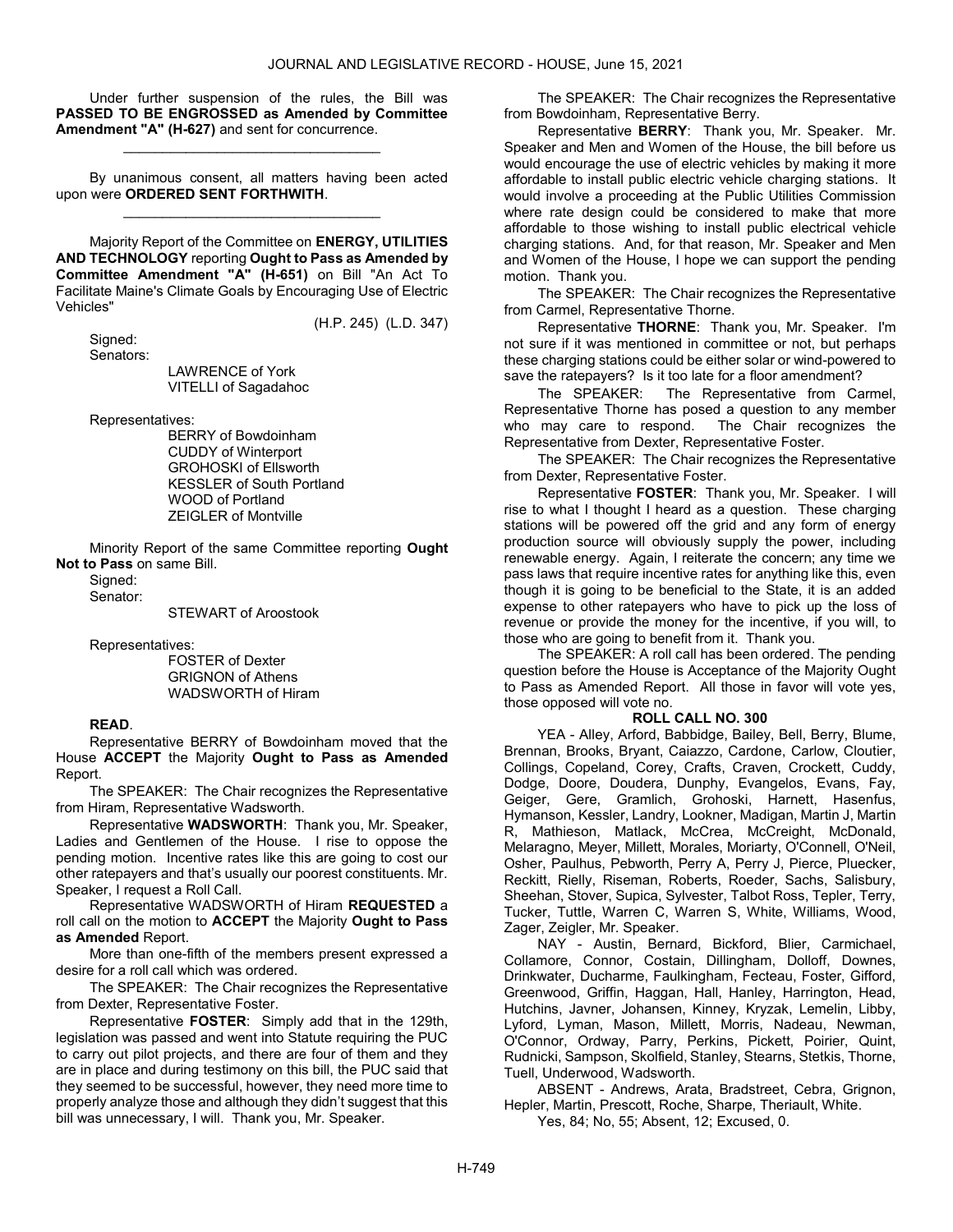Under further suspension of the rules, the Bill was PASSED TO BE ENGROSSED as Amended by Committee Amendment "A" (H-627) and sent for concurrence.

\_\_\_\_\_\_\_\_\_\_\_\_\_\_\_\_\_\_\_\_\_\_\_\_\_\_\_\_\_\_\_\_\_

 By unanimous consent, all matters having been acted upon were ORDERED SENT FORTHWITH. \_\_\_\_\_\_\_\_\_\_\_\_\_\_\_\_\_\_\_\_\_\_\_\_\_\_\_\_\_\_\_\_\_

 Majority Report of the Committee on ENERGY, UTILITIES AND TECHNOLOGY reporting Ought to Pass as Amended by Committee Amendment "A" (H-651) on Bill "An Act To Facilitate Maine's Climate Goals by Encouraging Use of Electric Vehicles"

(H.P. 245) (L.D. 347)

Signed:

Senators:

 LAWRENCE of York VITELLI of Sagadahoc

Representatives:

 BERRY of Bowdoinham CUDDY of Winterport GROHOSKI of Ellsworth KESSLER of South Portland WOOD of Portland ZEIGLER of Montville

 Minority Report of the same Committee reporting Ought Not to Pass on same Bill.

Signed:

Senator:

STEWART of Aroostook

Representatives:

 FOSTER of Dexter GRIGNON of Athens WADSWORTH of Hiram

## READ.

 Representative BERRY of Bowdoinham moved that the House ACCEPT the Majority Ought to Pass as Amended Report.

The SPEAKER: The Chair recognizes the Representative from Hiram, Representative Wadsworth.

Representative WADSWORTH: Thank you, Mr. Speaker, Ladies and Gentlemen of the House. I rise to oppose the pending motion. Incentive rates like this are going to cost our other ratepayers and that's usually our poorest constituents. Mr. Speaker, I request a Roll Call.

 Representative WADSWORTH of Hiram REQUESTED a roll call on the motion to **ACCEPT** the Majority **Ought to Pass** as Amended Report.

 More than one-fifth of the members present expressed a desire for a roll call which was ordered.

The SPEAKER: The Chair recognizes the Representative from Dexter, Representative Foster.

Representative FOSTER: Simply add that in the 129th, legislation was passed and went into Statute requiring the PUC to carry out pilot projects, and there are four of them and they are in place and during testimony on this bill, the PUC said that they seemed to be successful, however, they need more time to properly analyze those and although they didn't suggest that this bill was unnecessary, I will. Thank you, Mr. Speaker.

The SPEAKER: The Chair recognizes the Representative from Bowdoinham, Representative Berry.

Representative BERRY: Thank you, Mr. Speaker. Mr. Speaker and Men and Women of the House, the bill before us would encourage the use of electric vehicles by making it more affordable to install public electric vehicle charging stations. It would involve a proceeding at the Public Utilities Commission where rate design could be considered to make that more affordable to those wishing to install public electrical vehicle charging stations. And, for that reason, Mr. Speaker and Men and Women of the House, I hope we can support the pending motion. Thank you.

The SPEAKER: The Chair recognizes the Representative from Carmel, Representative Thorne.

Representative THORNE: Thank you, Mr. Speaker. I'm not sure if it was mentioned in committee or not, but perhaps these charging stations could be either solar or wind-powered to save the ratepayers? Is it too late for a floor amendment?

The SPEAKER: The Representative from Carmel, Representative Thorne has posed a question to any member who may care to respond. The Chair recognizes the Representative from Dexter, Representative Foster.

The SPEAKER: The Chair recognizes the Representative from Dexter, Representative Foster.

Representative FOSTER: Thank you, Mr. Speaker. I will rise to what I thought I heard as a question. These charging stations will be powered off the grid and any form of energy production source will obviously supply the power, including renewable energy. Again, I reiterate the concern; any time we pass laws that require incentive rates for anything like this, even though it is going to be beneficial to the State, it is an added expense to other ratepayers who have to pick up the loss of revenue or provide the money for the incentive, if you will, to those who are going to benefit from it. Thank you.

 The SPEAKER: A roll call has been ordered. The pending question before the House is Acceptance of the Majority Ought to Pass as Amended Report. All those in favor will vote yes, those opposed will vote no.

#### ROLL CALL NO. 300

 YEA - Alley, Arford, Babbidge, Bailey, Bell, Berry, Blume, Brennan, Brooks, Bryant, Caiazzo, Cardone, Carlow, Cloutier, Collings, Copeland, Corey, Crafts, Craven, Crockett, Cuddy, Dodge, Doore, Doudera, Dunphy, Evangelos, Evans, Fay, Geiger, Gere, Gramlich, Grohoski, Harnett, Hasenfus, Hymanson, Kessler, Landry, Lookner, Madigan, Martin J, Martin R, Mathieson, Matlack, McCrea, McCreight, McDonald, Melaragno, Meyer, Millett, Morales, Moriarty, O'Connell, O'Neil, Osher, Paulhus, Pebworth, Perry A, Perry J, Pierce, Pluecker, Reckitt, Rielly, Riseman, Roberts, Roeder, Sachs, Salisbury, Sheehan, Stover, Supica, Sylvester, Talbot Ross, Tepler, Terry, Tucker, Tuttle, Warren C, Warren S, White, Williams, Wood, Zager, Zeigler, Mr. Speaker.

 NAY - Austin, Bernard, Bickford, Blier, Carmichael, Collamore, Connor, Costain, Dillingham, Dolloff, Downes, Drinkwater, Ducharme, Faulkingham, Fecteau, Foster, Gifford, Greenwood, Griffin, Haggan, Hall, Hanley, Harrington, Head, Hutchins, Javner, Johansen, Kinney, Kryzak, Lemelin, Libby, Lyford, Lyman, Mason, Millett, Morris, Nadeau, Newman, O'Connor, Ordway, Parry, Perkins, Pickett, Poirier, Quint, Rudnicki, Sampson, Skolfield, Stanley, Stearns, Stetkis, Thorne, Tuell, Underwood, Wadsworth.

 ABSENT - Andrews, Arata, Bradstreet, Cebra, Grignon, Hepler, Martin, Prescott, Roche, Sharpe, Theriault, White. Yes, 84; No, 55; Absent, 12; Excused, 0.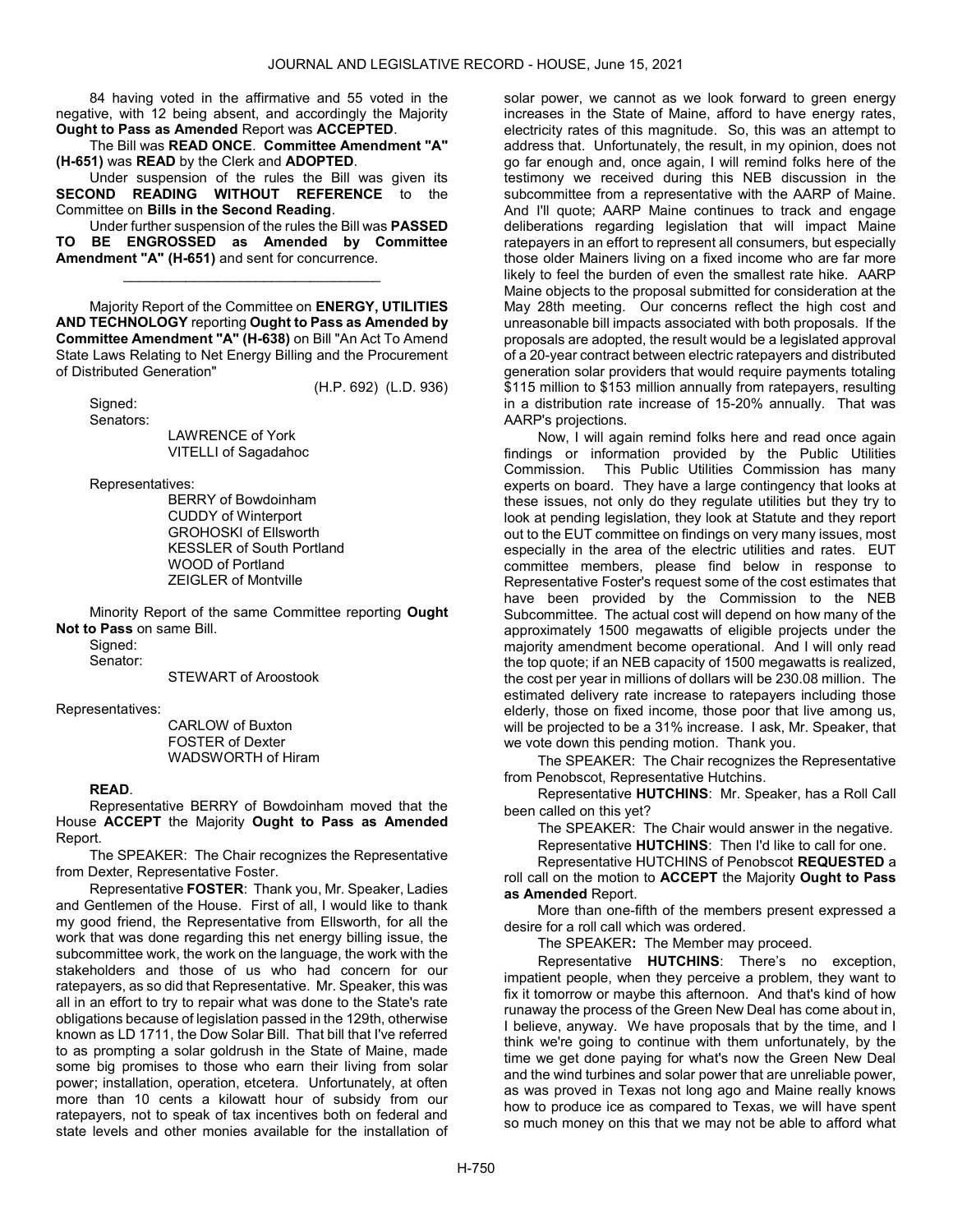84 having voted in the affirmative and 55 voted in the negative, with 12 being absent, and accordingly the Majority Ought to Pass as Amended Report was ACCEPTED.

 The Bill was READ ONCE. Committee Amendment "A" (H-651) was READ by the Clerk and ADOPTED.

 Under suspension of the rules the Bill was given its SECOND READING WITHOUT REFERENCE to the Committee on Bills in the Second Reading.

 Under further suspension of the rules the Bill was PASSED TO BE ENGROSSED as Amended by Committee Amendment "A" (H-651) and sent for concurrence.

\_\_\_\_\_\_\_\_\_\_\_\_\_\_\_\_\_\_\_\_\_\_\_\_\_\_\_\_\_\_\_\_\_

 Majority Report of the Committee on ENERGY, UTILITIES AND TECHNOLOGY reporting Ought to Pass as Amended by Committee Amendment "A" (H-638) on Bill "An Act To Amend State Laws Relating to Net Energy Billing and the Procurement of Distributed Generation"

(H.P. 692) (L.D. 936)

 Signed: Senators:

> LAWRENCE of York VITELLI of Sagadahoc

Representatives:

 BERRY of Bowdoinham CUDDY of Winterport GROHOSKI of Ellsworth KESSLER of South Portland WOOD of Portland ZEIGLER of Montville

 Minority Report of the same Committee reporting Ought Not to Pass on same Bill.

Sianed: Senator:

STEWART of Aroostook

Representatives:

 CARLOW of Buxton FOSTER of Dexter WADSWORTH of Hiram

#### READ.

 Representative BERRY of Bowdoinham moved that the House ACCEPT the Majority Ought to Pass as Amended Report.

The SPEAKER: The Chair recognizes the Representative from Dexter, Representative Foster.

Representative FOSTER: Thank you, Mr. Speaker, Ladies and Gentlemen of the House. First of all, I would like to thank my good friend, the Representative from Ellsworth, for all the work that was done regarding this net energy billing issue, the subcommittee work, the work on the language, the work with the stakeholders and those of us who had concern for our ratepayers, as so did that Representative. Mr. Speaker, this was all in an effort to try to repair what was done to the State's rate obligations because of legislation passed in the 129th, otherwise known as LD 1711, the Dow Solar Bill. That bill that I've referred to as prompting a solar goldrush in the State of Maine, made some big promises to those who earn their living from solar power; installation, operation, etcetera. Unfortunately, at often more than 10 cents a kilowatt hour of subsidy from our ratepayers, not to speak of tax incentives both on federal and state levels and other monies available for the installation of solar power, we cannot as we look forward to green energy increases in the State of Maine, afford to have energy rates, electricity rates of this magnitude. So, this was an attempt to address that. Unfortunately, the result, in my opinion, does not go far enough and, once again, I will remind folks here of the testimony we received during this NEB discussion in the subcommittee from a representative with the AARP of Maine. And I'll quote; AARP Maine continues to track and engage deliberations regarding legislation that will impact Maine ratepayers in an effort to represent all consumers, but especially those older Mainers living on a fixed income who are far more likely to feel the burden of even the smallest rate hike. AARP Maine objects to the proposal submitted for consideration at the May 28th meeting. Our concerns reflect the high cost and unreasonable bill impacts associated with both proposals. If the proposals are adopted, the result would be a legislated approval of a 20-year contract between electric ratepayers and distributed generation solar providers that would require payments totaling \$115 million to \$153 million annually from ratepayers, resulting in a distribution rate increase of 15-20% annually. That was AARP's projections.

Now, I will again remind folks here and read once again findings or information provided by the Public Utilities Commission. This Public Utilities Commission has many experts on board. They have a large contingency that looks at these issues, not only do they regulate utilities but they try to look at pending legislation, they look at Statute and they report out to the EUT committee on findings on very many issues, most especially in the area of the electric utilities and rates. EUT committee members, please find below in response to Representative Foster's request some of the cost estimates that have been provided by the Commission to the NEB Subcommittee. The actual cost will depend on how many of the approximately 1500 megawatts of eligible projects under the majority amendment become operational. And I will only read the top quote; if an NEB capacity of 1500 megawatts is realized, the cost per year in millions of dollars will be 230.08 million. The estimated delivery rate increase to ratepayers including those elderly, those on fixed income, those poor that live among us, will be projected to be a 31% increase. I ask, Mr. Speaker, that we vote down this pending motion. Thank you.

The SPEAKER: The Chair recognizes the Representative from Penobscot, Representative Hutchins.

Representative HUTCHINS: Mr. Speaker, has a Roll Call been called on this yet?

The SPEAKER: The Chair would answer in the negative.

Representative HUTCHINS: Then I'd like to call for one.

 Representative HUTCHINS of Penobscot REQUESTED a roll call on the motion to **ACCEPT** the Majority **Ought to Pass** as Amended Report.

 More than one-fifth of the members present expressed a desire for a roll call which was ordered.

The SPEAKER: The Member may proceed.

Representative HUTCHINS: There's no exception, impatient people, when they perceive a problem, they want to fix it tomorrow or maybe this afternoon. And that's kind of how runaway the process of the Green New Deal has come about in, I believe, anyway. We have proposals that by the time, and I think we're going to continue with them unfortunately, by the time we get done paying for what's now the Green New Deal and the wind turbines and solar power that are unreliable power, as was proved in Texas not long ago and Maine really knows how to produce ice as compared to Texas, we will have spent so much money on this that we may not be able to afford what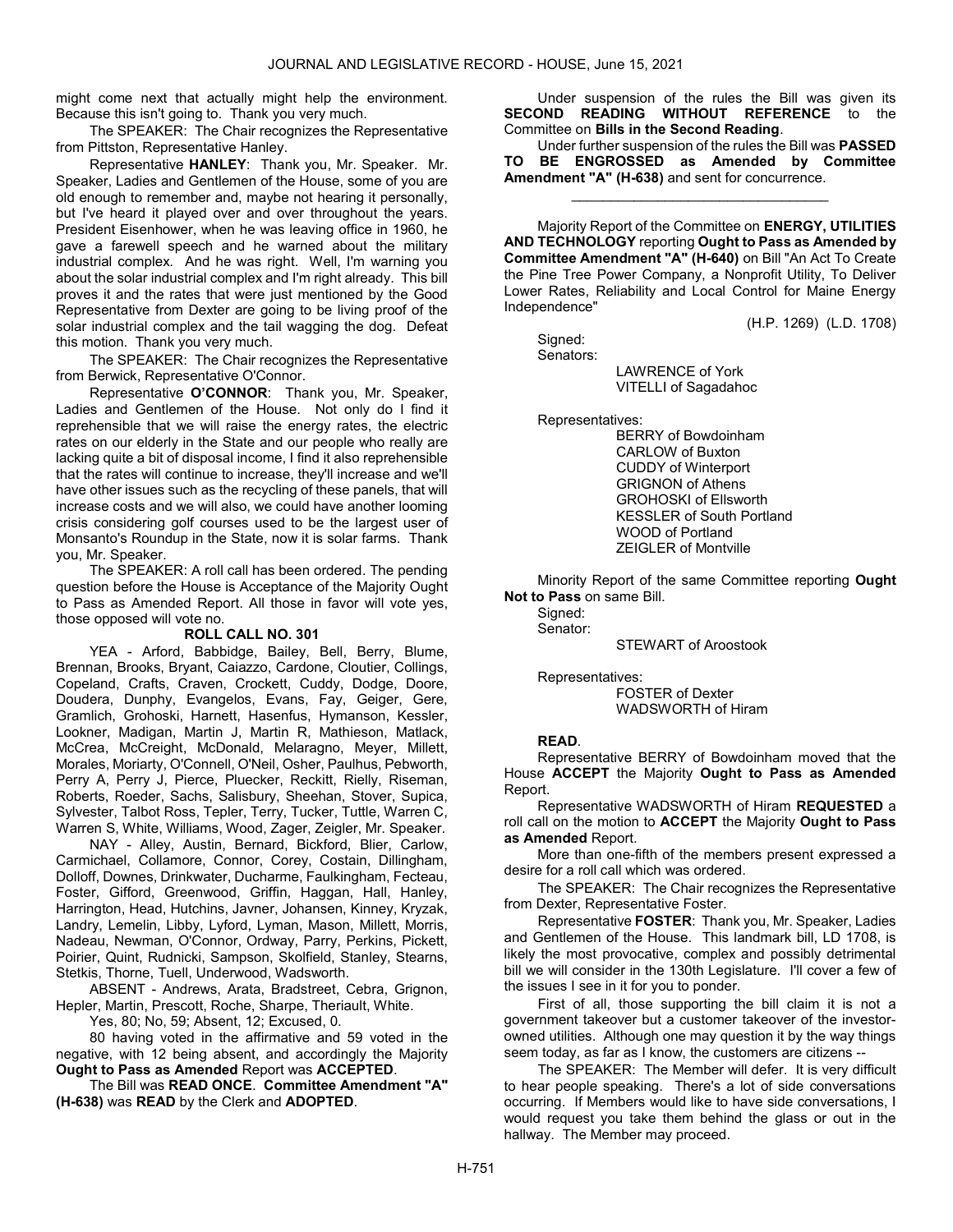might come next that actually might help the environment. Because this isn't going to. Thank you very much.

The SPEAKER: The Chair recognizes the Representative from Pittston, Representative Hanley.

Representative HANLEY: Thank you, Mr. Speaker. Mr. Speaker, Ladies and Gentlemen of the House, some of you are old enough to remember and, maybe not hearing it personally, but I've heard it played over and over throughout the years. President Eisenhower, when he was leaving office in 1960, he gave a farewell speech and he warned about the military industrial complex. And he was right. Well, I'm warning you about the solar industrial complex and I'm right already. This bill proves it and the rates that were just mentioned by the Good Representative from Dexter are going to be living proof of the solar industrial complex and the tail wagging the dog. Defeat this motion. Thank you very much.

The SPEAKER: The Chair recognizes the Representative from Berwick, Representative O'Connor.

Representative O'CONNOR: Thank you, Mr. Speaker, Ladies and Gentlemen of the House. Not only do I find it reprehensible that we will raise the energy rates, the electric rates on our elderly in the State and our people who really are lacking quite a bit of disposal income, I find it also reprehensible that the rates will continue to increase, they'll increase and we'll have other issues such as the recycling of these panels, that will increase costs and we will also, we could have another looming crisis considering golf courses used to be the largest user of Monsanto's Roundup in the State, now it is solar farms. Thank you, Mr. Speaker.

 The SPEAKER: A roll call has been ordered. The pending question before the House is Acceptance of the Majority Ought to Pass as Amended Report. All those in favor will vote yes, those opposed will vote no.

#### ROLL CALL NO. 301

 YEA - Arford, Babbidge, Bailey, Bell, Berry, Blume, Brennan, Brooks, Bryant, Caiazzo, Cardone, Cloutier, Collings, Copeland, Crafts, Craven, Crockett, Cuddy, Dodge, Doore, Doudera, Dunphy, Evangelos, Evans, Fay, Geiger, Gere, Gramlich, Grohoski, Harnett, Hasenfus, Hymanson, Kessler, Lookner, Madigan, Martin J, Martin R, Mathieson, Matlack, McCrea, McCreight, McDonald, Melaragno, Meyer, Millett, Morales, Moriarty, O'Connell, O'Neil, Osher, Paulhus, Pebworth, Perry A, Perry J, Pierce, Pluecker, Reckitt, Rielly, Riseman, Roberts, Roeder, Sachs, Salisbury, Sheehan, Stover, Supica, Sylvester, Talbot Ross, Tepler, Terry, Tucker, Tuttle, Warren C, Warren S, White, Williams, Wood, Zager, Zeigler, Mr. Speaker.

 NAY - Alley, Austin, Bernard, Bickford, Blier, Carlow, Carmichael, Collamore, Connor, Corey, Costain, Dillingham, Dolloff, Downes, Drinkwater, Ducharme, Faulkingham, Fecteau, Foster, Gifford, Greenwood, Griffin, Haggan, Hall, Hanley, Harrington, Head, Hutchins, Javner, Johansen, Kinney, Kryzak, Landry, Lemelin, Libby, Lyford, Lyman, Mason, Millett, Morris, Nadeau, Newman, O'Connor, Ordway, Parry, Perkins, Pickett, Poirier, Quint, Rudnicki, Sampson, Skolfield, Stanley, Stearns, Stetkis, Thorne, Tuell, Underwood, Wadsworth.

 ABSENT - Andrews, Arata, Bradstreet, Cebra, Grignon, Hepler, Martin, Prescott, Roche, Sharpe, Theriault, White.

Yes, 80; No, 59; Absent, 12; Excused, 0.

 80 having voted in the affirmative and 59 voted in the negative, with 12 being absent, and accordingly the Majority Ought to Pass as Amended Report was ACCEPTED.

 The Bill was READ ONCE. Committee Amendment "A" (H-638) was READ by the Clerk and ADOPTED.

 Under suspension of the rules the Bill was given its SECOND READING WITHOUT REFERENCE to the Committee on Bills in the Second Reading.

 Under further suspension of the rules the Bill was PASSED TO BE ENGROSSED as Amended by Committee Amendment "A" (H-638) and sent for concurrence.

\_\_\_\_\_\_\_\_\_\_\_\_\_\_\_\_\_\_\_\_\_\_\_\_\_\_\_\_\_\_\_\_\_

 Majority Report of the Committee on ENERGY, UTILITIES AND TECHNOLOGY reporting Ought to Pass as Amended by Committee Amendment "A" (H-640) on Bill "An Act To Create the Pine Tree Power Company, a Nonprofit Utility, To Deliver Lower Rates, Reliability and Local Control for Maine Energy Independence"

(H.P. 1269) (L.D. 1708)

 Signed: Senators:

 LAWRENCE of York VITELLI of Sagadahoc

Representatives:

 BERRY of Bowdoinham CARLOW of Buxton CUDDY of Winterport GRIGNON of Athens GROHOSKI of Ellsworth KESSLER of South Portland WOOD of Portland ZEIGLER of Montville

 Minority Report of the same Committee reporting Ought Not to Pass on same Bill.

 Signed: Senator:

STEWART of Aroostook

Representatives:

 FOSTER of Dexter WADSWORTH of Hiram

#### READ.

 Representative BERRY of Bowdoinham moved that the House ACCEPT the Majority Ought to Pass as Amended Report.

 Representative WADSWORTH of Hiram REQUESTED a roll call on the motion to ACCEPT the Majority Ought to Pass as Amended Report.

 More than one-fifth of the members present expressed a desire for a roll call which was ordered.

The SPEAKER: The Chair recognizes the Representative from Dexter, Representative Foster.

Representative FOSTER: Thank you, Mr. Speaker, Ladies and Gentlemen of the House. This landmark bill, LD 1708, is likely the most provocative, complex and possibly detrimental bill we will consider in the 130th Legislature. I'll cover a few of the issues I see in it for you to ponder.

First of all, those supporting the bill claim it is not a government takeover but a customer takeover of the investorowned utilities. Although one may question it by the way things seem today, as far as I know, the customers are citizens --

The SPEAKER: The Member will defer. It is very difficult to hear people speaking. There's a lot of side conversations occurring. If Members would like to have side conversations, I would request you take them behind the glass or out in the hallway. The Member may proceed.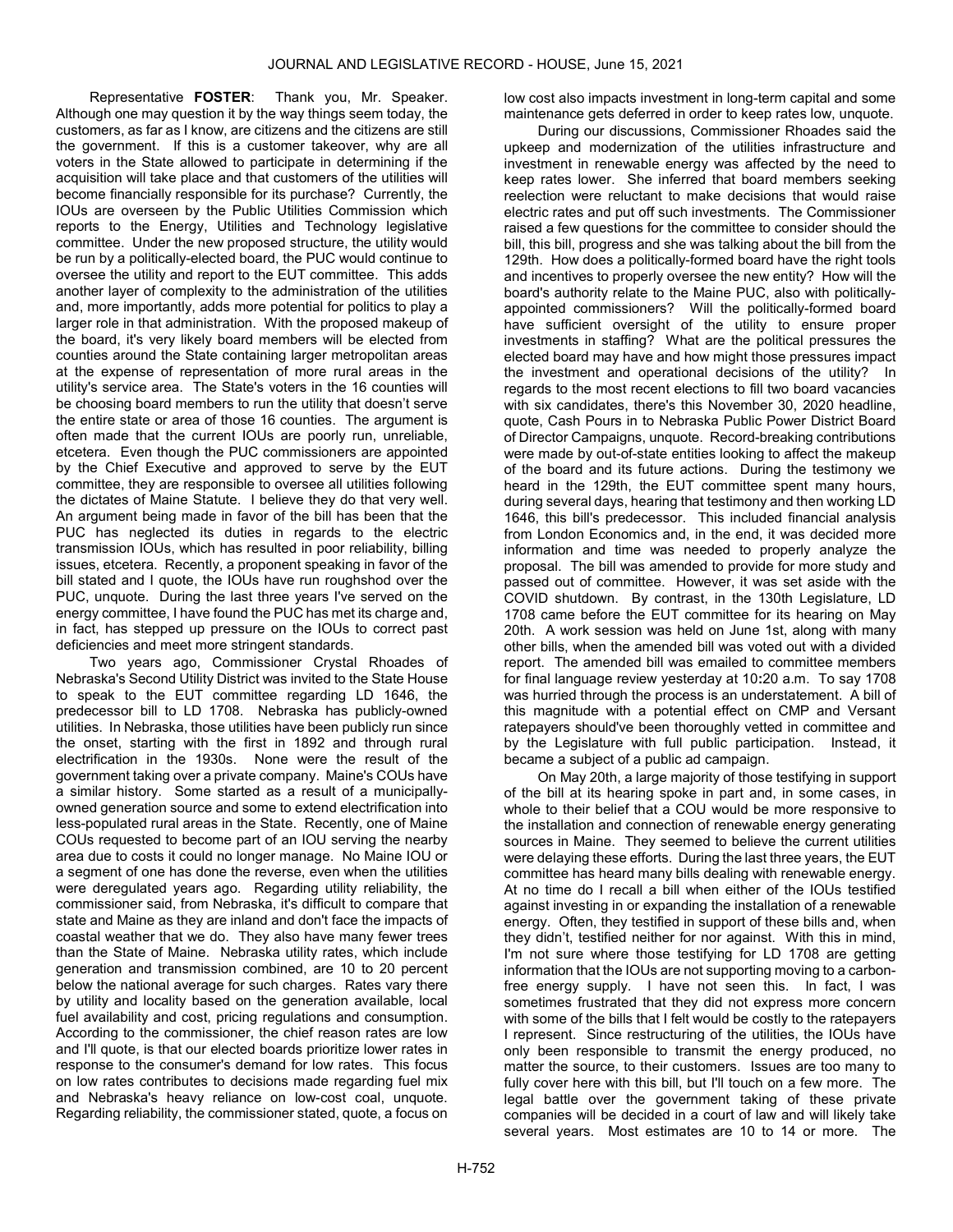Representative FOSTER: Thank you, Mr. Speaker. Although one may question it by the way things seem today, the customers, as far as I know, are citizens and the citizens are still the government. If this is a customer takeover, why are all voters in the State allowed to participate in determining if the acquisition will take place and that customers of the utilities will become financially responsible for its purchase? Currently, the IOUs are overseen by the Public Utilities Commission which reports to the Energy, Utilities and Technology legislative committee. Under the new proposed structure, the utility would be run by a politically-elected board, the PUC would continue to oversee the utility and report to the EUT committee. This adds another layer of complexity to the administration of the utilities and, more importantly, adds more potential for politics to play a larger role in that administration. With the proposed makeup of the board, it's very likely board members will be elected from counties around the State containing larger metropolitan areas at the expense of representation of more rural areas in the utility's service area. The State's voters in the 16 counties will be choosing board members to run the utility that doesn't serve the entire state or area of those 16 counties. The argument is often made that the current IOUs are poorly run, unreliable, etcetera. Even though the PUC commissioners are appointed by the Chief Executive and approved to serve by the EUT committee, they are responsible to oversee all utilities following the dictates of Maine Statute. I believe they do that very well. An argument being made in favor of the bill has been that the PUC has neglected its duties in regards to the electric transmission IOUs, which has resulted in poor reliability, billing issues, etcetera. Recently, a proponent speaking in favor of the bill stated and I quote, the IOUs have run roughshod over the PUC, unquote. During the last three years I've served on the energy committee, I have found the PUC has met its charge and, in fact, has stepped up pressure on the IOUs to correct past deficiencies and meet more stringent standards.

Two years ago, Commissioner Crystal Rhoades of Nebraska's Second Utility District was invited to the State House to speak to the EUT committee regarding LD 1646, the predecessor bill to LD 1708. Nebraska has publicly-owned utilities. In Nebraska, those utilities have been publicly run since the onset, starting with the first in 1892 and through rural electrification in the 1930s. None were the result of the government taking over a private company. Maine's COUs have a similar history. Some started as a result of a municipallyowned generation source and some to extend electrification into less-populated rural areas in the State. Recently, one of Maine COUs requested to become part of an IOU serving the nearby area due to costs it could no longer manage. No Maine IOU or a segment of one has done the reverse, even when the utilities were deregulated years ago. Regarding utility reliability, the commissioner said, from Nebraska, it's difficult to compare that state and Maine as they are inland and don't face the impacts of coastal weather that we do. They also have many fewer trees than the State of Maine. Nebraska utility rates, which include generation and transmission combined, are 10 to 20 percent below the national average for such charges. Rates vary there by utility and locality based on the generation available, local fuel availability and cost, pricing regulations and consumption. According to the commissioner, the chief reason rates are low and I'll quote, is that our elected boards prioritize lower rates in response to the consumer's demand for low rates. This focus on low rates contributes to decisions made regarding fuel mix and Nebraska's heavy reliance on low-cost coal, unquote. Regarding reliability, the commissioner stated, quote, a focus on

low cost also impacts investment in long-term capital and some maintenance gets deferred in order to keep rates low, unquote.

During our discussions, Commissioner Rhoades said the upkeep and modernization of the utilities infrastructure and investment in renewable energy was affected by the need to keep rates lower. She inferred that board members seeking reelection were reluctant to make decisions that would raise electric rates and put off such investments. The Commissioner raised a few questions for the committee to consider should the bill, this bill, progress and she was talking about the bill from the 129th. How does a politically-formed board have the right tools and incentives to properly oversee the new entity? How will the board's authority relate to the Maine PUC, also with politicallyappointed commissioners? Will the politically-formed board have sufficient oversight of the utility to ensure proper investments in staffing? What are the political pressures the elected board may have and how might those pressures impact the investment and operational decisions of the utility? In regards to the most recent elections to fill two board vacancies with six candidates, there's this November 30, 2020 headline, quote, Cash Pours in to Nebraska Public Power District Board of Director Campaigns, unquote. Record-breaking contributions were made by out-of-state entities looking to affect the makeup of the board and its future actions. During the testimony we heard in the 129th, the EUT committee spent many hours, during several days, hearing that testimony and then working LD 1646, this bill's predecessor. This included financial analysis from London Economics and, in the end, it was decided more information and time was needed to properly analyze the proposal. The bill was amended to provide for more study and passed out of committee. However, it was set aside with the COVID shutdown. By contrast, in the 130th Legislature, LD 1708 came before the EUT committee for its hearing on May 20th. A work session was held on June 1st, along with many other bills, when the amended bill was voted out with a divided report. The amended bill was emailed to committee members for final language review yesterday at 10:20 a.m. To say 1708 was hurried through the process is an understatement. A bill of this magnitude with a potential effect on CMP and Versant ratepayers should've been thoroughly vetted in committee and by the Legislature with full public participation. Instead, it became a subject of a public ad campaign.

On May 20th, a large majority of those testifying in support of the bill at its hearing spoke in part and, in some cases, in whole to their belief that a COU would be more responsive to the installation and connection of renewable energy generating sources in Maine. They seemed to believe the current utilities were delaying these efforts. During the last three years, the EUT committee has heard many bills dealing with renewable energy. At no time do I recall a bill when either of the IOUs testified against investing in or expanding the installation of a renewable energy. Often, they testified in support of these bills and, when they didn't, testified neither for nor against. With this in mind, I'm not sure where those testifying for LD 1708 are getting information that the IOUs are not supporting moving to a carbonfree energy supply. I have not seen this. In fact, I was sometimes frustrated that they did not express more concern with some of the bills that I felt would be costly to the ratepayers I represent. Since restructuring of the utilities, the IOUs have only been responsible to transmit the energy produced, no matter the source, to their customers. Issues are too many to fully cover here with this bill, but I'll touch on a few more. The legal battle over the government taking of these private companies will be decided in a court of law and will likely take several years. Most estimates are 10 to 14 or more. The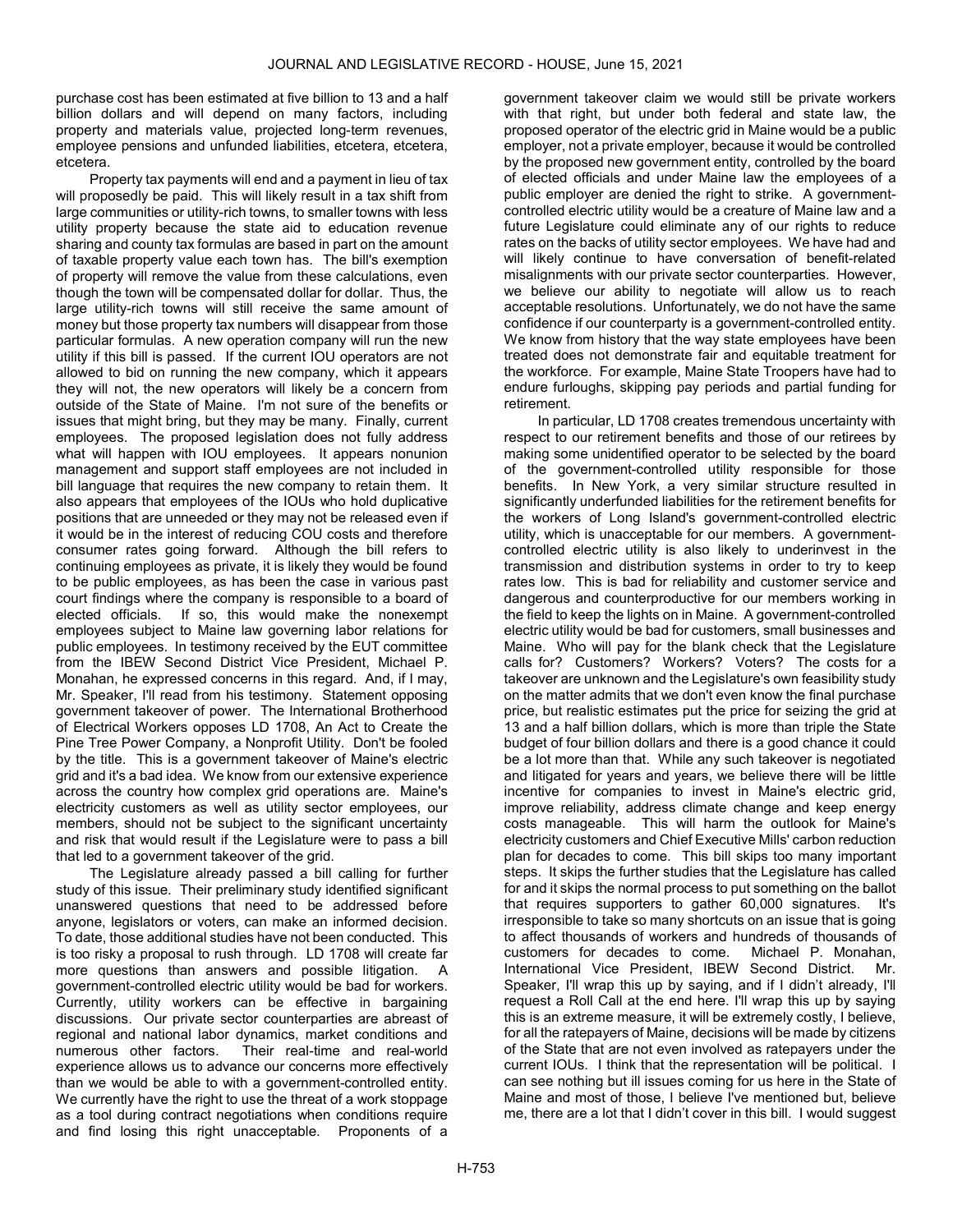purchase cost has been estimated at five billion to 13 and a half billion dollars and will depend on many factors, including property and materials value, projected long-term revenues, employee pensions and unfunded liabilities, etcetera, etcetera, etcetera.

Property tax payments will end and a payment in lieu of tax will proposedly be paid. This will likely result in a tax shift from large communities or utility-rich towns, to smaller towns with less utility property because the state aid to education revenue sharing and county tax formulas are based in part on the amount of taxable property value each town has. The bill's exemption of property will remove the value from these calculations, even though the town will be compensated dollar for dollar. Thus, the large utility-rich towns will still receive the same amount of money but those property tax numbers will disappear from those particular formulas. A new operation company will run the new utility if this bill is passed. If the current IOU operators are not allowed to bid on running the new company, which it appears they will not, the new operators will likely be a concern from outside of the State of Maine. I'm not sure of the benefits or issues that might bring, but they may be many. Finally, current employees. The proposed legislation does not fully address what will happen with IOU employees. It appears nonunion management and support staff employees are not included in bill language that requires the new company to retain them. It also appears that employees of the IOUs who hold duplicative positions that are unneeded or they may not be released even if it would be in the interest of reducing COU costs and therefore consumer rates going forward. Although the bill refers to continuing employees as private, it is likely they would be found to be public employees, as has been the case in various past court findings where the company is responsible to a board of elected officials. If so, this would make the nonexempt employees subject to Maine law governing labor relations for public employees. In testimony received by the EUT committee from the IBEW Second District Vice President, Michael P. Monahan, he expressed concerns in this regard. And, if I may, Mr. Speaker, I'll read from his testimony. Statement opposing government takeover of power. The International Brotherhood of Electrical Workers opposes LD 1708, An Act to Create the Pine Tree Power Company, a Nonprofit Utility. Don't be fooled by the title. This is a government takeover of Maine's electric grid and it's a bad idea. We know from our extensive experience across the country how complex grid operations are. Maine's electricity customers as well as utility sector employees, our members, should not be subject to the significant uncertainty and risk that would result if the Legislature were to pass a bill that led to a government takeover of the grid.

The Legislature already passed a bill calling for further study of this issue. Their preliminary study identified significant unanswered questions that need to be addressed before anyone, legislators or voters, can make an informed decision. To date, those additional studies have not been conducted. This is too risky a proposal to rush through. LD 1708 will create far more questions than answers and possible litigation. A government-controlled electric utility would be bad for workers. Currently, utility workers can be effective in bargaining discussions. Our private sector counterparties are abreast of regional and national labor dynamics, market conditions and numerous other factors. Their real-time and real-world experience allows us to advance our concerns more effectively than we would be able to with a government-controlled entity. We currently have the right to use the threat of a work stoppage as a tool during contract negotiations when conditions require and find losing this right unacceptable. Proponents of a

government takeover claim we would still be private workers with that right, but under both federal and state law, the proposed operator of the electric grid in Maine would be a public employer, not a private employer, because it would be controlled by the proposed new government entity, controlled by the board of elected officials and under Maine law the employees of a public employer are denied the right to strike. A governmentcontrolled electric utility would be a creature of Maine law and a future Legislature could eliminate any of our rights to reduce rates on the backs of utility sector employees. We have had and will likely continue to have conversation of benefit-related misalignments with our private sector counterparties. However, we believe our ability to negotiate will allow us to reach acceptable resolutions. Unfortunately, we do not have the same confidence if our counterparty is a government-controlled entity. We know from history that the way state employees have been treated does not demonstrate fair and equitable treatment for the workforce. For example, Maine State Troopers have had to endure furloughs, skipping pay periods and partial funding for retirement.

In particular, LD 1708 creates tremendous uncertainty with respect to our retirement benefits and those of our retirees by making some unidentified operator to be selected by the board of the government-controlled utility responsible for those benefits. In New York, a very similar structure resulted in significantly underfunded liabilities for the retirement benefits for the workers of Long Island's government-controlled electric utility, which is unacceptable for our members. A governmentcontrolled electric utility is also likely to underinvest in the transmission and distribution systems in order to try to keep rates low. This is bad for reliability and customer service and dangerous and counterproductive for our members working in the field to keep the lights on in Maine. A government-controlled electric utility would be bad for customers, small businesses and Maine. Who will pay for the blank check that the Legislature calls for? Customers? Workers? Voters? The costs for a takeover are unknown and the Legislature's own feasibility study on the matter admits that we don't even know the final purchase price, but realistic estimates put the price for seizing the grid at 13 and a half billion dollars, which is more than triple the State budget of four billion dollars and there is a good chance it could be a lot more than that. While any such takeover is negotiated and litigated for years and years, we believe there will be little incentive for companies to invest in Maine's electric grid, improve reliability, address climate change and keep energy costs manageable. This will harm the outlook for Maine's electricity customers and Chief Executive Mills' carbon reduction plan for decades to come. This bill skips too many important steps. It skips the further studies that the Legislature has called for and it skips the normal process to put something on the ballot that requires supporters to gather 60,000 signatures. It's irresponsible to take so many shortcuts on an issue that is going to affect thousands of workers and hundreds of thousands of customers for decades to come. Michael P. Monahan, International Vice President, IBEW Second District. Mr. Speaker, I'll wrap this up by saying, and if I didn't already, I'll request a Roll Call at the end here. I'll wrap this up by saying this is an extreme measure, it will be extremely costly, I believe, for all the ratepayers of Maine, decisions will be made by citizens of the State that are not even involved as ratepayers under the current IOUs. I think that the representation will be political. I can see nothing but ill issues coming for us here in the State of Maine and most of those, I believe I've mentioned but, believe me, there are a lot that I didn't cover in this bill. I would suggest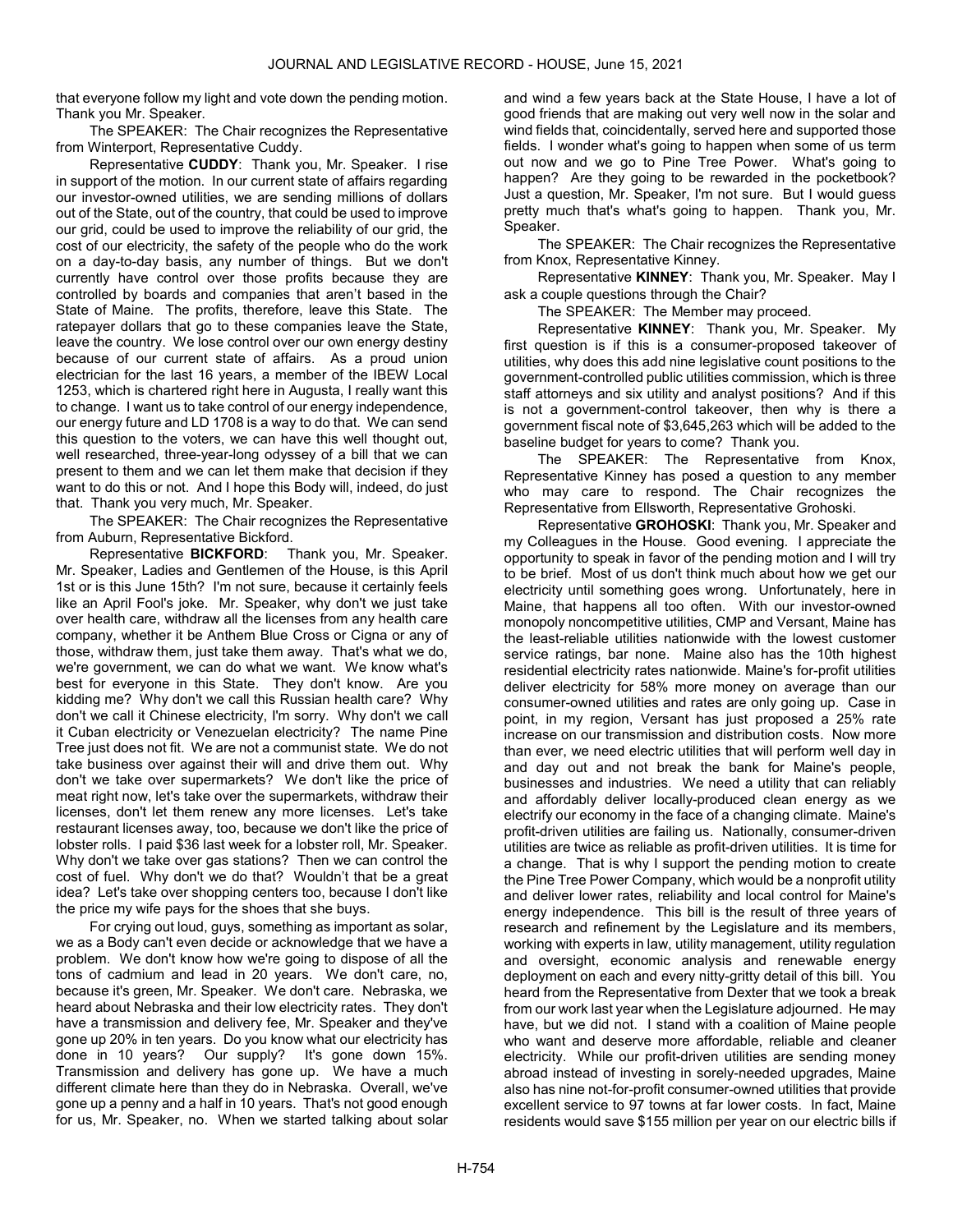that everyone follow my light and vote down the pending motion. Thank you Mr. Speaker.

The SPEAKER: The Chair recognizes the Representative from Winterport, Representative Cuddy.

 Representative CUDDY: Thank you, Mr. Speaker. I rise in support of the motion. In our current state of affairs regarding our investor-owned utilities, we are sending millions of dollars out of the State, out of the country, that could be used to improve our grid, could be used to improve the reliability of our grid, the cost of our electricity, the safety of the people who do the work on a day-to-day basis, any number of things. But we don't currently have control over those profits because they are controlled by boards and companies that aren't based in the State of Maine. The profits, therefore, leave this State. The ratepayer dollars that go to these companies leave the State, leave the country. We lose control over our own energy destiny because of our current state of affairs. As a proud union electrician for the last 16 years, a member of the IBEW Local 1253, which is chartered right here in Augusta, I really want this to change. I want us to take control of our energy independence, our energy future and LD 1708 is a way to do that. We can send this question to the voters, we can have this well thought out, well researched, three-year-long odyssey of a bill that we can present to them and we can let them make that decision if they want to do this or not. And I hope this Body will, indeed, do just that. Thank you very much, Mr. Speaker.

The SPEAKER: The Chair recognizes the Representative from Auburn, Representative Bickford.

Representative **BICKFORD:** Thank you, Mr. Speaker. Mr. Speaker, Ladies and Gentlemen of the House, is this April 1st or is this June 15th? I'm not sure, because it certainly feels like an April Fool's joke. Mr. Speaker, why don't we just take over health care, withdraw all the licenses from any health care company, whether it be Anthem Blue Cross or Cigna or any of those, withdraw them, just take them away. That's what we do, we're government, we can do what we want. We know what's best for everyone in this State. They don't know. Are you kidding me? Why don't we call this Russian health care? Why don't we call it Chinese electricity, I'm sorry. Why don't we call it Cuban electricity or Venezuelan electricity? The name Pine Tree just does not fit. We are not a communist state. We do not take business over against their will and drive them out. Why don't we take over supermarkets? We don't like the price of meat right now, let's take over the supermarkets, withdraw their licenses, don't let them renew any more licenses. Let's take restaurant licenses away, too, because we don't like the price of lobster rolls. I paid \$36 last week for a lobster roll, Mr. Speaker. Why don't we take over gas stations? Then we can control the cost of fuel. Why don't we do that? Wouldn't that be a great idea? Let's take over shopping centers too, because I don't like the price my wife pays for the shoes that she buys.

For crying out loud, guys, something as important as solar, we as a Body can't even decide or acknowledge that we have a problem. We don't know how we're going to dispose of all the tons of cadmium and lead in 20 years. We don't care, no, because it's green, Mr. Speaker. We don't care. Nebraska, we heard about Nebraska and their low electricity rates. They don't have a transmission and delivery fee, Mr. Speaker and they've gone up 20% in ten years. Do you know what our electricity has done in 10 years? Our supply? It's gone down 15%. Transmission and delivery has gone up. We have a much different climate here than they do in Nebraska. Overall, we've gone up a penny and a half in 10 years. That's not good enough for us, Mr. Speaker, no. When we started talking about solar and wind a few years back at the State House, I have a lot of good friends that are making out very well now in the solar and wind fields that, coincidentally, served here and supported those fields. I wonder what's going to happen when some of us term out now and we go to Pine Tree Power. What's going to happen? Are they going to be rewarded in the pocketbook? Just a question, Mr. Speaker, I'm not sure. But I would guess pretty much that's what's going to happen. Thank you, Mr. Speaker.

The SPEAKER: The Chair recognizes the Representative from Knox, Representative Kinney.

Representative KINNEY: Thank you, Mr. Speaker. May I ask a couple questions through the Chair?

The SPEAKER: The Member may proceed.

Representative KINNEY: Thank you, Mr. Speaker. My first question is if this is a consumer-proposed takeover of utilities, why does this add nine legislative count positions to the government-controlled public utilities commission, which is three staff attorneys and six utility and analyst positions? And if this is not a government-control takeover, then why is there a government fiscal note of \$3,645,263 which will be added to the baseline budget for years to come? Thank you.

The SPEAKER: The Representative from Knox, Representative Kinney has posed a question to any member who may care to respond. The Chair recognizes the Representative from Ellsworth, Representative Grohoski.

Representative GROHOSKI: Thank you, Mr. Speaker and my Colleagues in the House. Good evening. I appreciate the opportunity to speak in favor of the pending motion and I will try to be brief. Most of us don't think much about how we get our electricity until something goes wrong. Unfortunately, here in Maine, that happens all too often. With our investor-owned monopoly noncompetitive utilities, CMP and Versant, Maine has the least-reliable utilities nationwide with the lowest customer service ratings, bar none. Maine also has the 10th highest residential electricity rates nationwide. Maine's for-profit utilities deliver electricity for 58% more money on average than our consumer-owned utilities and rates are only going up. Case in point, in my region, Versant has just proposed a 25% rate increase on our transmission and distribution costs. Now more than ever, we need electric utilities that will perform well day in and day out and not break the bank for Maine's people, businesses and industries. We need a utility that can reliably and affordably deliver locally-produced clean energy as we electrify our economy in the face of a changing climate. Maine's profit-driven utilities are failing us. Nationally, consumer-driven utilities are twice as reliable as profit-driven utilities. It is time for a change. That is why I support the pending motion to create the Pine Tree Power Company, which would be a nonprofit utility and deliver lower rates, reliability and local control for Maine's energy independence. This bill is the result of three years of research and refinement by the Legislature and its members, working with experts in law, utility management, utility regulation and oversight, economic analysis and renewable energy deployment on each and every nitty-gritty detail of this bill. You heard from the Representative from Dexter that we took a break from our work last year when the Legislature adjourned. He may have, but we did not. I stand with a coalition of Maine people who want and deserve more affordable, reliable and cleaner electricity. While our profit-driven utilities are sending money abroad instead of investing in sorely-needed upgrades, Maine also has nine not-for-profit consumer-owned utilities that provide excellent service to 97 towns at far lower costs. In fact, Maine residents would save \$155 million per year on our electric bills if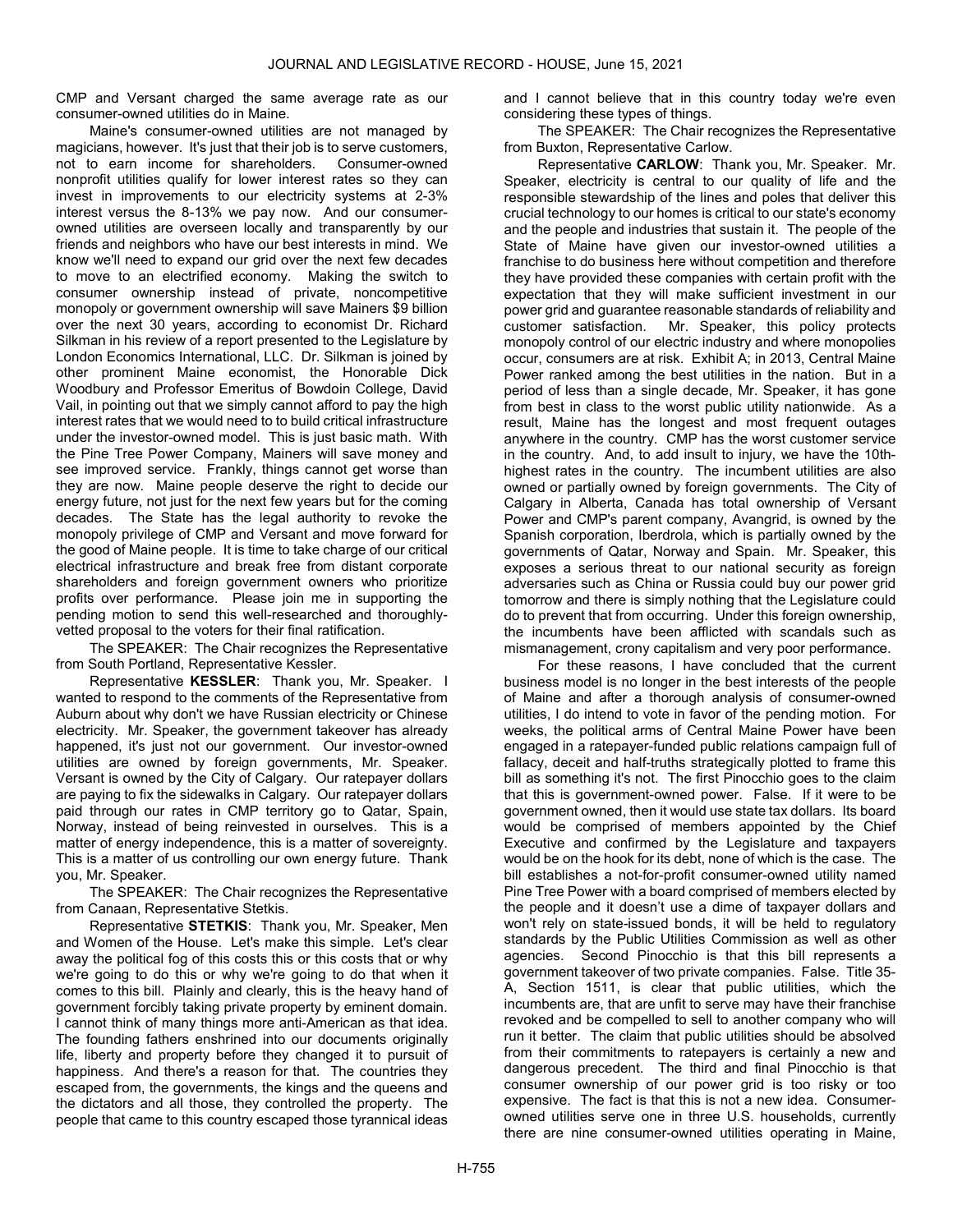CMP and Versant charged the same average rate as our consumer-owned utilities do in Maine.

Maine's consumer-owned utilities are not managed by magicians, however. It's just that their job is to serve customers, not to earn income for shareholders. Consumer-owned nonprofit utilities qualify for lower interest rates so they can invest in improvements to our electricity systems at 2-3% interest versus the 8-13% we pay now. And our consumerowned utilities are overseen locally and transparently by our friends and neighbors who have our best interests in mind. We know we'll need to expand our grid over the next few decades to move to an electrified economy. Making the switch to consumer ownership instead of private, noncompetitive monopoly or government ownership will save Mainers \$9 billion over the next 30 years, according to economist Dr. Richard Silkman in his review of a report presented to the Legislature by London Economics International, LLC. Dr. Silkman is joined by other prominent Maine economist, the Honorable Dick Woodbury and Professor Emeritus of Bowdoin College, David Vail, in pointing out that we simply cannot afford to pay the high interest rates that we would need to to build critical infrastructure under the investor-owned model. This is just basic math. With the Pine Tree Power Company, Mainers will save money and see improved service. Frankly, things cannot get worse than they are now. Maine people deserve the right to decide our energy future, not just for the next few years but for the coming decades. The State has the legal authority to revoke the monopoly privilege of CMP and Versant and move forward for the good of Maine people. It is time to take charge of our critical electrical infrastructure and break free from distant corporate shareholders and foreign government owners who prioritize profits over performance. Please join me in supporting the pending motion to send this well-researched and thoroughlyvetted proposal to the voters for their final ratification.

The SPEAKER: The Chair recognizes the Representative from South Portland, Representative Kessler.

Representative KESSLER: Thank you, Mr. Speaker. I wanted to respond to the comments of the Representative from Auburn about why don't we have Russian electricity or Chinese electricity. Mr. Speaker, the government takeover has already happened, it's just not our government. Our investor-owned utilities are owned by foreign governments, Mr. Speaker. Versant is owned by the City of Calgary. Our ratepayer dollars are paying to fix the sidewalks in Calgary. Our ratepayer dollars paid through our rates in CMP territory go to Qatar, Spain, Norway, instead of being reinvested in ourselves. This is a matter of energy independence, this is a matter of sovereignty. This is a matter of us controlling our own energy future. Thank you, Mr. Speaker.

The SPEAKER: The Chair recognizes the Representative from Canaan, Representative Stetkis.

Representative STETKIS: Thank you, Mr. Speaker, Men and Women of the House. Let's make this simple. Let's clear away the political fog of this costs this or this costs that or why we're going to do this or why we're going to do that when it comes to this bill. Plainly and clearly, this is the heavy hand of government forcibly taking private property by eminent domain. I cannot think of many things more anti-American as that idea. The founding fathers enshrined into our documents originally life, liberty and property before they changed it to pursuit of happiness. And there's a reason for that. The countries they escaped from, the governments, the kings and the queens and the dictators and all those, they controlled the property. The people that came to this country escaped those tyrannical ideas

and I cannot believe that in this country today we're even considering these types of things.

The SPEAKER: The Chair recognizes the Representative from Buxton, Representative Carlow.

Representative CARLOW: Thank you, Mr. Speaker. Mr. Speaker, electricity is central to our quality of life and the responsible stewardship of the lines and poles that deliver this crucial technology to our homes is critical to our state's economy and the people and industries that sustain it. The people of the State of Maine have given our investor-owned utilities a franchise to do business here without competition and therefore they have provided these companies with certain profit with the expectation that they will make sufficient investment in our power grid and guarantee reasonable standards of reliability and customer satisfaction. Mr. Speaker, this policy protects monopoly control of our electric industry and where monopolies occur, consumers are at risk. Exhibit A; in 2013, Central Maine Power ranked among the best utilities in the nation. But in a period of less than a single decade, Mr. Speaker, it has gone from best in class to the worst public utility nationwide. As a result, Maine has the longest and most frequent outages anywhere in the country. CMP has the worst customer service in the country. And, to add insult to injury, we have the 10thhighest rates in the country. The incumbent utilities are also owned or partially owned by foreign governments. The City of Calgary in Alberta, Canada has total ownership of Versant Power and CMP's parent company, Avangrid, is owned by the Spanish corporation, Iberdrola, which is partially owned by the governments of Qatar, Norway and Spain. Mr. Speaker, this exposes a serious threat to our national security as foreign adversaries such as China or Russia could buy our power grid tomorrow and there is simply nothing that the Legislature could do to prevent that from occurring. Under this foreign ownership, the incumbents have been afflicted with scandals such as mismanagement, crony capitalism and very poor performance.

For these reasons, I have concluded that the current business model is no longer in the best interests of the people of Maine and after a thorough analysis of consumer-owned utilities, I do intend to vote in favor of the pending motion. For weeks, the political arms of Central Maine Power have been engaged in a ratepayer-funded public relations campaign full of fallacy, deceit and half-truths strategically plotted to frame this bill as something it's not. The first Pinocchio goes to the claim that this is government-owned power. False. If it were to be government owned, then it would use state tax dollars. Its board would be comprised of members appointed by the Chief Executive and confirmed by the Legislature and taxpayers would be on the hook for its debt, none of which is the case. The bill establishes a not-for-profit consumer-owned utility named Pine Tree Power with a board comprised of members elected by the people and it doesn't use a dime of taxpayer dollars and won't rely on state-issued bonds, it will be held to regulatory standards by the Public Utilities Commission as well as other agencies. Second Pinocchio is that this bill represents a government takeover of two private companies. False. Title 35- A, Section 1511, is clear that public utilities, which the incumbents are, that are unfit to serve may have their franchise revoked and be compelled to sell to another company who will run it better. The claim that public utilities should be absolved from their commitments to ratepayers is certainly a new and dangerous precedent. The third and final Pinocchio is that consumer ownership of our power grid is too risky or too expensive. The fact is that this is not a new idea. Consumerowned utilities serve one in three U.S. households, currently there are nine consumer-owned utilities operating in Maine,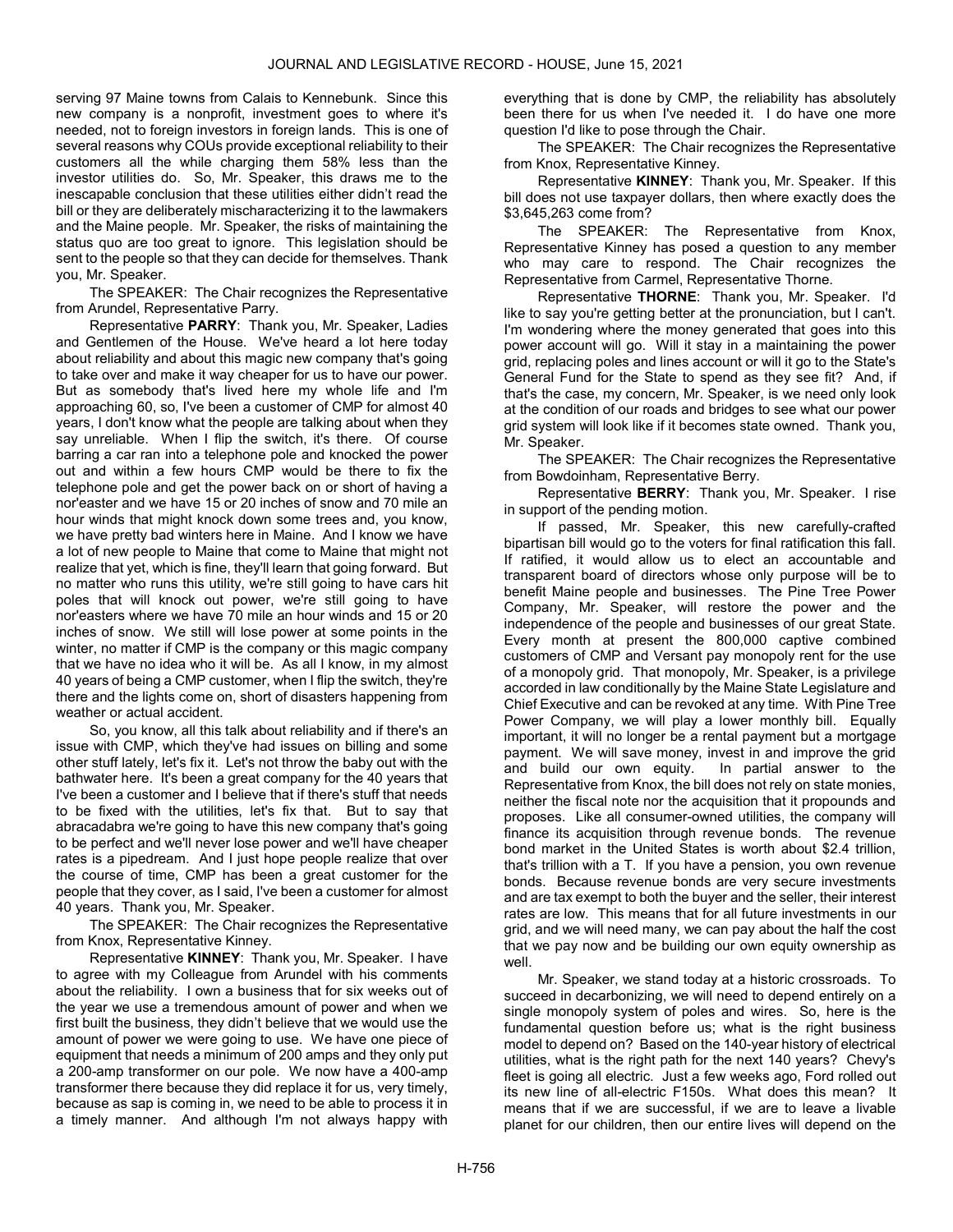serving 97 Maine towns from Calais to Kennebunk. Since this new company is a nonprofit, investment goes to where it's needed, not to foreign investors in foreign lands. This is one of several reasons why COUs provide exceptional reliability to their customers all the while charging them 58% less than the investor utilities do. So, Mr. Speaker, this draws me to the inescapable conclusion that these utilities either didn't read the bill or they are deliberately mischaracterizing it to the lawmakers and the Maine people. Mr. Speaker, the risks of maintaining the status quo are too great to ignore. This legislation should be sent to the people so that they can decide for themselves. Thank you, Mr. Speaker.

The SPEAKER: The Chair recognizes the Representative from Arundel, Representative Parry.

Representative PARRY: Thank you, Mr. Speaker, Ladies and Gentlemen of the House. We've heard a lot here today about reliability and about this magic new company that's going to take over and make it way cheaper for us to have our power. But as somebody that's lived here my whole life and I'm approaching 60, so, I've been a customer of CMP for almost 40 years, I don't know what the people are talking about when they say unreliable. When I flip the switch, it's there. Of course barring a car ran into a telephone pole and knocked the power out and within a few hours CMP would be there to fix the telephone pole and get the power back on or short of having a nor'easter and we have 15 or 20 inches of snow and 70 mile an hour winds that might knock down some trees and, you know, we have pretty bad winters here in Maine. And I know we have a lot of new people to Maine that come to Maine that might not realize that yet, which is fine, they'll learn that going forward. But no matter who runs this utility, we're still going to have cars hit poles that will knock out power, we're still going to have nor'easters where we have 70 mile an hour winds and 15 or 20 inches of snow. We still will lose power at some points in the winter, no matter if CMP is the company or this magic company that we have no idea who it will be. As all I know, in my almost 40 years of being a CMP customer, when I flip the switch, they're there and the lights come on, short of disasters happening from weather or actual accident.

So, you know, all this talk about reliability and if there's an issue with CMP, which they've had issues on billing and some other stuff lately, let's fix it. Let's not throw the baby out with the bathwater here. It's been a great company for the 40 years that I've been a customer and I believe that if there's stuff that needs to be fixed with the utilities, let's fix that. But to say that abracadabra we're going to have this new company that's going to be perfect and we'll never lose power and we'll have cheaper rates is a pipedream. And I just hope people realize that over the course of time, CMP has been a great customer for the people that they cover, as I said, I've been a customer for almost 40 years. Thank you, Mr. Speaker.

The SPEAKER: The Chair recognizes the Representative from Knox, Representative Kinney.

Representative KINNEY: Thank you, Mr. Speaker. I have to agree with my Colleague from Arundel with his comments about the reliability. I own a business that for six weeks out of the year we use a tremendous amount of power and when we first built the business, they didn't believe that we would use the amount of power we were going to use. We have one piece of equipment that needs a minimum of 200 amps and they only put a 200-amp transformer on our pole. We now have a 400-amp transformer there because they did replace it for us, very timely, because as sap is coming in, we need to be able to process it in a timely manner. And although I'm not always happy with

everything that is done by CMP, the reliability has absolutely been there for us when I've needed it. I do have one more question I'd like to pose through the Chair.

The SPEAKER: The Chair recognizes the Representative from Knox, Representative Kinney.

Representative KINNEY: Thank you, Mr. Speaker. If this bill does not use taxpayer dollars, then where exactly does the \$3,645,263 come from?

The SPEAKER: The Representative from Knox, Representative Kinney has posed a question to any member who may care to respond. The Chair recognizes the Representative from Carmel, Representative Thorne.

Representative THORNE: Thank you, Mr. Speaker. I'd like to say you're getting better at the pronunciation, but I can't. I'm wondering where the money generated that goes into this power account will go. Will it stay in a maintaining the power grid, replacing poles and lines account or will it go to the State's General Fund for the State to spend as they see fit? And, if that's the case, my concern, Mr. Speaker, is we need only look at the condition of our roads and bridges to see what our power grid system will look like if it becomes state owned. Thank you, Mr. Speaker.

The SPEAKER: The Chair recognizes the Representative from Bowdoinham, Representative Berry.

Representative BERRY: Thank you, Mr. Speaker. I rise in support of the pending motion.

If passed, Mr. Speaker, this new carefully-crafted bipartisan bill would go to the voters for final ratification this fall. If ratified, it would allow us to elect an accountable and transparent board of directors whose only purpose will be to benefit Maine people and businesses. The Pine Tree Power Company, Mr. Speaker, will restore the power and the independence of the people and businesses of our great State. Every month at present the 800,000 captive combined customers of CMP and Versant pay monopoly rent for the use of a monopoly grid. That monopoly, Mr. Speaker, is a privilege accorded in law conditionally by the Maine State Legislature and Chief Executive and can be revoked at any time. With Pine Tree Power Company, we will play a lower monthly bill. Equally important, it will no longer be a rental payment but a mortgage payment. We will save money, invest in and improve the grid and build our own equity. In partial answer to the Representative from Knox, the bill does not rely on state monies, neither the fiscal note nor the acquisition that it propounds and proposes. Like all consumer-owned utilities, the company will finance its acquisition through revenue bonds. The revenue bond market in the United States is worth about \$2.4 trillion, that's trillion with a T. If you have a pension, you own revenue bonds. Because revenue bonds are very secure investments and are tax exempt to both the buyer and the seller, their interest rates are low. This means that for all future investments in our grid, and we will need many, we can pay about the half the cost that we pay now and be building our own equity ownership as well.

Mr. Speaker, we stand today at a historic crossroads. To succeed in decarbonizing, we will need to depend entirely on a single monopoly system of poles and wires. So, here is the fundamental question before us; what is the right business model to depend on? Based on the 140-year history of electrical utilities, what is the right path for the next 140 years? Chevy's fleet is going all electric. Just a few weeks ago, Ford rolled out its new line of all-electric F150s. What does this mean? It means that if we are successful, if we are to leave a livable planet for our children, then our entire lives will depend on the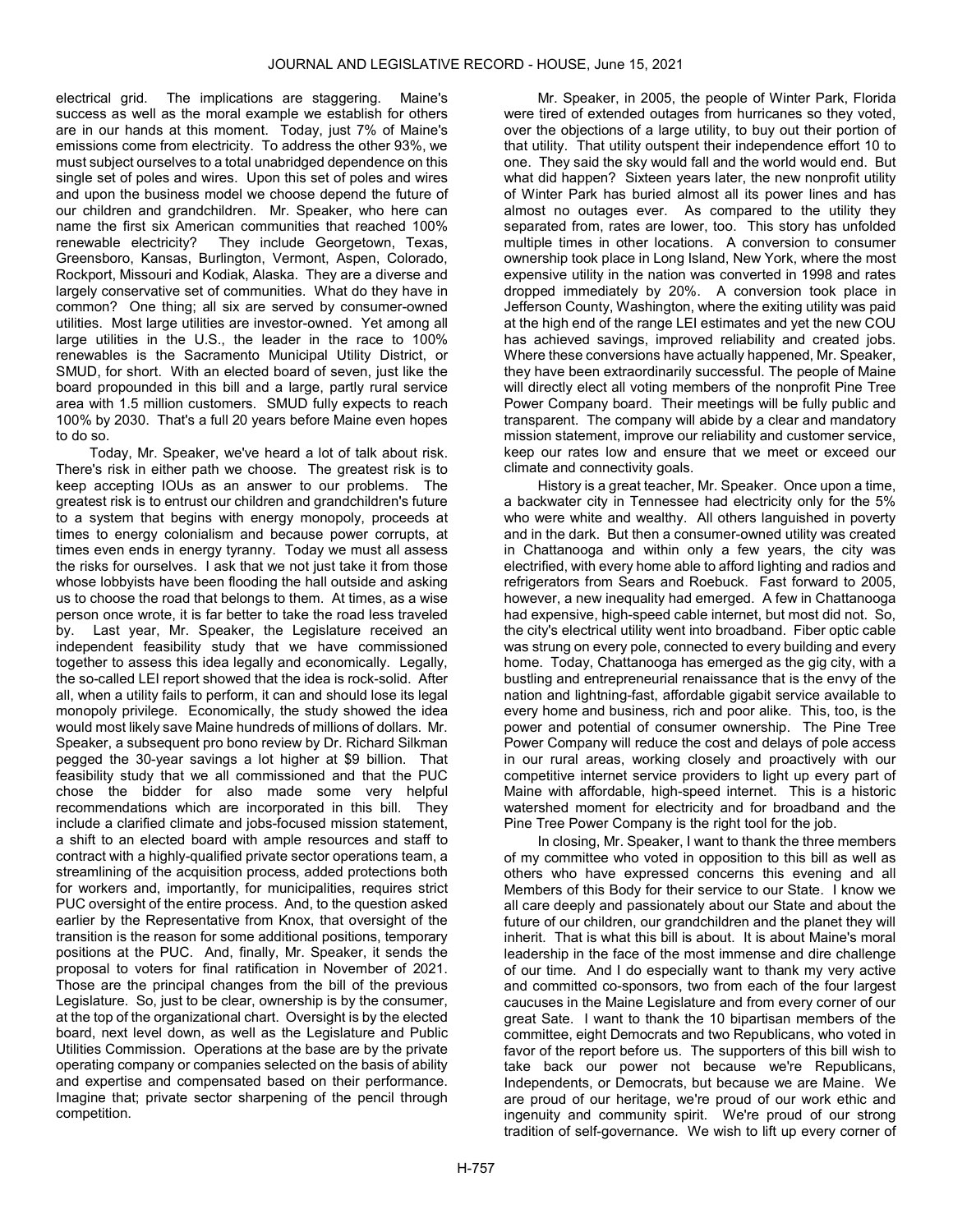electrical grid. The implications are staggering. Maine's success as well as the moral example we establish for others are in our hands at this moment. Today, just 7% of Maine's emissions come from electricity. To address the other 93%, we must subject ourselves to a total unabridged dependence on this single set of poles and wires. Upon this set of poles and wires and upon the business model we choose depend the future of our children and grandchildren. Mr. Speaker, who here can name the first six American communities that reached 100% renewable electricity? They include Georgetown, Texas, Greensboro, Kansas, Burlington, Vermont, Aspen, Colorado, Rockport, Missouri and Kodiak, Alaska. They are a diverse and largely conservative set of communities. What do they have in common? One thing; all six are served by consumer-owned utilities. Most large utilities are investor-owned. Yet among all large utilities in the U.S., the leader in the race to 100% renewables is the Sacramento Municipal Utility District, or SMUD, for short. With an elected board of seven, just like the board propounded in this bill and a large, partly rural service area with 1.5 million customers. SMUD fully expects to reach 100% by 2030. That's a full 20 years before Maine even hopes to do so.

Today, Mr. Speaker, we've heard a lot of talk about risk. There's risk in either path we choose. The greatest risk is to keep accepting IOUs as an answer to our problems. The greatest risk is to entrust our children and grandchildren's future to a system that begins with energy monopoly, proceeds at times to energy colonialism and because power corrupts, at times even ends in energy tyranny. Today we must all assess the risks for ourselves. I ask that we not just take it from those whose lobbyists have been flooding the hall outside and asking us to choose the road that belongs to them. At times, as a wise person once wrote, it is far better to take the road less traveled by. Last year, Mr. Speaker, the Legislature received an independent feasibility study that we have commissioned together to assess this idea legally and economically. Legally, the so-called LEI report showed that the idea is rock-solid. After all, when a utility fails to perform, it can and should lose its legal monopoly privilege. Economically, the study showed the idea would most likely save Maine hundreds of millions of dollars. Mr. Speaker, a subsequent pro bono review by Dr. Richard Silkman pegged the 30-year savings a lot higher at \$9 billion. That feasibility study that we all commissioned and that the PUC chose the bidder for also made some very helpful recommendations which are incorporated in this bill. They include a clarified climate and jobs-focused mission statement, a shift to an elected board with ample resources and staff to contract with a highly-qualified private sector operations team, a streamlining of the acquisition process, added protections both for workers and, importantly, for municipalities, requires strict PUC oversight of the entire process. And, to the question asked earlier by the Representative from Knox, that oversight of the transition is the reason for some additional positions, temporary positions at the PUC. And, finally, Mr. Speaker, it sends the proposal to voters for final ratification in November of 2021. Those are the principal changes from the bill of the previous Legislature. So, just to be clear, ownership is by the consumer, at the top of the organizational chart. Oversight is by the elected board, next level down, as well as the Legislature and Public Utilities Commission. Operations at the base are by the private operating company or companies selected on the basis of ability and expertise and compensated based on their performance. Imagine that; private sector sharpening of the pencil through competition.

Mr. Speaker, in 2005, the people of Winter Park, Florida were tired of extended outages from hurricanes so they voted, over the objections of a large utility, to buy out their portion of that utility. That utility outspent their independence effort 10 to one. They said the sky would fall and the world would end. But what did happen? Sixteen years later, the new nonprofit utility of Winter Park has buried almost all its power lines and has almost no outages ever. As compared to the utility they separated from, rates are lower, too. This story has unfolded multiple times in other locations. A conversion to consumer ownership took place in Long Island, New York, where the most expensive utility in the nation was converted in 1998 and rates dropped immediately by 20%. A conversion took place in Jefferson County, Washington, where the exiting utility was paid at the high end of the range LEI estimates and yet the new COU has achieved savings, improved reliability and created jobs. Where these conversions have actually happened, Mr. Speaker, they have been extraordinarily successful. The people of Maine will directly elect all voting members of the nonprofit Pine Tree Power Company board. Their meetings will be fully public and transparent. The company will abide by a clear and mandatory mission statement, improve our reliability and customer service, keep our rates low and ensure that we meet or exceed our climate and connectivity goals.

History is a great teacher, Mr. Speaker. Once upon a time, a backwater city in Tennessee had electricity only for the 5% who were white and wealthy. All others languished in poverty and in the dark. But then a consumer-owned utility was created in Chattanooga and within only a few years, the city was electrified, with every home able to afford lighting and radios and refrigerators from Sears and Roebuck. Fast forward to 2005, however, a new inequality had emerged. A few in Chattanooga had expensive, high-speed cable internet, but most did not. So, the city's electrical utility went into broadband. Fiber optic cable was strung on every pole, connected to every building and every home. Today, Chattanooga has emerged as the gig city, with a bustling and entrepreneurial renaissance that is the envy of the nation and lightning-fast, affordable gigabit service available to every home and business, rich and poor alike. This, too, is the power and potential of consumer ownership. The Pine Tree Power Company will reduce the cost and delays of pole access in our rural areas, working closely and proactively with our competitive internet service providers to light up every part of Maine with affordable, high-speed internet. This is a historic watershed moment for electricity and for broadband and the Pine Tree Power Company is the right tool for the job.

In closing, Mr. Speaker, I want to thank the three members of my committee who voted in opposition to this bill as well as others who have expressed concerns this evening and all Members of this Body for their service to our State. I know we all care deeply and passionately about our State and about the future of our children, our grandchildren and the planet they will inherit. That is what this bill is about. It is about Maine's moral leadership in the face of the most immense and dire challenge of our time. And I do especially want to thank my very active and committed co-sponsors, two from each of the four largest caucuses in the Maine Legislature and from every corner of our great Sate. I want to thank the 10 bipartisan members of the committee, eight Democrats and two Republicans, who voted in favor of the report before us. The supporters of this bill wish to take back our power not because we're Republicans, Independents, or Democrats, but because we are Maine. We are proud of our heritage, we're proud of our work ethic and ingenuity and community spirit. We're proud of our strong tradition of self-governance. We wish to lift up every corner of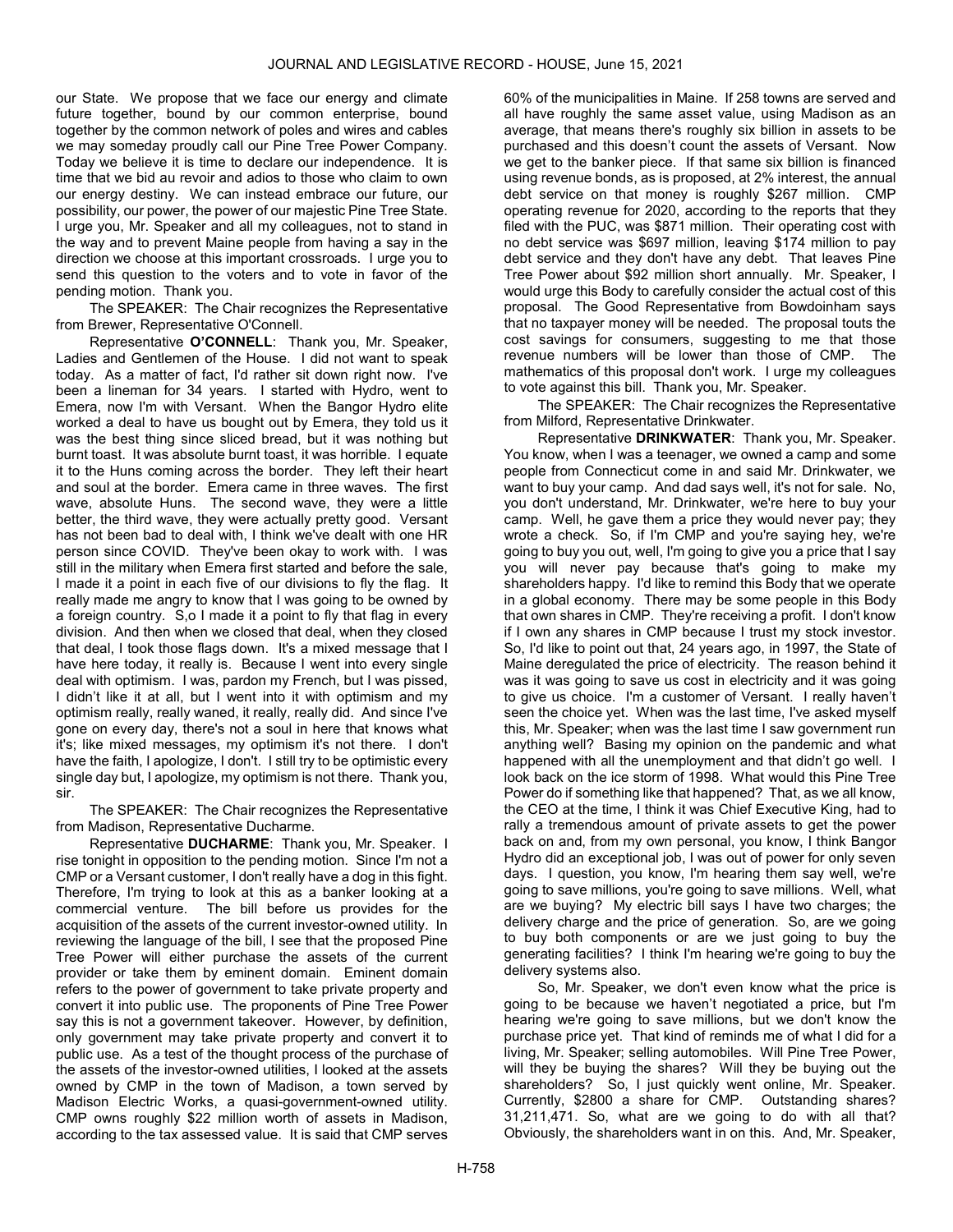our State. We propose that we face our energy and climate future together, bound by our common enterprise, bound together by the common network of poles and wires and cables we may someday proudly call our Pine Tree Power Company. Today we believe it is time to declare our independence. It is time that we bid au revoir and adios to those who claim to own our energy destiny. We can instead embrace our future, our possibility, our power, the power of our majestic Pine Tree State. I urge you, Mr. Speaker and all my colleagues, not to stand in the way and to prevent Maine people from having a say in the direction we choose at this important crossroads. I urge you to send this question to the voters and to vote in favor of the pending motion. Thank you.

The SPEAKER: The Chair recognizes the Representative from Brewer, Representative O'Connell.

Representative O'CONNELL: Thank you, Mr. Speaker, Ladies and Gentlemen of the House. I did not want to speak today. As a matter of fact, I'd rather sit down right now. I've been a lineman for 34 years. I started with Hydro, went to Emera, now I'm with Versant. When the Bangor Hydro elite worked a deal to have us bought out by Emera, they told us it was the best thing since sliced bread, but it was nothing but burnt toast. It was absolute burnt toast, it was horrible. I equate it to the Huns coming across the border. They left their heart and soul at the border. Emera came in three waves. The first wave, absolute Huns. The second wave, they were a little better, the third wave, they were actually pretty good. Versant has not been bad to deal with, I think we've dealt with one HR person since COVID. They've been okay to work with. I was still in the military when Emera first started and before the sale, I made it a point in each five of our divisions to fly the flag. It really made me angry to know that I was going to be owned by a foreign country. S,o I made it a point to fly that flag in every division. And then when we closed that deal, when they closed that deal, I took those flags down. It's a mixed message that I have here today, it really is. Because I went into every single deal with optimism. I was, pardon my French, but I was pissed, I didn't like it at all, but I went into it with optimism and my optimism really, really waned, it really, really did. And since I've gone on every day, there's not a soul in here that knows what it's; like mixed messages, my optimism it's not there. I don't have the faith, I apologize, I don't. I still try to be optimistic every single day but, I apologize, my optimism is not there. Thank you, sir.

The SPEAKER: The Chair recognizes the Representative from Madison, Representative Ducharme.

Representative DUCHARME: Thank you, Mr. Speaker. I rise tonight in opposition to the pending motion. Since I'm not a CMP or a Versant customer, I don't really have a dog in this fight. Therefore, I'm trying to look at this as a banker looking at a commercial venture. The bill before us provides for the acquisition of the assets of the current investor-owned utility. In reviewing the language of the bill, I see that the proposed Pine Tree Power will either purchase the assets of the current provider or take them by eminent domain. Eminent domain refers to the power of government to take private property and convert it into public use. The proponents of Pine Tree Power say this is not a government takeover. However, by definition, only government may take private property and convert it to public use. As a test of the thought process of the purchase of the assets of the investor-owned utilities, I looked at the assets owned by CMP in the town of Madison, a town served by Madison Electric Works, a quasi-government-owned utility. CMP owns roughly \$22 million worth of assets in Madison, according to the tax assessed value. It is said that CMP serves

60% of the municipalities in Maine. If 258 towns are served and all have roughly the same asset value, using Madison as an average, that means there's roughly six billion in assets to be purchased and this doesn't count the assets of Versant. Now we get to the banker piece. If that same six billion is financed using revenue bonds, as is proposed, at 2% interest, the annual debt service on that money is roughly \$267 million. CMP operating revenue for 2020, according to the reports that they filed with the PUC, was \$871 million. Their operating cost with no debt service was \$697 million, leaving \$174 million to pay debt service and they don't have any debt. That leaves Pine Tree Power about \$92 million short annually. Mr. Speaker, I would urge this Body to carefully consider the actual cost of this proposal. The Good Representative from Bowdoinham says that no taxpayer money will be needed. The proposal touts the cost savings for consumers, suggesting to me that those revenue numbers will be lower than those of CMP. The mathematics of this proposal don't work. I urge my colleagues to vote against this bill. Thank you, Mr. Speaker.

The SPEAKER: The Chair recognizes the Representative from Milford, Representative Drinkwater.

Representative DRINKWATER: Thank you, Mr. Speaker. You know, when I was a teenager, we owned a camp and some people from Connecticut come in and said Mr. Drinkwater, we want to buy your camp. And dad says well, it's not for sale. No, you don't understand, Mr. Drinkwater, we're here to buy your camp. Well, he gave them a price they would never pay; they wrote a check. So, if I'm CMP and you're saying hey, we're going to buy you out, well, I'm going to give you a price that I say you will never pay because that's going to make my shareholders happy. I'd like to remind this Body that we operate in a global economy. There may be some people in this Body that own shares in CMP. They're receiving a profit. I don't know if I own any shares in CMP because I trust my stock investor. So, I'd like to point out that, 24 years ago, in 1997, the State of Maine deregulated the price of electricity. The reason behind it was it was going to save us cost in electricity and it was going to give us choice. I'm a customer of Versant. I really haven't seen the choice yet. When was the last time, I've asked myself this, Mr. Speaker; when was the last time I saw government run anything well? Basing my opinion on the pandemic and what happened with all the unemployment and that didn't go well. I look back on the ice storm of 1998. What would this Pine Tree Power do if something like that happened? That, as we all know, the CEO at the time, I think it was Chief Executive King, had to rally a tremendous amount of private assets to get the power back on and, from my own personal, you know, I think Bangor Hydro did an exceptional job, I was out of power for only seven days. I question, you know, I'm hearing them say well, we're going to save millions, you're going to save millions. Well, what are we buying? My electric bill says I have two charges; the delivery charge and the price of generation. So, are we going to buy both components or are we just going to buy the generating facilities? I think I'm hearing we're going to buy the delivery systems also.

So, Mr. Speaker, we don't even know what the price is going to be because we haven't negotiated a price, but I'm hearing we're going to save millions, but we don't know the purchase price yet. That kind of reminds me of what I did for a living, Mr. Speaker; selling automobiles. Will Pine Tree Power, will they be buying the shares? Will they be buying out the shareholders? So, I just quickly went online, Mr. Speaker. Currently, \$2800 a share for CMP. Outstanding shares? 31,211,471. So, what are we going to do with all that? Obviously, the shareholders want in on this. And, Mr. Speaker,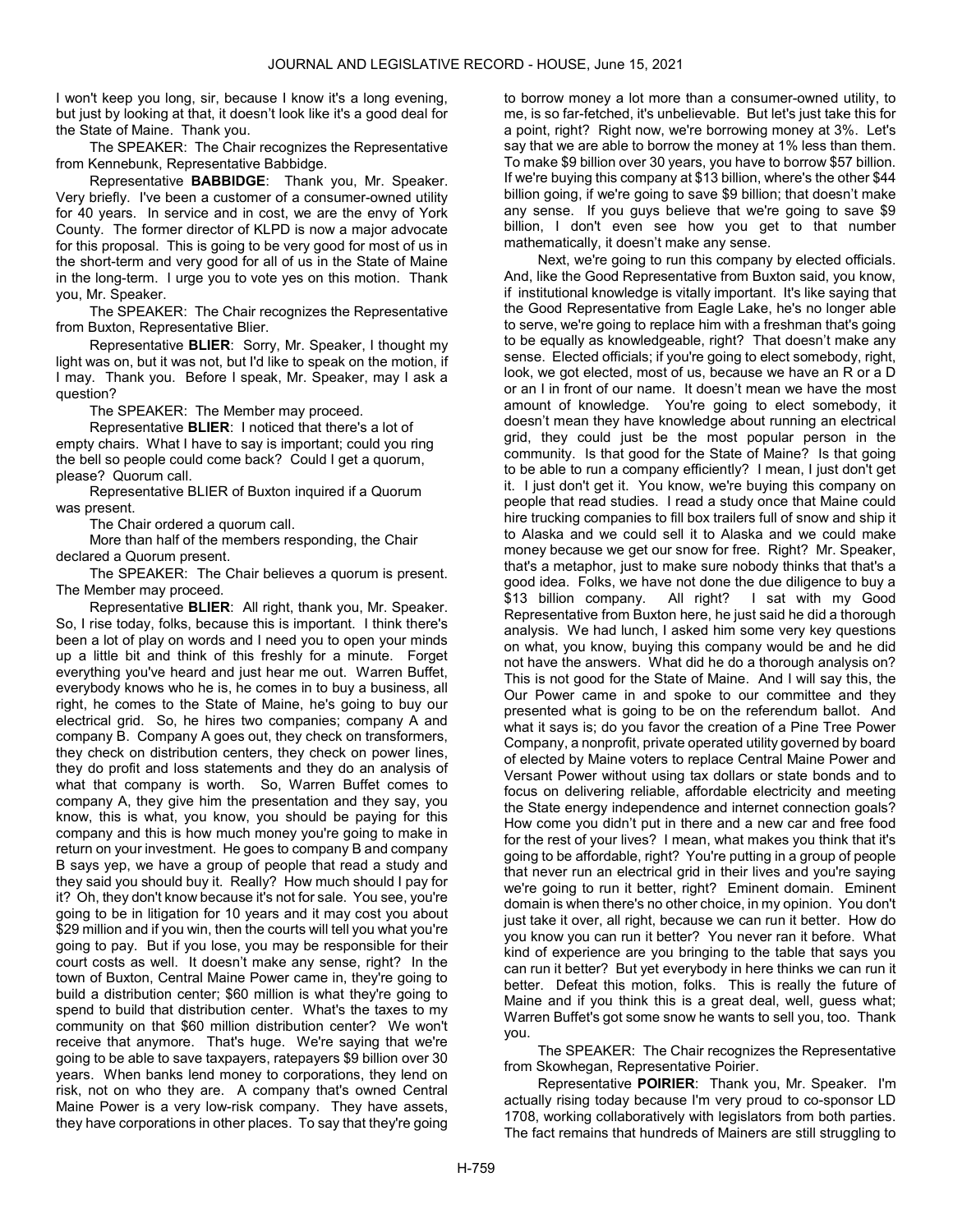I won't keep you long, sir, because I know it's a long evening, but just by looking at that, it doesn't look like it's a good deal for the State of Maine. Thank you.

The SPEAKER: The Chair recognizes the Representative from Kennebunk, Representative Babbidge.

Representative BABBIDGE: Thank you, Mr. Speaker. Very briefly. I've been a customer of a consumer-owned utility for 40 years. In service and in cost, we are the envy of York County. The former director of KLPD is now a major advocate for this proposal. This is going to be very good for most of us in the short-term and very good for all of us in the State of Maine in the long-term. I urge you to vote yes on this motion. Thank you, Mr. Speaker.

The SPEAKER: The Chair recognizes the Representative from Buxton, Representative Blier.

Representative BLIER: Sorry, Mr. Speaker, I thought my light was on, but it was not, but I'd like to speak on the motion, if I may. Thank you. Before I speak, Mr. Speaker, may I ask a question?

The SPEAKER: The Member may proceed.

Representative BLIER: I noticed that there's a lot of empty chairs. What I have to say is important; could you ring the bell so people could come back? Could I get a quorum, please? Quorum call.

 Representative BLIER of Buxton inquired if a Quorum was present.

The Chair ordered a quorum call.

 More than half of the members responding, the Chair declared a Quorum present.

The SPEAKER: The Chair believes a quorum is present. The Member may proceed.

Representative BLIER: All right, thank you, Mr. Speaker. So, I rise today, folks, because this is important. I think there's been a lot of play on words and I need you to open your minds up a little bit and think of this freshly for a minute. Forget everything you've heard and just hear me out. Warren Buffet, everybody knows who he is, he comes in to buy a business, all right, he comes to the State of Maine, he's going to buy our electrical grid. So, he hires two companies; company A and company B. Company A goes out, they check on transformers, they check on distribution centers, they check on power lines, they do profit and loss statements and they do an analysis of what that company is worth. So, Warren Buffet comes to company A, they give him the presentation and they say, you know, this is what, you know, you should be paying for this company and this is how much money you're going to make in return on your investment. He goes to company B and company B says yep, we have a group of people that read a study and they said you should buy it. Really? How much should I pay for it? Oh, they don't know because it's not for sale. You see, you're going to be in litigation for 10 years and it may cost you about \$29 million and if you win, then the courts will tell you what you're going to pay. But if you lose, you may be responsible for their court costs as well. It doesn't make any sense, right? In the town of Buxton, Central Maine Power came in, they're going to build a distribution center; \$60 million is what they're going to spend to build that distribution center. What's the taxes to my community on that \$60 million distribution center? We won't receive that anymore. That's huge. We're saying that we're going to be able to save taxpayers, ratepayers \$9 billion over 30 years. When banks lend money to corporations, they lend on risk, not on who they are. A company that's owned Central Maine Power is a very low-risk company. They have assets, they have corporations in other places. To say that they're going

to borrow money a lot more than a consumer-owned utility, to me, is so far-fetched, it's unbelievable. But let's just take this for a point, right? Right now, we're borrowing money at 3%. Let's say that we are able to borrow the money at 1% less than them. To make \$9 billion over 30 years, you have to borrow \$57 billion. If we're buying this company at \$13 billion, where's the other \$44 billion going, if we're going to save \$9 billion; that doesn't make any sense. If you guys believe that we're going to save \$9 billion, I don't even see how you get to that number mathematically, it doesn't make any sense.

Next, we're going to run this company by elected officials. And, like the Good Representative from Buxton said, you know, if institutional knowledge is vitally important. It's like saying that the Good Representative from Eagle Lake, he's no longer able to serve, we're going to replace him with a freshman that's going to be equally as knowledgeable, right? That doesn't make any sense. Elected officials; if you're going to elect somebody, right, look, we got elected, most of us, because we have an R or a D or an I in front of our name. It doesn't mean we have the most amount of knowledge. You're going to elect somebody, it doesn't mean they have knowledge about running an electrical grid, they could just be the most popular person in the community. Is that good for the State of Maine? Is that going to be able to run a company efficiently? I mean, I just don't get it. I just don't get it. You know, we're buying this company on people that read studies. I read a study once that Maine could hire trucking companies to fill box trailers full of snow and ship it to Alaska and we could sell it to Alaska and we could make money because we get our snow for free. Right? Mr. Speaker, that's a metaphor, just to make sure nobody thinks that that's a good idea. Folks, we have not done the due diligence to buy a \$13 billion company. All right? I sat with my Good Representative from Buxton here, he just said he did a thorough analysis. We had lunch, I asked him some very key questions on what, you know, buying this company would be and he did not have the answers. What did he do a thorough analysis on? This is not good for the State of Maine. And I will say this, the Our Power came in and spoke to our committee and they presented what is going to be on the referendum ballot. And what it says is; do you favor the creation of a Pine Tree Power Company, a nonprofit, private operated utility governed by board of elected by Maine voters to replace Central Maine Power and Versant Power without using tax dollars or state bonds and to focus on delivering reliable, affordable electricity and meeting the State energy independence and internet connection goals? How come you didn't put in there and a new car and free food for the rest of your lives? I mean, what makes you think that it's going to be affordable, right? You're putting in a group of people that never run an electrical grid in their lives and you're saying we're going to run it better, right? Eminent domain. Eminent domain is when there's no other choice, in my opinion. You don't just take it over, all right, because we can run it better. How do you know you can run it better? You never ran it before. What kind of experience are you bringing to the table that says you can run it better? But yet everybody in here thinks we can run it better. Defeat this motion, folks. This is really the future of Maine and if you think this is a great deal, well, guess what; Warren Buffet's got some snow he wants to sell you, too. Thank you.

The SPEAKER: The Chair recognizes the Representative from Skowhegan, Representative Poirier.

Representative POIRIER: Thank you, Mr. Speaker. I'm actually rising today because I'm very proud to co-sponsor LD 1708, working collaboratively with legislators from both parties. The fact remains that hundreds of Mainers are still struggling to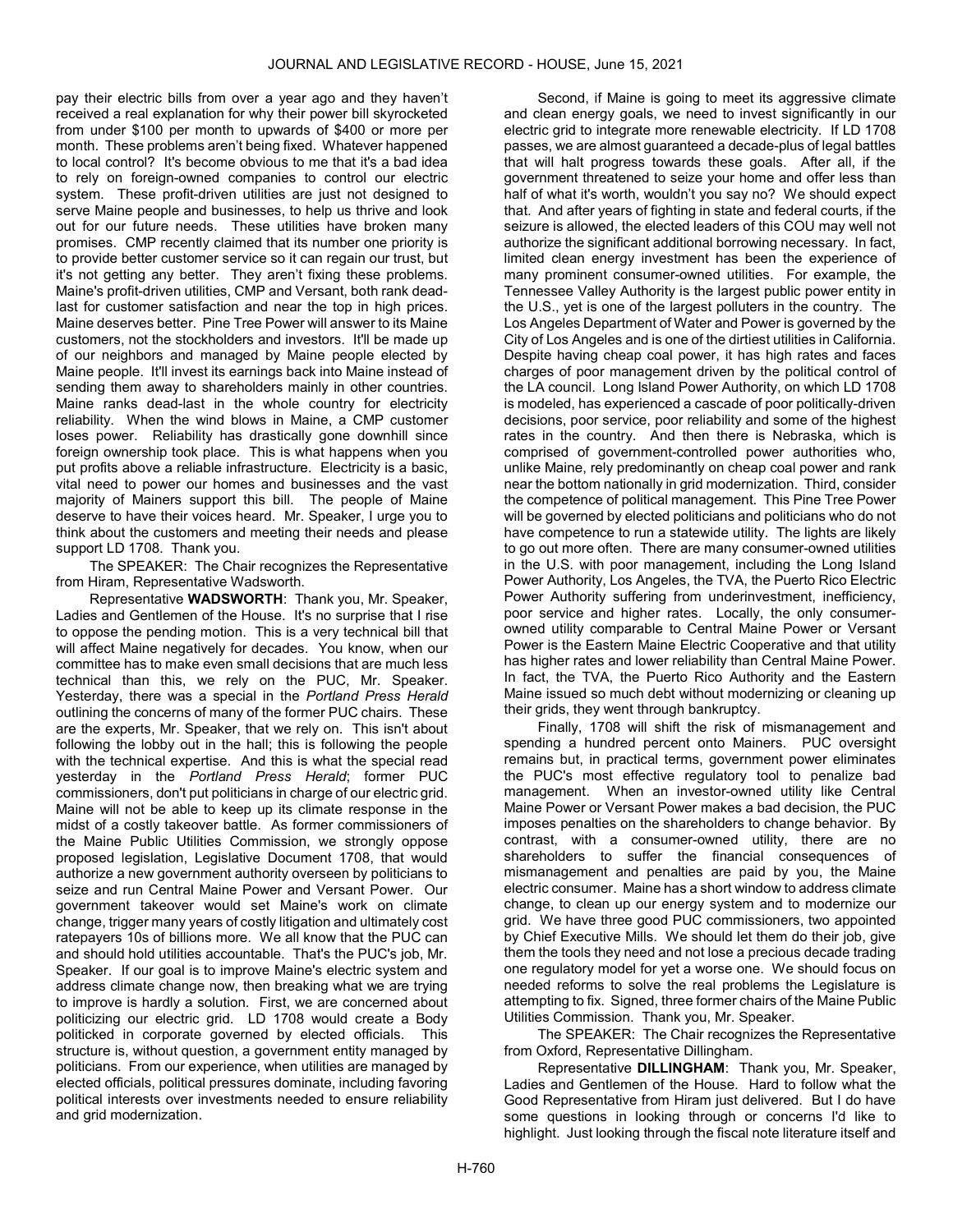pay their electric bills from over a year ago and they haven't received a real explanation for why their power bill skyrocketed from under \$100 per month to upwards of \$400 or more per month. These problems aren't being fixed. Whatever happened to local control? It's become obvious to me that it's a bad idea to rely on foreign-owned companies to control our electric system. These profit-driven utilities are just not designed to serve Maine people and businesses, to help us thrive and look out for our future needs. These utilities have broken many promises. CMP recently claimed that its number one priority is to provide better customer service so it can regain our trust, but it's not getting any better. They aren't fixing these problems. Maine's profit-driven utilities, CMP and Versant, both rank deadlast for customer satisfaction and near the top in high prices. Maine deserves better. Pine Tree Power will answer to its Maine customers, not the stockholders and investors. It'll be made up of our neighbors and managed by Maine people elected by Maine people. It'll invest its earnings back into Maine instead of sending them away to shareholders mainly in other countries. Maine ranks dead-last in the whole country for electricity reliability. When the wind blows in Maine, a CMP customer loses power. Reliability has drastically gone downhill since foreign ownership took place. This is what happens when you put profits above a reliable infrastructure. Electricity is a basic, vital need to power our homes and businesses and the vast majority of Mainers support this bill. The people of Maine deserve to have their voices heard. Mr. Speaker, I urge you to think about the customers and meeting their needs and please support LD 1708. Thank you.

The SPEAKER: The Chair recognizes the Representative from Hiram, Representative Wadsworth.

Representative WADSWORTH: Thank you, Mr. Speaker, Ladies and Gentlemen of the House. It's no surprise that I rise to oppose the pending motion. This is a very technical bill that will affect Maine negatively for decades. You know, when our committee has to make even small decisions that are much less technical than this, we rely on the PUC, Mr. Speaker. Yesterday, there was a special in the Portland Press Herald outlining the concerns of many of the former PUC chairs. These are the experts, Mr. Speaker, that we rely on. This isn't about following the lobby out in the hall; this is following the people with the technical expertise. And this is what the special read yesterday in the Portland Press Herald; former PUC commissioners, don't put politicians in charge of our electric grid. Maine will not be able to keep up its climate response in the midst of a costly takeover battle. As former commissioners of the Maine Public Utilities Commission, we strongly oppose proposed legislation, Legislative Document 1708, that would authorize a new government authority overseen by politicians to seize and run Central Maine Power and Versant Power. Our government takeover would set Maine's work on climate change, trigger many years of costly litigation and ultimately cost ratepayers 10s of billions more. We all know that the PUC can and should hold utilities accountable. That's the PUC's job, Mr. Speaker. If our goal is to improve Maine's electric system and address climate change now, then breaking what we are trying to improve is hardly a solution. First, we are concerned about politicizing our electric grid. LD 1708 would create a Body politicked in corporate governed by elected officials. This structure is, without question, a government entity managed by politicians. From our experience, when utilities are managed by elected officials, political pressures dominate, including favoring political interests over investments needed to ensure reliability and grid modernization.

Second, if Maine is going to meet its aggressive climate and clean energy goals, we need to invest significantly in our electric grid to integrate more renewable electricity. If LD 1708 passes, we are almost guaranteed a decade-plus of legal battles that will halt progress towards these goals. After all, if the government threatened to seize your home and offer less than half of what it's worth, wouldn't you say no? We should expect that. And after years of fighting in state and federal courts, if the seizure is allowed, the elected leaders of this COU may well not authorize the significant additional borrowing necessary. In fact, limited clean energy investment has been the experience of many prominent consumer-owned utilities. For example, the Tennessee Valley Authority is the largest public power entity in the U.S., yet is one of the largest polluters in the country. The Los Angeles Department of Water and Power is governed by the City of Los Angeles and is one of the dirtiest utilities in California. Despite having cheap coal power, it has high rates and faces charges of poor management driven by the political control of the LA council. Long Island Power Authority, on which LD 1708 is modeled, has experienced a cascade of poor politically-driven decisions, poor service, poor reliability and some of the highest rates in the country. And then there is Nebraska, which is comprised of government-controlled power authorities who, unlike Maine, rely predominantly on cheap coal power and rank near the bottom nationally in grid modernization. Third, consider the competence of political management. This Pine Tree Power will be governed by elected politicians and politicians who do not have competence to run a statewide utility. The lights are likely to go out more often. There are many consumer-owned utilities in the U.S. with poor management, including the Long Island Power Authority, Los Angeles, the TVA, the Puerto Rico Electric Power Authority suffering from underinvestment, inefficiency, poor service and higher rates. Locally, the only consumerowned utility comparable to Central Maine Power or Versant Power is the Eastern Maine Electric Cooperative and that utility has higher rates and lower reliability than Central Maine Power. In fact, the TVA, the Puerto Rico Authority and the Eastern Maine issued so much debt without modernizing or cleaning up their grids, they went through bankruptcy.

Finally, 1708 will shift the risk of mismanagement and spending a hundred percent onto Mainers. PUC oversight remains but, in practical terms, government power eliminates the PUC's most effective regulatory tool to penalize bad management. When an investor-owned utility like Central Maine Power or Versant Power makes a bad decision, the PUC imposes penalties on the shareholders to change behavior. By contrast, with a consumer-owned utility, there are no shareholders to suffer the financial consequences of mismanagement and penalties are paid by you, the Maine electric consumer. Maine has a short window to address climate change, to clean up our energy system and to modernize our grid. We have three good PUC commissioners, two appointed by Chief Executive Mills. We should let them do their job, give them the tools they need and not lose a precious decade trading one regulatory model for yet a worse one. We should focus on needed reforms to solve the real problems the Legislature is attempting to fix. Signed, three former chairs of the Maine Public Utilities Commission. Thank you, Mr. Speaker.

The SPEAKER: The Chair recognizes the Representative from Oxford, Representative Dillingham.

Representative DILLINGHAM: Thank you, Mr. Speaker, Ladies and Gentlemen of the House. Hard to follow what the Good Representative from Hiram just delivered. But I do have some questions in looking through or concerns I'd like to highlight. Just looking through the fiscal note literature itself and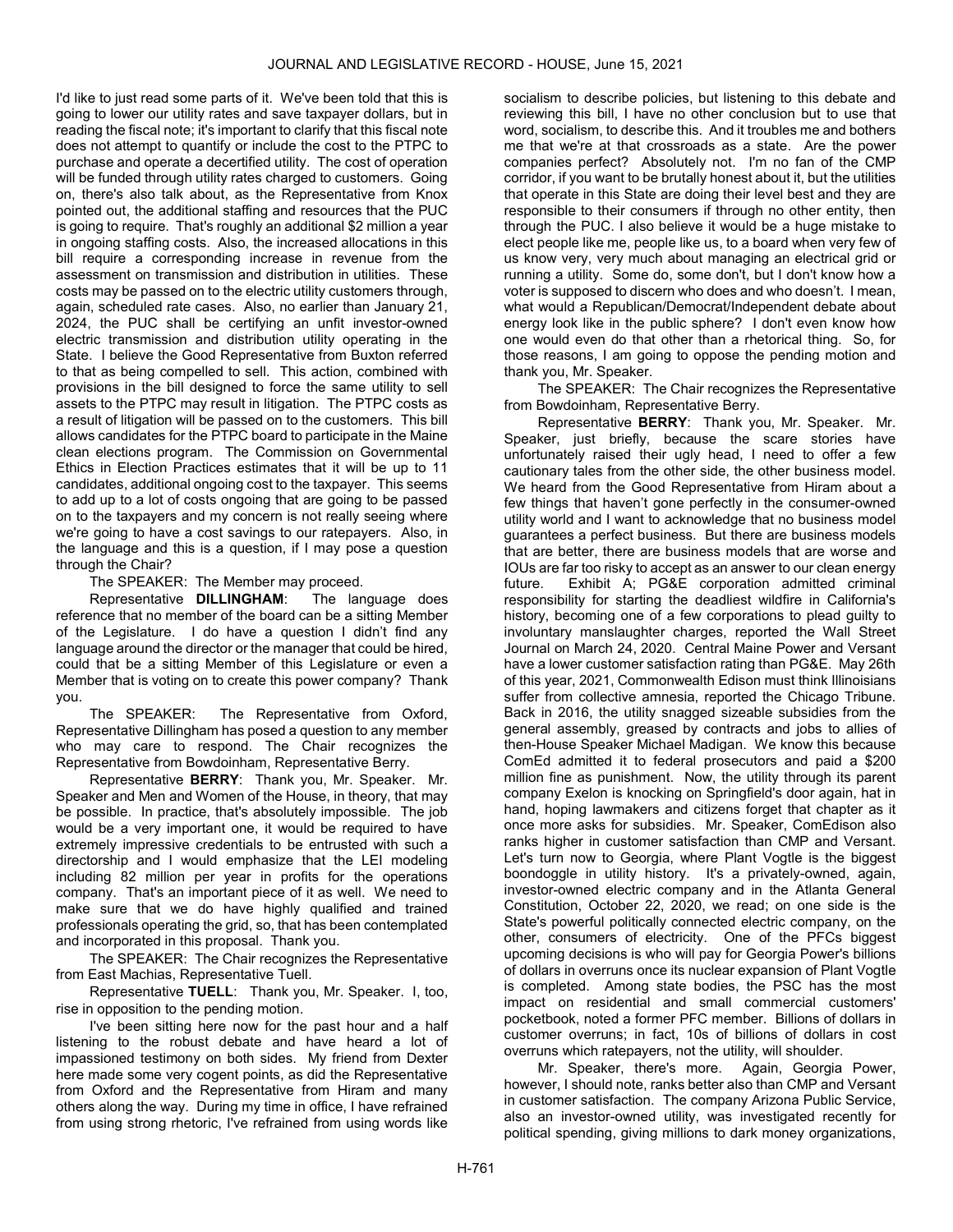I'd like to just read some parts of it. We've been told that this is going to lower our utility rates and save taxpayer dollars, but in reading the fiscal note; it's important to clarify that this fiscal note does not attempt to quantify or include the cost to the PTPC to purchase and operate a decertified utility. The cost of operation will be funded through utility rates charged to customers. Going on, there's also talk about, as the Representative from Knox pointed out, the additional staffing and resources that the PUC is going to require. That's roughly an additional \$2 million a year in ongoing staffing costs. Also, the increased allocations in this bill require a corresponding increase in revenue from the assessment on transmission and distribution in utilities. These costs may be passed on to the electric utility customers through, again, scheduled rate cases. Also, no earlier than January 21, 2024, the PUC shall be certifying an unfit investor-owned electric transmission and distribution utility operating in the State. I believe the Good Representative from Buxton referred to that as being compelled to sell. This action, combined with provisions in the bill designed to force the same utility to sell assets to the PTPC may result in litigation. The PTPC costs as a result of litigation will be passed on to the customers. This bill allows candidates for the PTPC board to participate in the Maine clean elections program. The Commission on Governmental Ethics in Election Practices estimates that it will be up to 11 candidates, additional ongoing cost to the taxpayer. This seems to add up to a lot of costs ongoing that are going to be passed on to the taxpayers and my concern is not really seeing where we're going to have a cost savings to our ratepayers. Also, in the language and this is a question, if I may pose a question through the Chair?

The SPEAKER: The Member may proceed.

Representative DILLINGHAM: The language does reference that no member of the board can be a sitting Member of the Legislature. I do have a question I didn't find any language around the director or the manager that could be hired, could that be a sitting Member of this Legislature or even a Member that is voting on to create this power company? Thank you.

The SPEAKER: The Representative from Oxford, Representative Dillingham has posed a question to any member who may care to respond. The Chair recognizes the Representative from Bowdoinham, Representative Berry.

Representative BERRY: Thank you, Mr. Speaker. Mr. Speaker and Men and Women of the House, in theory, that may be possible. In practice, that's absolutely impossible. The job would be a very important one, it would be required to have extremely impressive credentials to be entrusted with such a directorship and I would emphasize that the LEI modeling including 82 million per year in profits for the operations company. That's an important piece of it as well. We need to make sure that we do have highly qualified and trained professionals operating the grid, so, that has been contemplated and incorporated in this proposal. Thank you.

The SPEAKER: The Chair recognizes the Representative from East Machias, Representative Tuell.

Representative TUELL: Thank you, Mr. Speaker. I, too, rise in opposition to the pending motion.

I've been sitting here now for the past hour and a half listening to the robust debate and have heard a lot of impassioned testimony on both sides. My friend from Dexter here made some very cogent points, as did the Representative from Oxford and the Representative from Hiram and many others along the way. During my time in office, I have refrained from using strong rhetoric, I've refrained from using words like

socialism to describe policies, but listening to this debate and reviewing this bill, I have no other conclusion but to use that word, socialism, to describe this. And it troubles me and bothers me that we're at that crossroads as a state. Are the power companies perfect? Absolutely not. I'm no fan of the CMP corridor, if you want to be brutally honest about it, but the utilities that operate in this State are doing their level best and they are responsible to their consumers if through no other entity, then through the PUC. I also believe it would be a huge mistake to elect people like me, people like us, to a board when very few of us know very, very much about managing an electrical grid or running a utility. Some do, some don't, but I don't know how a voter is supposed to discern who does and who doesn't. I mean, what would a Republican/Democrat/Independent debate about energy look like in the public sphere? I don't even know how one would even do that other than a rhetorical thing. So, for those reasons, I am going to oppose the pending motion and thank you, Mr. Speaker.

The SPEAKER: The Chair recognizes the Representative from Bowdoinham, Representative Berry.

Representative BERRY: Thank you, Mr. Speaker. Mr. Speaker, just briefly, because the scare stories have unfortunately raised their ugly head, I need to offer a few cautionary tales from the other side, the other business model. We heard from the Good Representative from Hiram about a few things that haven't gone perfectly in the consumer-owned utility world and I want to acknowledge that no business model guarantees a perfect business. But there are business models that are better, there are business models that are worse and IOUs are far too risky to accept as an answer to our clean energy future. Exhibit A; PG&E corporation admitted criminal responsibility for starting the deadliest wildfire in California's history, becoming one of a few corporations to plead guilty to involuntary manslaughter charges, reported the Wall Street Journal on March 24, 2020. Central Maine Power and Versant have a lower customer satisfaction rating than PG&E. May 26th of this year, 2021, Commonwealth Edison must think Illinoisians suffer from collective amnesia, reported the Chicago Tribune. Back in 2016, the utility snagged sizeable subsidies from the general assembly, greased by contracts and jobs to allies of then-House Speaker Michael Madigan. We know this because ComEd admitted it to federal prosecutors and paid a \$200 million fine as punishment. Now, the utility through its parent company Exelon is knocking on Springfield's door again, hat in hand, hoping lawmakers and citizens forget that chapter as it once more asks for subsidies. Mr. Speaker, ComEdison also ranks higher in customer satisfaction than CMP and Versant. Let's turn now to Georgia, where Plant Vogtle is the biggest boondoggle in utility history. It's a privately-owned, again, investor-owned electric company and in the Atlanta General Constitution, October 22, 2020, we read; on one side is the State's powerful politically connected electric company, on the other, consumers of electricity. One of the PFCs biggest upcoming decisions is who will pay for Georgia Power's billions of dollars in overruns once its nuclear expansion of Plant Vogtle is completed. Among state bodies, the PSC has the most impact on residential and small commercial customers' pocketbook, noted a former PFC member. Billions of dollars in customer overruns; in fact, 10s of billions of dollars in cost overruns which ratepayers, not the utility, will shoulder.

Mr. Speaker, there's more. Again, Georgia Power, however, I should note, ranks better also than CMP and Versant in customer satisfaction. The company Arizona Public Service, also an investor-owned utility, was investigated recently for political spending, giving millions to dark money organizations,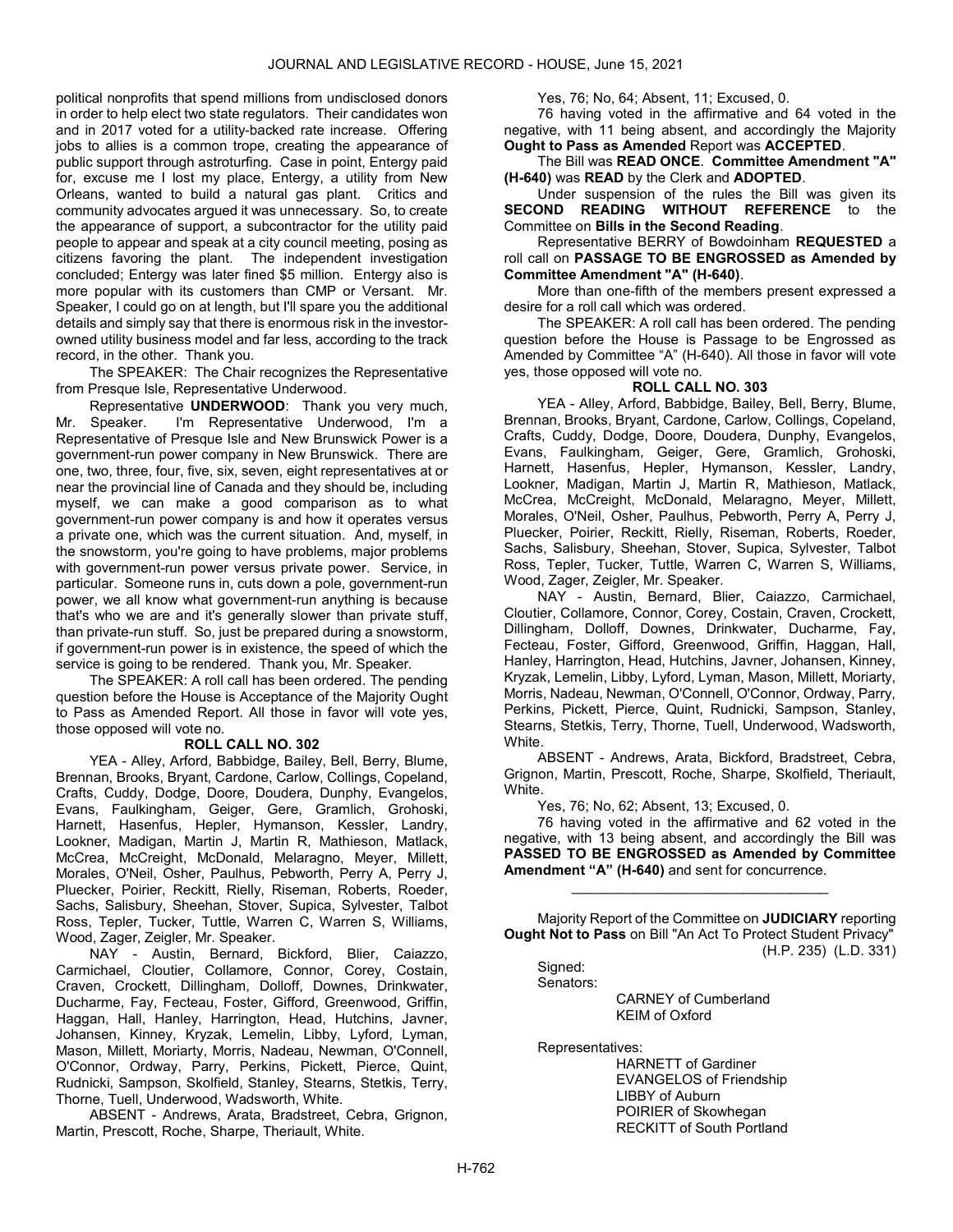political nonprofits that spend millions from undisclosed donors in order to help elect two state regulators. Their candidates won and in 2017 voted for a utility-backed rate increase. Offering jobs to allies is a common trope, creating the appearance of public support through astroturfing. Case in point, Entergy paid for, excuse me I lost my place, Entergy, a utility from New Orleans, wanted to build a natural gas plant. Critics and community advocates argued it was unnecessary. So, to create the appearance of support, a subcontractor for the utility paid people to appear and speak at a city council meeting, posing as citizens favoring the plant. The independent investigation concluded; Entergy was later fined \$5 million. Entergy also is more popular with its customers than CMP or Versant. Mr. Speaker, I could go on at length, but I'll spare you the additional details and simply say that there is enormous risk in the investorowned utility business model and far less, according to the track record, in the other. Thank you.

The SPEAKER: The Chair recognizes the Representative from Presque Isle, Representative Underwood.

Representative UNDERWOOD: Thank you very much, Mr. Speaker. I'm Representative Underwood, I'm a Representative of Presque Isle and New Brunswick Power is a government-run power company in New Brunswick. There are one, two, three, four, five, six, seven, eight representatives at or near the provincial line of Canada and they should be, including myself, we can make a good comparison as to what government-run power company is and how it operates versus a private one, which was the current situation. And, myself, in the snowstorm, you're going to have problems, major problems with government-run power versus private power. Service, in particular. Someone runs in, cuts down a pole, government-run power, we all know what government-run anything is because that's who we are and it's generally slower than private stuff, than private-run stuff. So, just be prepared during a snowstorm, if government-run power is in existence, the speed of which the service is going to be rendered. Thank you, Mr. Speaker.

 The SPEAKER: A roll call has been ordered. The pending question before the House is Acceptance of the Majority Ought to Pass as Amended Report. All those in favor will vote yes, those opposed will vote no.

#### ROLL CALL NO. 302

 YEA - Alley, Arford, Babbidge, Bailey, Bell, Berry, Blume, Brennan, Brooks, Bryant, Cardone, Carlow, Collings, Copeland, Crafts, Cuddy, Dodge, Doore, Doudera, Dunphy, Evangelos, Evans, Faulkingham, Geiger, Gere, Gramlich, Grohoski, Harnett, Hasenfus, Hepler, Hymanson, Kessler, Landry, Lookner, Madigan, Martin J, Martin R, Mathieson, Matlack, McCrea, McCreight, McDonald, Melaragno, Meyer, Millett, Morales, O'Neil, Osher, Paulhus, Pebworth, Perry A, Perry J, Pluecker, Poirier, Reckitt, Rielly, Riseman, Roberts, Roeder, Sachs, Salisbury, Sheehan, Stover, Supica, Sylvester, Talbot Ross, Tepler, Tucker, Tuttle, Warren C, Warren S, Williams, Wood, Zager, Zeigler, Mr. Speaker.

 NAY - Austin, Bernard, Bickford, Blier, Caiazzo, Carmichael, Cloutier, Collamore, Connor, Corey, Costain, Craven, Crockett, Dillingham, Dolloff, Downes, Drinkwater, Ducharme, Fay, Fecteau, Foster, Gifford, Greenwood, Griffin, Haggan, Hall, Hanley, Harrington, Head, Hutchins, Javner, Johansen, Kinney, Kryzak, Lemelin, Libby, Lyford, Lyman, Mason, Millett, Moriarty, Morris, Nadeau, Newman, O'Connell, O'Connor, Ordway, Parry, Perkins, Pickett, Pierce, Quint, Rudnicki, Sampson, Skolfield, Stanley, Stearns, Stetkis, Terry, Thorne, Tuell, Underwood, Wadsworth, White.

 ABSENT - Andrews, Arata, Bradstreet, Cebra, Grignon, Martin, Prescott, Roche, Sharpe, Theriault, White.

Yes, 76; No, 64; Absent, 11; Excused, 0.

 76 having voted in the affirmative and 64 voted in the negative, with 11 being absent, and accordingly the Majority Ought to Pass as Amended Report was ACCEPTED.

 The Bill was READ ONCE. Committee Amendment "A" (H-640) was READ by the Clerk and ADOPTED.

 Under suspension of the rules the Bill was given its SECOND READING WITHOUT REFERENCE to the Committee on Bills in the Second Reading.

 Representative BERRY of Bowdoinham REQUESTED a roll call on PASSAGE TO BE ENGROSSED as Amended by Committee Amendment "A" (H-640).

 More than one-fifth of the members present expressed a desire for a roll call which was ordered.

 The SPEAKER: A roll call has been ordered. The pending question before the House is Passage to be Engrossed as Amended by Committee "A" (H-640). All those in favor will vote yes, those opposed will vote no.

#### ROLL CALL NO. 303

 YEA - Alley, Arford, Babbidge, Bailey, Bell, Berry, Blume, Brennan, Brooks, Bryant, Cardone, Carlow, Collings, Copeland, Crafts, Cuddy, Dodge, Doore, Doudera, Dunphy, Evangelos, Evans, Faulkingham, Geiger, Gere, Gramlich, Grohoski, Harnett, Hasenfus, Hepler, Hymanson, Kessler, Landry, Lookner, Madigan, Martin J, Martin R, Mathieson, Matlack, McCrea, McCreight, McDonald, Melaragno, Meyer, Millett, Morales, O'Neil, Osher, Paulhus, Pebworth, Perry A, Perry J, Pluecker, Poirier, Reckitt, Rielly, Riseman, Roberts, Roeder, Sachs, Salisbury, Sheehan, Stover, Supica, Sylvester, Talbot Ross, Tepler, Tucker, Tuttle, Warren C, Warren S, Williams, Wood, Zager, Zeigler, Mr. Speaker.

 NAY - Austin, Bernard, Blier, Caiazzo, Carmichael, Cloutier, Collamore, Connor, Corey, Costain, Craven, Crockett, Dillingham, Dolloff, Downes, Drinkwater, Ducharme, Fay, Fecteau, Foster, Gifford, Greenwood, Griffin, Haggan, Hall, Hanley, Harrington, Head, Hutchins, Javner, Johansen, Kinney, Kryzak, Lemelin, Libby, Lyford, Lyman, Mason, Millett, Moriarty, Morris, Nadeau, Newman, O'Connell, O'Connor, Ordway, Parry, Perkins, Pickett, Pierce, Quint, Rudnicki, Sampson, Stanley, Stearns, Stetkis, Terry, Thorne, Tuell, Underwood, Wadsworth, White.

 ABSENT - Andrews, Arata, Bickford, Bradstreet, Cebra, Grignon, Martin, Prescott, Roche, Sharpe, Skolfield, Theriault, White.

Yes, 76; No, 62; Absent, 13; Excused, 0.

 76 having voted in the affirmative and 62 voted in the negative, with 13 being absent, and accordingly the Bill was PASSED TO BE ENGROSSED as Amended by Committee Amendment "A" (H-640) and sent for concurrence.

 Majority Report of the Committee on JUDICIARY reporting Ought Not to Pass on Bill "An Act To Protect Student Privacy" (H.P. 235) (L.D. 331)

\_\_\_\_\_\_\_\_\_\_\_\_\_\_\_\_\_\_\_\_\_\_\_\_\_\_\_\_\_\_\_\_\_

Signed:

Senators:

 CARNEY of Cumberland KEIM of Oxford

Representatives:

 HARNETT of Gardiner EVANGELOS of Friendship LIBBY of Auburn POIRIER of Skowhegan RECKITT of South Portland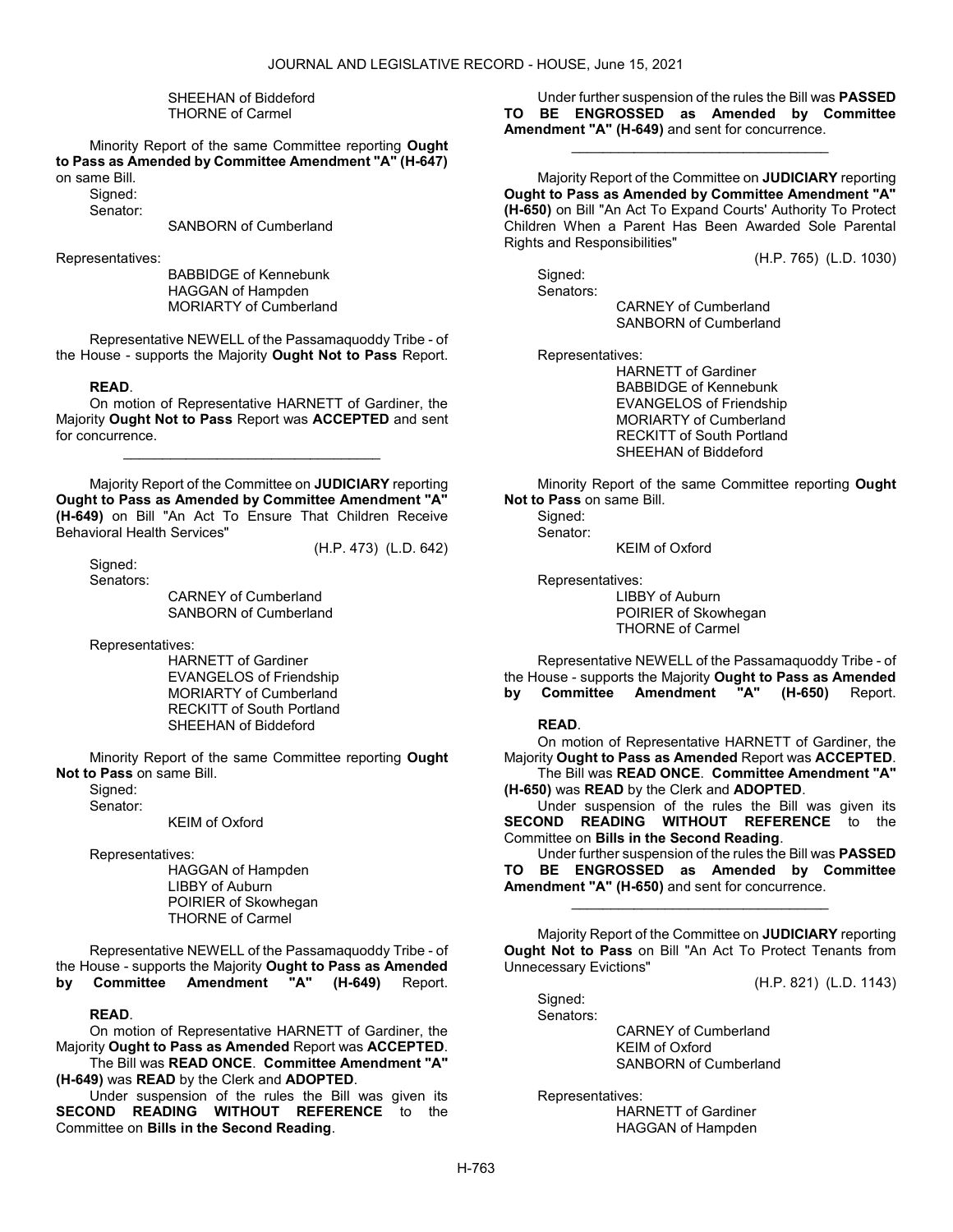#### SHEEHAN of Biddeford THORNE of Carmel

 Minority Report of the same Committee reporting Ought to Pass as Amended by Committee Amendment "A" (H-647)

on same Bill. Signed:

Senator:

SANBORN of Cumberland

Representatives:

 BABBIDGE of Kennebunk HAGGAN of Hampden MORIARTY of Cumberland

 Representative NEWELL of the Passamaquoddy Tribe - of the House - supports the Majority Ought Not to Pass Report.

## READ.

 On motion of Representative HARNETT of Gardiner, the Majority Ought Not to Pass Report was ACCEPTED and sent for concurrence.

\_\_\_\_\_\_\_\_\_\_\_\_\_\_\_\_\_\_\_\_\_\_\_\_\_\_\_\_\_\_\_\_\_

 Majority Report of the Committee on JUDICIARY reporting Ought to Pass as Amended by Committee Amendment "A" (H-649) on Bill "An Act To Ensure That Children Receive Behavioral Health Services"

Signed:

(H.P. 473) (L.D. 642)

Senators:

 CARNEY of Cumberland SANBORN of Cumberland

Representatives:

 HARNETT of Gardiner EVANGELOS of Friendship MORIARTY of Cumberland RECKITT of South Portland SHEEHAN of Biddeford

 Minority Report of the same Committee reporting Ought Not to Pass on same Bill.

Sianed: Senator:

KEIM of Oxford

Representatives:

 HAGGAN of Hampden LIBBY of Auburn POIRIER of Skowhegan THORNE of Carmel

 Representative NEWELL of the Passamaquoddy Tribe - of the House - supports the Majority Ought to Pass as Amended<br>by Committee Amendment "A" (H-649) Report. by Committee Amendment "A" (H-649) Report.

# READ.

 On motion of Representative HARNETT of Gardiner, the Majority Ought to Pass as Amended Report was ACCEPTED. The Bill was READ ONCE. Committee Amendment "A"

(H-649) was READ by the Clerk and ADOPTED.

 Under suspension of the rules the Bill was given its SECOND READING WITHOUT REFERENCE to the Committee on Bills in the Second Reading.

 Under further suspension of the rules the Bill was PASSED TO BE ENGROSSED as Amended by Committee Amendment "A" (H-649) and sent for concurrence.

\_\_\_\_\_\_\_\_\_\_\_\_\_\_\_\_\_\_\_\_\_\_\_\_\_\_\_\_\_\_\_\_\_

 Majority Report of the Committee on JUDICIARY reporting Ought to Pass as Amended by Committee Amendment "A" (H-650) on Bill "An Act To Expand Courts' Authority To Protect Children When a Parent Has Been Awarded Sole Parental Rights and Responsibilities"

(H.P. 765) (L.D. 1030)

 Signed: Senators:

 CARNEY of Cumberland SANBORN of Cumberland

Representatives:

 HARNETT of Gardiner BABBIDGE of Kennebunk EVANGELOS of Friendship MORIARTY of Cumberland RECKITT of South Portland SHEEHAN of Biddeford

 Minority Report of the same Committee reporting Ought Not to Pass on same Bill.

 Signed: Senator:

KEIM of Oxford

Representatives:

 LIBBY of Auburn POIRIER of Skowhegan THORNE of Carmel

 Representative NEWELL of the Passamaquoddy Tribe - of the House - supports the Majority Ought to Pass as Amended by Committee Amendment "A" (H-650) Report.

### READ.

 On motion of Representative HARNETT of Gardiner, the Majority Ought to Pass as Amended Report was ACCEPTED. The Bill was READ ONCE. Committee Amendment "A"

(H-650) was READ by the Clerk and ADOPTED.

 Under suspension of the rules the Bill was given its SECOND READING WITHOUT REFERENCE to the Committee on Bills in the Second Reading.

 Under further suspension of the rules the Bill was PASSED TO BE ENGROSSED as Amended by Committee Amendment "A" (H-650) and sent for concurrence.

\_\_\_\_\_\_\_\_\_\_\_\_\_\_\_\_\_\_\_\_\_\_\_\_\_\_\_\_\_\_\_\_\_

 Majority Report of the Committee on JUDICIARY reporting Ought Not to Pass on Bill "An Act To Protect Tenants from Unnecessary Evictions"

(H.P. 821) (L.D. 1143)

 CARNEY of Cumberland KEIM of Oxford SANBORN of Cumberland

Representatives:

Signed: Senators:

> HARNETT of Gardiner HAGGAN of Hampden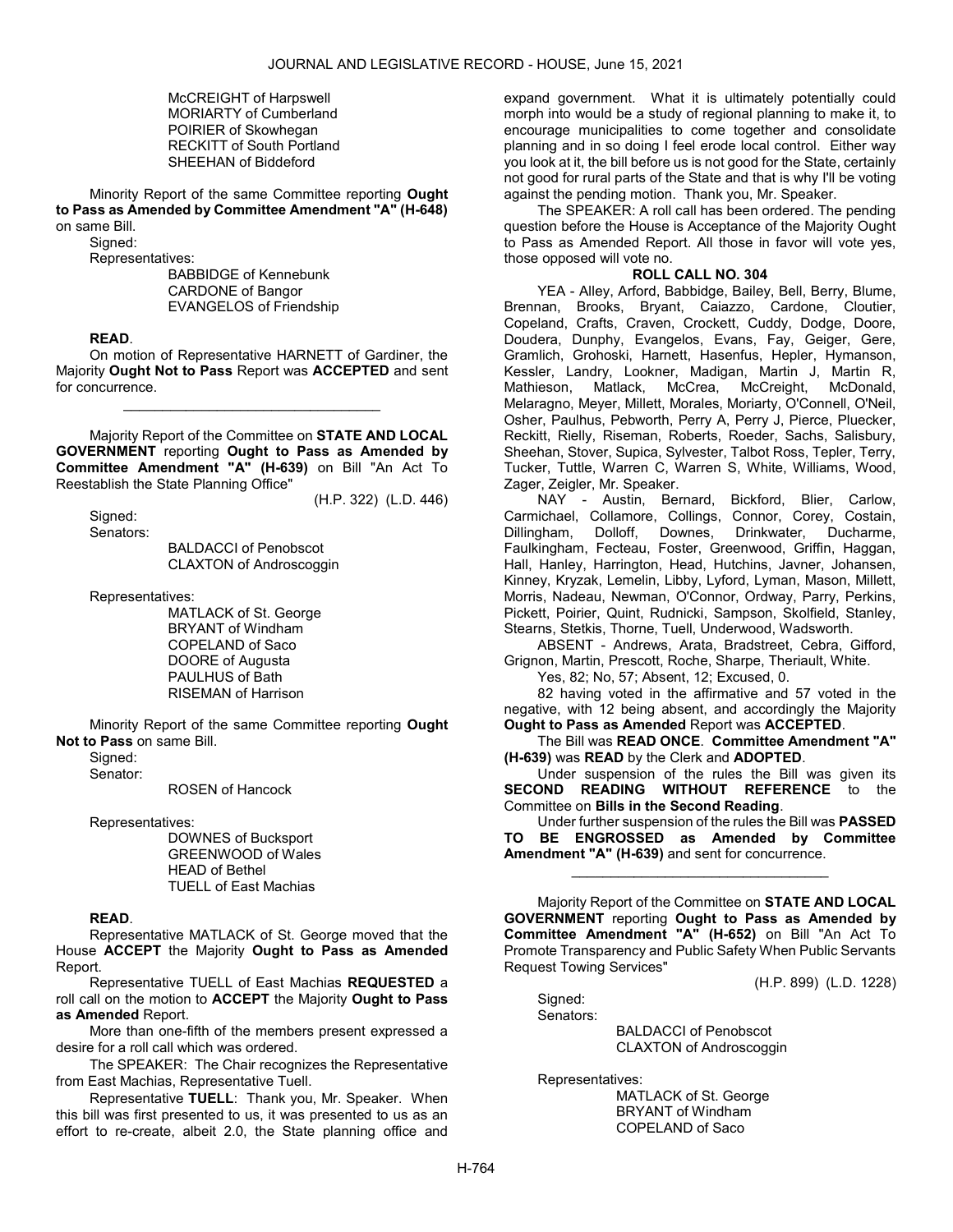McCREIGHT of Harpswell MORIARTY of Cumberland POIRIER of Skowhegan RECKITT of South Portland SHEEHAN of Biddeford

 Minority Report of the same Committee reporting Ought to Pass as Amended by Committee Amendment "A" (H-648) on same Bill.

Sianed:

Representatives:

 BABBIDGE of Kennebunk CARDONE of Bangor EVANGELOS of Friendship

### READ.

 On motion of Representative HARNETT of Gardiner, the Majority Ought Not to Pass Report was ACCEPTED and sent for concurrence.

\_\_\_\_\_\_\_\_\_\_\_\_\_\_\_\_\_\_\_\_\_\_\_\_\_\_\_\_\_\_\_\_\_

 Majority Report of the Committee on STATE AND LOCAL GOVERNMENT reporting Ought to Pass as Amended by Committee Amendment "A" (H-639) on Bill "An Act To Reestablish the State Planning Office"

(H.P. 322) (L.D. 446)

 Signed: Senators:

 BALDACCI of Penobscot CLAXTON of Androscoggin

Representatives:

 MATLACK of St. George BRYANT of Windham COPELAND of Saco DOORE of Augusta PAULHUS of Bath RISEMAN of Harrison

 Minority Report of the same Committee reporting Ought Not to Pass on same Bill.

Signed:

Senator:

ROSEN of Hancock

Representatives:

 DOWNES of Bucksport GREENWOOD of Wales HEAD of Bethel TUELL of East Machias

### READ.

 Representative MATLACK of St. George moved that the House ACCEPT the Majority Ought to Pass as Amended Report.

 Representative TUELL of East Machias REQUESTED a roll call on the motion to ACCEPT the Majority Ought to Pass as Amended Report.

 More than one-fifth of the members present expressed a desire for a roll call which was ordered.

The SPEAKER: The Chair recognizes the Representative from East Machias, Representative Tuell.

Representative TUELL: Thank you, Mr. Speaker. When this bill was first presented to us, it was presented to us as an effort to re-create, albeit 2.0, the State planning office and

expand government. What it is ultimately potentially could morph into would be a study of regional planning to make it, to encourage municipalities to come together and consolidate planning and in so doing I feel erode local control. Either way you look at it, the bill before us is not good for the State, certainly not good for rural parts of the State and that is why I'll be voting against the pending motion. Thank you, Mr. Speaker.

 The SPEAKER: A roll call has been ordered. The pending question before the House is Acceptance of the Majority Ought to Pass as Amended Report. All those in favor will vote yes, those opposed will vote no.

# ROLL CALL NO. 304

 YEA - Alley, Arford, Babbidge, Bailey, Bell, Berry, Blume, Brennan, Brooks, Bryant, Caiazzo, Cardone, Cloutier, Copeland, Crafts, Craven, Crockett, Cuddy, Dodge, Doore, Doudera, Dunphy, Evangelos, Evans, Fay, Geiger, Gere, Gramlich, Grohoski, Harnett, Hasenfus, Hepler, Hymanson, Kessler, Landry, Lookner, Madigan, Martin J, Martin R, Mathieson, Matlack, McCrea, McCreight, McDonald, Melaragno, Meyer, Millett, Morales, Moriarty, O'Connell, O'Neil, Osher, Paulhus, Pebworth, Perry A, Perry J, Pierce, Pluecker, Reckitt, Rielly, Riseman, Roberts, Roeder, Sachs, Salisbury, Sheehan, Stover, Supica, Sylvester, Talbot Ross, Tepler, Terry, Tucker, Tuttle, Warren C, Warren S, White, Williams, Wood, Zager, Zeigler, Mr. Speaker.

 NAY - Austin, Bernard, Bickford, Blier, Carlow, Carmichael, Collamore, Collings, Connor, Corey, Costain, Dillingham, Dolloff, Downes, Drinkwater, Ducharme, Faulkingham, Fecteau, Foster, Greenwood, Griffin, Haggan, Hall, Hanley, Harrington, Head, Hutchins, Javner, Johansen, Kinney, Kryzak, Lemelin, Libby, Lyford, Lyman, Mason, Millett, Morris, Nadeau, Newman, O'Connor, Ordway, Parry, Perkins, Pickett, Poirier, Quint, Rudnicki, Sampson, Skolfield, Stanley, Stearns, Stetkis, Thorne, Tuell, Underwood, Wadsworth.

 ABSENT - Andrews, Arata, Bradstreet, Cebra, Gifford, Grignon, Martin, Prescott, Roche, Sharpe, Theriault, White.

Yes, 82; No, 57; Absent, 12; Excused, 0.

 82 having voted in the affirmative and 57 voted in the negative, with 12 being absent, and accordingly the Majority Ought to Pass as Amended Report was ACCEPTED.

 The Bill was READ ONCE. Committee Amendment "A" (H-639) was READ by the Clerk and ADOPTED.

 Under suspension of the rules the Bill was given its SECOND READING WITHOUT REFERENCE to the Committee on Bills in the Second Reading.

 Under further suspension of the rules the Bill was PASSED TO BE ENGROSSED as Amended by Committee Amendment "A" (H-639) and sent for concurrence.

\_\_\_\_\_\_\_\_\_\_\_\_\_\_\_\_\_\_\_\_\_\_\_\_\_\_\_\_\_\_\_\_\_

 Majority Report of the Committee on STATE AND LOCAL GOVERNMENT reporting Ought to Pass as Amended by Committee Amendment "A" (H-652) on Bill "An Act To Promote Transparency and Public Safety When Public Servants Request Towing Services"

(H.P. 899) (L.D. 1228)

Sianed: Senators:

 BALDACCI of Penobscot CLAXTON of Androscoggin

Representatives:

 MATLACK of St. George BRYANT of Windham COPELAND of Saco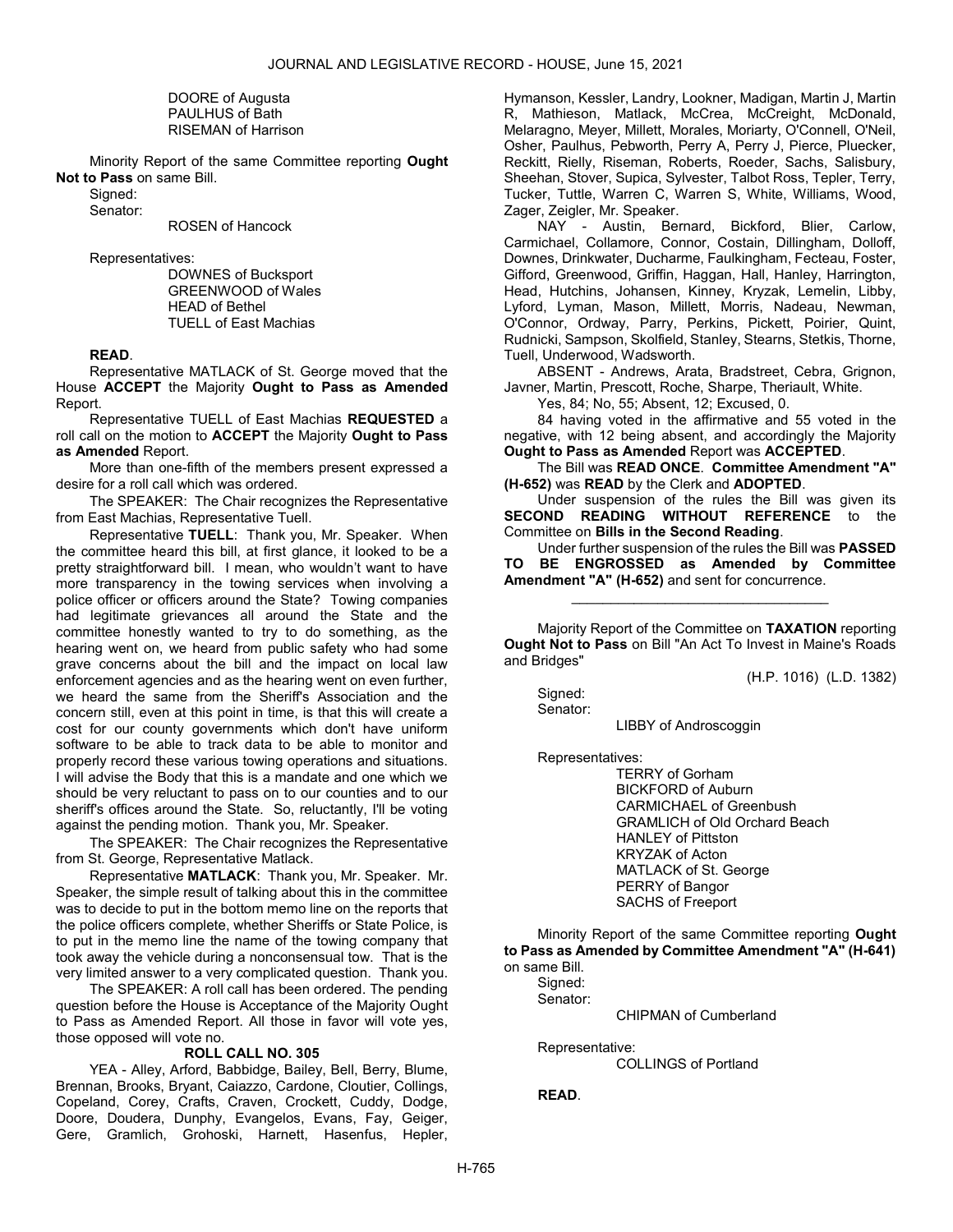DOORE of Augusta PAULHUS of Bath RISEMAN of Harrison

 Minority Report of the same Committee reporting Ought Not to Pass on same Bill.

Signed:

Senator:

ROSEN of Hancock

Representatives:

 DOWNES of Bucksport GREENWOOD of Wales HEAD of Bethel TUELL of East Machias

READ.

 Representative MATLACK of St. George moved that the House ACCEPT the Majority Ought to Pass as Amended Report.

 Representative TUELL of East Machias REQUESTED a roll call on the motion to ACCEPT the Majority Ought to Pass as Amended Report.

 More than one-fifth of the members present expressed a desire for a roll call which was ordered.

The SPEAKER: The Chair recognizes the Representative from East Machias, Representative Tuell.

Representative TUELL: Thank you, Mr. Speaker. When the committee heard this bill, at first glance, it looked to be a pretty straightforward bill. I mean, who wouldn't want to have more transparency in the towing services when involving a police officer or officers around the State? Towing companies had legitimate grievances all around the State and the committee honestly wanted to try to do something, as the hearing went on, we heard from public safety who had some grave concerns about the bill and the impact on local law enforcement agencies and as the hearing went on even further, we heard the same from the Sheriff's Association and the concern still, even at this point in time, is that this will create a cost for our county governments which don't have uniform software to be able to track data to be able to monitor and properly record these various towing operations and situations. I will advise the Body that this is a mandate and one which we should be very reluctant to pass on to our counties and to our sheriff's offices around the State. So, reluctantly, I'll be voting against the pending motion. Thank you, Mr. Speaker.

The SPEAKER: The Chair recognizes the Representative from St. George, Representative Matlack.

Representative MATLACK: Thank you, Mr. Speaker. Mr. Speaker, the simple result of talking about this in the committee was to decide to put in the bottom memo line on the reports that the police officers complete, whether Sheriffs or State Police, is to put in the memo line the name of the towing company that took away the vehicle during a nonconsensual tow. That is the very limited answer to a very complicated question. Thank you.

 The SPEAKER: A roll call has been ordered. The pending question before the House is Acceptance of the Majority Ought to Pass as Amended Report. All those in favor will vote yes, those opposed will vote no.

### ROLL CALL NO. 305

 YEA - Alley, Arford, Babbidge, Bailey, Bell, Berry, Blume, Brennan, Brooks, Bryant, Caiazzo, Cardone, Cloutier, Collings, Copeland, Corey, Crafts, Craven, Crockett, Cuddy, Dodge, Doore, Doudera, Dunphy, Evangelos, Evans, Fay, Geiger, Gere, Gramlich, Grohoski, Harnett, Hasenfus, Hepler,

Hymanson, Kessler, Landry, Lookner, Madigan, Martin J, Martin R, Mathieson, Matlack, McCrea, McCreight, McDonald, Melaragno, Meyer, Millett, Morales, Moriarty, O'Connell, O'Neil, Osher, Paulhus, Pebworth, Perry A, Perry J, Pierce, Pluecker, Reckitt, Rielly, Riseman, Roberts, Roeder, Sachs, Salisbury, Sheehan, Stover, Supica, Sylvester, Talbot Ross, Tepler, Terry, Tucker, Tuttle, Warren C, Warren S, White, Williams, Wood, Zager, Zeigler, Mr. Speaker.

 NAY - Austin, Bernard, Bickford, Blier, Carlow, Carmichael, Collamore, Connor, Costain, Dillingham, Dolloff, Downes, Drinkwater, Ducharme, Faulkingham, Fecteau, Foster, Gifford, Greenwood, Griffin, Haggan, Hall, Hanley, Harrington, Head, Hutchins, Johansen, Kinney, Kryzak, Lemelin, Libby, Lyford, Lyman, Mason, Millett, Morris, Nadeau, Newman, O'Connor, Ordway, Parry, Perkins, Pickett, Poirier, Quint, Rudnicki, Sampson, Skolfield, Stanley, Stearns, Stetkis, Thorne, Tuell, Underwood, Wadsworth.

 ABSENT - Andrews, Arata, Bradstreet, Cebra, Grignon, Javner, Martin, Prescott, Roche, Sharpe, Theriault, White.

Yes, 84; No, 55; Absent, 12; Excused, 0.

 84 having voted in the affirmative and 55 voted in the negative, with 12 being absent, and accordingly the Majority Ought to Pass as Amended Report was ACCEPTED.

 The Bill was READ ONCE. Committee Amendment "A" (H-652) was READ by the Clerk and ADOPTED.

 Under suspension of the rules the Bill was given its SECOND READING WITHOUT REFERENCE to the Committee on Bills in the Second Reading.

 Under further suspension of the rules the Bill was PASSED TO BE ENGROSSED as Amended by Committee Amendment "A" (H-652) and sent for concurrence.

\_\_\_\_\_\_\_\_\_\_\_\_\_\_\_\_\_\_\_\_\_\_\_\_\_\_\_\_\_\_\_\_\_

 Majority Report of the Committee on TAXATION reporting Ought Not to Pass on Bill "An Act To Invest in Maine's Roads and Bridges"

(H.P. 1016) (L.D. 1382)

 Signed: Senator:

LIBBY of Androscoggin

Representatives:

 TERRY of Gorham BICKFORD of Auburn CARMICHAEL of Greenbush GRAMLICH of Old Orchard Beach HANLEY of Pittston KRYZAK of Acton MATLACK of St. George PERRY of Bangor SACHS of Freeport

 Minority Report of the same Committee reporting Ought to Pass as Amended by Committee Amendment "A" (H-641) on same Bill.

 Signed: Senator:

CHIPMAN of Cumberland

Representative:

COLLINGS of Portland

READ.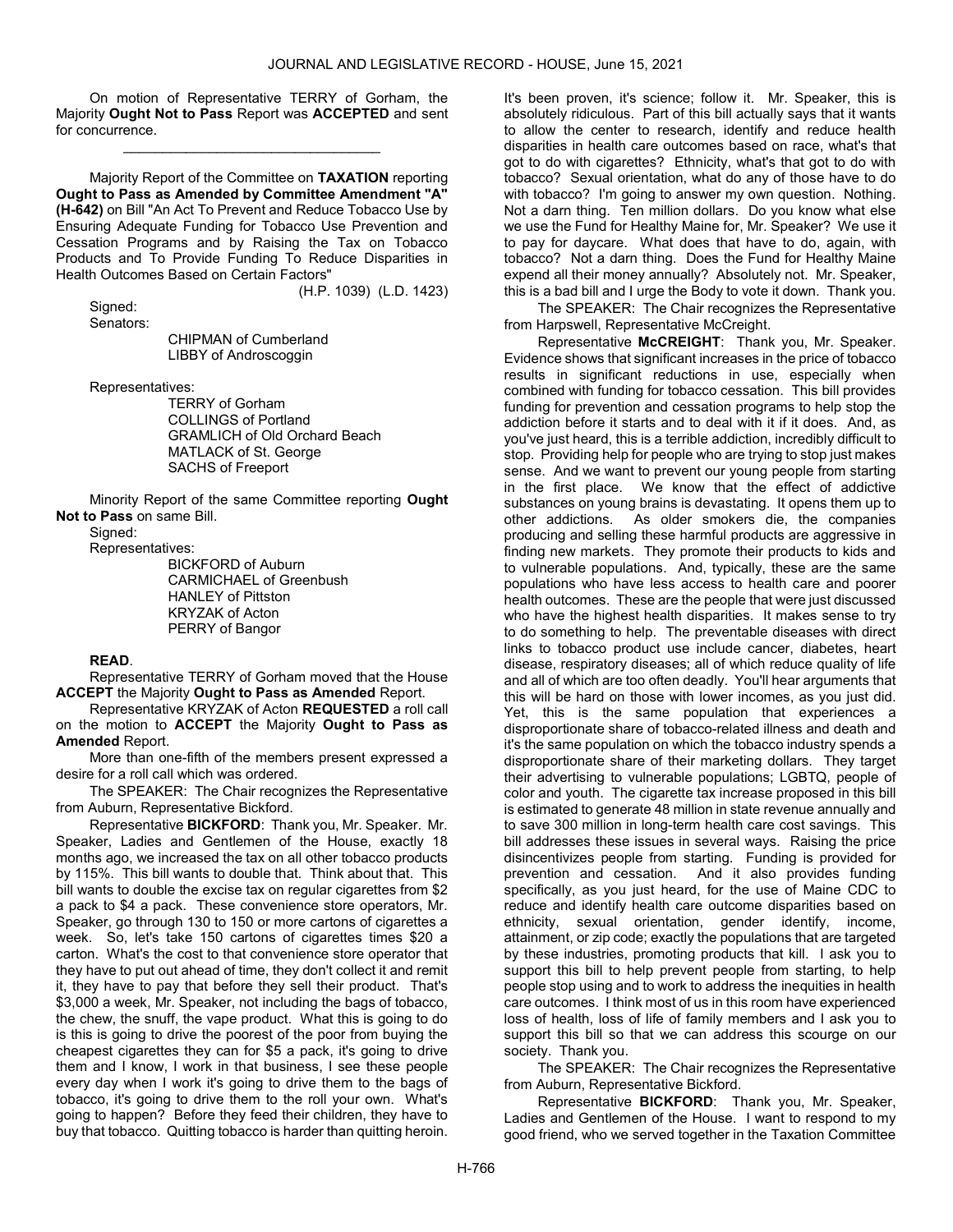On motion of Representative TERRY of Gorham, the Majority Ought Not to Pass Report was ACCEPTED and sent for concurrence.

\_\_\_\_\_\_\_\_\_\_\_\_\_\_\_\_\_\_\_\_\_\_\_\_\_\_\_\_\_\_\_\_\_

 Majority Report of the Committee on TAXATION reporting Ought to Pass as Amended by Committee Amendment "A" (H-642) on Bill "An Act To Prevent and Reduce Tobacco Use by Ensuring Adequate Funding for Tobacco Use Prevention and Cessation Programs and by Raising the Tax on Tobacco Products and To Provide Funding To Reduce Disparities in Health Outcomes Based on Certain Factors"

 Signed: Senators:

 CHIPMAN of Cumberland LIBBY of Androscoggin

Representatives:

 TERRY of Gorham COLLINGS of Portland GRAMLICH of Old Orchard Beach MATLACK of St. George SACHS of Freeport

(H.P. 1039) (L.D. 1423)

 Minority Report of the same Committee reporting Ought Not to Pass on same Bill.

Signed:

Representatives:

 BICKFORD of Auburn CARMICHAEL of Greenbush HANLEY of Pittston KRYZAK of Acton PERRY of Bangor

### READ.

 Representative TERRY of Gorham moved that the House **ACCEPT** the Majority Ought to Pass as Amended Report.

 Representative KRYZAK of Acton REQUESTED a roll call on the motion to ACCEPT the Majority Ought to Pass as Amended Report.

 More than one-fifth of the members present expressed a desire for a roll call which was ordered.

The SPEAKER: The Chair recognizes the Representative from Auburn, Representative Bickford.

Representative BICKFORD: Thank you, Mr. Speaker. Mr. Speaker, Ladies and Gentlemen of the House, exactly 18 months ago, we increased the tax on all other tobacco products by 115%. This bill wants to double that. Think about that. This bill wants to double the excise tax on regular cigarettes from \$2 a pack to \$4 a pack. These convenience store operators, Mr. Speaker, go through 130 to 150 or more cartons of cigarettes a week. So, let's take 150 cartons of cigarettes times \$20 a carton. What's the cost to that convenience store operator that they have to put out ahead of time, they don't collect it and remit it, they have to pay that before they sell their product. That's \$3,000 a week, Mr. Speaker, not including the bags of tobacco, the chew, the snuff, the vape product. What this is going to do is this is going to drive the poorest of the poor from buying the cheapest cigarettes they can for \$5 a pack, it's going to drive them and I know, I work in that business, I see these people every day when I work it's going to drive them to the bags of tobacco, it's going to drive them to the roll your own. What's going to happen? Before they feed their children, they have to buy that tobacco. Quitting tobacco is harder than quitting heroin.

It's been proven, it's science; follow it. Mr. Speaker, this is absolutely ridiculous. Part of this bill actually says that it wants to allow the center to research, identify and reduce health disparities in health care outcomes based on race, what's that got to do with cigarettes? Ethnicity, what's that got to do with tobacco? Sexual orientation, what do any of those have to do with tobacco? I'm going to answer my own question. Nothing. Not a darn thing. Ten million dollars. Do you know what else we use the Fund for Healthy Maine for, Mr. Speaker? We use it to pay for daycare. What does that have to do, again, with tobacco? Not a darn thing. Does the Fund for Healthy Maine expend all their money annually? Absolutely not. Mr. Speaker, this is a bad bill and I urge the Body to vote it down. Thank you.

The SPEAKER: The Chair recognizes the Representative from Harpswell, Representative McCreight.

Representative McCREIGHT: Thank you, Mr. Speaker. Evidence shows that significant increases in the price of tobacco results in significant reductions in use, especially when combined with funding for tobacco cessation. This bill provides funding for prevention and cessation programs to help stop the addiction before it starts and to deal with it if it does. And, as you've just heard, this is a terrible addiction, incredibly difficult to stop. Providing help for people who are trying to stop just makes sense. And we want to prevent our young people from starting in the first place. We know that the effect of addictive substances on young brains is devastating. It opens them up to other addictions. As older smokers die, the companies producing and selling these harmful products are aggressive in finding new markets. They promote their products to kids and to vulnerable populations. And, typically, these are the same populations who have less access to health care and poorer health outcomes. These are the people that were just discussed who have the highest health disparities. It makes sense to try to do something to help. The preventable diseases with direct links to tobacco product use include cancer, diabetes, heart disease, respiratory diseases; all of which reduce quality of life and all of which are too often deadly. You'll hear arguments that this will be hard on those with lower incomes, as you just did. Yet, this is the same population that experiences a disproportionate share of tobacco-related illness and death and it's the same population on which the tobacco industry spends a disproportionate share of their marketing dollars. They target their advertising to vulnerable populations; LGBTQ, people of color and youth. The cigarette tax increase proposed in this bill is estimated to generate 48 million in state revenue annually and to save 300 million in long-term health care cost savings. This bill addresses these issues in several ways. Raising the price disincentivizes people from starting. Funding is provided for prevention and cessation. And it also provides funding specifically, as you just heard, for the use of Maine CDC to reduce and identify health care outcome disparities based on ethnicity, sexual orientation, gender identify, income, attainment, or zip code; exactly the populations that are targeted by these industries, promoting products that kill. I ask you to support this bill to help prevent people from starting, to help people stop using and to work to address the inequities in health care outcomes. I think most of us in this room have experienced loss of health, loss of life of family members and I ask you to support this bill so that we can address this scourge on our society. Thank you.

The SPEAKER: The Chair recognizes the Representative from Auburn, Representative Bickford.

Representative BICKFORD: Thank you, Mr. Speaker, Ladies and Gentlemen of the House. I want to respond to my good friend, who we served together in the Taxation Committee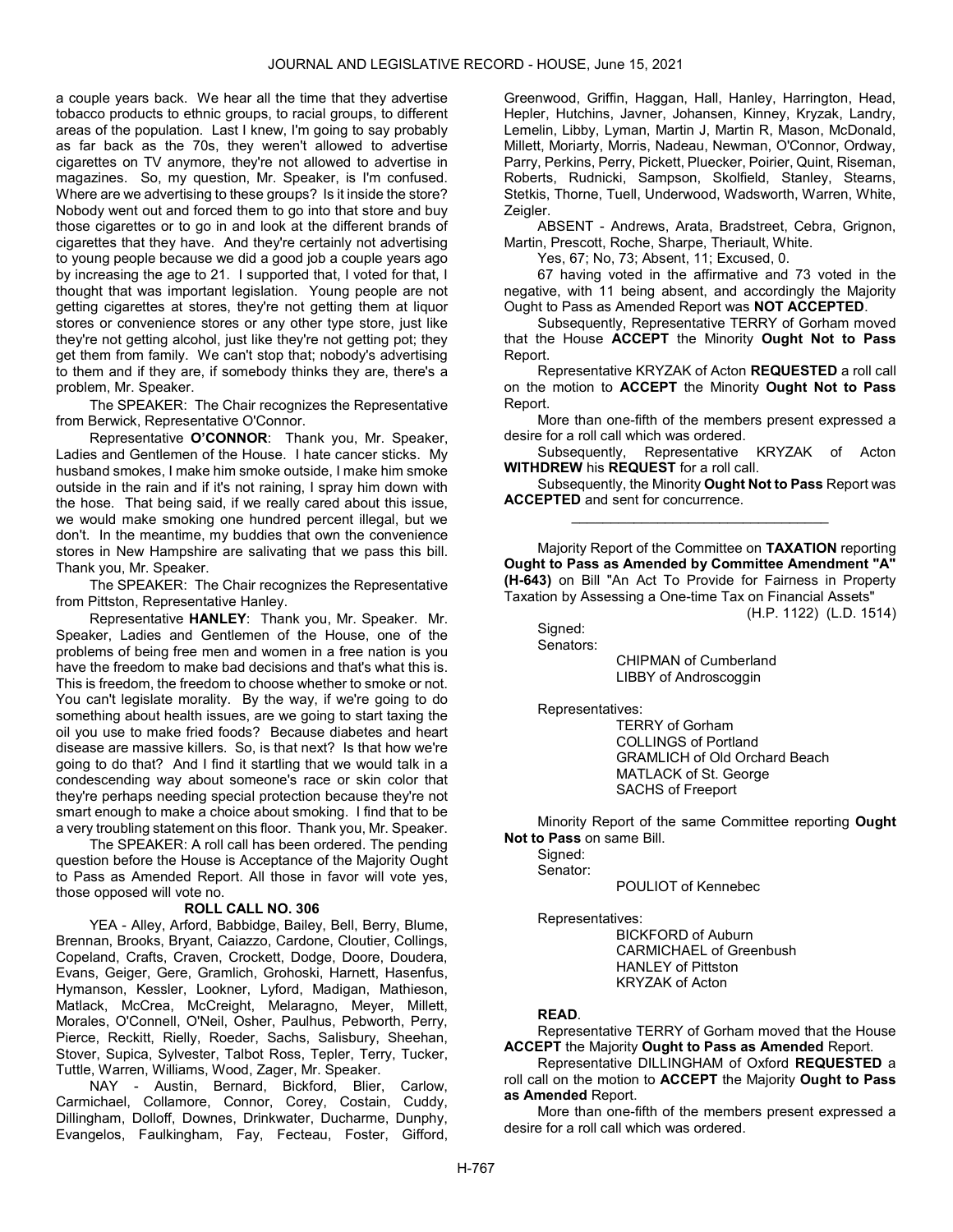a couple years back. We hear all the time that they advertise tobacco products to ethnic groups, to racial groups, to different areas of the population. Last I knew, I'm going to say probably as far back as the 70s, they weren't allowed to advertise cigarettes on TV anymore, they're not allowed to advertise in magazines. So, my question, Mr. Speaker, is I'm confused. Where are we advertising to these groups? Is it inside the store? Nobody went out and forced them to go into that store and buy those cigarettes or to go in and look at the different brands of cigarettes that they have. And they're certainly not advertising to young people because we did a good job a couple years ago by increasing the age to 21. I supported that, I voted for that, I thought that was important legislation. Young people are not getting cigarettes at stores, they're not getting them at liquor stores or convenience stores or any other type store, just like they're not getting alcohol, just like they're not getting pot; they get them from family. We can't stop that; nobody's advertising to them and if they are, if somebody thinks they are, there's a problem, Mr. Speaker.

The SPEAKER: The Chair recognizes the Representative from Berwick, Representative O'Connor.

Representative O'CONNOR: Thank you, Mr. Speaker, Ladies and Gentlemen of the House. I hate cancer sticks. My husband smokes, I make him smoke outside, I make him smoke outside in the rain and if it's not raining, I spray him down with the hose. That being said, if we really cared about this issue, we would make smoking one hundred percent illegal, but we don't. In the meantime, my buddies that own the convenience stores in New Hampshire are salivating that we pass this bill. Thank you, Mr. Speaker.

The SPEAKER: The Chair recognizes the Representative from Pittston, Representative Hanley.

Representative HANLEY: Thank you, Mr. Speaker. Mr. Speaker, Ladies and Gentlemen of the House, one of the problems of being free men and women in a free nation is you have the freedom to make bad decisions and that's what this is. This is freedom, the freedom to choose whether to smoke or not. You can't legislate morality. By the way, if we're going to do something about health issues, are we going to start taxing the oil you use to make fried foods? Because diabetes and heart disease are massive killers. So, is that next? Is that how we're going to do that? And I find it startling that we would talk in a condescending way about someone's race or skin color that they're perhaps needing special protection because they're not smart enough to make a choice about smoking. I find that to be a very troubling statement on this floor. Thank you, Mr. Speaker.

 The SPEAKER: A roll call has been ordered. The pending question before the House is Acceptance of the Majority Ought to Pass as Amended Report. All those in favor will vote yes, those opposed will vote no.

#### ROLL CALL NO. 306

 YEA - Alley, Arford, Babbidge, Bailey, Bell, Berry, Blume, Brennan, Brooks, Bryant, Caiazzo, Cardone, Cloutier, Collings, Copeland, Crafts, Craven, Crockett, Dodge, Doore, Doudera, Evans, Geiger, Gere, Gramlich, Grohoski, Harnett, Hasenfus, Hymanson, Kessler, Lookner, Lyford, Madigan, Mathieson, Matlack, McCrea, McCreight, Melaragno, Meyer, Millett, Morales, O'Connell, O'Neil, Osher, Paulhus, Pebworth, Perry, Pierce, Reckitt, Rielly, Roeder, Sachs, Salisbury, Sheehan, Stover, Supica, Sylvester, Talbot Ross, Tepler, Terry, Tucker, Tuttle, Warren, Williams, Wood, Zager, Mr. Speaker.

 NAY - Austin, Bernard, Bickford, Blier, Carlow, Carmichael, Collamore, Connor, Corey, Costain, Cuddy, Dillingham, Dolloff, Downes, Drinkwater, Ducharme, Dunphy, Evangelos, Faulkingham, Fay, Fecteau, Foster, Gifford,

Greenwood, Griffin, Haggan, Hall, Hanley, Harrington, Head, Hepler, Hutchins, Javner, Johansen, Kinney, Kryzak, Landry, Lemelin, Libby, Lyman, Martin J, Martin R, Mason, McDonald, Millett, Moriarty, Morris, Nadeau, Newman, O'Connor, Ordway, Parry, Perkins, Perry, Pickett, Pluecker, Poirier, Quint, Riseman, Roberts, Rudnicki, Sampson, Skolfield, Stanley, Stearns, Stetkis, Thorne, Tuell, Underwood, Wadsworth, Warren, White, Zeigler.

 ABSENT - Andrews, Arata, Bradstreet, Cebra, Grignon, Martin, Prescott, Roche, Sharpe, Theriault, White.

Yes, 67; No, 73; Absent, 11; Excused, 0.

 67 having voted in the affirmative and 73 voted in the negative, with 11 being absent, and accordingly the Majority Ought to Pass as Amended Report was NOT ACCEPTED.

 Subsequently, Representative TERRY of Gorham moved that the House ACCEPT the Minority Ought Not to Pass Report.

 Representative KRYZAK of Acton REQUESTED a roll call on the motion to ACCEPT the Minority Ought Not to Pass Report.

 More than one-fifth of the members present expressed a desire for a roll call which was ordered.

 Subsequently, Representative KRYZAK of Acton WITHDREW his REQUEST for a roll call.

 Subsequently, the Minority Ought Not to Pass Report was ACCEPTED and sent for concurrence. \_\_\_\_\_\_\_\_\_\_\_\_\_\_\_\_\_\_\_\_\_\_\_\_\_\_\_\_\_\_\_\_\_

 Majority Report of the Committee on TAXATION reporting Ought to Pass as Amended by Committee Amendment "A" (H-643) on Bill "An Act To Provide for Fairness in Property Taxation by Assessing a One-time Tax on Financial Assets"

(H.P. 1122) (L.D. 1514)

Signed: Senators:

 CHIPMAN of Cumberland LIBBY of Androscoggin

Representatives:

 TERRY of Gorham COLLINGS of Portland GRAMLICH of Old Orchard Beach MATLACK of St. George SACHS of Freeport

 Minority Report of the same Committee reporting Ought Not to Pass on same Bill.

 Signed: Senator:

POULIOT of Kennebec

Representatives:

 BICKFORD of Auburn CARMICHAEL of Greenbush HANLEY of Pittston KRYZAK of Acton

### READ.

 Representative TERRY of Gorham moved that the House ACCEPT the Majority Ought to Pass as Amended Report.

 Representative DILLINGHAM of Oxford REQUESTED a roll call on the motion to ACCEPT the Majority Ought to Pass as Amended Report.

 More than one-fifth of the members present expressed a desire for a roll call which was ordered.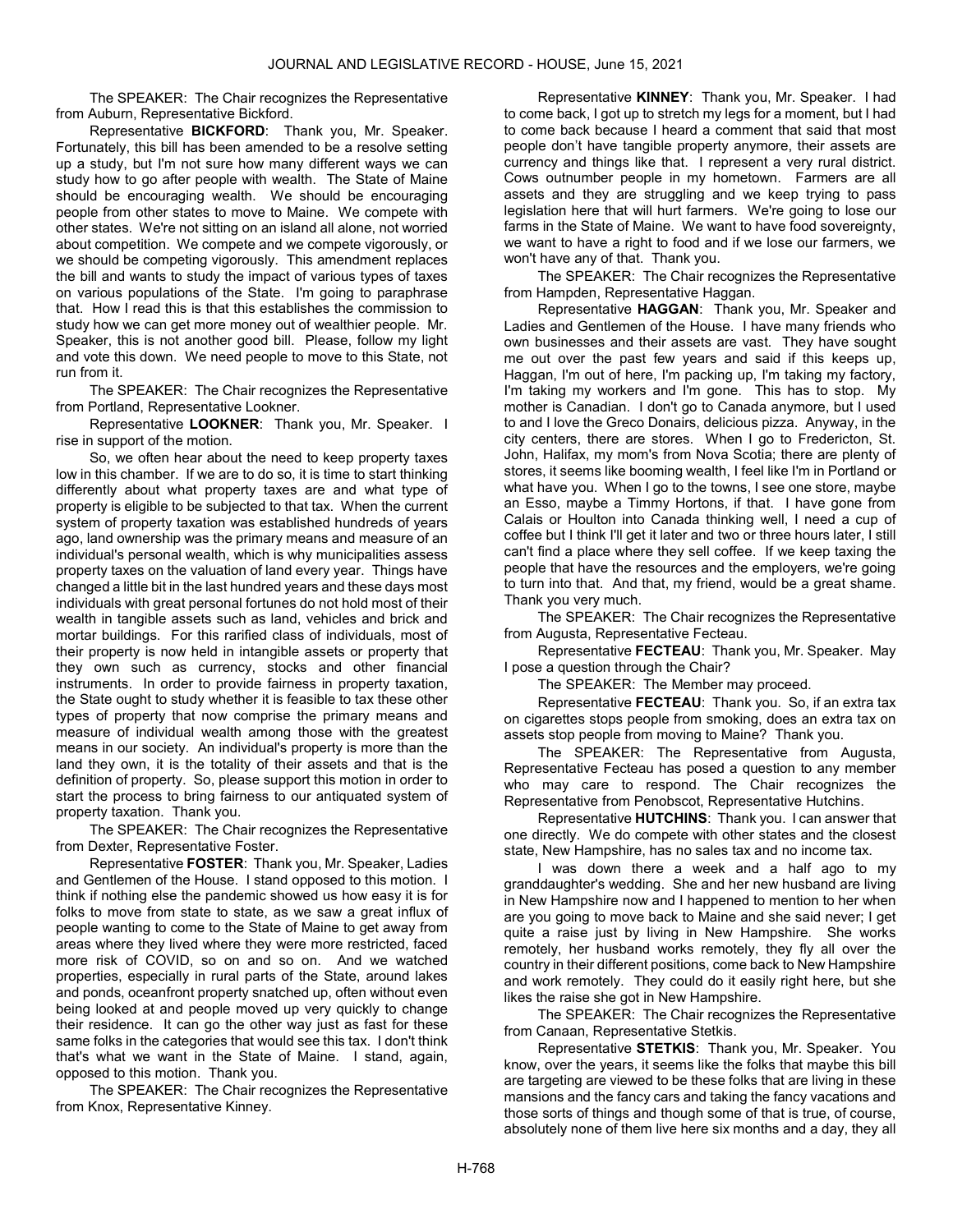The SPEAKER: The Chair recognizes the Representative from Auburn, Representative Bickford.

Representative BICKFORD: Thank you, Mr. Speaker. Fortunately, this bill has been amended to be a resolve setting up a study, but I'm not sure how many different ways we can study how to go after people with wealth. The State of Maine should be encouraging wealth. We should be encouraging people from other states to move to Maine. We compete with other states. We're not sitting on an island all alone, not worried about competition. We compete and we compete vigorously, or we should be competing vigorously. This amendment replaces the bill and wants to study the impact of various types of taxes on various populations of the State. I'm going to paraphrase that. How I read this is that this establishes the commission to study how we can get more money out of wealthier people. Mr. Speaker, this is not another good bill. Please, follow my light and vote this down. We need people to move to this State, not run from it.

The SPEAKER: The Chair recognizes the Representative from Portland, Representative Lookner.

Representative LOOKNER: Thank you, Mr. Speaker. I rise in support of the motion.

So, we often hear about the need to keep property taxes low in this chamber. If we are to do so, it is time to start thinking differently about what property taxes are and what type of property is eligible to be subjected to that tax. When the current system of property taxation was established hundreds of years ago, land ownership was the primary means and measure of an individual's personal wealth, which is why municipalities assess property taxes on the valuation of land every year. Things have changed a little bit in the last hundred years and these days most individuals with great personal fortunes do not hold most of their wealth in tangible assets such as land, vehicles and brick and mortar buildings. For this rarified class of individuals, most of their property is now held in intangible assets or property that they own such as currency, stocks and other financial instruments. In order to provide fairness in property taxation, the State ought to study whether it is feasible to tax these other types of property that now comprise the primary means and measure of individual wealth among those with the greatest means in our society. An individual's property is more than the land they own, it is the totality of their assets and that is the definition of property. So, please support this motion in order to start the process to bring fairness to our antiquated system of property taxation. Thank you.

The SPEAKER: The Chair recognizes the Representative from Dexter, Representative Foster.

Representative FOSTER: Thank you, Mr. Speaker, Ladies and Gentlemen of the House. I stand opposed to this motion. I think if nothing else the pandemic showed us how easy it is for folks to move from state to state, as we saw a great influx of people wanting to come to the State of Maine to get away from areas where they lived where they were more restricted, faced more risk of COVID, so on and so on. And we watched properties, especially in rural parts of the State, around lakes and ponds, oceanfront property snatched up, often without even being looked at and people moved up very quickly to change their residence. It can go the other way just as fast for these same folks in the categories that would see this tax. I don't think that's what we want in the State of Maine. I stand, again, opposed to this motion. Thank you.

The SPEAKER: The Chair recognizes the Representative from Knox, Representative Kinney.

Representative KINNEY: Thank you, Mr. Speaker. I had to come back, I got up to stretch my legs for a moment, but I had to come back because I heard a comment that said that most people don't have tangible property anymore, their assets are currency and things like that. I represent a very rural district. Cows outnumber people in my hometown. Farmers are all assets and they are struggling and we keep trying to pass legislation here that will hurt farmers. We're going to lose our farms in the State of Maine. We want to have food sovereignty, we want to have a right to food and if we lose our farmers, we won't have any of that. Thank you.

The SPEAKER: The Chair recognizes the Representative from Hampden, Representative Haggan.

Representative HAGGAN: Thank you, Mr. Speaker and Ladies and Gentlemen of the House. I have many friends who own businesses and their assets are vast. They have sought me out over the past few years and said if this keeps up, Haggan, I'm out of here, I'm packing up, I'm taking my factory, I'm taking my workers and I'm gone. This has to stop. My mother is Canadian. I don't go to Canada anymore, but I used to and I love the Greco Donairs, delicious pizza. Anyway, in the city centers, there are stores. When I go to Fredericton, St. John, Halifax, my mom's from Nova Scotia; there are plenty of stores, it seems like booming wealth, I feel like I'm in Portland or what have you. When I go to the towns, I see one store, maybe an Esso, maybe a Timmy Hortons, if that. I have gone from Calais or Houlton into Canada thinking well, I need a cup of coffee but I think I'll get it later and two or three hours later, I still can't find a place where they sell coffee. If we keep taxing the people that have the resources and the employers, we're going to turn into that. And that, my friend, would be a great shame. Thank you very much.

The SPEAKER: The Chair recognizes the Representative from Augusta, Representative Fecteau.

Representative FECTEAU: Thank you, Mr. Speaker. May I pose a question through the Chair?

The SPEAKER: The Member may proceed.

Representative FECTEAU: Thank you. So, if an extra tax on cigarettes stops people from smoking, does an extra tax on assets stop people from moving to Maine? Thank you.

The SPEAKER: The Representative from Augusta, Representative Fecteau has posed a question to any member who may care to respond. The Chair recognizes the Representative from Penobscot, Representative Hutchins.

Representative HUTCHINS: Thank you. I can answer that one directly. We do compete with other states and the closest state, New Hampshire, has no sales tax and no income tax.

I was down there a week and a half ago to my granddaughter's wedding. She and her new husband are living in New Hampshire now and I happened to mention to her when are you going to move back to Maine and she said never; I get quite a raise just by living in New Hampshire. She works remotely, her husband works remotely, they fly all over the country in their different positions, come back to New Hampshire and work remotely. They could do it easily right here, but she likes the raise she got in New Hampshire.

The SPEAKER: The Chair recognizes the Representative from Canaan, Representative Stetkis.

Representative STETKIS: Thank you, Mr. Speaker. You know, over the years, it seems like the folks that maybe this bill are targeting are viewed to be these folks that are living in these mansions and the fancy cars and taking the fancy vacations and those sorts of things and though some of that is true, of course, absolutely none of them live here six months and a day, they all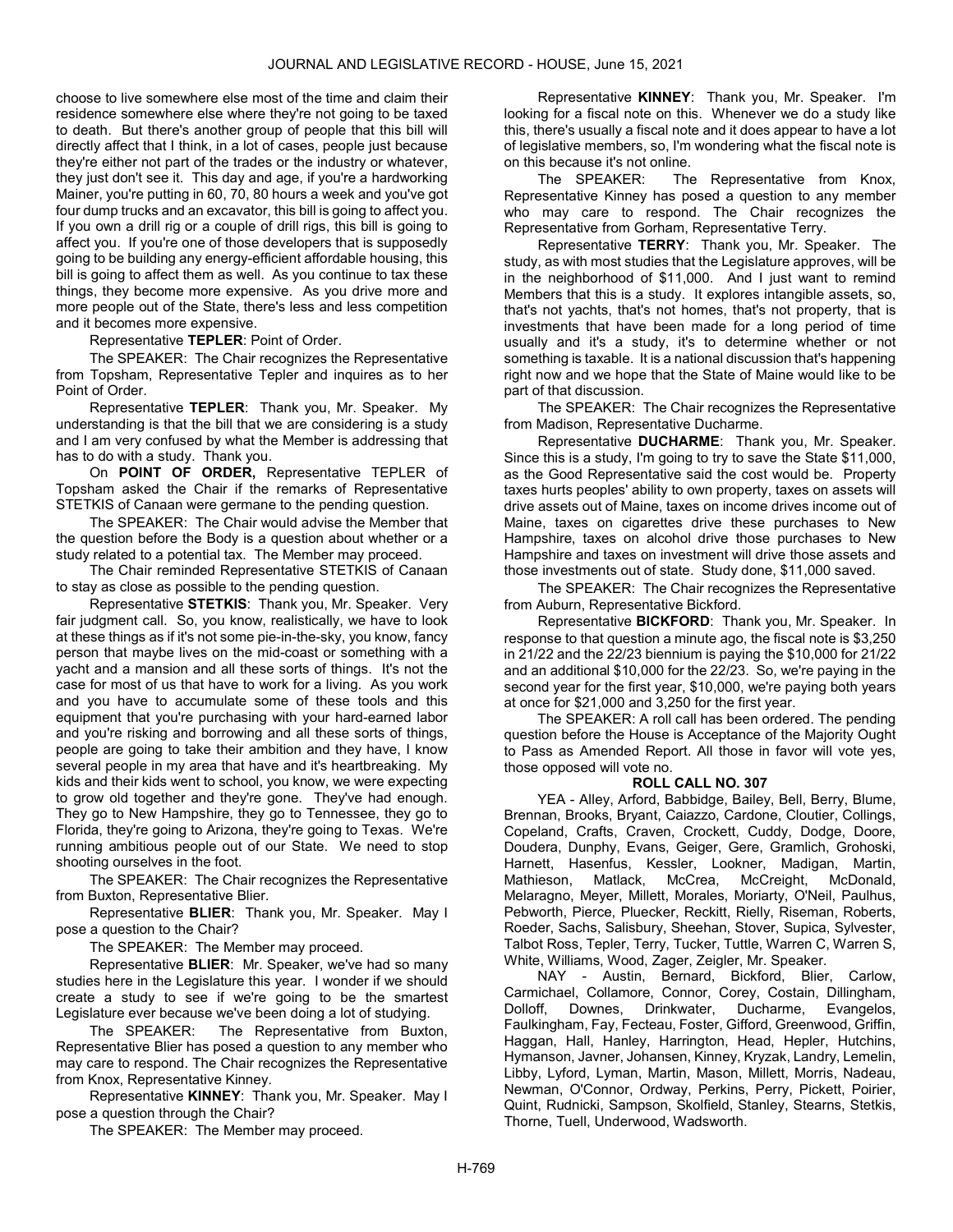choose to live somewhere else most of the time and claim their residence somewhere else where they're not going to be taxed to death. But there's another group of people that this bill will directly affect that I think, in a lot of cases, people just because they're either not part of the trades or the industry or whatever, they just don't see it. This day and age, if you're a hardworking Mainer, you're putting in 60, 70, 80 hours a week and you've got four dump trucks and an excavator, this bill is going to affect you. If you own a drill rig or a couple of drill rigs, this bill is going to affect you. If you're one of those developers that is supposedly going to be building any energy-efficient affordable housing, this bill is going to affect them as well. As you continue to tax these things, they become more expensive. As you drive more and more people out of the State, there's less and less competition and it becomes more expensive.

Representative TEPLER: Point of Order.

The SPEAKER: The Chair recognizes the Representative from Topsham, Representative Tepler and inquires as to her Point of Order.

Representative TEPLER: Thank you, Mr. Speaker. My understanding is that the bill that we are considering is a study and I am very confused by what the Member is addressing that has to do with a study. Thank you.

On POINT OF ORDER, Representative TEPLER of Topsham asked the Chair if the remarks of Representative STETKIS of Canaan were germane to the pending question.

The SPEAKER: The Chair would advise the Member that the question before the Body is a question about whether or a study related to a potential tax. The Member may proceed.

 The Chair reminded Representative STETKIS of Canaan to stay as close as possible to the pending question.

Representative STETKIS: Thank you, Mr. Speaker. Very fair judgment call. So, you know, realistically, we have to look at these things as if it's not some pie-in-the-sky, you know, fancy person that maybe lives on the mid-coast or something with a yacht and a mansion and all these sorts of things. It's not the case for most of us that have to work for a living. As you work and you have to accumulate some of these tools and this equipment that you're purchasing with your hard-earned labor and you're risking and borrowing and all these sorts of things, people are going to take their ambition and they have, I know several people in my area that have and it's heartbreaking. My kids and their kids went to school, you know, we were expecting to grow old together and they're gone. They've had enough. They go to New Hampshire, they go to Tennessee, they go to Florida, they're going to Arizona, they're going to Texas. We're running ambitious people out of our State. We need to stop shooting ourselves in the foot.

The SPEAKER: The Chair recognizes the Representative from Buxton, Representative Blier.

Representative BLIER: Thank you, Mr. Speaker. May I pose a question to the Chair?

The SPEAKER: The Member may proceed.

Representative BLIER: Mr. Speaker, we've had so many studies here in the Legislature this year. I wonder if we should create a study to see if we're going to be the smartest Legislature ever because we've been doing a lot of studying.

The SPEAKER: The Representative from Buxton, Representative Blier has posed a question to any member who may care to respond. The Chair recognizes the Representative from Knox, Representative Kinney.

Representative KINNEY: Thank you, Mr. Speaker. May I pose a question through the Chair?

The SPEAKER: The Member may proceed.

Representative KINNEY: Thank you, Mr. Speaker. I'm looking for a fiscal note on this. Whenever we do a study like this, there's usually a fiscal note and it does appear to have a lot of legislative members, so, I'm wondering what the fiscal note is on this because it's not online.

The SPEAKER: The Representative from Knox, Representative Kinney has posed a question to any member who may care to respond. The Chair recognizes the Representative from Gorham, Representative Terry.

Representative TERRY: Thank you, Mr. Speaker. The study, as with most studies that the Legislature approves, will be in the neighborhood of \$11,000. And I just want to remind Members that this is a study. It explores intangible assets, so, that's not yachts, that's not homes, that's not property, that is investments that have been made for a long period of time usually and it's a study, it's to determine whether or not something is taxable. It is a national discussion that's happening right now and we hope that the State of Maine would like to be part of that discussion.

The SPEAKER: The Chair recognizes the Representative from Madison, Representative Ducharme.

Representative DUCHARME: Thank you, Mr. Speaker. Since this is a study, I'm going to try to save the State \$11,000, as the Good Representative said the cost would be. Property taxes hurts peoples' ability to own property, taxes on assets will drive assets out of Maine, taxes on income drives income out of Maine, taxes on cigarettes drive these purchases to New Hampshire, taxes on alcohol drive those purchases to New Hampshire and taxes on investment will drive those assets and those investments out of state. Study done, \$11,000 saved.

The SPEAKER: The Chair recognizes the Representative from Auburn, Representative Bickford.

Representative BICKFORD: Thank you, Mr. Speaker. In response to that question a minute ago, the fiscal note is \$3,250 in 21/22 and the 22/23 biennium is paying the \$10,000 for 21/22 and an additional \$10,000 for the 22/23. So, we're paying in the second year for the first year, \$10,000, we're paying both years at once for \$21,000 and 3,250 for the first year.

 The SPEAKER: A roll call has been ordered. The pending question before the House is Acceptance of the Majority Ought to Pass as Amended Report. All those in favor will vote yes, those opposed will vote no.

### ROLL CALL NO. 307

 YEA - Alley, Arford, Babbidge, Bailey, Bell, Berry, Blume, Brennan, Brooks, Bryant, Caiazzo, Cardone, Cloutier, Collings, Copeland, Crafts, Craven, Crockett, Cuddy, Dodge, Doore, Doudera, Dunphy, Evans, Geiger, Gere, Gramlich, Grohoski, Harnett, Hasenfus, Kessler, Lookner, Madigan, Martin, Mathieson, Matlack, McCrea, McCreight, McDonald, Melaragno, Meyer, Millett, Morales, Moriarty, O'Neil, Paulhus, Pebworth, Pierce, Pluecker, Reckitt, Rielly, Riseman, Roberts, Roeder, Sachs, Salisbury, Sheehan, Stover, Supica, Sylvester, Talbot Ross, Tepler, Terry, Tucker, Tuttle, Warren C, Warren S, White, Williams, Wood, Zager, Zeigler, Mr. Speaker.

 NAY - Austin, Bernard, Bickford, Blier, Carlow, Carmichael, Collamore, Connor, Corey, Costain, Dillingham, Dolloff, Downes, Drinkwater, Ducharme, Evangelos, Faulkingham, Fay, Fecteau, Foster, Gifford, Greenwood, Griffin, Haggan, Hall, Hanley, Harrington, Head, Hepler, Hutchins, Hymanson, Javner, Johansen, Kinney, Kryzak, Landry, Lemelin, Libby, Lyford, Lyman, Martin, Mason, Millett, Morris, Nadeau, Newman, O'Connor, Ordway, Perkins, Perry, Pickett, Poirier, Quint, Rudnicki, Sampson, Skolfield, Stanley, Stearns, Stetkis, Thorne, Tuell, Underwood, Wadsworth.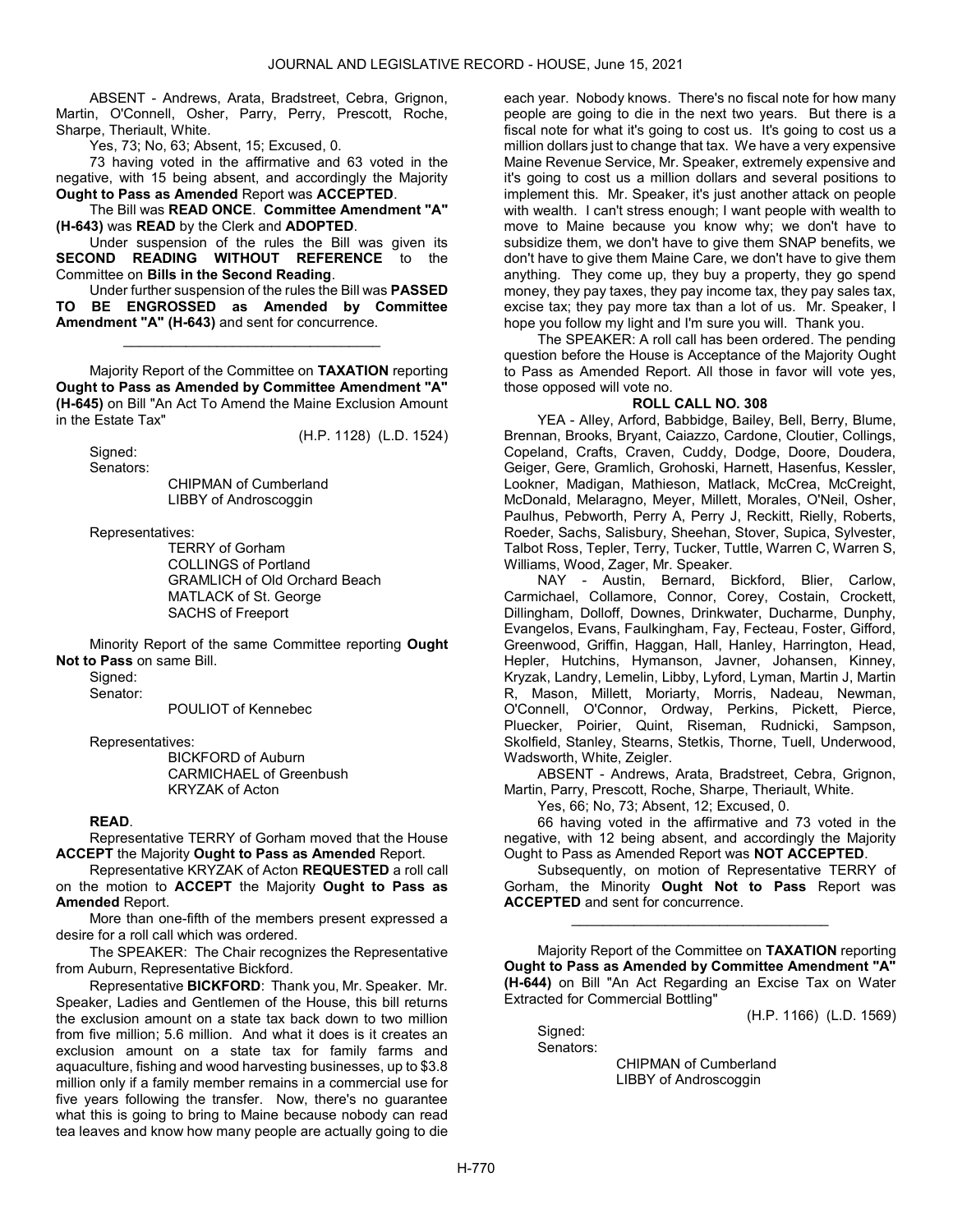ABSENT - Andrews, Arata, Bradstreet, Cebra, Grignon, Martin, O'Connell, Osher, Parry, Perry, Prescott, Roche, Sharpe, Theriault, White.

Yes, 73; No, 63; Absent, 15; Excused, 0.

 73 having voted in the affirmative and 63 voted in the negative, with 15 being absent, and accordingly the Majority Ought to Pass as Amended Report was ACCEPTED.

 The Bill was READ ONCE. Committee Amendment "A" (H-643) was READ by the Clerk and ADOPTED.

 Under suspension of the rules the Bill was given its SECOND READING WITHOUT REFERENCE to the Committee on Bills in the Second Reading.

 Under further suspension of the rules the Bill was PASSED TO BE ENGROSSED as Amended by Committee Amendment "A" (H-643) and sent for concurrence.

\_\_\_\_\_\_\_\_\_\_\_\_\_\_\_\_\_\_\_\_\_\_\_\_\_\_\_\_\_\_\_\_\_

 Majority Report of the Committee on TAXATION reporting Ought to Pass as Amended by Committee Amendment "A" (H-645) on Bill "An Act To Amend the Maine Exclusion Amount in the Estate Tax"

Signed:

(H.P. 1128) (L.D. 1524)

Senators:

 CHIPMAN of Cumberland LIBBY of Androscoggin

Representatives:

 TERRY of Gorham COLLINGS of Portland GRAMLICH of Old Orchard Beach MATLACK of St. George SACHS of Freeport

 Minority Report of the same Committee reporting Ought Not to Pass on same Bill.

Signed:

Senator:

POULIOT of Kennebec

Representatives:

 BICKFORD of Auburn CARMICHAEL of Greenbush KRYZAK of Acton

### READ.

 Representative TERRY of Gorham moved that the House ACCEPT the Majority Ought to Pass as Amended Report.

 Representative KRYZAK of Acton REQUESTED a roll call on the motion to ACCEPT the Majority Ought to Pass as Amended Report.

 More than one-fifth of the members present expressed a desire for a roll call which was ordered.

The SPEAKER: The Chair recognizes the Representative from Auburn, Representative Bickford.

Representative BICKFORD: Thank you, Mr. Speaker. Mr. Speaker, Ladies and Gentlemen of the House, this bill returns the exclusion amount on a state tax back down to two million from five million; 5.6 million. And what it does is it creates an exclusion amount on a state tax for family farms and aquaculture, fishing and wood harvesting businesses, up to \$3.8 million only if a family member remains in a commercial use for five years following the transfer. Now, there's no guarantee what this is going to bring to Maine because nobody can read tea leaves and know how many people are actually going to die each year. Nobody knows. There's no fiscal note for how many people are going to die in the next two years. But there is a fiscal note for what it's going to cost us. It's going to cost us a million dollars just to change that tax. We have a very expensive Maine Revenue Service, Mr. Speaker, extremely expensive and it's going to cost us a million dollars and several positions to implement this. Mr. Speaker, it's just another attack on people with wealth. I can't stress enough; I want people with wealth to move to Maine because you know why; we don't have to subsidize them, we don't have to give them SNAP benefits, we don't have to give them Maine Care, we don't have to give them anything. They come up, they buy a property, they go spend money, they pay taxes, they pay income tax, they pay sales tax, excise tax; they pay more tax than a lot of us. Mr. Speaker, I hope you follow my light and I'm sure you will. Thank you.

 The SPEAKER: A roll call has been ordered. The pending question before the House is Acceptance of the Majority Ought to Pass as Amended Report. All those in favor will vote yes, those opposed will vote no.

#### ROLL CALL NO. 308

 YEA - Alley, Arford, Babbidge, Bailey, Bell, Berry, Blume, Brennan, Brooks, Bryant, Caiazzo, Cardone, Cloutier, Collings, Copeland, Crafts, Craven, Cuddy, Dodge, Doore, Doudera, Geiger, Gere, Gramlich, Grohoski, Harnett, Hasenfus, Kessler, Lookner, Madigan, Mathieson, Matlack, McCrea, McCreight, McDonald, Melaragno, Meyer, Millett, Morales, O'Neil, Osher, Paulhus, Pebworth, Perry A, Perry J, Reckitt, Rielly, Roberts, Roeder, Sachs, Salisbury, Sheehan, Stover, Supica, Sylvester, Talbot Ross, Tepler, Terry, Tucker, Tuttle, Warren C, Warren S, Williams, Wood, Zager, Mr. Speaker.

 NAY - Austin, Bernard, Bickford, Blier, Carlow, Carmichael, Collamore, Connor, Corey, Costain, Crockett, Dillingham, Dolloff, Downes, Drinkwater, Ducharme, Dunphy, Evangelos, Evans, Faulkingham, Fay, Fecteau, Foster, Gifford, Greenwood, Griffin, Haggan, Hall, Hanley, Harrington, Head, Hepler, Hutchins, Hymanson, Javner, Johansen, Kinney, Kryzak, Landry, Lemelin, Libby, Lyford, Lyman, Martin J, Martin R, Mason, Millett, Moriarty, Morris, Nadeau, Newman, O'Connell, O'Connor, Ordway, Perkins, Pickett, Pierce, Pluecker, Poirier, Quint, Riseman, Rudnicki, Sampson, Skolfield, Stanley, Stearns, Stetkis, Thorne, Tuell, Underwood, Wadsworth, White, Zeigler.

 ABSENT - Andrews, Arata, Bradstreet, Cebra, Grignon, Martin, Parry, Prescott, Roche, Sharpe, Theriault, White.

Yes, 66; No, 73; Absent, 12; Excused, 0.

 66 having voted in the affirmative and 73 voted in the negative, with 12 being absent, and accordingly the Majority Ought to Pass as Amended Report was NOT ACCEPTED.

 Subsequently, on motion of Representative TERRY of Gorham, the Minority Ought Not to Pass Report was ACCEPTED and sent for concurrence.

\_\_\_\_\_\_\_\_\_\_\_\_\_\_\_\_\_\_\_\_\_\_\_\_\_\_\_\_\_\_\_\_\_

 Majority Report of the Committee on TAXATION reporting Ought to Pass as Amended by Committee Amendment "A" (H-644) on Bill "An Act Regarding an Excise Tax on Water Extracted for Commercial Bottling"

(H.P. 1166) (L.D. 1569)

Signed: Senators:

> CHIPMAN of Cumberland LIBBY of Androscoggin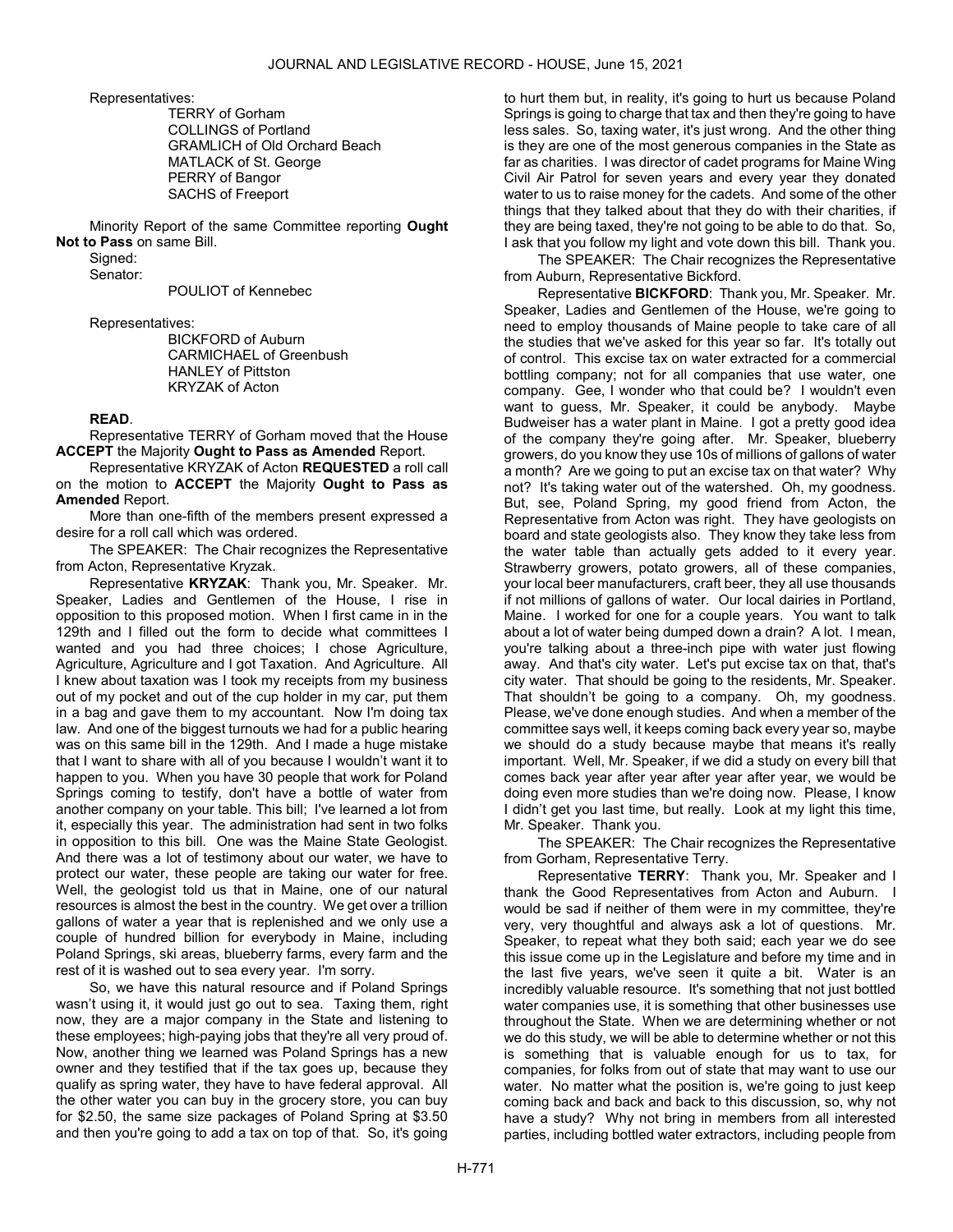Representatives:

 TERRY of Gorham COLLINGS of Portland GRAMLICH of Old Orchard Beach MATLACK of St. George PERRY of Bangor SACHS of Freeport

 Minority Report of the same Committee reporting Ought Not to Pass on same Bill.

Signed:

Senator:

POULIOT of Kennebec

Representatives:

 BICKFORD of Auburn CARMICHAEL of Greenbush HANLEY of Pittston KRYZAK of Acton

# READ.

 Representative TERRY of Gorham moved that the House ACCEPT the Majority Ought to Pass as Amended Report.

 Representative KRYZAK of Acton REQUESTED a roll call on the motion to ACCEPT the Majority Ought to Pass as Amended Report.

 More than one-fifth of the members present expressed a desire for a roll call which was ordered.

The SPEAKER: The Chair recognizes the Representative from Acton, Representative Kryzak.

Representative KRYZAK: Thank you, Mr. Speaker. Mr. Speaker, Ladies and Gentlemen of the House, I rise in opposition to this proposed motion. When I first came in in the 129th and I filled out the form to decide what committees I wanted and you had three choices; I chose Agriculture, Agriculture, Agriculture and I got Taxation. And Agriculture. All I knew about taxation was I took my receipts from my business out of my pocket and out of the cup holder in my car, put them in a bag and gave them to my accountant. Now I'm doing tax law. And one of the biggest turnouts we had for a public hearing was on this same bill in the 129th. And I made a huge mistake that I want to share with all of you because I wouldn't want it to happen to you. When you have 30 people that work for Poland Springs coming to testify, don't have a bottle of water from another company on your table. This bill; I've learned a lot from it, especially this year. The administration had sent in two folks in opposition to this bill. One was the Maine State Geologist. And there was a lot of testimony about our water, we have to protect our water, these people are taking our water for free. Well, the geologist told us that in Maine, one of our natural resources is almost the best in the country. We get over a trillion gallons of water a year that is replenished and we only use a couple of hundred billion for everybody in Maine, including Poland Springs, ski areas, blueberry farms, every farm and the rest of it is washed out to sea every year. I'm sorry.

So, we have this natural resource and if Poland Springs wasn't using it, it would just go out to sea. Taxing them, right now, they are a major company in the State and listening to these employees; high-paying jobs that they're all very proud of. Now, another thing we learned was Poland Springs has a new owner and they testified that if the tax goes up, because they qualify as spring water, they have to have federal approval. All the other water you can buy in the grocery store, you can buy for \$2.50, the same size packages of Poland Spring at \$3.50 and then you're going to add a tax on top of that. So, it's going

to hurt them but, in reality, it's going to hurt us because Poland Springs is going to charge that tax and then they're going to have less sales. So, taxing water, it's just wrong. And the other thing is they are one of the most generous companies in the State as far as charities. I was director of cadet programs for Maine Wing Civil Air Patrol for seven years and every year they donated water to us to raise money for the cadets. And some of the other things that they talked about that they do with their charities, if they are being taxed, they're not going to be able to do that. So, I ask that you follow my light and vote down this bill. Thank you.

The SPEAKER: The Chair recognizes the Representative from Auburn, Representative Bickford.

Representative BICKFORD: Thank you, Mr. Speaker. Mr. Speaker, Ladies and Gentlemen of the House, we're going to need to employ thousands of Maine people to take care of all the studies that we've asked for this year so far. It's totally out of control. This excise tax on water extracted for a commercial bottling company; not for all companies that use water, one company. Gee, I wonder who that could be? I wouldn't even want to guess, Mr. Speaker, it could be anybody. Maybe Budweiser has a water plant in Maine. I got a pretty good idea of the company they're going after. Mr. Speaker, blueberry growers, do you know they use 10s of millions of gallons of water a month? Are we going to put an excise tax on that water? Why not? It's taking water out of the watershed. Oh, my goodness. But, see, Poland Spring, my good friend from Acton, the Representative from Acton was right. They have geologists on board and state geologists also. They know they take less from the water table than actually gets added to it every year. Strawberry growers, potato growers, all of these companies, your local beer manufacturers, craft beer, they all use thousands if not millions of gallons of water. Our local dairies in Portland, Maine. I worked for one for a couple years. You want to talk about a lot of water being dumped down a drain? A lot. I mean, you're talking about a three-inch pipe with water just flowing away. And that's city water. Let's put excise tax on that, that's city water. That should be going to the residents, Mr. Speaker. That shouldn't be going to a company. Oh, my goodness. Please, we've done enough studies. And when a member of the committee says well, it keeps coming back every year so, maybe we should do a study because maybe that means it's really important. Well, Mr. Speaker, if we did a study on every bill that comes back year after year after year after year, we would be doing even more studies than we're doing now. Please, I know I didn't get you last time, but really. Look at my light this time, Mr. Speaker. Thank you.

The SPEAKER: The Chair recognizes the Representative from Gorham, Representative Terry.

Representative TERRY: Thank you, Mr. Speaker and I thank the Good Representatives from Acton and Auburn. I would be sad if neither of them were in my committee, they're very, very thoughtful and always ask a lot of questions. Mr. Speaker, to repeat what they both said; each year we do see this issue come up in the Legislature and before my time and in the last five years, we've seen it quite a bit. Water is an incredibly valuable resource. It's something that not just bottled water companies use, it is something that other businesses use throughout the State. When we are determining whether or not we do this study, we will be able to determine whether or not this is something that is valuable enough for us to tax, for companies, for folks from out of state that may want to use our water. No matter what the position is, we're going to just keep coming back and back and back to this discussion, so, why not have a study? Why not bring in members from all interested parties, including bottled water extractors, including people from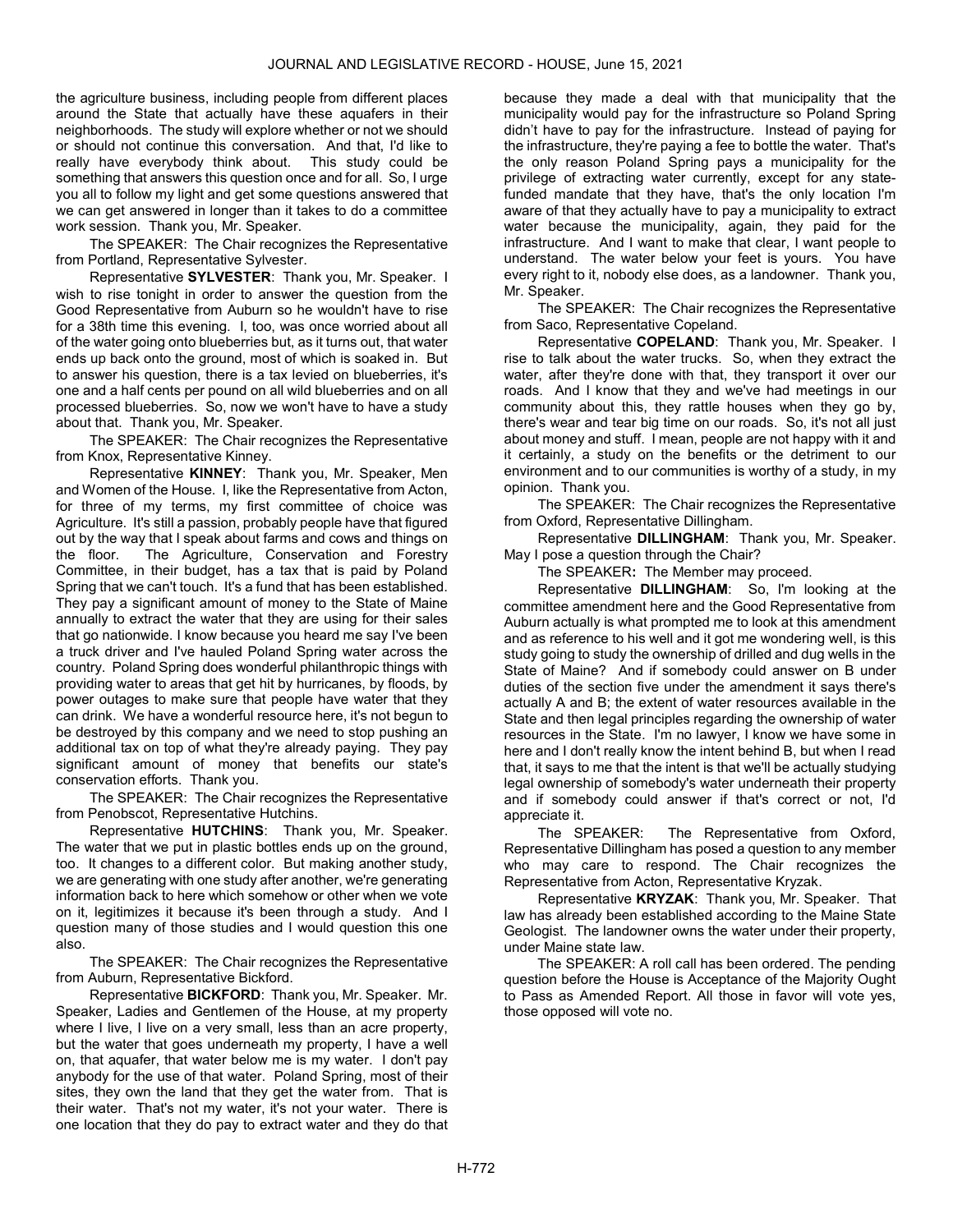the agriculture business, including people from different places around the State that actually have these aquafers in their neighborhoods. The study will explore whether or not we should or should not continue this conversation. And that, I'd like to really have everybody think about. This study could be something that answers this question once and for all. So, I urge you all to follow my light and get some questions answered that we can get answered in longer than it takes to do a committee work session. Thank you, Mr. Speaker.

The SPEAKER: The Chair recognizes the Representative from Portland, Representative Sylvester.

Representative SYLVESTER: Thank you, Mr. Speaker. I wish to rise tonight in order to answer the question from the Good Representative from Auburn so he wouldn't have to rise for a 38th time this evening. I, too, was once worried about all of the water going onto blueberries but, as it turns out, that water ends up back onto the ground, most of which is soaked in. But to answer his question, there is a tax levied on blueberries, it's one and a half cents per pound on all wild blueberries and on all processed blueberries. So, now we won't have to have a study about that. Thank you, Mr. Speaker.

The SPEAKER: The Chair recognizes the Representative from Knox, Representative Kinney.

Representative KINNEY: Thank you, Mr. Speaker, Men and Women of the House. I, like the Representative from Acton, for three of my terms, my first committee of choice was Agriculture. It's still a passion, probably people have that figured out by the way that I speak about farms and cows and things on the floor. The Agriculture, Conservation and Forestry Committee, in their budget, has a tax that is paid by Poland Spring that we can't touch. It's a fund that has been established. They pay a significant amount of money to the State of Maine annually to extract the water that they are using for their sales that go nationwide. I know because you heard me say I've been a truck driver and I've hauled Poland Spring water across the country. Poland Spring does wonderful philanthropic things with providing water to areas that get hit by hurricanes, by floods, by power outages to make sure that people have water that they can drink. We have a wonderful resource here, it's not begun to be destroyed by this company and we need to stop pushing an additional tax on top of what they're already paying. They pay significant amount of money that benefits our state's conservation efforts. Thank you.

The SPEAKER: The Chair recognizes the Representative from Penobscot, Representative Hutchins.

Representative HUTCHINS: Thank you, Mr. Speaker. The water that we put in plastic bottles ends up on the ground, too. It changes to a different color. But making another study, we are generating with one study after another, we're generating information back to here which somehow or other when we vote on it, legitimizes it because it's been through a study. And I question many of those studies and I would question this one also.

The SPEAKER: The Chair recognizes the Representative from Auburn, Representative Bickford.

Representative BICKFORD: Thank you, Mr. Speaker. Mr. Speaker, Ladies and Gentlemen of the House, at my property where I live, I live on a very small, less than an acre property, but the water that goes underneath my property, I have a well on, that aquafer, that water below me is my water. I don't pay anybody for the use of that water. Poland Spring, most of their sites, they own the land that they get the water from. That is their water. That's not my water, it's not your water. There is one location that they do pay to extract water and they do that

because they made a deal with that municipality that the municipality would pay for the infrastructure so Poland Spring didn't have to pay for the infrastructure. Instead of paying for the infrastructure, they're paying a fee to bottle the water. That's the only reason Poland Spring pays a municipality for the privilege of extracting water currently, except for any statefunded mandate that they have, that's the only location I'm aware of that they actually have to pay a municipality to extract water because the municipality, again, they paid for the infrastructure. And I want to make that clear, I want people to understand. The water below your feet is yours. You have every right to it, nobody else does, as a landowner. Thank you, Mr. Speaker.

The SPEAKER: The Chair recognizes the Representative from Saco, Representative Copeland.

Representative COPELAND: Thank you, Mr. Speaker. I rise to talk about the water trucks. So, when they extract the water, after they're done with that, they transport it over our roads. And I know that they and we've had meetings in our community about this, they rattle houses when they go by, there's wear and tear big time on our roads. So, it's not all just about money and stuff. I mean, people are not happy with it and it certainly, a study on the benefits or the detriment to our environment and to our communities is worthy of a study, in my opinion. Thank you.

The SPEAKER: The Chair recognizes the Representative from Oxford, Representative Dillingham.

Representative DILLINGHAM: Thank you, Mr. Speaker. May I pose a question through the Chair?

The SPEAKER: The Member may proceed.

Representative DILLINGHAM: So, I'm looking at the committee amendment here and the Good Representative from Auburn actually is what prompted me to look at this amendment and as reference to his well and it got me wondering well, is this study going to study the ownership of drilled and dug wells in the State of Maine? And if somebody could answer on B under duties of the section five under the amendment it says there's actually A and B; the extent of water resources available in the State and then legal principles regarding the ownership of water resources in the State. I'm no lawyer, I know we have some in here and I don't really know the intent behind B, but when I read that, it says to me that the intent is that we'll be actually studying legal ownership of somebody's water underneath their property and if somebody could answer if that's correct or not, I'd appreciate it.

The SPEAKER: The Representative from Oxford, Representative Dillingham has posed a question to any member who may care to respond. The Chair recognizes the Representative from Acton, Representative Kryzak.

Representative KRYZAK: Thank you, Mr. Speaker. That law has already been established according to the Maine State Geologist. The landowner owns the water under their property, under Maine state law.

 The SPEAKER: A roll call has been ordered. The pending question before the House is Acceptance of the Majority Ought to Pass as Amended Report. All those in favor will vote yes, those opposed will vote no.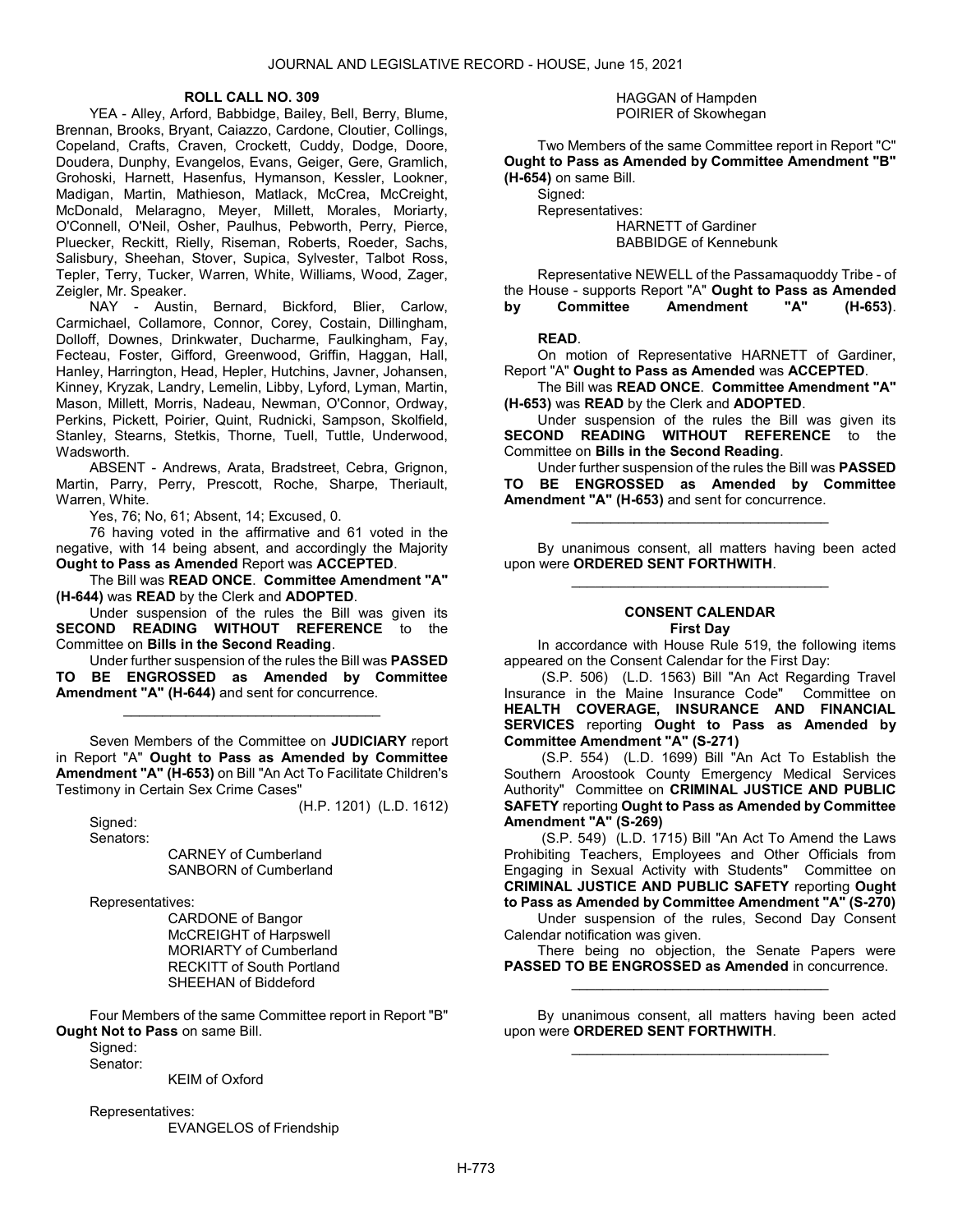#### ROLL CALL NO. 309

 YEA - Alley, Arford, Babbidge, Bailey, Bell, Berry, Blume, Brennan, Brooks, Bryant, Caiazzo, Cardone, Cloutier, Collings, Copeland, Crafts, Craven, Crockett, Cuddy, Dodge, Doore, Doudera, Dunphy, Evangelos, Evans, Geiger, Gere, Gramlich, Grohoski, Harnett, Hasenfus, Hymanson, Kessler, Lookner, Madigan, Martin, Mathieson, Matlack, McCrea, McCreight, McDonald, Melaragno, Meyer, Millett, Morales, Moriarty, O'Connell, O'Neil, Osher, Paulhus, Pebworth, Perry, Pierce, Pluecker, Reckitt, Rielly, Riseman, Roberts, Roeder, Sachs, Salisbury, Sheehan, Stover, Supica, Sylvester, Talbot Ross, Tepler, Terry, Tucker, Warren, White, Williams, Wood, Zager, Zeigler, Mr. Speaker.

 NAY - Austin, Bernard, Bickford, Blier, Carlow, Carmichael, Collamore, Connor, Corey, Costain, Dillingham, Dolloff, Downes, Drinkwater, Ducharme, Faulkingham, Fay, Fecteau, Foster, Gifford, Greenwood, Griffin, Haggan, Hall, Hanley, Harrington, Head, Hepler, Hutchins, Javner, Johansen, Kinney, Kryzak, Landry, Lemelin, Libby, Lyford, Lyman, Martin, Mason, Millett, Morris, Nadeau, Newman, O'Connor, Ordway, Perkins, Pickett, Poirier, Quint, Rudnicki, Sampson, Skolfield, Stanley, Stearns, Stetkis, Thorne, Tuell, Tuttle, Underwood, Wadsworth.

 ABSENT - Andrews, Arata, Bradstreet, Cebra, Grignon, Martin, Parry, Perry, Prescott, Roche, Sharpe, Theriault, Warren, White.

Yes, 76; No, 61; Absent, 14; Excused, 0.

 76 having voted in the affirmative and 61 voted in the negative, with 14 being absent, and accordingly the Majority Ought to Pass as Amended Report was ACCEPTED.

 The Bill was READ ONCE. Committee Amendment "A" (H-644) was READ by the Clerk and ADOPTED.

 Under suspension of the rules the Bill was given its SECOND READING WITHOUT REFERENCE to the Committee on Bills in the Second Reading.

 Under further suspension of the rules the Bill was PASSED TO BE ENGROSSED as Amended by Committee Amendment "A" (H-644) and sent for concurrence.

\_\_\_\_\_\_\_\_\_\_\_\_\_\_\_\_\_\_\_\_\_\_\_\_\_\_\_\_\_\_\_\_\_

 Seven Members of the Committee on JUDICIARY report in Report "A" Ought to Pass as Amended by Committee Amendment "A" (H-653) on Bill "An Act To Facilitate Children's Testimony in Certain Sex Crime Cases"

(H.P. 1201) (L.D. 1612)

 Signed: Senators:

 CARNEY of Cumberland SANBORN of Cumberland

Representatives:

 CARDONE of Bangor McCREIGHT of Harpswell MORIARTY of Cumberland RECKITT of South Portland SHEEHAN of Biddeford

 Four Members of the same Committee report in Report "B" Ought Not to Pass on same Bill.

Signed: Senator:

KEIM of Oxford

Representatives:

EVANGELOS of Friendship

#### HAGGAN of Hampden POIRIER of Skowhegan

 Two Members of the same Committee report in Report "C" Ought to Pass as Amended by Committee Amendment "B" (H-654) on same Bill.

 Signed: Representatives: HARNETT of Gardiner BABBIDGE of Kennebunk

 Representative NEWELL of the Passamaquoddy Tribe - of the House - supports Report "A" Ought to Pass as Amended<br>by Committee Amendment "A" (H-653) by Committee Amendment "A" (H-653).

### READ.

 On motion of Representative HARNETT of Gardiner, Report "A" Ought to Pass as Amended was ACCEPTED.

 The Bill was READ ONCE. Committee Amendment "A" (H-653) was READ by the Clerk and ADOPTED.

 Under suspension of the rules the Bill was given its SECOND READING WITHOUT REFERENCE to the Committee on Bills in the Second Reading.

 Under further suspension of the rules the Bill was PASSED TO BE ENGROSSED as Amended by Committee Amendment "A" (H-653) and sent for concurrence.

\_\_\_\_\_\_\_\_\_\_\_\_\_\_\_\_\_\_\_\_\_\_\_\_\_\_\_\_\_\_\_\_\_

 By unanimous consent, all matters having been acted upon were ORDERED SENT FORTHWITH. \_\_\_\_\_\_\_\_\_\_\_\_\_\_\_\_\_\_\_\_\_\_\_\_\_\_\_\_\_\_\_\_\_

#### CONSENT CALENDAR First Day

 In accordance with House Rule 519, the following items appeared on the Consent Calendar for the First Day:

 (S.P. 506) (L.D. 1563) Bill "An Act Regarding Travel Insurance in the Maine Insurance Code" Committee on HEALTH COVERAGE, INSURANCE AND FINANCIAL SERVICES reporting Ought to Pass as Amended by Committee Amendment "A" (S-271)

 (S.P. 554) (L.D. 1699) Bill "An Act To Establish the Southern Aroostook County Emergency Medical Services Authority" Committee on CRIMINAL JUSTICE AND PUBLIC SAFETY reporting Ought to Pass as Amended by Committee Amendment "A" (S-269)

 (S.P. 549) (L.D. 1715) Bill "An Act To Amend the Laws Prohibiting Teachers, Employees and Other Officials from Engaging in Sexual Activity with Students" Committee on CRIMINAL JUSTICE AND PUBLIC SAFETY reporting Ought to Pass as Amended by Committee Amendment "A" (S-270)

 Under suspension of the rules, Second Day Consent Calendar notification was given.

 There being no objection, the Senate Papers were PASSED TO BE ENGROSSED as Amended in concurrence. \_\_\_\_\_\_\_\_\_\_\_\_\_\_\_\_\_\_\_\_\_\_\_\_\_\_\_\_\_\_\_\_\_

 By unanimous consent, all matters having been acted upon were ORDERED SENT FORTHWITH. \_\_\_\_\_\_\_\_\_\_\_\_\_\_\_\_\_\_\_\_\_\_\_\_\_\_\_\_\_\_\_\_\_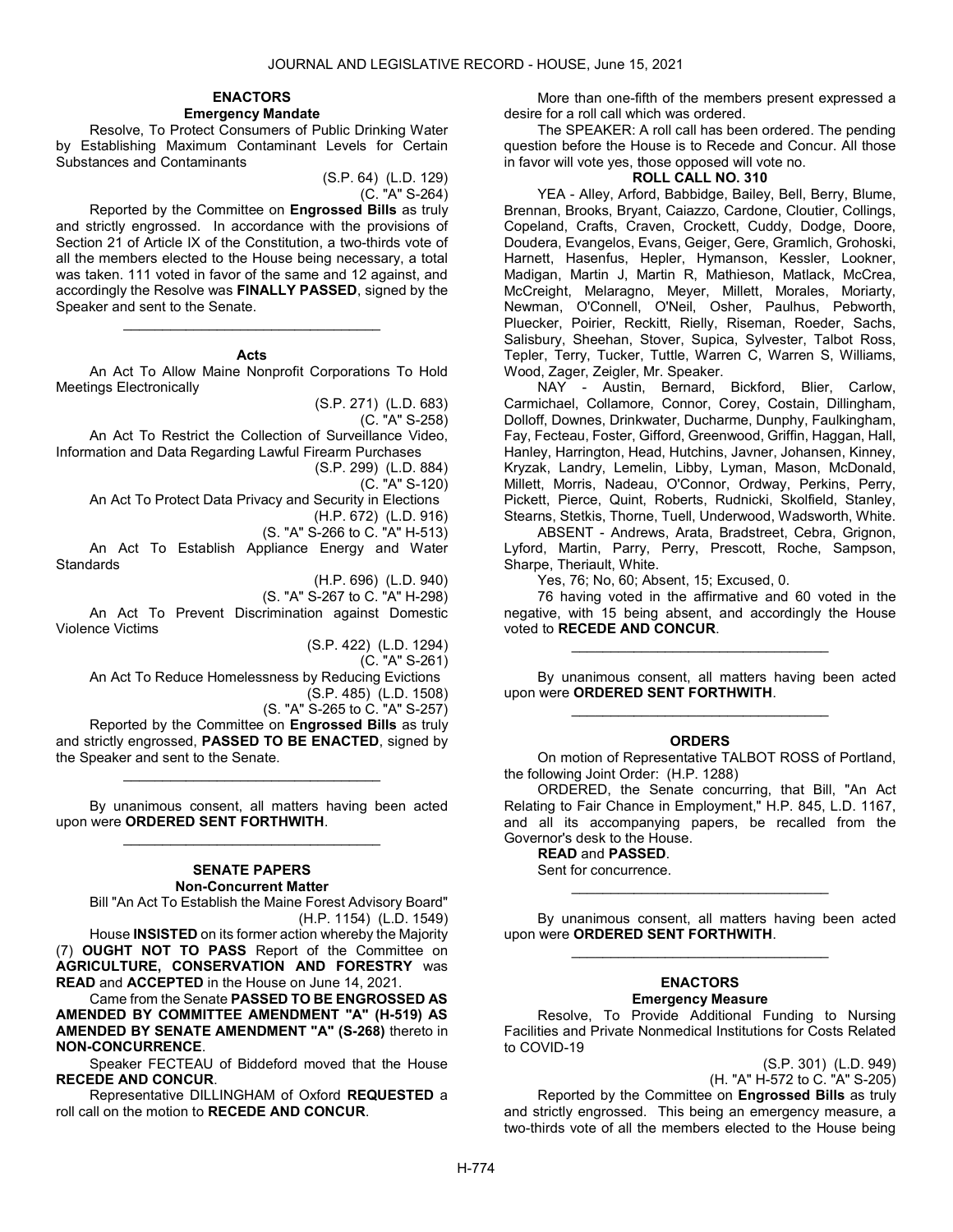#### ENACTORS Emergency Mandate

 Resolve, To Protect Consumers of Public Drinking Water by Establishing Maximum Contaminant Levels for Certain Substances and Contaminants

> (S.P. 64) (L.D. 129) (C. "A" S-264)

 Reported by the Committee on Engrossed Bills as truly and strictly engrossed. In accordance with the provisions of Section 21 of Article IX of the Constitution, a two-thirds vote of all the members elected to the House being necessary, a total was taken. 111 voted in favor of the same and 12 against, and accordingly the Resolve was FINALLY PASSED, signed by the Speaker and sent to the Senate.

# \_\_\_\_\_\_\_\_\_\_\_\_\_\_\_\_\_\_\_\_\_\_\_\_\_\_\_\_\_\_\_\_\_ Acts

 An Act To Allow Maine Nonprofit Corporations To Hold Meetings Electronically

> (S.P. 271) (L.D. 683) (C. "A" S-258)

 An Act To Restrict the Collection of Surveillance Video, Information and Data Regarding Lawful Firearm Purchases

(S.P. 299) (L.D. 884)

(C. "A" S-120)

An Act To Protect Data Privacy and Security in Elections

(H.P. 672) (L.D. 916) (S. "A" S-266 to C. "A" H-513)

 An Act To Establish Appliance Energy and Water Standards

(H.P. 696) (L.D. 940)

(S. "A" S-267 to C. "A" H-298)

 An Act To Prevent Discrimination against Domestic Violence Victims

(S.P. 422) (L.D. 1294)

(C. "A" S-261)

An Act To Reduce Homelessness by Reducing Evictions

(S.P. 485) (L.D. 1508)

(S. "A" S-265 to C. "A" S-257) Reported by the Committee on Engrossed Bills as truly and strictly engrossed, PASSED TO BE ENACTED, signed by the Speaker and sent to the Senate.

\_\_\_\_\_\_\_\_\_\_\_\_\_\_\_\_\_\_\_\_\_\_\_\_\_\_\_\_\_\_\_\_\_

 By unanimous consent, all matters having been acted upon were ORDERED SENT FORTHWITH. \_\_\_\_\_\_\_\_\_\_\_\_\_\_\_\_\_\_\_\_\_\_\_\_\_\_\_\_\_\_\_\_\_

### SENATE PAPERS Non-Concurrent Matter

 Bill "An Act To Establish the Maine Forest Advisory Board" (H.P. 1154) (L.D. 1549)

 House INSISTED on its former action whereby the Majority (7) OUGHT NOT TO PASS Report of the Committee on AGRICULTURE, CONSERVATION AND FORESTRY was READ and ACCEPTED in the House on June 14, 2021.

 Came from the Senate PASSED TO BE ENGROSSED AS AMENDED BY COMMITTEE AMENDMENT "A" (H-519) AS AMENDED BY SENATE AMENDMENT "A" (S-268) thereto in NON-CONCURRENCE.

 Speaker FECTEAU of Biddeford moved that the House RECEDE AND CONCUR.

 Representative DILLINGHAM of Oxford REQUESTED a roll call on the motion to RECEDE AND CONCUR.

 More than one-fifth of the members present expressed a desire for a roll call which was ordered.

 The SPEAKER: A roll call has been ordered. The pending question before the House is to Recede and Concur. All those in favor will vote yes, those opposed will vote no.

# ROLL CALL NO. 310

 YEA - Alley, Arford, Babbidge, Bailey, Bell, Berry, Blume, Brennan, Brooks, Bryant, Caiazzo, Cardone, Cloutier, Collings, Copeland, Crafts, Craven, Crockett, Cuddy, Dodge, Doore, Doudera, Evangelos, Evans, Geiger, Gere, Gramlich, Grohoski, Harnett, Hasenfus, Hepler, Hymanson, Kessler, Lookner, Madigan, Martin J, Martin R, Mathieson, Matlack, McCrea, McCreight, Melaragno, Meyer, Millett, Morales, Moriarty, Newman, O'Connell, O'Neil, Osher, Paulhus, Pebworth, Pluecker, Poirier, Reckitt, Rielly, Riseman, Roeder, Sachs, Salisbury, Sheehan, Stover, Supica, Sylvester, Talbot Ross, Tepler, Terry, Tucker, Tuttle, Warren C, Warren S, Williams, Wood, Zager, Zeigler, Mr. Speaker.

 NAY - Austin, Bernard, Bickford, Blier, Carlow, Carmichael, Collamore, Connor, Corey, Costain, Dillingham, Dolloff, Downes, Drinkwater, Ducharme, Dunphy, Faulkingham, Fay, Fecteau, Foster, Gifford, Greenwood, Griffin, Haggan, Hall, Hanley, Harrington, Head, Hutchins, Javner, Johansen, Kinney, Kryzak, Landry, Lemelin, Libby, Lyman, Mason, McDonald, Millett, Morris, Nadeau, O'Connor, Ordway, Perkins, Perry, Pickett, Pierce, Quint, Roberts, Rudnicki, Skolfield, Stanley, Stearns, Stetkis, Thorne, Tuell, Underwood, Wadsworth, White.

 ABSENT - Andrews, Arata, Bradstreet, Cebra, Grignon, Lyford, Martin, Parry, Perry, Prescott, Roche, Sampson, Sharpe, Theriault, White.

Yes, 76; No, 60; Absent, 15; Excused, 0.

 76 having voted in the affirmative and 60 voted in the negative, with 15 being absent, and accordingly the House voted to RECEDE AND CONCUR.

\_\_\_\_\_\_\_\_\_\_\_\_\_\_\_\_\_\_\_\_\_\_\_\_\_\_\_\_\_\_\_\_\_

 By unanimous consent, all matters having been acted upon were ORDERED SENT FORTHWITH. \_\_\_\_\_\_\_\_\_\_\_\_\_\_\_\_\_\_\_\_\_\_\_\_\_\_\_\_\_\_\_\_\_

#### ORDERS

 On motion of Representative TALBOT ROSS of Portland, the following Joint Order: (H.P. 1288)

 ORDERED, the Senate concurring, that Bill, "An Act Relating to Fair Chance in Employment," H.P. 845, L.D. 1167, and all its accompanying papers, be recalled from the Governor's desk to the House.

### READ and PASSED.

Sent for concurrence.

 By unanimous consent, all matters having been acted upon were ORDERED SENT FORTHWITH. \_\_\_\_\_\_\_\_\_\_\_\_\_\_\_\_\_\_\_\_\_\_\_\_\_\_\_\_\_\_\_\_\_

\_\_\_\_\_\_\_\_\_\_\_\_\_\_\_\_\_\_\_\_\_\_\_\_\_\_\_\_\_\_\_\_\_

#### ENACTORS Emergency Measure

 Resolve, To Provide Additional Funding to Nursing Facilities and Private Nonmedical Institutions for Costs Related to COVID-19

(S.P. 301) (L.D. 949)

(H. "A" H-572 to C. "A" S-205)

 Reported by the Committee on Engrossed Bills as truly and strictly engrossed. This being an emergency measure, a two-thirds vote of all the members elected to the House being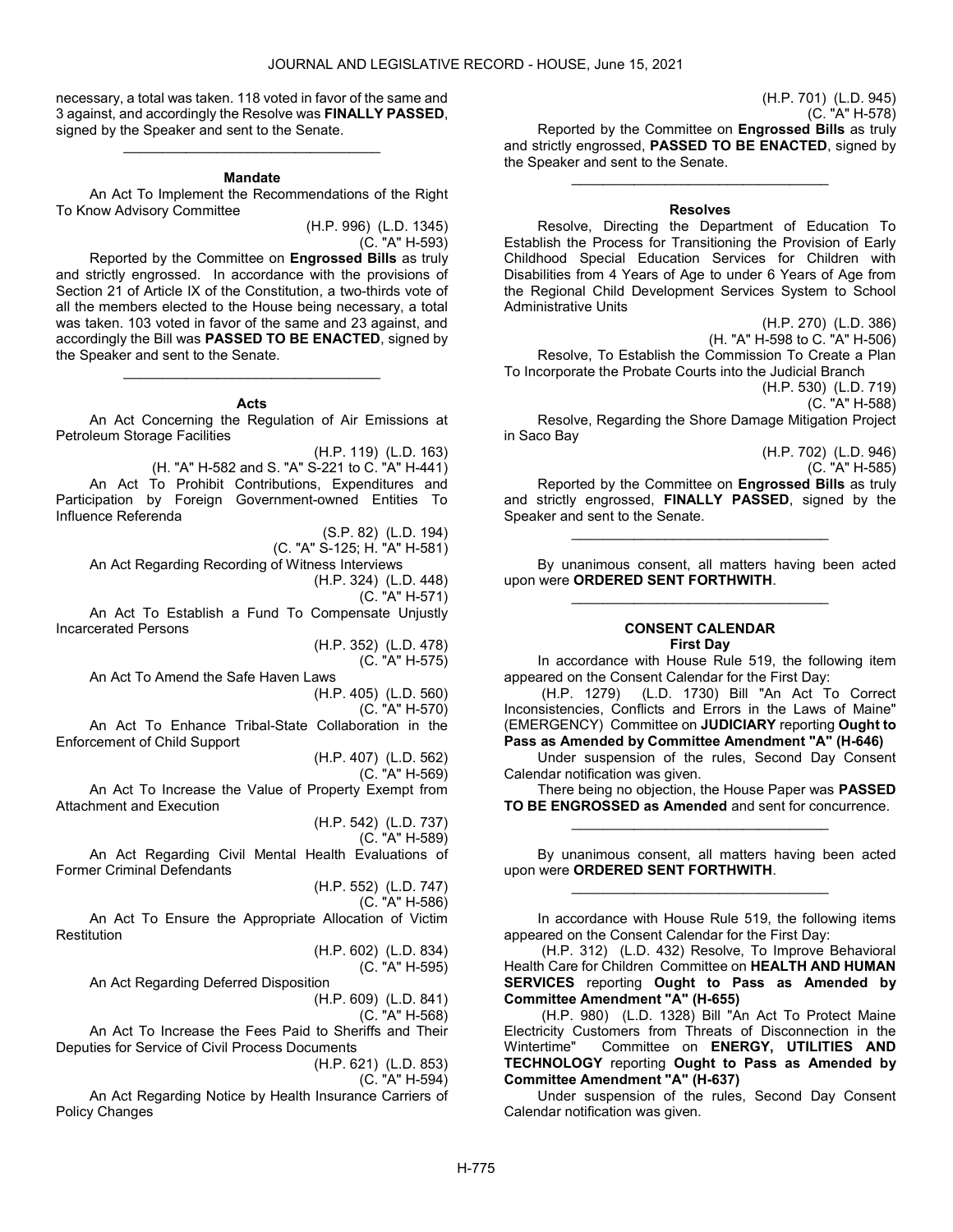necessary, a total was taken. 118 voted in favor of the same and 3 against, and accordingly the Resolve was FINALLY PASSED, signed by the Speaker and sent to the Senate. \_\_\_\_\_\_\_\_\_\_\_\_\_\_\_\_\_\_\_\_\_\_\_\_\_\_\_\_\_\_\_\_\_

#### Mandate

 An Act To Implement the Recommendations of the Right To Know Advisory Committee

(H.P. 996) (L.D. 1345) (C. "A" H-593)

 Reported by the Committee on Engrossed Bills as truly and strictly engrossed. In accordance with the provisions of Section 21 of Article IX of the Constitution, a two-thirds vote of all the members elected to the House being necessary, a total was taken. 103 voted in favor of the same and 23 against, and accordingly the Bill was PASSED TO BE ENACTED, signed by the Speaker and sent to the Senate.

#### Acts

\_\_\_\_\_\_\_\_\_\_\_\_\_\_\_\_\_\_\_\_\_\_\_\_\_\_\_\_\_\_\_\_\_

 An Act Concerning the Regulation of Air Emissions at Petroleum Storage Facilities

(H.P. 119) (L.D. 163) (H. "A" H-582 and S. "A" S-221 to C. "A" H-441) An Act To Prohibit Contributions, Expenditures and Participation by Foreign Government-owned Entities To Influence Referenda

> (S.P. 82) (L.D. 194) (C. "A" S-125; H. "A" H-581)

An Act Regarding Recording of Witness Interviews

(H.P. 324) (L.D. 448) (C. "A" H-571)

 An Act To Establish a Fund To Compensate Unjustly Incarcerated Persons

(H.P. 352) (L.D. 478) (C. "A" H-575)

An Act To Amend the Safe Haven Laws

(H.P. 405) (L.D. 560) (C. "A" H-570)

 An Act To Enhance Tribal-State Collaboration in the Enforcement of Child Support

(H.P. 407) (L.D. 562)

(C. "A" H-569)

 An Act To Increase the Value of Property Exempt from Attachment and Execution (H.P. 542) (L.D. 737)

(C. "A" H-589) An Act Regarding Civil Mental Health Evaluations of Former Criminal Defendants

(H.P. 552) (L.D. 747) (C. "A" H-586) An Act To Ensure the Appropriate Allocation of Victim Restitution

> (H.P. 602) (L.D. 834) (C. "A" H-595)

 An Act Regarding Deferred Disposition (H.P. 609) (L.D. 841)

(C. "A" H-568)

 An Act To Increase the Fees Paid to Sheriffs and Their Deputies for Service of Civil Process Documents

(H.P. 621) (L.D. 853)

(C. "A" H-594)

 An Act Regarding Notice by Health Insurance Carriers of Policy Changes

(H.P. 701) (L.D. 945) (C. "A" H-578)

Reported by the Committee on Engrossed Bills as truly and strictly engrossed, PASSED TO BE ENACTED, signed by the Speaker and sent to the Senate.

\_\_\_\_\_\_\_\_\_\_\_\_\_\_\_\_\_\_\_\_\_\_\_\_\_\_\_\_\_\_\_\_\_

### Resolves

 Resolve, Directing the Department of Education To Establish the Process for Transitioning the Provision of Early Childhood Special Education Services for Children with Disabilities from 4 Years of Age to under 6 Years of Age from the Regional Child Development Services System to School Administrative Units

(H.P. 270) (L.D. 386)

(H. "A" H-598 to C. "A" H-506)

 Resolve, To Establish the Commission To Create a Plan To Incorporate the Probate Courts into the Judicial Branch

(H.P. 530) (L.D. 719)

(C. "A" H-588)

 Resolve, Regarding the Shore Damage Mitigation Project in Saco Bay

> (H.P. 702) (L.D. 946) (C. "A" H-585)

 Reported by the Committee on Engrossed Bills as truly and strictly engrossed, FINALLY PASSED, signed by the Speaker and sent to the Senate.

\_\_\_\_\_\_\_\_\_\_\_\_\_\_\_\_\_\_\_\_\_\_\_\_\_\_\_\_\_\_\_\_\_

 By unanimous consent, all matters having been acted upon were ORDERED SENT FORTHWITH. \_\_\_\_\_\_\_\_\_\_\_\_\_\_\_\_\_\_\_\_\_\_\_\_\_\_\_\_\_\_\_\_\_

#### CONSENT CALENDAR First Day

 In accordance with House Rule 519, the following item appeared on the Consent Calendar for the First Day:

 (H.P. 1279) (L.D. 1730) Bill "An Act To Correct Inconsistencies, Conflicts and Errors in the Laws of Maine" (EMERGENCY) Committee on JUDICIARY reporting Ought to Pass as Amended by Committee Amendment "A" (H-646)

 Under suspension of the rules, Second Day Consent Calendar notification was given.

There being no objection, the House Paper was PASSED TO BE ENGROSSED as Amended and sent for concurrence. \_\_\_\_\_\_\_\_\_\_\_\_\_\_\_\_\_\_\_\_\_\_\_\_\_\_\_\_\_\_\_\_\_

 By unanimous consent, all matters having been acted upon were ORDERED SENT FORTHWITH. \_\_\_\_\_\_\_\_\_\_\_\_\_\_\_\_\_\_\_\_\_\_\_\_\_\_\_\_\_\_\_\_\_

 In accordance with House Rule 519, the following items appeared on the Consent Calendar for the First Day:

 (H.P. 312) (L.D. 432) Resolve, To Improve Behavioral Health Care for Children Committee on HEALTH AND HUMAN SERVICES reporting Ought to Pass as Amended by Committee Amendment "A" (H-655)

 (H.P. 980) (L.D. 1328) Bill "An Act To Protect Maine Electricity Customers from Threats of Disconnection in the Wintertime" Committee on ENERGY, UTILITIES AND TECHNOLOGY reporting Ought to Pass as Amended by Committee Amendment "A" (H-637)

 Under suspension of the rules, Second Day Consent Calendar notification was given.